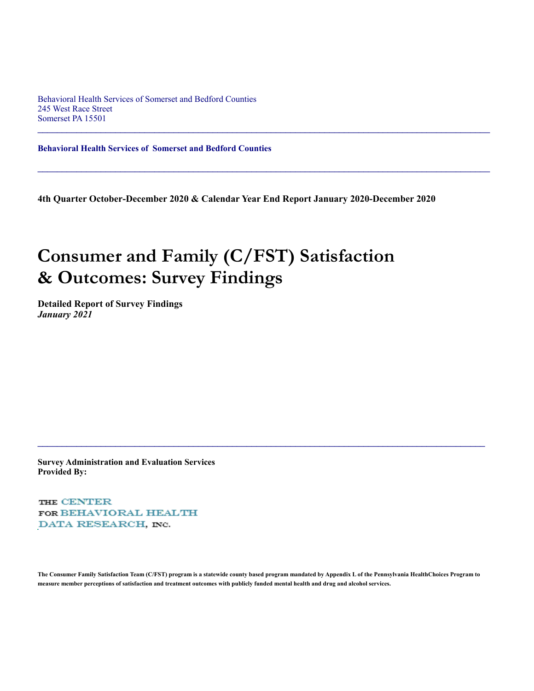Behavioral Health Services of Somerset and Bedford Counties 245 West Race Street Somerset PA 15501

**Behavioral Health Services of Somerset and Bedford Counties**

**4th Quarter October-December 2020 & Calendar Year End Report January 2020-December 2020**

 $\mathcal{L}_\mathcal{L} = \mathcal{L}_\mathcal{L} = \mathcal{L}_\mathcal{L} = \mathcal{L}_\mathcal{L} = \mathcal{L}_\mathcal{L} = \mathcal{L}_\mathcal{L} = \mathcal{L}_\mathcal{L} = \mathcal{L}_\mathcal{L} = \mathcal{L}_\mathcal{L} = \mathcal{L}_\mathcal{L} = \mathcal{L}_\mathcal{L} = \mathcal{L}_\mathcal{L} = \mathcal{L}_\mathcal{L} = \mathcal{L}_\mathcal{L} = \mathcal{L}_\mathcal{L} = \mathcal{L}_\mathcal{L} = \mathcal{L}_\mathcal{L}$ 

 $\mathcal{L}_\mathcal{L} = \{ \mathcal{L}_\mathcal{L} = \{ \mathcal{L}_\mathcal{L} = \{ \mathcal{L}_\mathcal{L} = \{ \mathcal{L}_\mathcal{L} = \{ \mathcal{L}_\mathcal{L} = \{ \mathcal{L}_\mathcal{L} = \{ \mathcal{L}_\mathcal{L} = \{ \mathcal{L}_\mathcal{L} = \{ \mathcal{L}_\mathcal{L} = \{ \mathcal{L}_\mathcal{L} = \{ \mathcal{L}_\mathcal{L} = \{ \mathcal{L}_\mathcal{L} = \{ \mathcal{L}_\mathcal{L} = \{ \mathcal{L}_\mathcal{$ 

# **Consumer and Family (C/FST) Satisfaction & Outcomes: Survey Findings**

**Detailed Report of Survey Findings** *January 2021*

**Survey Administration and Evaluation Services Provided By:**

THE CENTER FOR BEHAVIORAL HEALTH DATA RESEARCH, INC.

**The Consumer Family Satisfaction Team (C/FST) program is a statewide county based program mandated by Appendix L of the Pennsylvania HealthChoices Program to measure member perceptions of satisfaction and treatment outcomes with publicly funded mental health and drug and alcohol services.**

 $\mathcal{L}_\mathcal{L} = \{ \mathcal{L}_\mathcal{L} = \{ \mathcal{L}_\mathcal{L} = \{ \mathcal{L}_\mathcal{L} = \{ \mathcal{L}_\mathcal{L} = \{ \mathcal{L}_\mathcal{L} = \{ \mathcal{L}_\mathcal{L} = \{ \mathcal{L}_\mathcal{L} = \{ \mathcal{L}_\mathcal{L} = \{ \mathcal{L}_\mathcal{L} = \{ \mathcal{L}_\mathcal{L} = \{ \mathcal{L}_\mathcal{L} = \{ \mathcal{L}_\mathcal{L} = \{ \mathcal{L}_\mathcal{L} = \{ \mathcal{L}_\mathcal{$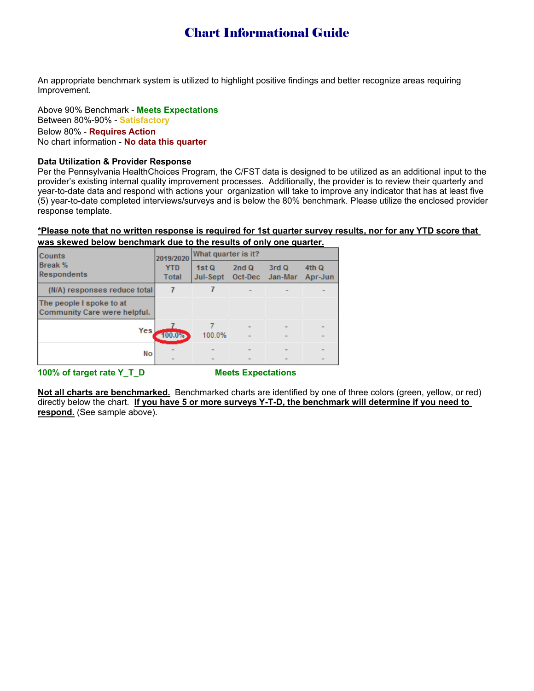# Chart Informational Guide

An appropriate benchmark system is utilized to highlight positive findings and better recognize areas requiring Improvement.

Above 90% Benchmark - **Meets Expectations** Between 80%-90% - **Satisfactory** Below 80% - **Requires Action** No chart information - **No data this quarter**

## **Data Utilization & Provider Response**

Per the Pennsylvania HealthChoices Program, the C/FST data is designed to be utilized as an additional input to the provider's existing internal quality improvement processes. Additionally, the provider is to review their quarterly and year-to-date data and respond with actions your organization will take to improve any indicator that has at least five (5) year-to-date completed interviews/surveys and is below the 80% benchmark. Please utilize the enclosed provider response template.

# **\*Please note that no written response is required for 1st quarter survey results, nor for any YTD score that**

|  |  |  | was skewed below benchmark due to the results of only one quarter. |
|--|--|--|--------------------------------------------------------------------|
|  |  |  |                                                                    |

| <b>Counts</b>                                            | 2019/2020           | What quarter is it? |                 |                  |                  |
|----------------------------------------------------------|---------------------|---------------------|-----------------|------------------|------------------|
| <b>Break %</b><br><b>Respondents</b>                     | <b>YTD</b><br>Total | 1stQ<br>Jul-Sept    | 2ndQ<br>Oct-Dec | 3rd Q<br>Jan-Mar | 4th Q<br>Apr-Jun |
| (N/A) responses reduce total                             |                     |                     |                 |                  |                  |
| The people I spoke to at<br>Community Care were helpful. |                     |                     |                 |                  |                  |
| Yes                                                      | 100.0%              | 100.0%              |                 |                  |                  |
| No                                                       |                     |                     |                 |                  |                  |

**100% of target rate Y\_T\_D Meets Expectations**

**Not all charts are benchmarked.** Benchmarked charts are identified by one of three colors (green, yellow, or red) directly below the chart. **If you have 5 or more surveys Y-T-D, the benchmark will determine if you need to respond.** (See sample above).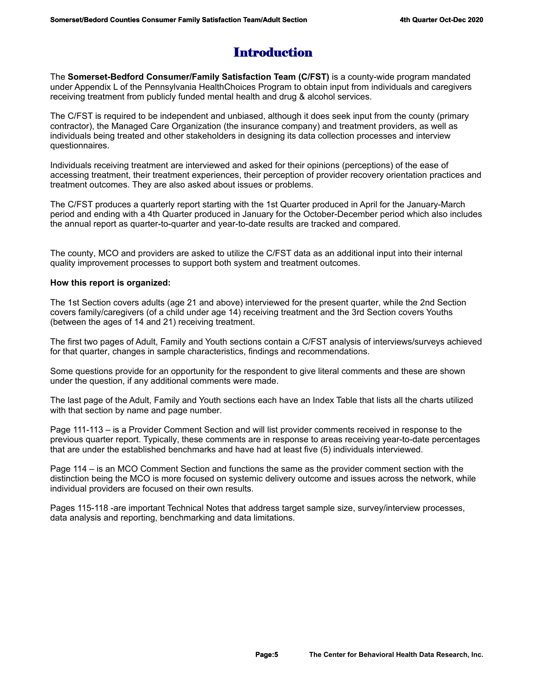# Introduction

The **Somerset-Bedford Consumer/Family Satisfaction Team (C/FST)** is a county-wide program mandated under Appendix L of the Pennsylvania HealthChoices Program to obtain input from individuals and caregivers receiving treatment from publicly funded mental health and drug & alcohol services.

The C/FST is required to be independent and unbiased, although it does seek input from the county (primary contractor), the Managed Care Organization (the insurance company) and treatment providers, as well as individuals being treated and other stakeholders in designing its data collection processes and interview questionnaires.

Individuals receiving treatment are interviewed and asked for their opinions (perceptions) of the ease of accessing treatment, their treatment experiences, their perception of provider recovery orientation practices and treatment outcomes. They are also asked about issues or problems.

The C/FST produces a quarterly report starting with the 1st Quarter produced in April for the January-March period and ending with a 4th Quarter produced in January for the October-December period which also includes the annual report as quarter-to-quarter and year-to-date results are tracked and compared.

The county, MCO and providers are asked to utilize the C/FST data as an additional input into their internal quality improvement processes to support both system and treatment outcomes.

# **How this report is organized:**

The 1st Section covers adults (age 21 and above) interviewed for the present quarter, while the 2nd Section covers family/caregivers (of a child under age 14) receiving treatment and the 3rd Section covers Youths (between the ages of 14 and 21) receiving treatment.

The first two pages of Adult, Family and Youth sections contain a C/FST analysis of interviews/surveys achieved for that quarter, changes in sample characteristics, findings and recommendations.

Some questions provide for an opportunity for the respondent to give literal comments and these are shown under the question, if any additional comments were made.

The last page of the Adult, Family and Youth sections each have an Index Table that lists all the charts utilized with that section by name and page number.

Page 111-113 – is a Provider Comment Section and will list provider comments received in response to the previous quarter report. Typically, these comments are in response to areas receiving year-to-date percentages that are under the established benchmarks and have had at least five (5) individuals interviewed.

Page 114 – is an MCO Comment Section and functions the same as the provider comment section with the distinction being the MCO is more focused on systemic delivery outcome and issues across the network, while individual providers are focused on their own results.

Pages 115-118 -are important Technical Notes that address target sample size, survey/interview processes, data analysis and reporting, benchmarking and data limitations.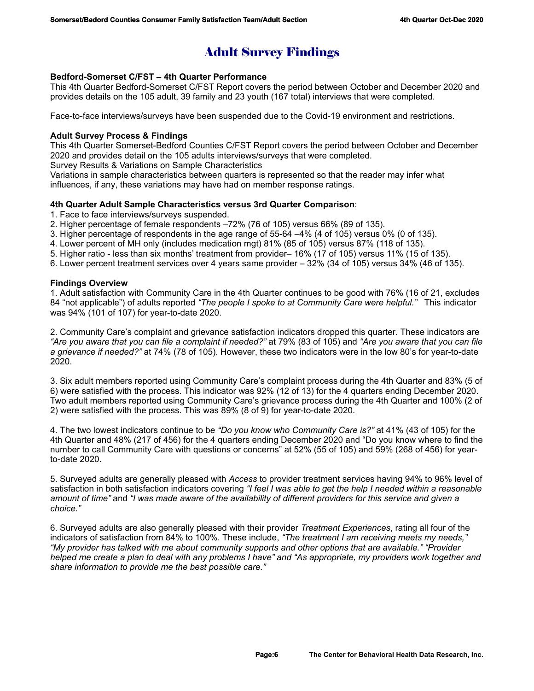# Adult Survey Findings

# **Bedford-Somerset C/FST – 4th Quarter Performance**

This 4th Quarter Bedford-Somerset C/FST Report covers the period between October and December 2020 and provides details on the 105 adult, 39 family and 23 youth (167 total) interviews that were completed.

Face-to-face interviews/surveys have been suspended due to the Covid-19 environment and restrictions.

# **Adult Survey Process & Findings**

This 4th Quarter Somerset-Bedford Counties C/FST Report covers the period between October and December 2020 and provides detail on the 105 adults interviews/surveys that were completed.

Survey Results & Variations on Sample Characteristics

Variations in sample characteristics between quarters is represented so that the reader may infer what influences, if any, these variations may have had on member response ratings.

# **4th Quarter Adult Sample Characteristics versus 3rd Quarter Comparison**:

- 1. Face to face interviews/surveys suspended.
- 2. Higher percentage of female respondents –72% (76 of 105) versus 66% (89 of 135).
- 3. Higher percentage of respondents in the age range of 55-64 –4% (4 of 105) versus 0% (0 of 135).
- 4. Lower percent of MH only (includes medication mgt) 81% (85 of 105) versus 87% (118 of 135).
- 5. Higher ratio less than six months' treatment from provider– 16% (17 of 105) versus 11% (15 of 135).
- 6. Lower percent treatment services over 4 years same provider 32% (34 of 105) versus 34% (46 of 135).

# **Findings Overview**

1. Adult satisfaction with Community Care in the 4th Quarter continues to be good with 76% (16 of 21, excludes 84 "not applicable") of adults reported *"The people I spoke to at Community Care were helpful."* This indicator was 94% (101 of 107) for year-to-date 2020.

2. Community Care's complaint and grievance satisfaction indicators dropped this quarter. These indicators are *"Are you aware that you can file a complaint if needed?"* at 79% (83 of 105) and *"Are you aware that you can file a grievance if needed?"* at 74% (78 of 105). However, these two indicators were in the low 80's for year-to-date 2020.

3. Six adult members reported using Community Care's complaint process during the 4th Quarter and 83% (5 of 6) were satisfied with the process. This indicator was 92% (12 of 13) for the 4 quarters ending December 2020. Two adult members reported using Community Care's grievance process during the 4th Quarter and 100% (2 of 2) were satisfied with the process. This was 89% (8 of 9) for year-to-date 2020.

4. The two lowest indicators continue to be *"Do you know who Community Care is?"* at 41% (43 of 105) for the 4th Quarter and 48% (217 of 456) for the 4 quarters ending December 2020 and "Do you know where to find the number to call Community Care with questions or concerns" at 52% (55 of 105) and 59% (268 of 456) for yearto-date 2020.

5. Surveyed adults are generally pleased with *Access* to provider treatment services having 94% to 96% level of satisfaction in both satisfaction indicators covering *"I feel I was able to get the help I needed within a reasonable amount of time"* and *"I was made aware of the availability of different providers for this service and given a choice."* 

6. Surveyed adults are also generally pleased with their provider *Treatment Experiences*, rating all four of the indicators of satisfaction from 84% to 100%. These include, *"The treatment I am receiving meets my needs," "My provider has talked with me about community supports and other options that are available." "Provider helped me create a plan to deal with any problems I have" and "As appropriate, my providers work together and share information to provide me the best possible care."*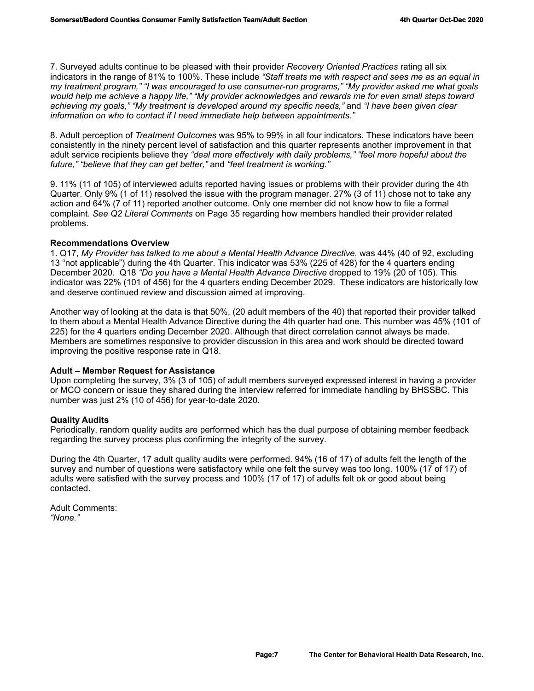7. Surveyed adults continue to be pleased with their provider *Recovery Oriented Practices* rating all six indicators in the range of 81% to 100%. These include *"Staff treats me with respect and sees me as an equal in my treatment program," "I was encouraged to use consumer-run programs," "My provider asked me what goals would help me achieve a happy life," "My provider acknowledges and rewards me for even small steps toward achieving my goals," "My treatment is developed around my specific needs,"* and *"I have been given clear information on who to contact if I need immediate help between appointments."*

8. Adult perception of *Treatment Outcomes* was 95% to 99% in all four indicators. These indicators have been consistently in the ninety percent level of satisfaction and this quarter represents another improvement in that adult service recipients believe they *"deal more effectively with daily problems," "feel more hopeful about the future," "believe that they can get better,"* and *"feel treatment is working."* 

9. 11% (11 of 105) of interviewed adults reported having issues or problems with their provider during the 4th Quarter. Only 9% (1 of 11) resolved the issue with the program manager. 27% (3 of 11) chose not to take any action and 64% (7 of 11) reported another outcome. Only one member did not know how to file a formal complaint. *See Q2 Literal Comments* on Page 35 regarding how members handled their provider related problems.

# **Recommendations Overview**

1. Q17, *My Provider has talked to me about a Mental Health Advance Directive*, was 44% (40 of 92, excluding 13 "not applicable") during the 4th Quarter. This indicator was 53% (225 of 428) for the 4 quarters ending December 2020. Q18 *"Do you have a Mental Health Advance Directive* dropped to 19% (20 of 105). This indicator was 22% (101 of 456) for the 4 quarters ending December 2029. These indicators are historically low and deserve continued review and discussion aimed at improving.

Another way of looking at the data is that 50%, (20 adult members of the 40) that reported their provider talked to them about a Mental Health Advance Directive during the 4th quarter had one. This number was 45% (101 of 225) for the 4 quarters ending December 2020. Although that direct correlation cannot always be made. Members are sometimes responsive to provider discussion in this area and work should be directed toward improving the positive response rate in Q18.

# **Adult – Member Request for Assistance**

Upon completing the survey, 3% (3 of 105) of adult members surveyed expressed interest in having a provider or MCO concern or issue they shared during the interview referred for immediate handling by BHSSBC. This number was just 2% (10 of 456) for year-to-date 2020.

# **Quality Audits**

Periodically, random quality audits are performed which has the dual purpose of obtaining member feedback regarding the survey process plus confirming the integrity of the survey.

During the 4th Quarter, 17 adult quality audits were performed. 94% (16 of 17) of adults felt the length of the survey and number of questions were satisfactory while one felt the survey was too long. 100% (17 of 17) of adults were satisfied with the survey process and 100% (17 of 17) of adults felt ok or good about being contacted.

Adult Comments: *"None."*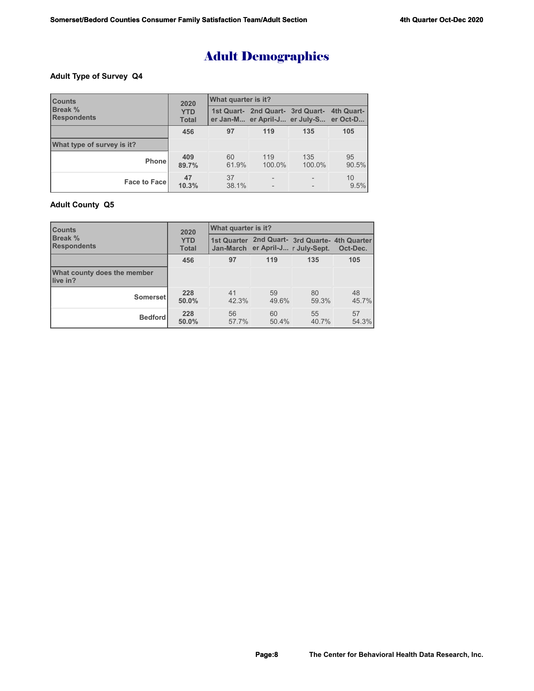# Adult Demographics

## **Adult Type of Survey Q4**

| <b>Counts</b>                        | 2020                       | <b>What quarter is it?</b> |                |                                                                                       |             |
|--------------------------------------|----------------------------|----------------------------|----------------|---------------------------------------------------------------------------------------|-------------|
| <b>Break %</b><br><b>Respondents</b> | <b>YTD</b><br><b>Total</b> |                            |                | 1st Quart- 2nd Quart- 3rd Quart- 4th Quart-<br>er Jan-M er April-J er July-S er Oct-D |             |
|                                      | 456                        | 97                         | 119            | 135                                                                                   | 105         |
| What type of survey is it?           |                            |                            |                |                                                                                       |             |
| <b>Phone</b>                         | 409<br>89.7%               | 60<br>61.9%                | 119<br>100.0%  | 135<br>100.0%                                                                         | 95<br>90.5% |
| <b>Face to Facel</b>                 | 47<br>10.3%                | 37<br>38.1%                | $\overline{a}$ |                                                                                       | 10<br>9.5%  |

## **Adult County Q5**

| <b>Counts</b>                           | 2020                       | What quarter is it? |             |                                                                                     |             |
|-----------------------------------------|----------------------------|---------------------|-------------|-------------------------------------------------------------------------------------|-------------|
| <b>Break %</b><br><b>Respondents</b>    | <b>YTD</b><br><b>Total</b> |                     |             | 1st Quarter 2nd Quart- 3rd Quarte- 4th Quarter<br>Jan-March er April-J r July-Sept. | Oct-Dec.    |
|                                         | 456                        | 97                  | 119         | 135                                                                                 | 105         |
| What county does the member<br>live in? |                            |                     |             |                                                                                     |             |
| Somerset                                | 228<br>50.0%               | 41<br>42.3%         | 59<br>49.6% | 80<br>59.3%                                                                         | 48<br>45.7% |
| <b>Bedford</b>                          | 228<br>50.0%               | 56<br>57.7%         | 60<br>50.4% | 55<br>40.7%                                                                         | 57<br>54.3% |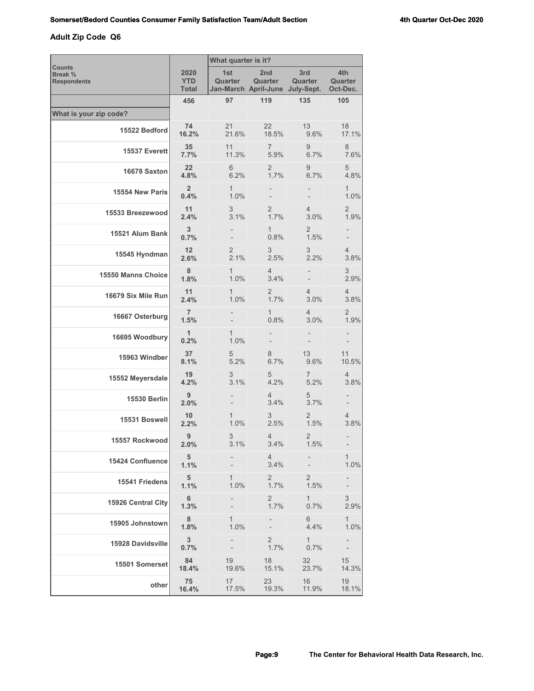# **Adult Zip Code Q6**

|                                                |                             | What quarter is it?      |                          |                                                   |                            |
|------------------------------------------------|-----------------------------|--------------------------|--------------------------|---------------------------------------------------|----------------------------|
| <b>Counts</b><br>Break %<br><b>Respondents</b> | 2020<br><b>YTD</b><br>Total | 1st<br>Quarter           | 2nd<br>Quarter           | 3rd<br>Quarter<br>Jan-March April-June July-Sept. | 4th<br>Quarter<br>Oct-Dec. |
|                                                | 456                         | 97                       | 119                      | 135                                               | 105                        |
| What is your zip code?                         |                             |                          |                          |                                                   |                            |
| 15522 Bedford                                  | 74<br>16.2%                 | 21<br>21.6%              | 22<br>18.5%              | 13<br>9.6%                                        | 18<br>17.1%                |
| 15537 Everett                                  | 35 <sub>5</sub><br>7.7%     | 11<br>11.3%              | $\overline{7}$<br>5.9%   | 9<br>6.7%                                         | 8<br>7.6%                  |
| 16678 Saxton                                   | $22 \overline{ }$<br>4.8%   | 6<br>6.2%                | $\overline{2}$<br>1.7%   | 9<br>6.7%                                         | 5<br>4.8%                  |
| 15554 New Paris                                | $\overline{2}$<br>0.4%      | $\mathbf{1}$<br>1.0%     | $\overline{\phantom{0}}$ |                                                   | $\mathbf{1}$<br>1.0%       |
| 15533 Breezewood                               | 11<br>2.4%                  | 3<br>3.1%                | $\overline{2}$<br>1.7%   | 4<br>3.0%                                         | $\overline{2}$<br>1.9%     |
| 15521 Alum Bank                                | $\mathbf{3}$<br>0.7%        |                          | $\mathbf{1}$<br>0.8%     | 2<br>1.5%                                         | -                          |
| 15545 Hyndman                                  | 12<br>2.6%                  | 2<br>2.1%                | 3<br>2.5%                | 3<br>2.2%                                         | 4<br>3.8%                  |
| 15550 Manns Choice                             | 8<br>1.8%                   | 1<br>1.0%                | $\overline{4}$<br>3.4%   |                                                   | 3<br>2.9%                  |
| 16679 Six Mile Run                             | 11<br>2.4%                  | $\mathbf{1}$<br>1.0%     | $\overline{2}$<br>1.7%   | 4<br>3.0%                                         | 4<br>3.8%                  |
| 16667 Osterburg                                | $\overline{7}$<br>1.5%      |                          | 1<br>0.8%                | 4<br>3.0%                                         | 2<br>1.9%                  |
| 16695 Woodbury                                 | $\mathbf{1}$<br>0.2%        | 1<br>1.0%                |                          |                                                   |                            |
| 15963 Windber                                  | 37<br>8.1%                  | 5<br>5.2%                | 8<br>6.7%                | 13<br>9.6%                                        | 11<br>10.5%                |
| 15552 Meyersdale                               | 19<br>4.2%                  | 3<br>3.1%                | 5<br>4.2%                | 7<br>5.2%                                         | 4<br>3.8%                  |
| <b>15530 Berlin</b>                            | 9<br>2.0%                   |                          | 4<br>3.4%                | 5<br>3.7%                                         |                            |
| 15531 Boswell                                  | 10<br>2.2%                  | 1<br>1.0%                | 3<br>2.5%                | 2<br>1.5%                                         | 4<br>3.8%                  |
| 15557 Rockwood                                 | 9<br>2.0%                   | 3<br>3.1%                | 4<br>3.4%                | 2<br>1.5%                                         |                            |
| 15424 Confluence                               | 5<br>1.1%                   |                          | 4<br>3.4%                |                                                   | 1<br>1.0%                  |
| 15541 Friedens                                 | 5<br>1.1%                   | $\mathbf{1}$<br>1.0%     | $\mathbf{2}$<br>1.7%     | 2<br>1.5%                                         |                            |
| 15926 Central City                             | 6<br>1.3%                   |                          | $\overline{2}$<br>1.7%   | $\mathbf{1}$<br>0.7%                              | 3<br>2.9%                  |
| 15905 Johnstown                                | 8<br>1.8%                   | 1<br>1.0%                |                          | 6<br>4.4%                                         | 1<br>1.0%                  |
| 15928 Davidsville                              | 3 <sup>1</sup><br>0.7%      |                          | $\overline{2}$<br>1.7%   | $\mathbf{1}$<br>0.7%                              |                            |
| 15501 Somerset                                 | 84<br>18.4%                 | 19<br>19.6%              | 18<br>15.1%              | 32<br>23.7%                                       | 15 <sup>2</sup><br>14.3%   |
| other                                          | 75<br>16.4%                 | 17 <sup>2</sup><br>17.5% | 23<br>19.3%              | 16<br>11.9%                                       | 19<br>18.1%                |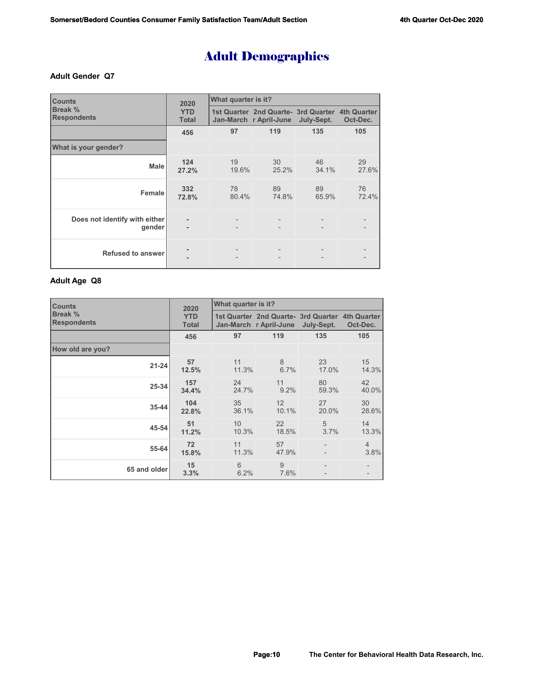# Adult Demographics

### **Adult Gender Q7**

| <b>Counts</b>                           | 2020                       | What quarter is it?      |                                                                           |                   |             |  |  |
|-----------------------------------------|----------------------------|--------------------------|---------------------------------------------------------------------------|-------------------|-------------|--|--|
| Break %<br><b>Respondents</b>           | <b>YTD</b><br><b>Total</b> |                          | 1st Quarter 2nd Quarte- 3rd Quarter 4th Quarter<br>Jan-March r April-June | July-Sept.        | Oct-Dec.    |  |  |
|                                         | 456                        | 97                       | 119                                                                       | 135               | 105         |  |  |
| What is your gender?                    |                            |                          |                                                                           |                   |             |  |  |
| <b>Male</b>                             | 124<br>27.2%               | 19<br>19.6%              | 30<br>25.2%                                                               | 46<br>34.1%       | 29<br>27.6% |  |  |
| Female                                  | 332<br>72.8%               | 78<br>80.4%              | 89<br>74.8%                                                               | 89<br>65.9%       | 76<br>72.4% |  |  |
| Does not identify with either<br>gender | ٠                          | $\overline{\phantom{a}}$ |                                                                           |                   |             |  |  |
| <b>Refused to answer</b>                |                            |                          |                                                                           | $\qquad \qquad -$ |             |  |  |

## **Adult Age Q8**

| <b>Counts</b>                 | 2020                       | What quarter is it? |                                                                           |             |                        |  |
|-------------------------------|----------------------------|---------------------|---------------------------------------------------------------------------|-------------|------------------------|--|
| Break %<br><b>Respondents</b> | <b>YTD</b><br><b>Total</b> |                     | 1st Quarter 2nd Quarte- 3rd Quarter 4th Quarter<br>Jan-March r April-June | July-Sept.  | Oct-Dec.               |  |
|                               | 456                        | 97                  | 119                                                                       | 135         | 105                    |  |
| How old are you?              |                            |                     |                                                                           |             |                        |  |
| $21 - 24$                     | 57<br>12.5%                | 11<br>11.3%         | 8<br>6.7%                                                                 | 23<br>17.0% | 15<br>14.3%            |  |
| 25-34                         | 157<br>34.4%               | 24<br>24.7%         | 11<br>9.2%                                                                | 80<br>59.3% | 42<br>40.0%            |  |
| 35-44                         | 104<br>22.8%               | 35<br>36.1%         | 12<br>10.1%                                                               | 27<br>20.0% | 30<br>28.6%            |  |
| 45-54                         | 51<br>11.2%                | 10<br>10.3%         | 22<br>18.5%                                                               | 5<br>3.7%   | 14<br>13.3%            |  |
| 55-64                         | 72<br>15.8%                | 11<br>11.3%         | 57<br>47.9%                                                               |             | $\overline{4}$<br>3.8% |  |
| 65 and older                  | 15<br>3.3%                 | 6<br>6.2%           | 9<br>7.6%                                                                 |             |                        |  |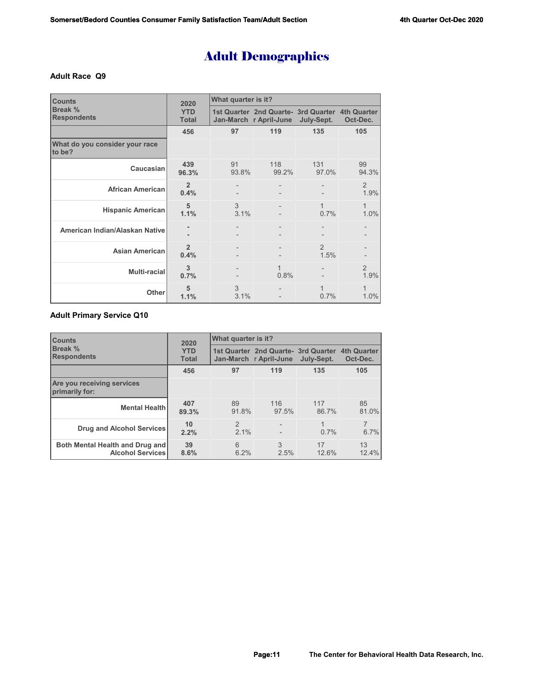# Adult Demographics

### **Adult Race Q9**

| <b>Counts</b>                            | 2020                       | What quarter is it? |                                                                           |                        |             |  |  |
|------------------------------------------|----------------------------|---------------------|---------------------------------------------------------------------------|------------------------|-------------|--|--|
| Break %<br><b>Respondents</b>            | <b>YTD</b><br><b>Total</b> |                     | 1st Quarter 2nd Quarte- 3rd Quarter 4th Quarter<br>Jan-March r April-June | July-Sept.             | Oct-Dec.    |  |  |
|                                          | 456                        | 97                  | 119                                                                       | 135                    | 105         |  |  |
| What do you consider your race<br>to be? |                            |                     |                                                                           |                        |             |  |  |
| Caucasian                                | 439<br>96.3%               | 91<br>93.8%         | 118<br>99.2%                                                              | 131<br>97.0%           | 99<br>94.3% |  |  |
| <b>African American</b>                  | $\overline{2}$<br>0.4%     |                     |                                                                           |                        | 2<br>1.9%   |  |  |
| <b>Hispanic American</b>                 | 5<br>1.1%                  | 3<br>3.1%           |                                                                           | $\mathbf{1}$<br>0.7%   | 1<br>1.0%   |  |  |
| American Indian/Alaskan Native           |                            |                     |                                                                           |                        |             |  |  |
| <b>Asian American</b>                    | $\overline{2}$<br>0.4%     |                     |                                                                           | $\mathfrak{D}$<br>1.5% |             |  |  |
| <b>Multi-racial</b>                      | 3<br>0.7%                  |                     | 1<br>0.8%                                                                 |                        | 2<br>1.9%   |  |  |
| Other                                    | 5<br>1.1%                  | 3<br>3.1%           |                                                                           | $\mathbf{1}$<br>0.7%   | 1<br>1.0%   |  |  |

# **Adult Primary Service Q10**

| <b>Counts</b>                                              | 2020                       | What quarter is it?   |                                                               |              |                                |  |  |
|------------------------------------------------------------|----------------------------|-----------------------|---------------------------------------------------------------|--------------|--------------------------------|--|--|
| <b>Break %</b><br><b>Respondents</b>                       | <b>YTD</b><br><b>Total</b> |                       | 1st Quarter 2nd Quarte- 3rd Quarter<br>Jan-March r April-June | July-Sept.   | <b>4th Quarter</b><br>Oct-Dec. |  |  |
|                                                            | 456                        | 97                    | 119                                                           | 135          | 105                            |  |  |
| Are you receiving services<br>primarily for:               |                            |                       |                                                               |              |                                |  |  |
| <b>Mental Health</b>                                       | 407<br>89.3%               | 89<br>91.8%           | 116<br>97.5%                                                  | 117<br>86.7% | 85<br>81.0%                    |  |  |
| Drug and Alcohol Services                                  | 10<br>2.2%                 | $\mathcal{P}$<br>2.1% |                                                               | 1<br>$0.7\%$ | $\overline{7}$<br>6.7%         |  |  |
| Both Mental Health and Drug and<br><b>Alcohol Services</b> | 39<br>8.6%                 | 6<br>6.2%             | 3<br>2.5%                                                     | 17<br>12.6%  | 13<br>12.4%                    |  |  |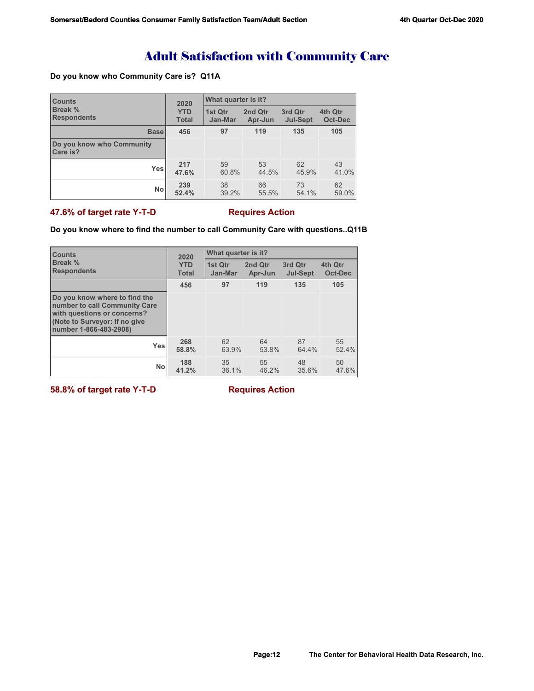# Adult Satisfaction with Community Care

## **Do you know who Community Care is? Q11A**

| <b>Counts</b>                         | 2020         | What quarter is it? |         |                 |         |  |
|---------------------------------------|--------------|---------------------|---------|-----------------|---------|--|
| <b>Break %</b>                        | <b>YTD</b>   | 1st Qtr             | 2nd Qtr | 3rd Qtr         | 4th Qtr |  |
| <b>Respondents</b>                    | <b>Total</b> | Jan-Mar             | Apr-Jun | <b>Jul-Sept</b> | Oct-Dec |  |
| <b>Base</b>                           | 456          | 97                  | 119     | 135             | 105     |  |
| Do you know who Community<br>Care is? |              |                     |         |                 |         |  |
| <b>Yes</b>                            | 217          | 59                  | 53      | 62              | 43      |  |
|                                       | 47.6%        | 60.8%               | 44.5%   | 45.9%           | 41.0%   |  |
| <b>No</b>                             | 239          | 38                  | 66      | 73              | 62      |  |
|                                       | 52.4%        | 39.2%               | 55.5%   | 54.1%           | 59.0%   |  |

## **47.6% of target rate Y-T-D Requires Action**

## **Do you know where to find the number to call Community Care with questions..Q11B**

| <b>Counts</b>                                                                                                                                            | 2020         | <b>What quarter is it?</b> |         |                 |         |
|----------------------------------------------------------------------------------------------------------------------------------------------------------|--------------|----------------------------|---------|-----------------|---------|
| Break %                                                                                                                                                  | <b>YTD</b>   | 1st Qtr                    | 2nd Qtr | 3rd Qtr         | 4th Qtr |
| <b>Respondents</b>                                                                                                                                       | <b>Total</b> | Jan-Mar                    | Apr-Jun | <b>Jul-Sept</b> | Oct-Dec |
|                                                                                                                                                          | 456          | 97                         | 119     | 135             | 105     |
| Do you know where to find the<br>number to call Community Care<br>with questions or concerns?<br>(Note to Surveyor: If no give<br>number 1-866-483-2908) |              |                            |         |                 |         |
| <b>Yes</b>                                                                                                                                               | 268          | 62                         | 64      | 87              | 55      |
|                                                                                                                                                          | 58.8%        | 63.9%                      | 53.8%   | 64.4%           | 52.4%   |
| <b>No</b>                                                                                                                                                | 188          | 35                         | 55      | 48              | 50      |
|                                                                                                                                                          | 41.2%        | 36.1%                      | 46.2%   | 35.6%           | 47.6%   |

**58.8% of target rate Y-T-D** Requires Action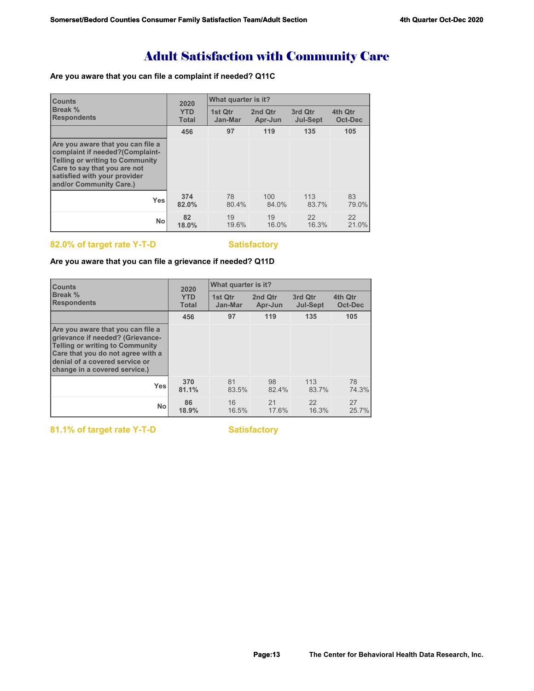# Adult Satisfaction with Community Care

# **Are you aware that you can file a complaint if needed? Q11C**

| <b>Counts</b>                                                                                                                                                                                      | 2020         | What quarter is it? |         |                 |         |
|----------------------------------------------------------------------------------------------------------------------------------------------------------------------------------------------------|--------------|---------------------|---------|-----------------|---------|
| <b>Break</b> %                                                                                                                                                                                     | <b>YTD</b>   | 1st Qtr             | 2nd Qtr | 3rd Qtr         | 4th Qtr |
| <b>Respondents</b>                                                                                                                                                                                 | <b>Total</b> | Jan-Mar             | Apr-Jun | <b>Jul-Sept</b> | Oct-Dec |
|                                                                                                                                                                                                    | 456          | 97                  | 119     | 135             | 105     |
| Are you aware that you can file a<br>complaint if needed?(Complaint-<br>Telling or writing to Community<br>Care to say that you are not<br>satisfied with your provider<br>and/or Community Care.) |              |                     |         |                 |         |
| <b>Yes</b>                                                                                                                                                                                         | 374          | 78                  | 100     | 113             | 83      |
|                                                                                                                                                                                                    | 82.0%        | 80.4%               | 84.0%   | 83.7%           | 79.0%   |
| <b>No</b>                                                                                                                                                                                          | 82           | 19                  | 19      | 22              | 22      |
|                                                                                                                                                                                                    | 18.0%        | 19.6%               | 16.0%   | 16.3%           | 21.0%   |

# 82.0% of target rate Y-T-D **Satisfactory**

## **Are you aware that you can file a grievance if needed? Q11D**

| <b>Counts</b>                                                                                                                                                                                                           | 2020         | What quarter is it? |         |                 |         |  |
|-------------------------------------------------------------------------------------------------------------------------------------------------------------------------------------------------------------------------|--------------|---------------------|---------|-----------------|---------|--|
| Break %                                                                                                                                                                                                                 | <b>YTD</b>   | 1st Qtr             | 2nd Qtr | 3rd Qtr         | 4th Qtr |  |
| <b>Respondents</b>                                                                                                                                                                                                      | <b>Total</b> | Jan-Mar             | Apr-Jun | <b>Jul-Sept</b> | Oct-Dec |  |
|                                                                                                                                                                                                                         | 456          | 97                  | 119     | 135             | 105     |  |
| Are you aware that you can file a<br>grievance if needed? (Grievance-<br><b>Telling or writing to Community</b><br>Care that you do not agree with a<br>denial of a covered service or<br>change in a covered service.) |              |                     |         |                 |         |  |
| <b>Yes</b>                                                                                                                                                                                                              | 370          | 81                  | 98      | 113             | 78      |  |
|                                                                                                                                                                                                                         | 81.1%        | 83.5%               | 82.4%   | 83.7%           | 74.3%   |  |
| No                                                                                                                                                                                                                      | 86           | 16                  | 21      | 22              | 27      |  |
|                                                                                                                                                                                                                         | 18.9%        | 16.5%               | 17.6%   | 16.3%           | 25.7%   |  |

81.1% of target rate Y-T-D Satisfactory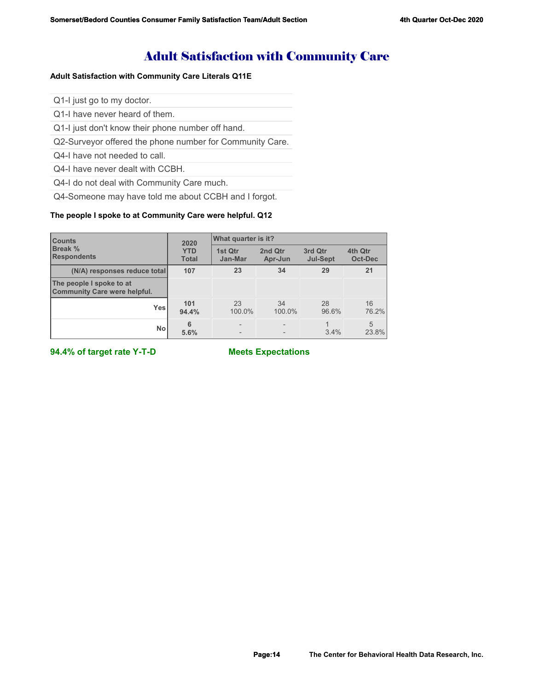# Adult Satisfaction with Community Care

## **Adult Satisfaction with Community Care Literals Q11E**

Q1-I just go to my doctor.

Q1-I have never heard of them.

Q1-I just don't know their phone number off hand.

Q2-Surveyor offered the phone number for Community Care.

Q4-I have not needed to call.

Q4-I have never dealt with CCBH.

Q4-I do not deal with Community Care much.

Q4-Someone may have told me about CCBH and I forgot.

# **The people I spoke to at Community Care were helpful. Q12**

| <b>Counts</b><br><b>Break %</b><br><b>Respondents</b>           | 2020<br><b>YTD</b><br><b>Total</b> | What quarter is it? |                    |                            |                    |
|-----------------------------------------------------------------|------------------------------------|---------------------|--------------------|----------------------------|--------------------|
|                                                                 |                                    | 1st Qtr<br>Jan-Mar  | 2nd Qtr<br>Apr-Jun | 3rd Qtr<br><b>Jul-Sept</b> | 4th Qtr<br>Oct-Dec |
| (N/A) responses reduce total                                    | 107                                | 23                  | 34                 | 29                         | 21                 |
| The people I spoke to at<br><b>Community Care were helpful.</b> |                                    |                     |                    |                            |                    |
| <b>Yes</b>                                                      | 101<br>94.4%                       | 23<br>100.0%        | 34<br>100.0%       | 28<br>96.6%                | 16<br>76.2%        |
| <b>No</b>                                                       | 6<br>5.6%                          |                     |                    | 3.4%                       | 5<br>23.8%         |

**94.4% of target rate Y-T-D Meets Expectations**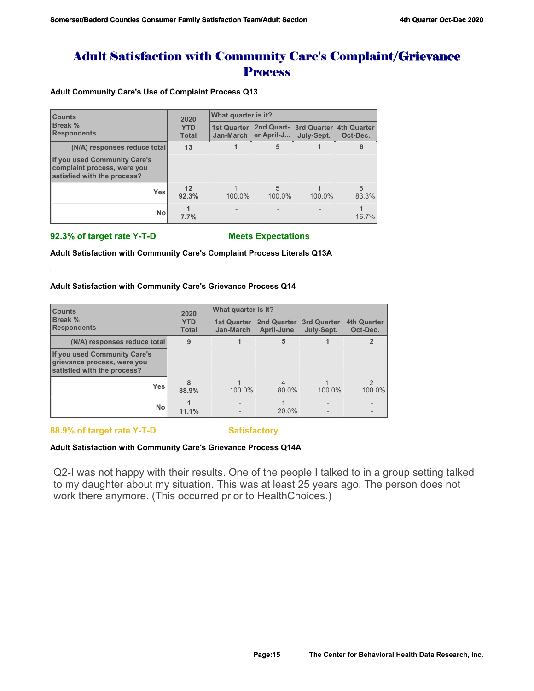# Adult Satisfaction with Community Care's Complaint/Grievance **Process**

**Adult Community Care's Use of Complaint Process Q13**

| <b>Counts</b><br>Break %<br><b>Respondents</b>                                             | 2020<br><b>YTD</b><br><b>Total</b> | <b>What quarter is it?</b> |                          |                                                              |                         |  |
|--------------------------------------------------------------------------------------------|------------------------------------|----------------------------|--------------------------|--------------------------------------------------------------|-------------------------|--|
|                                                                                            |                                    |                            | Jan-March er April-J     | 1st Quarter 2nd Quart- 3rd Quarter 4th Quarter<br>July-Sept. | Oct-Dec.                |  |
| (N/A) responses reduce total                                                               | 13                                 |                            | 5                        |                                                              | 6                       |  |
| If you used Community Care's<br>complaint process, were you<br>satisfied with the process? |                                    |                            |                          |                                                              |                         |  |
| Yes                                                                                        | 12<br>92.3%                        | 100.0%                     | $\overline{5}$<br>100.0% | 100.0%                                                       | $\overline{5}$<br>83.3% |  |
| No                                                                                         | 7.7%                               |                            |                          |                                                              | 16.7%                   |  |

### **92.3% of target rate Y-T-D Meets Expectations**

**Adult Satisfaction with Community Care's Complaint Process Literals Q13A**

### **Adult Satisfaction with Community Care's Grievance Process Q14**

| <b>Counts</b><br>Break %<br><b>Respondents</b>                                             | 2020<br><b>YTD</b><br><b>Total</b> | What quarter is it?             |                                  |                                  |                                |  |
|--------------------------------------------------------------------------------------------|------------------------------------|---------------------------------|----------------------------------|----------------------------------|--------------------------------|--|
|                                                                                            |                                    | <b>1st Quarter</b><br>Jan-March | <b>2nd Quarter</b><br>April-June | <b>3rd Quarter</b><br>July-Sept. | <b>4th Quarter</b><br>Oct-Dec. |  |
| (N/A) responses reduce total                                                               | 9                                  |                                 | 5                                |                                  |                                |  |
| If you used Community Care's<br>grievance process, were you<br>satisfied with the process? |                                    |                                 |                                  |                                  |                                |  |
| <b>Yes</b>                                                                                 | 8<br>88.9%                         | 100.0%                          | $\overline{4}$<br>80.0%          | 100.0%                           | $\mathfrak{D}$<br>100.0%       |  |
| <b>No</b>                                                                                  | 11.1%                              |                                 | 20.0%                            |                                  |                                |  |

**88.9% of target rate Y-T-D Satisfactory** 

## **Adult Satisfaction with Community Care's Grievance Process Q14A**

Q2-I was not happy with their results. One of the people I talked to in a group setting talked to my daughter about my situation. This was at least 25 years ago. The person does not work there anymore. (This occurred prior to HealthChoices.)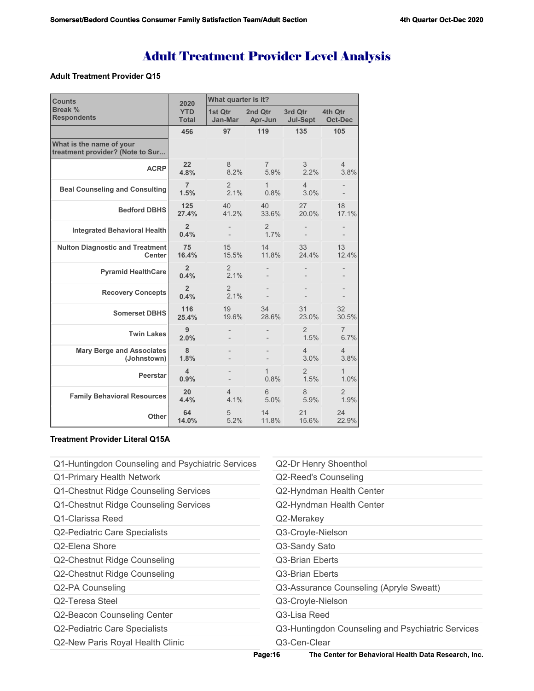### **Adult Treatment Provider Q15**

| <b>Counts</b>                                                | 2020                       | What quarter is it?    |                        |                            |                           |  |
|--------------------------------------------------------------|----------------------------|------------------------|------------------------|----------------------------|---------------------------|--|
| Break %<br><b>Respondents</b>                                | <b>YTD</b><br><b>Total</b> | 1st Qtr<br>Jan-Mar     | 2nd Otr<br>Apr-Jun     | 3rd Qtr<br><b>Jul-Sept</b> | 4th Qtr<br><b>Oct-Dec</b> |  |
|                                                              | 456                        | 97                     | 119                    | 135                        | 105                       |  |
| What is the name of your<br>treatment provider? (Note to Sur |                            |                        |                        |                            |                           |  |
| <b>ACRP</b>                                                  | 22<br>4.8%                 | 8<br>8.2%              | $\overline{7}$<br>5.9% | 3<br>2.2%                  | $\overline{4}$<br>3.8%    |  |
| <b>Beal Counseling and Consulting</b>                        | $\overline{7}$<br>1.5%     | $\overline{2}$<br>2.1% | $\mathbf{1}$<br>0.8%   | 4<br>3.0%                  |                           |  |
| <b>Bedford DBHS</b>                                          | 125<br>27.4%               | 40<br>41.2%            | 40<br>33.6%            | 27<br>20.0%                | 18<br>17.1%               |  |
| <b>Integrated Behavioral Health</b>                          | $\overline{2}$<br>0.4%     |                        | $\overline{2}$<br>1.7% |                            |                           |  |
| <b>Nulton Diagnostic and Treatment</b><br><b>Center</b>      | 75<br>16.4%                | 15<br>15.5%            | 14<br>11.8%            | 33<br>24.4%                | 13<br>12.4%               |  |
| <b>Pyramid HealthCare</b>                                    | $\overline{2}$<br>0.4%     | 2<br>2.1%              |                        |                            |                           |  |
| <b>Recovery Concepts</b>                                     | $\overline{2}$<br>0.4%     | $\overline{2}$<br>2.1% |                        |                            |                           |  |
| <b>Somerset DBHS</b>                                         | 116<br>25.4%               | 19<br>19.6%            | 34<br>28.6%            | 31<br>23.0%                | 32<br>30.5%               |  |
| <b>Twin Lakes</b>                                            | 9<br>2.0%                  |                        |                        | 2<br>1.5%                  | 7<br>6.7%                 |  |
| <b>Mary Berge and Associates</b><br>(Johnstown)              | 8<br>1.8%                  |                        |                        | 4<br>3.0%                  | $\overline{4}$<br>3.8%    |  |
| <b>Peerstar</b>                                              | 4<br>0.9%                  |                        | $\mathbf{1}$<br>0.8%   | $\overline{2}$<br>1.5%     | $\mathbf{1}$<br>1.0%      |  |
| <b>Family Behavioral Resources</b>                           | 20<br>4.4%                 | 4<br>4.1%              | 6<br>5.0%              | 8<br>5.9%                  | 2<br>1.9%                 |  |
| <b>Other</b>                                                 | 64<br>14.0%                | 5<br>5.2%              | 14<br>11.8%            | 21<br>15.6%                | 24<br>22.9%               |  |

## **Treatment Provider Literal Q15A**

Q1-Huntingdon Counseling and Psychiatric Services Q1-Primary Health Network Q1-Chestnut Ridge Counseling Services Q1-Chestnut Ridge Counseling Services Q1-Clarissa Reed Q2-Pediatric Care Specialists Q2-Elena Shore Q2-Chestnut Ridge Counseling Q2-Chestnut Ridge Counseling Q2-PA Counseling Q2-Teresa Steel Q2-Beacon Counseling Center Q2-Pediatric Care Specialists Q2-New Paris Royal Health Clinic Q2-Dr Henry Shoenthol Q2-Reed's Counseling Q2-Hyndman Health Center Q2-Hyndman Health Center Q2-Merakey Q3-Croyle-Nielson Q3-Sandy Sato Q3-Brian Eberts Q3-Brian Eberts Q3-Assurance Counseling (Apryle Sweatt) Q3-Croyle-Nielson Q3-Lisa Reed Q3-Huntingdon Counseling and Psychiatric Services Q3-Cen-Clear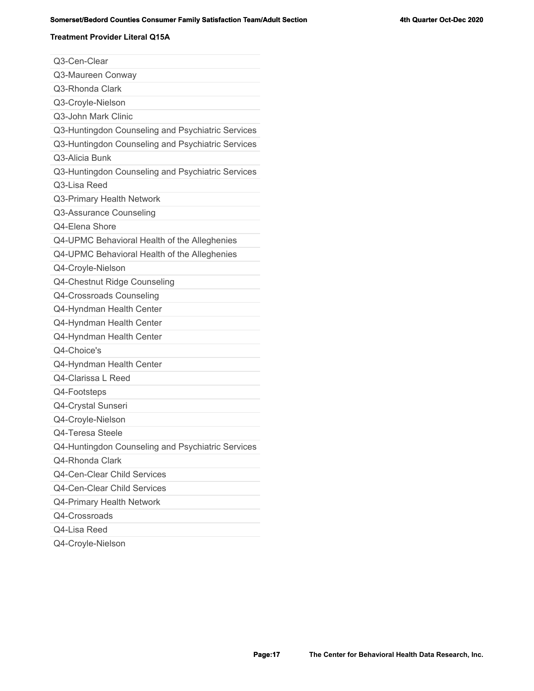# **Somerset/Bedord Counties Consumer Family Satisfaction Team/Adult Section Section 4th Quarter Oct-Dec 2020**

### **Treatment Provider Literal Q15A**

| Q3-Cen-Clear                                      |
|---------------------------------------------------|
| Q3-Maureen Conway                                 |
| Q3-Rhonda Clark                                   |
| Q3-Croyle-Nielson                                 |
| Q3-John Mark Clinic                               |
| Q3-Huntingdon Counseling and Psychiatric Services |
| Q3-Huntingdon Counseling and Psychiatric Services |
| Q3-Alicia Bunk                                    |
| Q3-Huntingdon Counseling and Psychiatric Services |
| Q3-Lisa Reed                                      |
| Q3-Primary Health Network                         |
| Q3-Assurance Counseling                           |
| Q4-Elena Shore                                    |
| Q4-UPMC Behavioral Health of the Alleghenies      |
| Q4-UPMC Behavioral Health of the Alleghenies      |
| Q4-Croyle-Nielson                                 |
| Q4-Chestnut Ridge Counseling                      |
| Q4-Crossroads Counseling                          |
| Q4-Hyndman Health Center                          |
| Q4-Hyndman Health Center                          |
| Q4-Hyndman Health Center                          |
| Q4-Choice's                                       |
| Q4-Hyndman Health Center                          |
| Q4-Clarissa L Reed                                |
| Q4-Footsteps                                      |
| Q4-Crystal Sunseri                                |
| Q4-Croyle-Nielson                                 |
| Q4-Teresa Steele                                  |
| Q4-Huntingdon Counseling and Psychiatric Services |
| Q4-Rhonda Clark                                   |
| Q4-Cen-Clear Child Services                       |
| Q4-Cen-Clear Child Services                       |
| Q4-Primary Health Network                         |
| Q4-Crossroads                                     |
| Q4-Lisa Reed                                      |
| Q4-Croyle-Nielson                                 |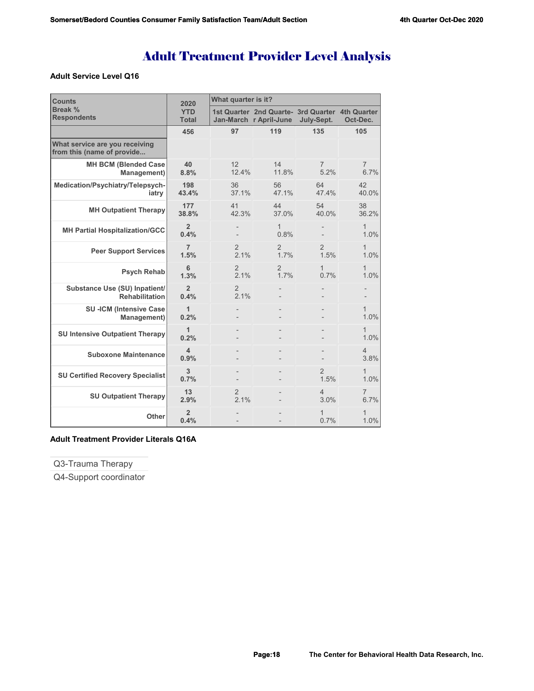## **Adult Service Level Q16**

| <b>Counts</b>                                                | 2020                            | What quarter is it?    |                                                                           |                        |                        |  |
|--------------------------------------------------------------|---------------------------------|------------------------|---------------------------------------------------------------------------|------------------------|------------------------|--|
| <b>Break %</b><br><b>Respondents</b>                         | <b>YTD</b><br><b>Total</b>      |                        | 1st Quarter 2nd Quarte- 3rd Quarter 4th Quarter<br>Jan-March r April-June | July-Sept.             | Oct-Dec.               |  |
|                                                              | 456                             | 97                     | 119                                                                       | 135                    | 105                    |  |
| What service are you receiving<br>from this (name of provide |                                 |                        |                                                                           |                        |                        |  |
| <b>MH BCM (Blended Case</b><br>Management)                   | 40<br>8.8%                      | 12<br>12.4%            | 14<br>11.8%                                                               | 7<br>5.2%              | 7<br>6.7%              |  |
| Medication/Psychiatry/Telepsych-<br>iatry                    | 198<br>43.4%                    | 36<br>37.1%            | 56<br>47.1%                                                               | 64<br>47.4%            | 42<br>40.0%            |  |
| <b>MH Outpatient Therapy</b>                                 | 177<br>38.8%                    | 41<br>42.3%            | 44<br>37.0%                                                               | 54<br>40.0%            | 38<br>36.2%            |  |
| <b>MH Partial Hospitalization/GCC</b>                        | $\overline{2}$<br>0.4%          |                        | 1<br>0.8%                                                                 |                        | 1<br>1.0%              |  |
| <b>Peer Support Services</b>                                 | $\overline{7}$<br>1.5%          | $\overline{2}$<br>2.1% | 2<br>1.7%                                                                 | $\overline{2}$<br>1.5% | 1<br>1.0%              |  |
| <b>Psych Rehab</b>                                           | 6<br>1.3%                       | $\overline{2}$<br>2.1% | 2<br>1.7%                                                                 | 1<br>0.7%              | 1.0%                   |  |
| Substance Use (SU) Inpatient/<br><b>Rehabilitation</b>       | $\overline{2}$<br>0.4%          | 2<br>2.1%              |                                                                           |                        |                        |  |
| <b>SU-ICM (Intensive Case</b><br>Management)                 | 1<br>0.2%                       |                        |                                                                           |                        | $\mathbf{1}$<br>1.0%   |  |
| <b>SU Intensive Outpatient Therapy</b>                       | 1<br>0.2%                       |                        |                                                                           |                        | 1<br>1.0%              |  |
| <b>Suboxone Maintenance</b>                                  | $\overline{\mathbf{4}}$<br>0.9% |                        |                                                                           |                        | $\overline{4}$<br>3.8% |  |
| <b>SU Certified Recovery Specialist</b>                      | 3<br>0.7%                       |                        |                                                                           | $\overline{2}$<br>1.5% | $\mathbf 1$<br>1.0%    |  |
| <b>SU Outpatient Therapy</b>                                 | 13<br>2.9%                      | $\overline{2}$<br>21%  |                                                                           | 4<br>3.0%              | 7<br>6.7%              |  |
| Other                                                        | $\overline{2}$<br>0.4%          |                        |                                                                           | 1<br>0.7%              | 1.0%                   |  |

# **Adult Treatment Provider Literals Q16A**

Q3-Trauma Therapy

Q4-Support coordinator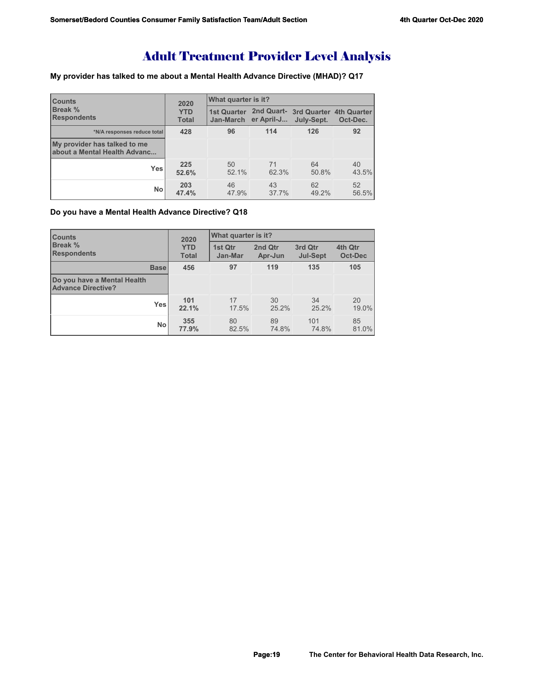**My provider has talked to me about a Mental Health Advance Directive (MHAD)? Q17**

| <b>ICounts</b><br><b>Break %</b><br><b>Respondents</b>       | 2020<br><b>YTD</b><br><b>Total</b> | What quarter is it? |             |                                                              |             |  |
|--------------------------------------------------------------|------------------------------------|---------------------|-------------|--------------------------------------------------------------|-------------|--|
|                                                              |                                    | Jan-March           | er April-J  | 1st Quarter 2nd Quart- 3rd Quarter 4th Quarter<br>July-Sept. | Oct-Dec.    |  |
| *N/A responses reduce total                                  | 428                                | 96                  | 114         | 126                                                          | 92          |  |
| My provider has talked to me<br>about a Mental Health Advanc |                                    |                     |             |                                                              |             |  |
| Yes                                                          | 225<br>52.6%                       | 50<br>52.1%         | 71<br>62.3% | 64<br>50.8%                                                  | 40<br>43.5% |  |
| No                                                           | 203<br>47.4%                       | 46<br>47.9%         | 43<br>37.7% | 62<br>49.2%                                                  | 52<br>56.5% |  |

# **Do you have a Mental Health Advance Directive? Q18**

| <b>Counts</b>                                            | 2020<br><b>YTD</b><br><b>Total</b> | What quarter is it? |                    |                            |                    |  |
|----------------------------------------------------------|------------------------------------|---------------------|--------------------|----------------------------|--------------------|--|
| <b>Break</b> %<br><b>Respondents</b>                     |                                    | 1st Qtr<br>Jan-Mar  | 2nd Qtr<br>Apr-Jun | 3rd Qtr<br><b>Jul-Sept</b> | 4th Qtr<br>Oct-Dec |  |
| <b>Base</b>                                              | 456                                | 97                  | 119                | 135                        | 105                |  |
| Do you have a Mental Health<br><b>Advance Directive?</b> |                                    |                     |                    |                            |                    |  |
| Yes                                                      | 101<br>22.1%                       | 17<br>17.5%         | 30<br>25.2%        | 34<br>25.2%                | 20<br>19.0%        |  |
| <b>No</b>                                                | 355<br>77.9%                       | 80<br>82.5%         | 89<br>74.8%        | 101<br>74.8%               | 85<br>81.0%        |  |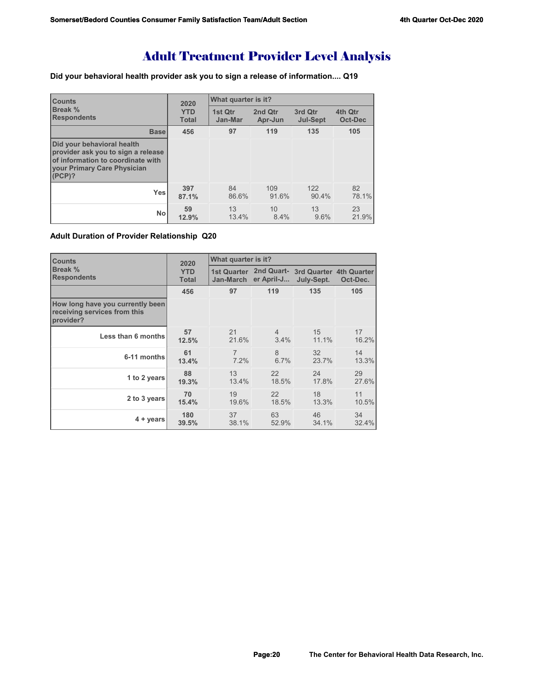**Did your behavioral health provider ask you to sign a release of information.... Q19**

| <b>Counts</b>                                                                                                                                         | 2020         | What quarter is it? |         |                 |                |
|-------------------------------------------------------------------------------------------------------------------------------------------------------|--------------|---------------------|---------|-----------------|----------------|
| Break %                                                                                                                                               | <b>YTD</b>   | 1st Qtr             | 2nd Qtr | 3rd Qtr         | 4th Qtr        |
| <b>Respondents</b>                                                                                                                                    | <b>Total</b> | Jan-Mar             | Apr-Jun | <b>Jul-Sept</b> | <b>Oct-Dec</b> |
| <b>Base</b>                                                                                                                                           | 456          | 97                  | 119     | 135             | 105            |
| Did your behavioral health<br>provider ask you to sign a release<br>of information to coordinate with<br><b>Vour Primary Care Physician</b><br>(PCP)? |              |                     |         |                 |                |
| Yes                                                                                                                                                   | 397          | 84                  | 109     | 122             | 82             |
|                                                                                                                                                       | 87.1%        | 86.6%               | 91.6%   | 90.4%           | 78.1%          |
| No                                                                                                                                                    | 59           | 13                  | 10      | 13              | 23             |
|                                                                                                                                                       | 12.9%        | 13.4%               | 8.4%    | 9.6%            | 21.9%          |

**Adult Duration of Provider Relationship Q20**

| <b>Counts</b>                                                                 | 2020                       | What quarter is it? |                      |                                                              |          |
|-------------------------------------------------------------------------------|----------------------------|---------------------|----------------------|--------------------------------------------------------------|----------|
| <b>Break %</b><br><b>Respondents</b>                                          | <b>YTD</b><br><b>Total</b> |                     | Jan-March er April-J | 1st Quarter 2nd Quart- 3rd Quarter 4th Quarter<br>July-Sept. | Oct-Dec. |
|                                                                               | 456                        | 97                  | 119                  | 135                                                          | 105      |
| How long have you currently been<br>receiving services from this<br>provider? |                            |                     |                      |                                                              |          |
| Less than 6 months                                                            | 57                         | 21                  | $\overline{4}$       | 15                                                           | 17       |
|                                                                               | 12.5%                      | 21.6%               | 3.4%                 | 11.1%                                                        | 16.2%    |
| 6-11 months                                                                   | 61                         | $\overline{7}$      | 8                    | 32                                                           | 14       |
|                                                                               | 13.4%                      | 7.2%                | 6.7%                 | 23.7%                                                        | 13.3%    |
| 1 to 2 years                                                                  | 88                         | 13                  | 22                   | 24                                                           | 29       |
|                                                                               | 19.3%                      | 13.4%               | 18.5%                | 17.8%                                                        | 27.6%    |
| 2 to 3 years                                                                  | 70                         | 19                  | 22                   | 18                                                           | 11       |
|                                                                               | 15.4%                      | 19.6%               | 18.5%                | 13.3%                                                        | 10.5%    |
| $4 + years$                                                                   | 180                        | 37                  | 63                   | 46                                                           | 34       |
|                                                                               | 39.5%                      | 38.1%               | 52.9%                | 34.1%                                                        | 32.4%    |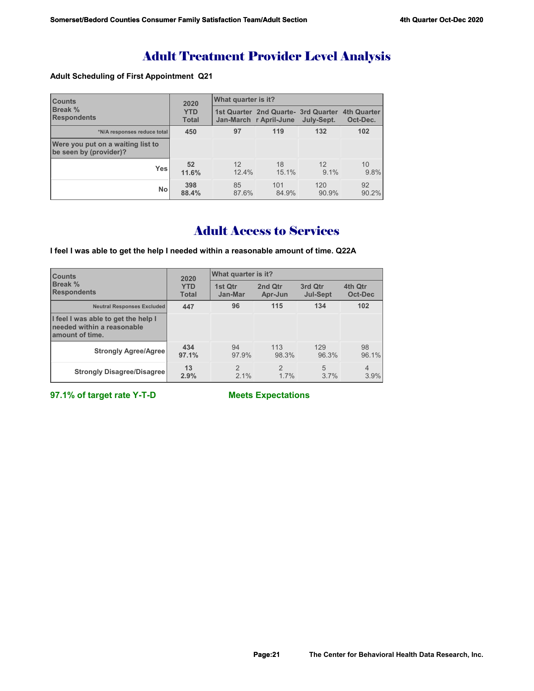## **Adult Scheduling of First Appointment Q21**

| <b>Counts</b><br>Break %<br><b>Respondents</b>              | 2020<br><b>YTD</b><br><b>Total</b> | What quarter is it? |                                                                            |               |             |  |
|-------------------------------------------------------------|------------------------------------|---------------------|----------------------------------------------------------------------------|---------------|-------------|--|
|                                                             |                                    |                     | 1st Quarter 2nd Quarte - 3rd Quarter 4th Quarter<br>Jan-March r April-June | July-Sept.    | Oct-Dec.    |  |
| *N/A responses reduce total                                 | 450                                | 97                  | 119                                                                        | 132           | 102         |  |
| Were you put on a waiting list to<br>be seen by (provider)? |                                    |                     |                                                                            |               |             |  |
| <b>Yes</b>                                                  | 52<br>11.6%                        | 12<br>12.4%         | 18<br>15.1%                                                                | 12<br>$9.1\%$ | 10<br>9.8%  |  |
| <b>No</b>                                                   | 398<br>88.4%                       | 85<br>87.6%         | 101<br>84.9%                                                               | 120<br>90.9%  | 92<br>90.2% |  |

# Adult Access to Services

**I feel I was able to get the help I needed within a reasonable amount of time. Q22A**

| <b>Counts</b><br><b>Break %</b><br><b>Respondents</b>                                | 2020                       | What quarter is it?    |                        |                            |                        |  |
|--------------------------------------------------------------------------------------|----------------------------|------------------------|------------------------|----------------------------|------------------------|--|
|                                                                                      | <b>YTD</b><br><b>Total</b> | 1st Otr<br>Jan-Mar     | 2nd Qtr<br>Apr-Jun     | 3rd Qtr<br><b>Jul-Sept</b> | 4th Qtr<br>Oct-Dec     |  |
| <b>Neutral Responses Excluded</b>                                                    | 447                        | 96                     | 115                    | 134                        | 102                    |  |
| I feel I was able to get the help I<br>needed within a reasonable<br>amount of time. |                            |                        |                        |                            |                        |  |
| <b>Strongly Agree/Agree</b>                                                          | 434<br>97.1%               | 94<br>97.9%            | 113<br>98.3%           | 129<br>96.3%               | 98<br>96.1%            |  |
| <b>Strongly Disagree/Disagree</b>                                                    | 13<br>2.9%                 | $\mathfrak{D}$<br>2.1% | $\mathfrak{p}$<br>1.7% | 5<br>3.7%                  | $\overline{4}$<br>3.9% |  |

**97.1% of target rate Y-T-D Meets Expectations**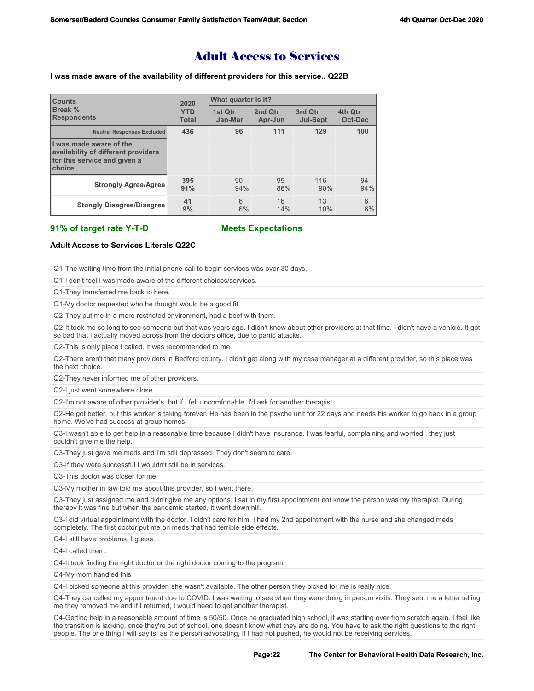# Adult Access to Services

#### **I was made aware of the availability of different providers for this service.. Q22B**

| <b>Counts</b><br>Break %<br><b>Respondents</b>                                                           | 2020                       | What quarter is it? |                    |                            |                           |  |
|----------------------------------------------------------------------------------------------------------|----------------------------|---------------------|--------------------|----------------------------|---------------------------|--|
|                                                                                                          | <b>YTD</b><br><b>Total</b> | 1st Otr<br>Jan-Mar  | 2nd Qtr<br>Apr-Jun | 3rd Qtr<br><b>Jul-Sept</b> | 4th Qtr<br><b>Oct-Dec</b> |  |
| <b>Neutral Responses Excluded</b>                                                                        | 436                        | 96                  | 111                | 129                        | 100                       |  |
| I was made aware of the<br>availability of different providers<br>for this service and given a<br>choice |                            |                     |                    |                            |                           |  |
| <b>Strongly Agree/Agree</b>                                                                              | 395<br>91%                 | 90<br>94%           | 95<br>86%          | 116<br>90%                 | 94<br>94%                 |  |
| <b>Stongly Disagree/Disagree</b>                                                                         | 41<br>9%                   | 6<br>6%             | 16<br>14%          | 13<br>10%                  | 6<br>6%                   |  |

### **91% of target rate Y-T-D Meets Expectations**

### **Adult Access to Services Literals Q22C**

Q1-The waiting time from the initial phone call to begin services was over 30 days.

Q1-I don't feel I was made aware of the different choices/services.

Q1-They transferred me back to here.

Q1-My doctor requested who he thought would be a good fit.

Q2-They put me in a more restricted environment, had a beef with them.

Q2-It took me so long to see someone but that was years ago. I didn't know about other providers at that time. I didn't have a vehicle. It got so bad that I actually moved across from the doctors office, due to panic attacks.

Q2-This is only place I called, it was recommended to me.

Q2-There aren't that many providers in Bedford county. I didn't get along with my case manager at a different provider, so this place was the next choice.

Q2-They never informed me of other providers.

Q2-I just went somewhere close.

Q2-I'm not aware of other provider's, but if I felt uncomfortable, I'd ask for another therapist.

Q2-He got better, but this worker is taking forever. He has been in the psyche unit for 22 days and needs his worker to go back in a group home. We've had success at group homes.

Q3-I wasn't able to get help in a reasonable time because I didn't have insurance. I was fearful, complaining and worried , they just couldn't give me the help.

Q3-They just gave me meds and I'm still depressed. They don't seem to care.

Q3-If they were successful I wouldn't still be in services.

Q3-This doctor was closer for me.

Q3-My mother in law told me about this provider, so I went there.

Q3-They just assigned me and didn't give me any options. I sat in my first appointment not know the person was my therapist. During therapy it was fine but when the pandemic started, it went down hill.

Q3-I did virtual appointment with the doctor, I didn't care for him. I had my 2nd appointment with the nurse and she changed meds completely. The first doctor put me on meds that had terrible side effects.

Q4-I still have problems. I quess.

Q4-I called them.

Q4-It took finding the right doctor or the right doctor coming to the program.

Q4-My mom handled this

Q4-I picked someone at this provider, she wasn't available. The other person they picked for me is really nice.

Q4-They cancelled my appointment due to COVID. I was waiting to see when they were doing in person visits. They sent me a letter telling me they removed me and if I returned, I would need to get another therapist.

Q4-Getting help in a reasonable amount of time is 50/50. Once he graduated high school, it was starting over from scratch again. I feel like the transition is lacking, once they're out of school, one doesn't know what they are doing. You have to ask the right questions to the right people. The one thing I will say is, as the person advocating, If I had not pushed, he would not be receiving services.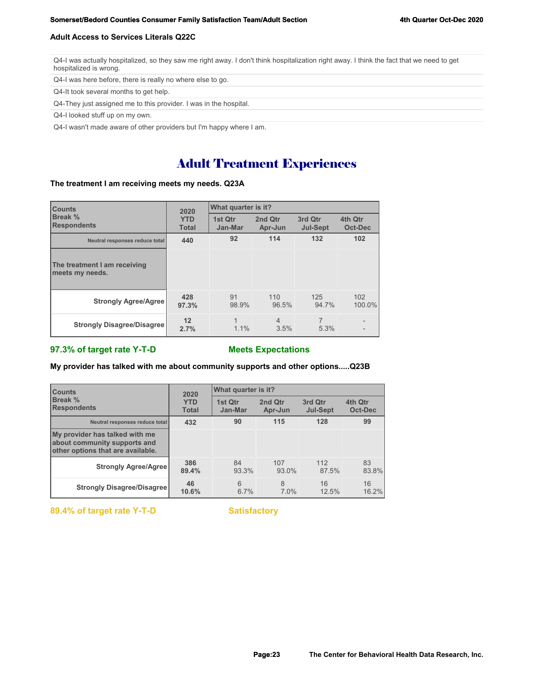#### **Adult Access to Services Literals Q22C**

Q4-I was actually hospitalized, so they saw me right away. I don't think hospitalization right away. I think the fact that we need to get hospitalized is wrong.

Q4-I was here before, there is really no where else to go.

Q4-It took several months to get help.

Q4-They just assigned me to this provider. I was in the hospital.

Q4-I looked stuff up on my own.

Q4-I wasn't made aware of other providers but I'm happy where I am.

# Adult Treatment Experiences

## **The treatment I am receiving meets my needs. Q23A**

| <b>Counts</b><br>Break %<br><b>Respondents</b>  | 2020                       | What quarter is it? |                        |                            |                          |  |
|-------------------------------------------------|----------------------------|---------------------|------------------------|----------------------------|--------------------------|--|
|                                                 | <b>YTD</b><br><b>Total</b> | 1st Qtr<br>Jan-Mar  | 2nd Qtr<br>Apr-Jun     | 3rd Qtr<br><b>Jul-Sept</b> | 4th Qtr<br>Oct-Dec       |  |
| Neutral responses reduce total                  | 440                        | 92                  | 114                    | 132                        | 102                      |  |
| The treatment I am receiving<br>meets my needs. |                            |                     |                        |                            |                          |  |
| <b>Strongly Agree/Agree</b>                     | 428<br>97.3%               | 91<br>98.9%         | 110<br>96.5%           | 125<br>94.7%               | 102<br>100.0%            |  |
| <b>Strongly Disagree/Disagree</b>               | 12<br>2.7%                 | 1<br>1.1%           | $\overline{4}$<br>3.5% | $\overline{7}$<br>5.3%     | $\overline{\phantom{a}}$ |  |

### **97.3% of target rate Y-T-D Meets Expectations**

#### **My provider has talked with me about community supports and other options.....Q23B**

| <b>Counts</b><br>Break %<br><b>Respondents</b>                                                      | 2020                       | What quarter is it? |                    |                            |                    |  |
|-----------------------------------------------------------------------------------------------------|----------------------------|---------------------|--------------------|----------------------------|--------------------|--|
|                                                                                                     | <b>YTD</b><br><b>Total</b> | 1st Qtr<br>Jan-Mar  | 2nd Otr<br>Apr-Jun | 3rd Qtr<br><b>Jul-Sept</b> | 4th Otr<br>Oct-Dec |  |
| Neutral responses reduce total                                                                      | 432                        | 90                  | 115                | 128                        | 99                 |  |
| My provider has talked with me<br>about community supports and<br>other options that are available. |                            |                     |                    |                            |                    |  |
| <b>Strongly Agree/Agree</b>                                                                         | 386<br>89.4%               | 84<br>93.3%         | 107<br>93.0%       | 112<br>87.5%               | 83<br>83.8%        |  |
| <b>Strongly Disagree/Disagree</b>                                                                   | 46<br>10.6%                | 6<br>6.7%           | 8<br>7.0%          | 16<br>12.5%                | 16<br>16.2%        |  |

89.4% of target rate Y-T-D Satisfactory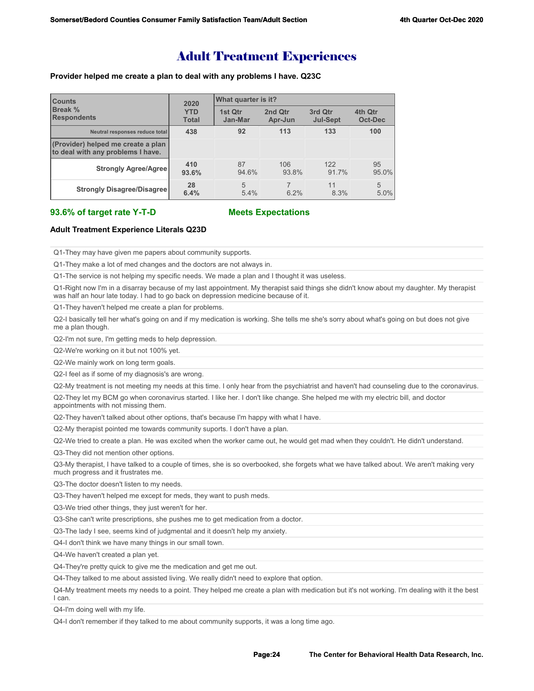# Adult Treatment Experiences

#### **Provider helped me create a plan to deal with any problems I have. Q23C**

| <b>Counts</b><br>Break %<br><b>Respondents</b>                          | 2020                       | What quarter is it?    |                    |                            |                    |  |  |
|-------------------------------------------------------------------------|----------------------------|------------------------|--------------------|----------------------------|--------------------|--|--|
|                                                                         | <b>YTD</b><br><b>Total</b> | 1st Qtr<br>Jan-Mar     | 2nd Qtr<br>Apr-Jun | 3rd Qtr<br><b>Jul-Sept</b> | 4th Qtr<br>Oct-Dec |  |  |
| Neutral responses reduce total                                          | 438                        | 92                     | 113                | 133                        | 100                |  |  |
| (Provider) helped me create a plan<br>to deal with any problems I have. |                            |                        |                    |                            |                    |  |  |
| <b>Strongly Agree/Agree</b>                                             | 410<br>93.6%               | 87<br>94.6%            | 106<br>93.8%       | 122<br>91.7%               | 95<br>95.0%        |  |  |
| <b>Strongly Disagree/Disagree</b>                                       | 28<br>6.4%                 | $\overline{5}$<br>5.4% | 6.2%               | 11<br>8.3%                 | 5<br>5.0%          |  |  |

#### **93.6% of target rate Y-T-D Meets Expectations**

#### **Adult Treatment Experience Literals Q23D**

Q1-They may have given me papers about community supports.

Q1-They make a lot of med changes and the doctors are not always in.

Q1-The service is not helping my specific needs. We made a plan and I thought it was useless.

Q1-Right now I'm in a disarray because of my last appointment. My therapist said things she didn't know about my daughter. My therapist was half an hour late today. I had to go back on depression medicine because of it.

Q1-They haven't helped me create a plan for problems.

Q2-I basically tell her what's going on and if my medication is working. She tells me she's sorry about what's going on but does not give me a plan though.

Q2-I'm not sure, I'm getting meds to help depression.

Q2-We're working on it but not 100% yet.

Q2-We mainly work on long term goals.

Q2-I feel as if some of my diagnosis's are wrong.

Q2-My treatment is not meeting my needs at this time. I only hear from the psychiatrist and haven't had counseling due to the coronavirus.

Q2-They let my BCM go when coronavirus started. I like her. I don't like change. She helped me with my electric bill, and doctor appointments with not missing them.

Q2-They haven't talked about other options, that's because I'm happy with what I have.

Q2-My therapist pointed me towards community suports. I don't have a plan.

Q2-We tried to create a plan. He was excited when the worker came out, he would get mad when they couldn't. He didn't understand.

Q3-They did not mention other options.

Q3-My therapist, I have talked to a couple of times, she is so overbooked, she forgets what we have talked about. We aren't making very much progress and it frustrates me.

Q3-The doctor doesn't listen to my needs.

Q3-They haven't helped me except for meds, they want to push meds.

Q3-We tried other things, they just weren't for her.

Q3-She can't write prescriptions, she pushes me to get medication from a doctor.

Q3-The lady I see, seems kind of judgmental and it doesn't help my anxiety.

Q4-I don't think we have many things in our small town.

Q4-We haven't created a plan yet.

Q4-They're pretty quick to give me the medication and get me out.

Q4-They talked to me about assisted living. We really didn't need to explore that option.

Q4-My treatment meets my needs to a point. They helped me create a plan with medication but it's not working. I'm dealing with it the best I can.

Q4-I'm doing well with my life.

Q4-I don't remember if they talked to me about community supports, it was a long time ago.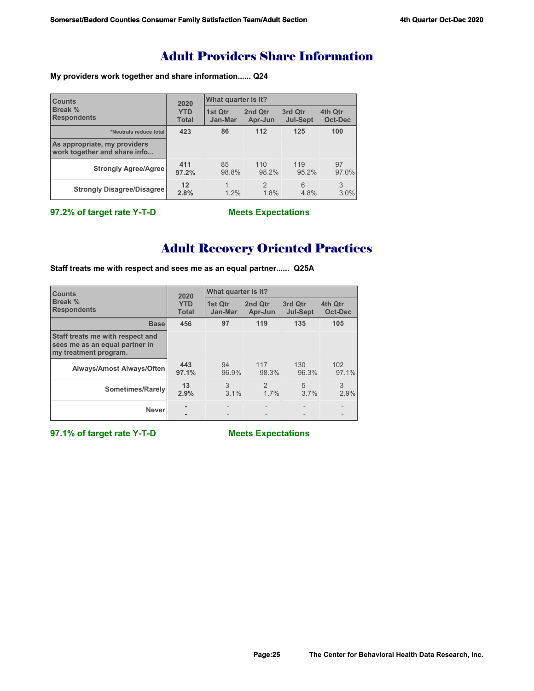# Adult Providers Share Information

**My providers work together and share information...... Q24**

| <b>Counts</b>                                                | 2020                       | <b>What quarter is it?</b> |                       |                            |                           |  |
|--------------------------------------------------------------|----------------------------|----------------------------|-----------------------|----------------------------|---------------------------|--|
| Break %<br><b>Respondents</b>                                | <b>YTD</b><br><b>Total</b> | <b>1st Qtr</b><br>Jan-Mar  | 2nd Qtr<br>Apr-Jun    | 3rd Qtr<br><b>Jul-Sept</b> | 4th Qtr<br><b>Oct-Dec</b> |  |
| *Neutrals reduce total                                       | 423                        | 86                         | 112                   | 125                        | 100                       |  |
| As appropriate, my providers<br>work together and share info |                            |                            |                       |                            |                           |  |
| <b>Strongly Agree/Agree</b>                                  | 411<br>97.2%               | 85<br>98.8%                | 110<br>98.2%          | 119<br>95.2%               | 97<br>97.0%               |  |
| <b>Strongly Disagree/Disagree</b>                            | 12<br>2.8%                 | 1.2%                       | $\mathcal{P}$<br>1.8% | 6<br>4.8%                  | 3<br>3.0%                 |  |

**97.2% of target rate Y-T-D Meets Expectations**

# Adult Recovery Oriented Practices

**Staff treats me with respect and sees me as an equal partner...... Q25A**

| <b>Counts</b>                                                                               | 2020                       | <b>What quarter is it?</b> |                        |                            |                    |  |
|---------------------------------------------------------------------------------------------|----------------------------|----------------------------|------------------------|----------------------------|--------------------|--|
| Break %<br><b>Respondents</b>                                                               | <b>YTD</b><br><b>Total</b> | 1st Qtr<br>Jan-Mar         | 2nd Qtr<br>Apr-Jun     | 3rd Qtr<br><b>Jul-Sept</b> | 4th Qtr<br>Oct-Dec |  |
| <b>Base</b>                                                                                 | 456                        | 97                         | 119                    | 135                        | 105                |  |
| Staff treats me with respect and<br>sees me as an equal partner in<br>my treatment program. |                            |                            |                        |                            |                    |  |
| Always/Amost Always/Often                                                                   | 443<br>97.1%               | 94<br>96.9%                | 117<br>98.3%           | 130<br>96.3%               | 102<br>97.1%       |  |
| Sometimes/Rarely                                                                            | 13<br>2.9%                 | 3<br>3.1%                  | $\mathfrak{D}$<br>1.7% | 5<br>3.7%                  | 3<br>2.9%          |  |
| <b>Never</b>                                                                                |                            |                            |                        |                            | $\qquad \qquad -$  |  |

**97.1% of target rate Y-T-D Meets Expectations**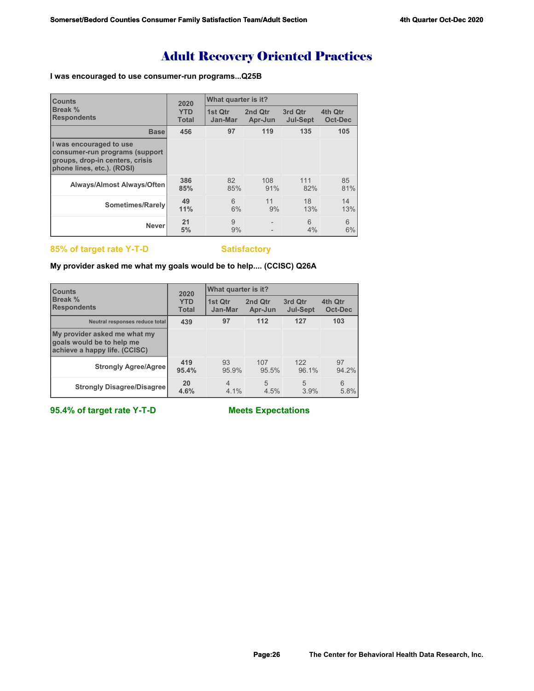# Adult Recovery Oriented Practices

## **I was encouraged to use consumer-run programs...Q25B**

| <b>Counts</b>                                                                                                              | 2020                       | What quarter is it? |                    |                            |                    |
|----------------------------------------------------------------------------------------------------------------------------|----------------------------|---------------------|--------------------|----------------------------|--------------------|
| <b>Break %</b><br><b>Respondents</b>                                                                                       | <b>YTD</b><br><b>Total</b> | 1st Qtr<br>Jan-Mar  | 2nd Qtr<br>Apr-Jun | 3rd Qtr<br><b>Jul-Sept</b> | 4th Qtr<br>Oct-Dec |
| <b>Base</b>                                                                                                                | 456                        | 97                  | 119                | 135                        | 105                |
| I was encouraged to use<br>consumer-run programs (support<br>groups, drop-in centers, crisis<br>phone lines, etc.). (ROSI) |                            |                     |                    |                            |                    |
| <b>Always/Almost Always/Often</b>                                                                                          | 386<br>85%                 | 82<br>85%           | 108<br>91%         | 111<br>82%                 | 85<br>81%          |
| Sometimes/Rarely                                                                                                           | 49<br>11%                  | 6<br>6%             | 11<br>9%           | 18<br>13%                  | 14<br>13%          |
| <b>Never</b>                                                                                                               | 21<br>5%                   | 9<br>9%             |                    | 6<br>4%                    | 6<br>6%            |

## **85% of target rate Y-T-D Satisfactory**

## **My provider asked me what my goals would be to help.... (CCISC) Q26A**

| <b>Counts</b>                                                                              | 2020         | What quarter is it? |         |                 |                |  |
|--------------------------------------------------------------------------------------------|--------------|---------------------|---------|-----------------|----------------|--|
| Break %                                                                                    | <b>YTD</b>   | 1st Qtr             | 2nd Qtr | 3rd Qtr         | 4th Qtr        |  |
| <b>Respondents</b>                                                                         | <b>Total</b> | Jan-Mar             | Apr-Jun | <b>Jul-Sept</b> | <b>Oct-Dec</b> |  |
| Neutral responses reduce total                                                             | 439          | 97                  | 112     | 127             | 103            |  |
| My provider asked me what my<br>goals would be to help me<br>achieve a happy life. (CCISC) |              |                     |         |                 |                |  |
| <b>Strongly Agree/Agree</b>                                                                | 419          | 93                  | 107     | 122             | 97             |  |
|                                                                                            | 95.4%        | 95.9%               | 95.5%   | 96.1%           | 94.2%          |  |
| <b>Strongly Disagree/Disagree</b>                                                          | 20           | $\overline{4}$      | 5       | 5               | 6              |  |
|                                                                                            | 4.6%         | 4.1%                | 4.5%    | 3.9%            | 5.8%           |  |

**95.4% of target rate Y-T-D Meets Expectations**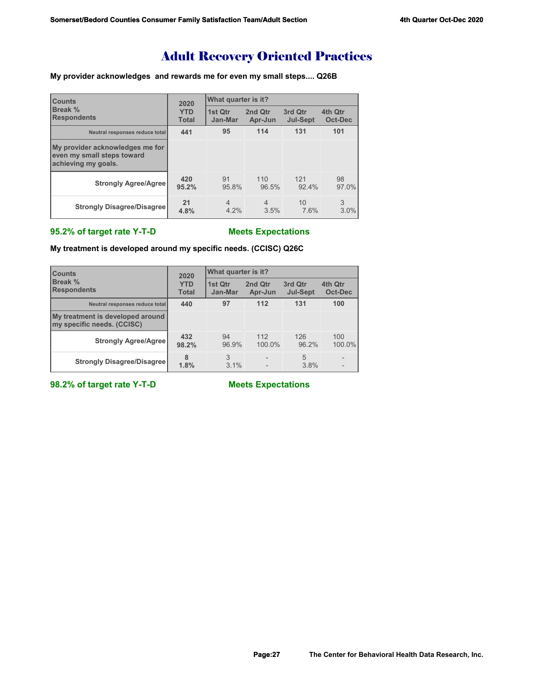# Adult Recovery Oriented Practices

## **My provider acknowledges and rewards me for even my small steps.... Q26B**

| <b>Counts</b><br>Break %<br><b>Respondents</b>                                       | 2020                       | What quarter is it?    |                        |                            |                    |  |
|--------------------------------------------------------------------------------------|----------------------------|------------------------|------------------------|----------------------------|--------------------|--|
|                                                                                      | <b>YTD</b><br><b>Total</b> | 1st Otr<br>Jan-Mar     | 2nd Qtr<br>Apr-Jun     | 3rd Qtr<br><b>Jul-Sept</b> | 4th Qtr<br>Oct-Dec |  |
| Neutral responses reduce total                                                       | 441                        | 95                     | 114                    | 131                        | 101                |  |
| My provider acknowledges me for<br>even my small steps toward<br>achieving my goals. |                            |                        |                        |                            |                    |  |
| <b>Strongly Agree/Agree</b>                                                          | 420<br>95.2%               | 91<br>95.8%            | 110<br>96.5%           | 121<br>92.4%               | 98<br>97.0%        |  |
| <b>Strongly Disagree/Disagree</b>                                                    | 21<br>4.8%                 | $\overline{4}$<br>4.2% | $\overline{4}$<br>3.5% | 10<br>7.6%                 | 3<br>3.0%          |  |

# **95.2% of target rate Y-T-D Meets Expectations**

**My treatment is developed around my specific needs. (CCISC) Q26C**

| <b>Counts</b><br>Break %<br><b>Respondents</b>                 | 2020                       | What quarter is it? |                    |                            |                    |  |
|----------------------------------------------------------------|----------------------------|---------------------|--------------------|----------------------------|--------------------|--|
|                                                                | <b>YTD</b><br><b>Total</b> | 1st Qtr<br>Jan-Mar  | 2nd Qtr<br>Apr-Jun | 3rd Qtr<br><b>Jul-Sept</b> | 4th Qtr<br>Oct-Dec |  |
| Neutral responses reduce total                                 | 440                        | 97                  | 112                | 131                        | 100                |  |
| My treatment is developed around<br>my specific needs. (CCISC) |                            |                     |                    |                            |                    |  |
| <b>Strongly Agree/Agree</b>                                    | 432<br>98.2%               | 94<br>96.9%         | 112<br>100.0%      | 126<br>96.2%               | 100<br>100.0%      |  |
| <b>Strongly Disagree/Disagree</b>                              | 8<br>1.8%                  | 3<br>3.1%           |                    | 5<br>3.8%                  |                    |  |

**98.2% of target rate Y-T-D Meets Expectations**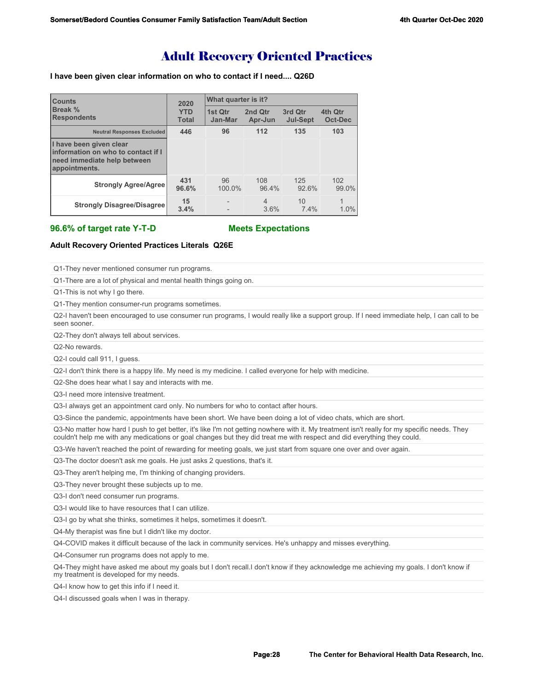# Adult Recovery Oriented Practices

#### **I have been given clear information on who to contact if I need.... Q26D**

| <b>Counts</b><br>Break %<br><b>Respondents</b>                                                                | 2020                       | What quarter is it? |                        |                            |                    |  |
|---------------------------------------------------------------------------------------------------------------|----------------------------|---------------------|------------------------|----------------------------|--------------------|--|
|                                                                                                               | <b>YTD</b><br><b>Total</b> | 1st Qtr<br>Jan-Mar  | 2nd Qtr<br>Apr-Jun     | 3rd Qtr<br><b>Jul-Sept</b> | 4th Qtr<br>Oct-Dec |  |
| <b>Neutral Responses Excluded</b>                                                                             | 446                        | 96                  | 112                    | 135                        | 103                |  |
| I have been given clear<br>information on who to contact if I<br>need immediate help between<br>appointments. |                            |                     |                        |                            |                    |  |
| <b>Strongly Agree/Agree</b>                                                                                   | 431<br>96.6%               | 96<br>100.0%        | 108<br>96.4%           | 125<br>92.6%               | 102<br>99.0%       |  |
| <b>Strongly Disagree/Disagree</b>                                                                             | 15<br>3.4%                 |                     | $\overline{4}$<br>3.6% | 10<br>7.4%                 | 1<br>1.0%          |  |

**96.6% of target rate Y-T-D Meets Expectations**

#### **Adult Recovery Oriented Practices Literals Q26E**

Q1-They never mentioned consumer run programs.

Q1-There are a lot of physical and mental health things going on.

Q1-This is not why I go there.

Q1-They mention consumer-run programs sometimes.

Q2-I haven't been encouraged to use consumer run programs, I would really like a support group. If I need immediate help, I can call to be seen sooner.

Q2-They don't always tell about services.

Q2-No rewards.

Q2-I could call 911, I guess.

Q2-I don't think there is a happy life. My need is my medicine. I called everyone for help with medicine.

Q2-She does hear what I say and interacts with me.

Q3-I need more intensive treatment.

Q3-I always get an appointment card only. No numbers for who to contact after hours.

Q3-Since the pandemic, appointments have been short. We have been doing a lot of video chats, which are short.

Q3-No matter how hard I push to get better, it's like I'm not getting nowhere with it. My treatment isn't really for my specific needs. They couldn't help me with any medications or goal changes but they did treat me with respect and did everything they could.

Q3-We haven't reached the point of rewarding for meeting goals, we just start from square one over and over again.

Q3-The doctor doesn't ask me goals. He just asks 2 questions, that's it.

Q3-They aren't helping me, I'm thinking of changing providers.

Q3-They never brought these subjects up to me.

Q3-I don't need consumer run programs.

Q3-I would like to have resources that I can utilize.

Q3-I go by what she thinks, sometimes it helps, sometimes it doesn't.

Q4-My therapist was fine but I didn't like my doctor.

Q4-COVID makes it difficult because of the lack in community services. He's unhappy and misses everything.

Q4-Consumer run programs does not apply to me.

Q4-They might have asked me about my goals but I don't recall.I don't know if they acknowledge me achieving my goals. I don't know if my treatment is developed for my needs.

Q4-I know how to get this info if I need it.

Q4-I discussed goals when I was in therapy.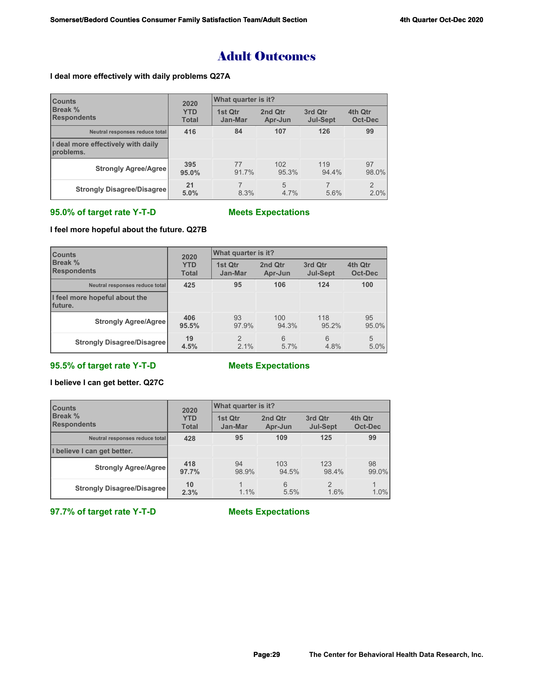# Adult Outcomes

## **I deal more effectively with daily problems Q27A**

| <b>Counts</b><br><b>Break %</b><br><b>Respondents</b> | 2020<br><b>YTD</b><br><b>Total</b> | What quarter is it? |                    |                            |                        |
|-------------------------------------------------------|------------------------------------|---------------------|--------------------|----------------------------|------------------------|
|                                                       |                                    | 1st Qtr<br>Jan-Mar  | 2nd Qtr<br>Apr-Jun | 3rd Qtr<br><b>Jul-Sept</b> | 4th Qtr<br>Oct-Dec     |
| Neutral responses reduce total                        | 416                                | 84                  | 107                | 126                        | 99                     |
| I deal more effectively with daily<br>problems.       |                                    |                     |                    |                            |                        |
| <b>Strongly Agree/Agree</b>                           | 395<br>95.0%                       | 77<br>91.7%         | 102<br>95.3%       | 119<br>94.4%               | 97<br>98.0%            |
| <b>Strongly Disagree/Disagree</b>                     | 21<br>5.0%                         | 8.3%                | 5<br>$4.7\%$       | 5.6%                       | $\overline{2}$<br>2.0% |

# **95.0% of target rate Y-T-D Meets Expectations**

# **I feel more hopeful about the future. Q27B**

| <b>Counts</b><br>Break %<br><b>Respondents</b> | 2020<br><b>YTD</b><br><b>Total</b> | What quarter is it?   |                    |                            |                           |  |
|------------------------------------------------|------------------------------------|-----------------------|--------------------|----------------------------|---------------------------|--|
|                                                |                                    | 1st Qtr<br>Jan-Mar    | 2nd Qtr<br>Apr-Jun | 3rd Qtr<br><b>Jul-Sept</b> | 4th Qtr<br><b>Oct-Dec</b> |  |
| Neutral responses reduce total                 | 425                                | 95                    | 106                | 124                        | 100                       |  |
| I feel more hopeful about the<br>Ifuture.      |                                    |                       |                    |                            |                           |  |
| <b>Strongly Agree/Agree</b>                    | 406<br>95.5%                       | 93<br>97.9%           | 100<br>94.3%       | 118<br>95.2%               | 95<br>95.0%               |  |
| <b>Strongly Disagree/Disagree</b>              | 19<br>4.5%                         | $\mathcal{P}$<br>2.1% | 6<br>5.7%          | 6<br>4.8%                  | 5<br>5.0%                 |  |

# **95.5% of target rate Y-T-D Meets Expectations**

# **I believe I can get better. Q27C**

| <b>Counts</b><br><b>Break %</b><br><b>Respondents</b> | 2020<br><b>YTD</b><br><b>Total</b> | What quarter is it? |                    |                            |                    |
|-------------------------------------------------------|------------------------------------|---------------------|--------------------|----------------------------|--------------------|
|                                                       |                                    | 1st Qtr<br>Jan-Mar  | 2nd Qtr<br>Apr-Jun | 3rd Qtr<br><b>Jul-Sept</b> | 4th Qtr<br>Oct-Dec |
| Neutral responses reduce total                        | 428                                | 95                  | 109                | 125                        | 99                 |
| I believe I can get better.                           |                                    |                     |                    |                            |                    |
| <b>Strongly Agree/Agree</b>                           | 418<br>97.7%                       | 94<br>98.9%         | 103<br>94.5%       | 123<br>98.4%               | 98<br>$99.0\%$     |
| <b>Strongly Disagree/Disagree</b>                     | 10<br>2.3%                         | 1.1%                | 6<br>5.5%          | $\mathfrak{D}$<br>1.6%     | 1.0%               |

**97.7% of target rate Y-T-D Meets Expectations**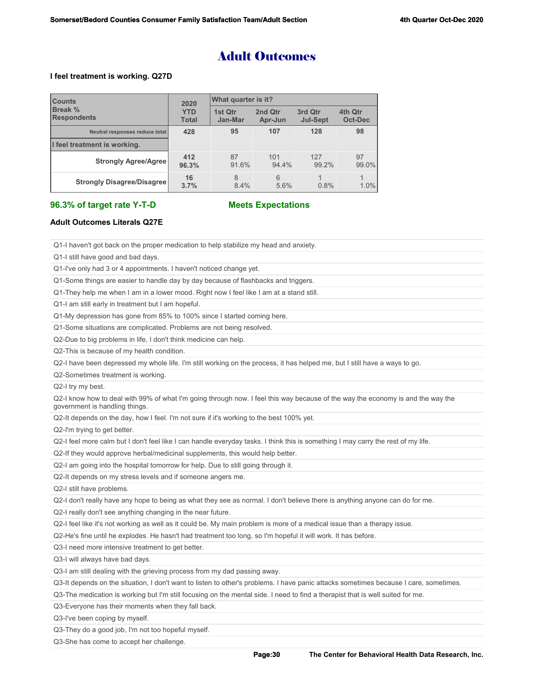# Adult Outcomes

#### **I feel treatment is working. Q27D**

| <b>Counts</b><br><b>Break %</b><br><b>Respondents</b> | 2020<br><b>YTD</b><br><b>Total</b> | What quarter is it? |                    |                            |                    |  |
|-------------------------------------------------------|------------------------------------|---------------------|--------------------|----------------------------|--------------------|--|
|                                                       |                                    | 1st Qtr<br>Jan-Mar  | 2nd Qtr<br>Apr-Jun | 3rd Qtr<br><b>Jul-Sept</b> | 4th Qtr<br>Oct-Dec |  |
| Neutral responses reduce total                        | 428                                | 95                  | 107                | 128                        | 98                 |  |
| I feel treatment is working.                          |                                    |                     |                    |                            |                    |  |
| <b>Strongly Agree/Agree</b>                           | 412<br>96.3%                       | 87<br>91.6%         | 101<br>94.4%       | 127<br>99.2%               | 97<br>99.0%        |  |
| <b>Strongly Disagree/Disagree</b>                     | 16<br>3.7%                         | 8<br>8.4%           | 6<br>5.6%          | 0.8%                       | 1.0%               |  |

#### **96.3% of target rate Y-T-D Meets Expectations**

### **Adult Outcomes Literals Q27E**

Q1-I haven't got back on the proper medication to help stabilize my head and anxiety.

Q1-I still have good and bad days.

Q1-I've only had 3 or 4 appointments. I haven't noticed change yet.

Q1-Some things are easier to handle day by day because of flashbacks and triggers.

Q1-They help me when I am in a lower mood. Right now I feel like I am at a stand still.

Q1-I am still early in treatment but I am hopeful.

Q1-My depression has gone from 85% to 100% since I started coming here.

Q1-Some situations are complicated. Problems are not being resolved.

Q2-Due to big problems in life, I don't think medicine can help.

Q2-This is because of my health condition.

Q2-I have been depressed my whole life. I'm still working on the process, it has helped me, but I still have a ways to go.

Q2-Sometimes treatment is working.

Q2-I try my best.

Q2-I know how to deal with 99% of what I'm going through now. I feel this way because of the way the economy is and the way the government is handling things.

Q2-It depends on the day, how I feel. I'm not sure if it's working to the best 100% yet.

Q2-I'm trying to get better.

Q2-I feel more calm but I don't feel like I can handle everyday tasks. I think this is something I may carry the rest of my life.

Q2-If they would approve herbal/medicinal supplements, this would help better.

Q2-I am going into the hospital tomorrow for help. Due to still going through it.

Q2-It depends on my stress levels and if someone angers me.

Q2-I still have problems.

Q2-I don't really have any hope to being as what they see as normal. I don't believe there is anything anyone can do for me.

Q2-I really don't see anything changing in the near future.

Q2-I feel like it's not working as well as it could be. My main problem is more of a medical issue than a therapy issue.

Q2-He's fine until he explodes. He hasn't had treatment too long, so I'm hopeful it will work. It has before.

Q3-I need more intensive treatment to get better.

Q3-I will always have bad days.

Q3-I am still dealing with the grieving process from my dad passing away.

Q3-It depends on the situation, I don't want to listen to other's problems. I have panic attacks sometimes because I care, sometimes.

Q3-The medication is working but I'm still focusing on the mental side. I need to find a therapist that is well suited for me.

Q3-Everyone has their moments when they fall back.

Q3-I've been coping by myself.

Q3-They do a good job, I'm not too hopeful myself.

Q3-She has come to accept her challenge.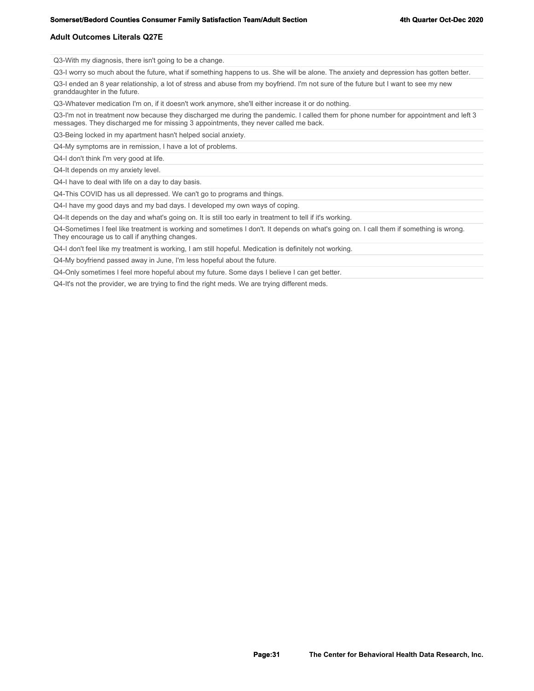#### **Somerset/Bedord Counties Consumer Family Satisfaction Team/Adult Section Section 4th Quarter Oct-Dec 2020**

#### **Adult Outcomes Literals Q27E**

Q3-With my diagnosis, there isn't going to be a change.

Q3-I worry so much about the future, what if something happens to us. She will be alone. The anxiety and depression has gotten better.

Q3-I ended an 8 year relationship, a lot of stress and abuse from my boyfriend. I'm not sure of the future but I want to see my new granddaughter in the future.

Q3-Whatever medication I'm on, if it doesn't work anymore, she'll either increase it or do nothing.

Q3-I'm not in treatment now because they discharged me during the pandemic. I called them for phone number for appointment and left 3 messages. They discharged me for missing 3 appointments, they never called me back.

Q3-Being locked in my apartment hasn't helped social anxiety.

Q4-My symptoms are in remission, I have a lot of problems.

Q4-I don't think I'm very good at life.

Q4-It depends on my anxiety level.

Q4-I have to deal with life on a day to day basis.

Q4-This COVID has us all depressed. We can't go to programs and things.

Q4-I have my good days and my bad days. I developed my own ways of coping.

Q4-It depends on the day and what's going on. It is still too early in treatment to tell if it's working.

Q4-Sometimes I feel like treatment is working and sometimes I don't. It depends on what's going on. I call them if something is wrong. They encourage us to call if anything changes.

Q4-I don't feel like my treatment is working, I am still hopeful. Medication is definitely not working.

Q4-My boyfriend passed away in June, I'm less hopeful about the future.

Q4-Only sometimes I feel more hopeful about my future. Some days I believe I can get better.

Q4-It's not the provider, we are trying to find the right meds. We are trying different meds.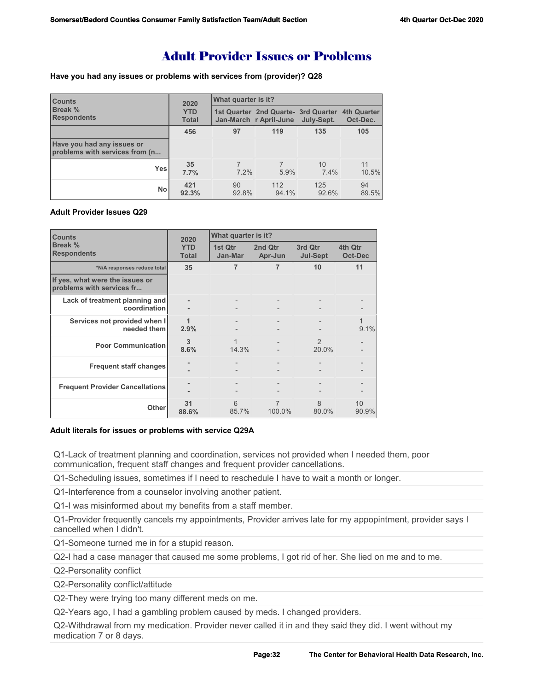# Adult Provider Issues or Problems

**Have you had any issues or problems with services from (provider)? Q28**

| <b>Counts</b><br><b>Break %</b><br><b>Respondents</b>        | 2020<br><b>YTD</b><br><b>Total</b> | What quarter is it? |                                                                           |              |             |  |
|--------------------------------------------------------------|------------------------------------|---------------------|---------------------------------------------------------------------------|--------------|-------------|--|
|                                                              |                                    |                     | 1st Quarter 2nd Quarte- 3rd Quarter 4th Quarter<br>Jan-March r April-June | July-Sept.   | Oct-Dec.    |  |
|                                                              | 456                                | 97                  | 119                                                                       | 135          | 105         |  |
| Have you had any issues or<br>problems with services from (n |                                    |                     |                                                                           |              |             |  |
| <b>Yes</b>                                                   | 35<br>7.7%                         | $7.2\%$             | 5.9%                                                                      | 10<br>7.4%   | 11<br>10.5% |  |
| No                                                           | 421<br>92.3%                       | 90<br>92.8%         | 112<br>94.1%                                                              | 125<br>92.6% | 94<br>89.5% |  |

## **Adult Provider Issues Q29**

| <b>Counts</b>                                                | 2020                       | What quarter is it? |                    |                            |                           |
|--------------------------------------------------------------|----------------------------|---------------------|--------------------|----------------------------|---------------------------|
| Break %<br><b>Respondents</b>                                | <b>YTD</b><br><b>Total</b> | 1st Qtr<br>Jan-Mar  | 2nd Qtr<br>Apr-Jun | 3rd Qtr<br><b>Jul-Sept</b> | 4th Qtr<br><b>Oct-Dec</b> |
| *N/A responses reduce total                                  | 35                         | 7                   | $\overline{7}$     | 10                         | 11                        |
| If yes, what were the issues or<br>problems with services fr |                            |                     |                    |                            |                           |
| Lack of treatment planning and<br>coordination               |                            | $\qquad \qquad -$   |                    |                            |                           |
| Services not provided when I<br>needed them                  | 1<br>2.9%                  |                     |                    |                            | 9.1%                      |
| <b>Poor Communication</b>                                    | 3<br>8.6%                  | 1<br>14.3%          |                    | $\mathfrak{D}$<br>20.0%    |                           |
| <b>Frequent staff changes</b>                                |                            |                     |                    |                            |                           |
| <b>Frequent Provider Cancellations</b>                       |                            |                     |                    |                            |                           |
| Other                                                        | 31<br>88.6%                | 6<br>85.7%          | 7<br>100.0%        | 8<br>80.0%                 | 10<br>90.9%               |

### **Adult literals for issues or problems with service Q29A**

Q1-Lack of treatment planning and coordination, services not provided when I needed them, poor communication, frequent staff changes and frequent provider cancellations.

Q1-Scheduling issues, sometimes if I need to reschedule I have to wait a month or longer.

Q1-Interference from a counselor involving another patient.

Q1-I was misinformed about my benefits from a staff member.

Q1-Provider frequently cancels my appointments, Provider arrives late for my appopintment, provider says I cancelled when I didn't.

Q1-Someone turned me in for a stupid reason.

Q2-I had a case manager that caused me some problems, I got rid of her. She lied on me and to me.

Q2-Personality conflict

Q2-Personality conflict/attitude

Q2-They were trying too many different meds on me.

Q2-Years ago, I had a gambling problem caused by meds. I changed providers.

Q2-Withdrawal from my medication. Provider never called it in and they said they did. I went without my medication 7 or 8 days.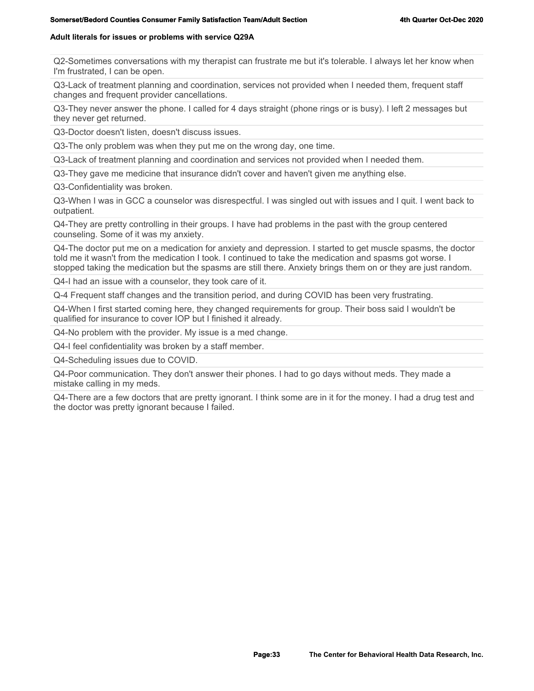### **Adult literals for issues or problems with service Q29A**

Q2-Sometimes conversations with my therapist can frustrate me but it's tolerable. I always let her know when I'm frustrated, I can be open.

Q3-Lack of treatment planning and coordination, services not provided when I needed them, frequent staff changes and frequent provider cancellations.

Q3-They never answer the phone. I called for 4 days straight (phone rings or is busy). I left 2 messages but they never get returned.

Q3-Doctor doesn't listen, doesn't discuss issues.

Q3-The only problem was when they put me on the wrong day, one time.

Q3-Lack of treatment planning and coordination and services not provided when I needed them.

Q3-They gave me medicine that insurance didn't cover and haven't given me anything else.

Q3-Confidentiality was broken.

Q3-When I was in GCC a counselor was disrespectful. I was singled out with issues and I quit. I went back to outpatient.

Q4-They are pretty controlling in their groups. I have had problems in the past with the group centered counseling. Some of it was my anxiety.

Q4-The doctor put me on a medication for anxiety and depression. I started to get muscle spasms, the doctor told me it wasn't from the medication I took. I continued to take the medication and spasms got worse. I stopped taking the medication but the spasms are still there. Anxiety brings them on or they are just random.

Q4-I had an issue with a counselor, they took care of it.

Q-4 Frequent staff changes and the transition period, and during COVID has been very frustrating.

Q4-When I first started coming here, they changed requirements for group. Their boss said I wouldn't be qualified for insurance to cover IOP but I finished it already.

Q4-No problem with the provider. My issue is a med change.

Q4-I feel confidentiality was broken by a staff member.

Q4-Scheduling issues due to COVID.

Q4-Poor communication. They don't answer their phones. I had to go days without meds. They made a mistake calling in my meds.

Q4-There are a few doctors that are pretty ignorant. I think some are in it for the money. I had a drug test and the doctor was pretty ignorant because I failed.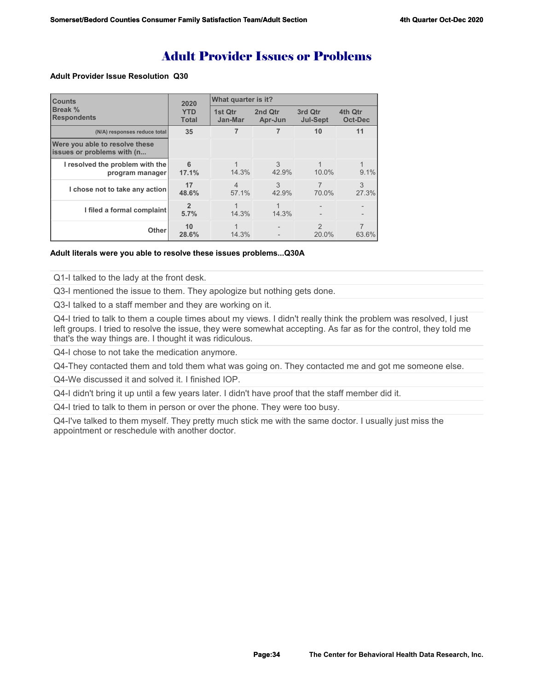# Adult Provider Issues or Problems

### **Adult Provider Issue Resolution Q30**

| <b>Counts</b>                                                | 2020<br><b>YTD</b><br><b>Total</b> | What quarter is it?     |                    |                            |                           |  |
|--------------------------------------------------------------|------------------------------------|-------------------------|--------------------|----------------------------|---------------------------|--|
| Break %<br><b>Respondents</b>                                |                                    | 1st Qtr<br>Jan-Mar      | 2nd Qtr<br>Apr-Jun | 3rd Qtr<br><b>Jul-Sept</b> | 4th Qtr<br><b>Oct-Dec</b> |  |
| (N/A) responses reduce total                                 | 35                                 |                         |                    | 10                         | 11                        |  |
| Were you able to resolve these<br>issues or problems with (n |                                    |                         |                    |                            |                           |  |
| I resolved the problem with the<br>program manager           | 6<br>17.1%                         | 14.3%                   | 3<br>42.9%         | $10.0\%$                   | $9.1\%$                   |  |
| I chose not to take any action                               | 17<br>48.6%                        | $\overline{4}$<br>57.1% | 3<br>42.9%         | $\overline{7}$<br>70.0%    | 3<br>27.3%                |  |
| I filed a formal complaint                                   | $\mathfrak{p}$<br>5.7%             | 14.3%                   | 14.3%              |                            |                           |  |
| Other                                                        | 10<br>28.6%                        | 14.3%                   |                    | $\mathfrak{p}$<br>20.0%    | 63.6%                     |  |

#### **Adult literals were you able to resolve these issues problems...Q30A**

Q1-I talked to the lady at the front desk.

Q3-I mentioned the issue to them. They apologize but nothing gets done.

Q3-I talked to a staff member and they are working on it.

Q4-I tried to talk to them a couple times about my views. I didn't really think the problem was resolved, I just left groups. I tried to resolve the issue, they were somewhat accepting. As far as for the control, they told me that's the way things are. I thought it was ridiculous.

Q4-I chose to not take the medication anymore.

Q4-They contacted them and told them what was going on. They contacted me and got me someone else.

Q4-We discussed it and solved it. I finished IOP.

Q4-I didn't bring it up until a few years later. I didn't have proof that the staff member did it.

Q4-I tried to talk to them in person or over the phone. They were too busy.

Q4-I've talked to them myself. They pretty much stick me with the same doctor. I usually just miss the appointment or reschedule with another doctor.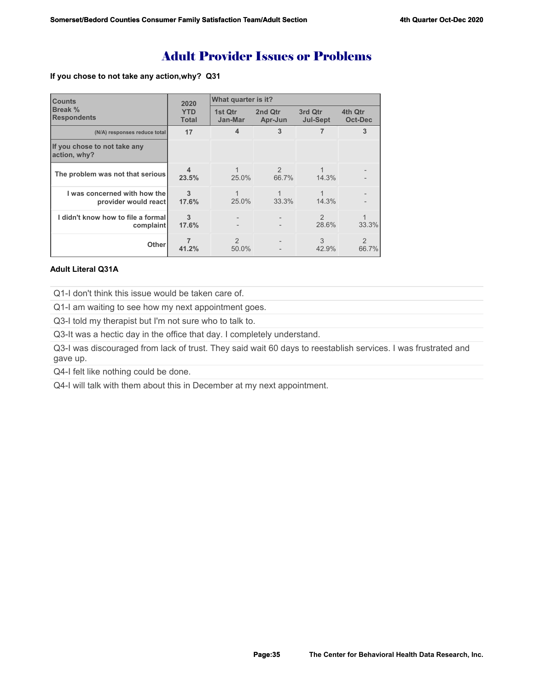# Adult Provider Issues or Problems

**If you chose to not take any action,why? Q31**

| <b>Counts</b>                                        | 2020                       | What quarter is it?     |                         |                            |                           |  |
|------------------------------------------------------|----------------------------|-------------------------|-------------------------|----------------------------|---------------------------|--|
| Break %<br><b>Respondents</b>                        | <b>YTD</b><br><b>Total</b> | 1st Qtr<br>Jan-Mar      | 2nd Qtr<br>Apr-Jun      | 3rd Qtr<br><b>Jul-Sept</b> | 4th Qtr<br><b>Oct-Dec</b> |  |
| (N/A) responses reduce total                         | 17                         | 4                       | 3                       |                            | 3                         |  |
| If you chose to not take any<br>action, why?         |                            |                         |                         |                            |                           |  |
| The problem was not that serious                     | $\boldsymbol{4}$<br>23.5%  | 25.0%                   | $\mathfrak{D}$<br>66.7% | 14.3%                      |                           |  |
| I was concerned with how the<br>provider would react | 3<br>17.6%                 | 1<br>25.0%              | 33.3%                   | 14.3%                      |                           |  |
| I didn't know how to file a formal<br>complaint      | 3<br>17.6%                 |                         |                         | $\mathcal{P}$<br>28.6%     | 33.3%                     |  |
| <b>Other</b>                                         | 41.2%                      | $\mathfrak{D}$<br>50.0% |                         | 3<br>42.9%                 | $\mathcal{P}$<br>66.7%    |  |

# **Adult Literal Q31A**

Q1-I don't think this issue would be taken care of.

Q1-I am waiting to see how my next appointment goes.

Q3-I told my therapist but I'm not sure who to talk to.

Q3-It was a hectic day in the office that day. I completely understand.

Q3-I was discouraged from lack of trust. They said wait 60 days to reestablish services. I was frustrated and gave up.

Q4-I felt like nothing could be done.

Q4-I will talk with them about this in December at my next appointment.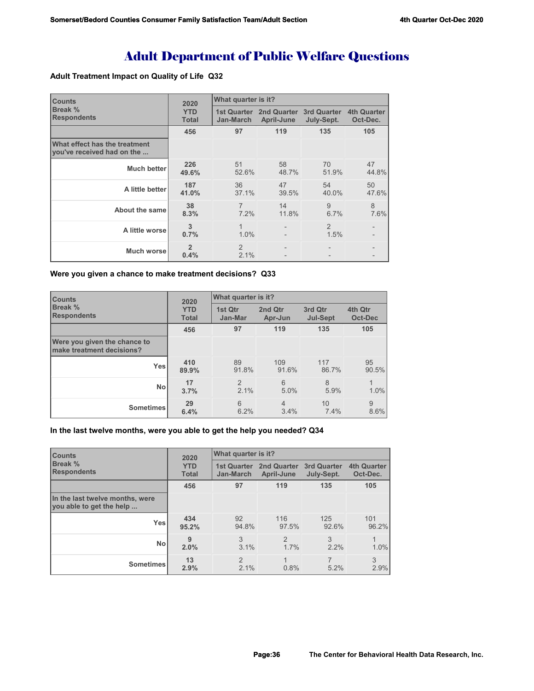# Adult Department of Public Welfare Questions

# **Adult Treatment Impact on Quality of Life Q32**

| <b>Counts</b>                                               | 2020                       | What quarter is it?             |                                       |                        |                                |
|-------------------------------------------------------------|----------------------------|---------------------------------|---------------------------------------|------------------------|--------------------------------|
| <b>Break %</b><br><b>Respondents</b>                        | <b>YTD</b><br><b>Total</b> | <b>1st Quarter</b><br>Jan-March | 2nd Quarter 3rd Quarter<br>April-June | July-Sept.             | <b>4th Quarter</b><br>Oct-Dec. |
|                                                             | 456                        | 97                              | 119                                   | 135                    | 105                            |
| What effect has the treatment<br>you've received had on the |                            |                                 |                                       |                        |                                |
| <b>Much better</b>                                          | 226<br>49.6%               | 51<br>52.6%                     | 58<br>48.7%                           | 70<br>51.9%            | 47<br>44.8%                    |
| A little better                                             | 187<br>41.0%               | 36<br>37.1%                     | 47<br>39.5%                           | 54<br>40.0%            | 50<br>47.6%                    |
| About the same                                              | 38<br>8.3%                 | $\overline{7}$<br>7.2%          | 14<br>11.8%                           | 9<br>6.7%              | 8<br>7.6%                      |
| A little worse                                              | 3<br>0.7%                  | 1<br>1.0%                       |                                       | $\overline{2}$<br>1.5% |                                |
| Much worse                                                  | $\overline{2}$<br>0.4%     | $\mathfrak{D}$<br>2.1%          |                                       |                        |                                |

#### **Were you given a chance to make treatment decisions? Q33**

| <b>Counts</b>                                             | 2020<br><b>YTD</b><br><b>Total</b> | What quarter is it?    |                        |                            |                           |  |
|-----------------------------------------------------------|------------------------------------|------------------------|------------------------|----------------------------|---------------------------|--|
| Break %<br><b>Respondents</b>                             |                                    | 1st Qtr<br>Jan-Mar     | 2nd Qtr<br>Apr-Jun     | 3rd Qtr<br><b>Jul-Sept</b> | 4th Qtr<br><b>Oct-Dec</b> |  |
|                                                           | 456                                | 97                     | 119                    | 135                        | 105                       |  |
| Were you given the chance to<br>make treatment decisions? |                                    |                        |                        |                            |                           |  |
| Yes                                                       | 410<br>89.9%                       | 89<br>91.8%            | 109<br>91.6%           | 117<br>86.7%               | 95<br>90.5%               |  |
| <b>No</b>                                                 | 17<br>3.7%                         | $\overline{2}$<br>2.1% | 6<br>5.0%              | 8<br>5.9%                  | 1<br>1.0%                 |  |
| <b>Sometimes</b>                                          | 29<br>6.4%                         | 6<br>6.2%              | $\overline{4}$<br>3.4% | 10<br>7.4%                 | 9<br>8.6%                 |  |

## **In the last twelve months, were you able to get the help you needed? Q34**

| <b>Counts</b>                                               | 2020<br><b>YTD</b><br><b>Total</b> | What quarter is it?             |                                  |                                  |                                |  |
|-------------------------------------------------------------|------------------------------------|---------------------------------|----------------------------------|----------------------------------|--------------------------------|--|
| Break %<br><b>Respondents</b>                               |                                    | <b>1st Quarter</b><br>Jan-March | <b>2nd Quarter</b><br>April-June | <b>3rd Quarter</b><br>July-Sept. | <b>4th Quarter</b><br>Oct-Dec. |  |
|                                                             | 456                                | 97                              | 119                              | 135                              | 105                            |  |
| In the last twelve months, were<br>you able to get the help |                                    |                                 |                                  |                                  |                                |  |
| <b>Yes</b>                                                  | 434<br>95.2%                       | 92<br>94.8%                     | 116<br>97.5%                     | 125<br>92.6%                     | 101<br>96.2%                   |  |
| <b>No</b>                                                   | 9<br>2.0%                          | 3<br>3.1%                       | $\mathcal{P}$<br>1.7%            | 3<br>2.2%                        | 1.0%                           |  |
| <b>Sometimes</b>                                            | 13<br>2.9%                         | $\mathcal{P}$<br>2.1%           | 1<br>0.8%                        | 7<br>5.2%                        | 3<br>2.9%                      |  |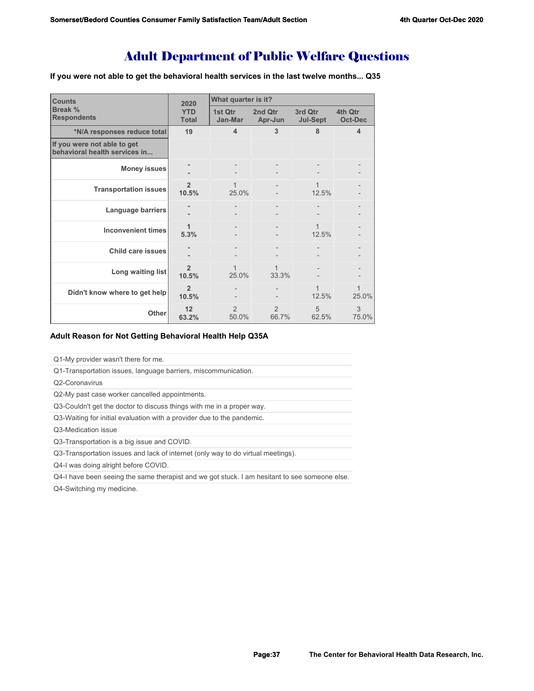## Adult Department of Public Welfare Questions

**If you were not able to get the behavioral health services in the last twelve months... Q35**

| <b>Counts</b>                                                | 2020                       | What quarter is it?     |                        |                            |                           |
|--------------------------------------------------------------|----------------------------|-------------------------|------------------------|----------------------------|---------------------------|
| Break %<br><b>Respondents</b>                                | <b>YTD</b><br><b>Total</b> | 1st Qtr<br>Jan-Mar      | 2nd Qtr<br>Apr-Jun     | 3rd Qtr<br><b>Jul-Sept</b> | 4th Qtr<br><b>Oct-Dec</b> |
| *N/A responses reduce total                                  | 19                         | $\overline{\mathbf{4}}$ | 3                      | 8                          | 4                         |
| If you were not able to get<br>behavioral health services in |                            |                         |                        |                            |                           |
| <b>Money issues</b>                                          |                            |                         |                        |                            |                           |
| <b>Transportation issues</b>                                 | $\overline{2}$<br>10.5%    | 1<br>25.0%              |                        | 1<br>12.5%                 |                           |
| Language barriers                                            |                            |                         |                        |                            |                           |
| <b>Inconvenient times</b>                                    | 1<br>5.3%                  |                         |                        | 12.5%                      |                           |
| <b>Child care issues</b>                                     |                            |                         |                        |                            |                           |
| Long waiting list                                            | $\overline{2}$<br>10.5%    | 25.0%                   | 1<br>33.3%             |                            |                           |
| Didn't know where to get help                                | $\overline{2}$<br>10.5%    |                         |                        | 1<br>12.5%                 | 1<br>25.0%                |
| Other                                                        | 12<br>63.2%                | $\mathcal{P}$<br>50.0%  | $\mathcal{P}$<br>66.7% | 5<br>62.5%                 | 3<br>75.0%                |

## **Adult Reason for Not Getting Behavioral Health Help Q35A**

Q1-My provider wasn't there for me.

Q1-Transportation issues, language barriers, miscommunication.

Q2-Coronavirus

Q2-My past case worker cancelled appointments.

Q3-Couldn't get the doctor to discuss things with me in a proper way.

Q3-Waiting for initial evaluation with a provider due to the pandemic.

Q3-Medication issue

Q3-Transportation is a big issue and COVID.

Q3-Transportation issues and lack of internet (only way to do virtual meetings).

Q4-I was doing alright before COVID.

Q4-I have been seeing the same therapist and we got stuck. I am hesitant to see someone else.

Q4-Switching my medicine.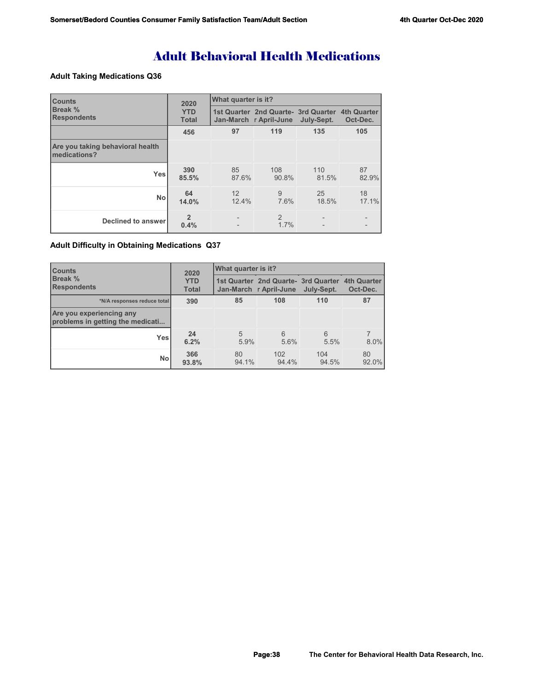# Adult Behavioral Health Medications

## **Adult Taking Medications Q36**

| <b>Counts</b>                                    | 2020                       | What quarter is it?      |                                                                                      |              |             |  |
|--------------------------------------------------|----------------------------|--------------------------|--------------------------------------------------------------------------------------|--------------|-------------|--|
| <b>Break %</b><br><b>Respondents</b>             | <b>YTD</b><br><b>Total</b> |                          | 1st Quarter 2nd Quarte- 3rd Quarter 4th Quarter<br>Jan-March r April-June July-Sept. |              | Oct-Dec.    |  |
|                                                  | 456                        | 97                       | 119                                                                                  | 135          | 105         |  |
| Are you taking behavioral health<br>medications? |                            |                          |                                                                                      |              |             |  |
| <b>Yes</b>                                       | 390<br>85.5%               | 85<br>87.6%              | 108<br>90.8%                                                                         | 110<br>81.5% | 87<br>82.9% |  |
| <b>No</b>                                        | 64<br>14.0%                | 12<br>12.4%              | 9<br>7.6%                                                                            | 25<br>18.5%  | 18<br>17.1% |  |
| Declined to answer                               | $\overline{2}$<br>0.4%     | $\overline{\phantom{0}}$ | $\mathcal{P}$<br>1.7%                                                                |              |             |  |

## **Adult Difficulty in Obtaining Medications Q37**

| <b>Counts</b>                                                | 2020                       | What quarter is it? |                                                                |              |                                |  |
|--------------------------------------------------------------|----------------------------|---------------------|----------------------------------------------------------------|--------------|--------------------------------|--|
| <b>Break %</b><br><b>Respondents</b>                         | <b>YTD</b><br><b>Total</b> |                     | 1st Quarter 2nd Quarte - 3rd Quarter<br>Jan-March r April-June | July-Sept.   | <b>4th Quarter</b><br>Oct-Dec. |  |
| *N/A responses reduce total                                  | 390                        | 85                  | 108                                                            | 110          | 87                             |  |
| Are you experiencing any<br>problems in getting the medicati |                            |                     |                                                                |              |                                |  |
| <b>Yes</b>                                                   | 24<br>6.2%                 | 5<br>5.9%           | 6<br>5.6%                                                      | 6<br>5.5%    | 8.0%                           |  |
| <b>No</b>                                                    | 366<br>93.8%               | 80<br>94.1%         | 102<br>94.4%                                                   | 104<br>94.5% | 80<br>92.0%                    |  |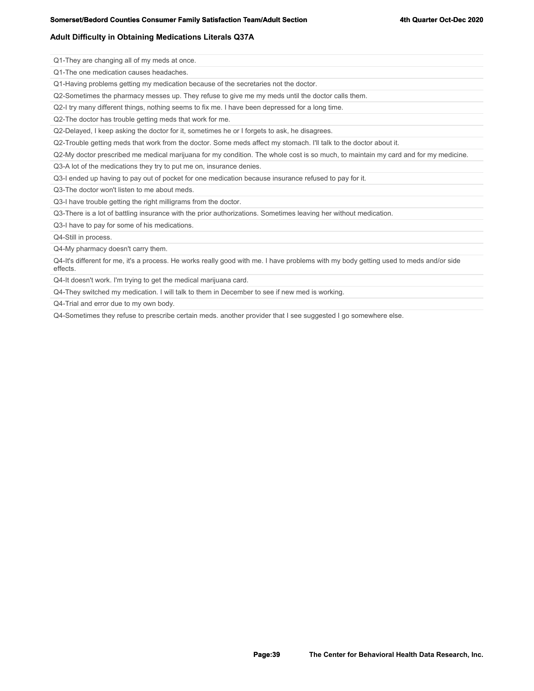## **Adult Difficulty in Obtaining Medications Literals Q37A**

Q1-They are changing all of my meds at once.

Q1-The one medication causes headaches.

Q1-Having problems getting my medication because of the secretaries not the doctor.

Q2-Sometimes the pharmacy messes up. They refuse to give me my meds until the doctor calls them.

Q2-I try many different things, nothing seems to fix me. I have been depressed for a long time.

Q2-The doctor has trouble getting meds that work for me.

Q2-Delayed, I keep asking the doctor for it, sometimes he or I forgets to ask, he disagrees.

Q2-Trouble getting meds that work from the doctor. Some meds affect my stomach. I'll talk to the doctor about it.

Q2-My doctor prescribed me medical marijuana for my condition. The whole cost is so much, to maintain my card and for my medicine.

Q3-A lot of the medications they try to put me on, insurance denies.

Q3-I ended up having to pay out of pocket for one medication because insurance refused to pay for it.

Q3-The doctor won't listen to me about meds.

Q3-I have trouble getting the right milligrams from the doctor.

Q3-There is a lot of battling insurance with the prior authorizations. Sometimes leaving her without medication.

Q3-I have to pay for some of his medications.

Q4-Still in process.

Q4-My pharmacy doesn't carry them.

Q4-It's different for me, it's a process. He works really good with me. I have problems with my body getting used to meds and/or side effects.

Q4-It doesn't work. I'm trying to get the medical marijuana card.

Q4-They switched my medication. I will talk to them in December to see if new med is working.

Q4-Trial and error due to my own body.

Q4-Sometimes they refuse to prescribe certain meds. another provider that I see suggested I go somewhere else.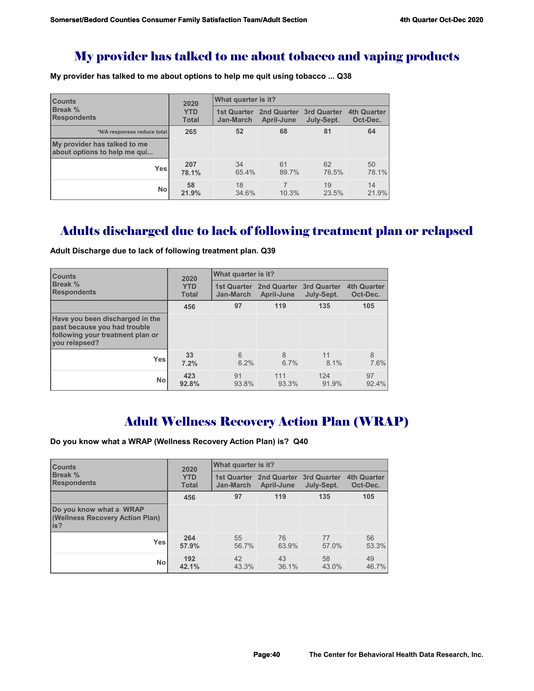## My provider has talked to me about tobacco and vaping products

**My provider has talked to me about options to help me quit using tobacco ... Q38**

| <b>Counts</b>                                                | 2020                       | What quarter is it?             |                                       |             |                                |  |
|--------------------------------------------------------------|----------------------------|---------------------------------|---------------------------------------|-------------|--------------------------------|--|
| Break %<br><b>Respondents</b>                                | <b>YTD</b><br><b>Total</b> | <b>1st Quarter</b><br>Jan-March | 2nd Quarter 3rd Quarter<br>April-June | July-Sept.  | <b>4th Quarter</b><br>Oct-Dec. |  |
| *N/A responses reduce total                                  | 265                        | 52                              | 68                                    | 81          | 64                             |  |
| My provider has talked to me<br>about options to help me qui |                            |                                 |                                       |             |                                |  |
| <b>Yes</b>                                                   | 207<br>78.1%               | 34<br>65.4%                     | 61<br>89.7%                           | 62<br>76.5% | 50<br>78.1%                    |  |
| No                                                           | 58<br>21.9%                | 18<br>34.6%                     | 10.3%                                 | 19<br>23.5% | 14<br>21.9%                    |  |

## Adults discharged due to lack of following treatment plan or relapsed

**Counts Break % Respondents 2020 YTD Total What quarter is it? 1st Quarter 2nd Quarter 3rd Quarter 4th Quarter Jan-March April-June July-Sept. Oct-Dec. Have you been discharged in the past because you had trouble following your treatment plan or you relapsed? Yes No 456 97 119 135 105 33 7.2%** 6 6.2% 8 6.7% 11 8.1% 8 7.6% **423 92.8%** 91 93.8% 111 93.3% 124 91.9% 97 92.4%

**Adult Discharge due to lack of following treatment plan. Q39** 

## Adult Wellness Recovery Action Plan (WRAP)

**Do you know what a WRAP (Wellness Recovery Action Plan) is? Q40**

| <b>Counts</b>                                                      | 2020         | What quarter is it? |             |                    |                    |  |
|--------------------------------------------------------------------|--------------|---------------------|-------------|--------------------|--------------------|--|
| <b>Break</b> %                                                     | <b>YTD</b>   | <b>1st Quarter</b>  | 2nd Quarter | <b>3rd Quarter</b> | <b>4th Quarter</b> |  |
| <b>Respondents</b>                                                 | <b>Total</b> | <b>Jan-March</b>    | April-June  | July-Sept.         | Oct-Dec.           |  |
|                                                                    | 456          | 97                  | 119         | 135                | 105                |  |
| Do you know what a WRAP<br>(Wellness Recovery Action Plan)<br>lis? |              |                     |             |                    |                    |  |
| <b>Yes</b>                                                         | 264          | 55                  | 76          | 77                 | 56                 |  |
|                                                                    | 57.9%        | 56.7%               | 63.9%       | 57.0%              | 53.3%              |  |
| No                                                                 | 192          | 42                  | 43          | 58                 | 49                 |  |
|                                                                    | 42.1%        | 43.3%               | 36.1%       | 43.0%              | 46.7%              |  |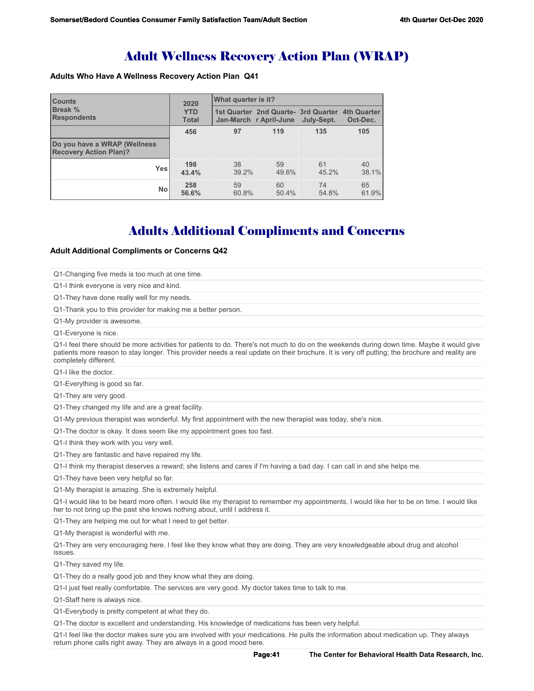# Adult Wellness Recovery Action Plan (WRAP)

## **Adults Who Have A Wellness Recovery Action Plan Q41**

| <b>Counts</b>                                                 | 2020                       | What quarter is it? |                                                                           |             |             |  |
|---------------------------------------------------------------|----------------------------|---------------------|---------------------------------------------------------------------------|-------------|-------------|--|
| <b>Break %</b><br><b>Respondents</b>                          | <b>YTD</b><br><b>Total</b> |                     | 1st Quarter 2nd Quarte- 3rd Quarter 4th Quarter<br>Jan-March r April-June | July-Sept.  | Oct-Dec.    |  |
|                                                               | 456                        | 97                  | 119                                                                       | 135         | 105         |  |
| Do you have a WRAP (Wellness<br><b>Recovery Action Plan)?</b> |                            |                     |                                                                           |             |             |  |
| <b>Yes</b>                                                    | 198<br>43.4%               | 38<br>39.2%         | 59<br>49.6%                                                               | 61<br>45.2% | 40<br>38.1% |  |
| <b>No</b>                                                     | 258<br>56.6%               | 59<br>60.8%         | 60<br>50.4%                                                               | 74<br>54.8% | 65<br>61.9% |  |

# Adults Additional Compliments and Concerns

## **Adult Additional Compliments or Concerns Q42**

| Q1-Changing five meds is too much at one time.                            |                                                                                                                                                                                                                                                                                              |
|---------------------------------------------------------------------------|----------------------------------------------------------------------------------------------------------------------------------------------------------------------------------------------------------------------------------------------------------------------------------------------|
| Q1-I think everyone is very nice and kind.                                |                                                                                                                                                                                                                                                                                              |
| Q1-They have done really well for my needs.                               |                                                                                                                                                                                                                                                                                              |
| Q1-Thank you to this provider for making me a better person.              |                                                                                                                                                                                                                                                                                              |
| Q1-My provider is awesome.                                                |                                                                                                                                                                                                                                                                                              |
| Q1-Everyone is nice.                                                      |                                                                                                                                                                                                                                                                                              |
| completely different.                                                     | Q1-I feel there should be more activities for patients to do. There's not much to do on the weekends during down time. Maybe it would give<br>patients more reason to stay longer. This provider needs a real update on their brochure. It is very off putting; the brochure and reality are |
| Q1-I like the doctor.                                                     |                                                                                                                                                                                                                                                                                              |
| Q1-Everything is good so far.                                             |                                                                                                                                                                                                                                                                                              |
| Q1-They are very good.                                                    |                                                                                                                                                                                                                                                                                              |
| Q1-They changed my life and are a great facility.                         |                                                                                                                                                                                                                                                                                              |
|                                                                           | Q1-My previous therapist was wonderful. My first appointment with the new therapist was today, she's nice.                                                                                                                                                                                   |
| Q1-The doctor is okay. It does seem like my appointment goes too fast.    |                                                                                                                                                                                                                                                                                              |
| Q1-I think they work with you very well.                                  |                                                                                                                                                                                                                                                                                              |
| Q1-They are fantastic and have repaired my life.                          |                                                                                                                                                                                                                                                                                              |
|                                                                           | Q1-I think my therapist deserves a reward; she listens and cares if I'm having a bad day. I can call in and she helps me.                                                                                                                                                                    |
| Q1-They have been very helpful so far.                                    |                                                                                                                                                                                                                                                                                              |
| Q1-My therapist is amazing. She is extremely helpful.                     |                                                                                                                                                                                                                                                                                              |
| her to not bring up the past she knows nothing about, until I address it. | Q1-I would like to be heard more often. I would like my therapist to remember my appointments. I would like her to be on time. I would like                                                                                                                                                  |
| Q1-They are helping me out for what I need to get better.                 |                                                                                                                                                                                                                                                                                              |
| Q1-My therapist is wonderful with me.                                     |                                                                                                                                                                                                                                                                                              |
| issues.                                                                   | Q1-They are very encouraging here. I feel like they know what they are doing. They are very knowledgeable about drug and alcohol                                                                                                                                                             |
| Q1-They saved my life.                                                    |                                                                                                                                                                                                                                                                                              |
| Q1-They do a really good job and they know what they are doing.           |                                                                                                                                                                                                                                                                                              |
|                                                                           | Q1-I just feel really comfortable. The services are very good. My doctor takes time to talk to me.                                                                                                                                                                                           |
| Q1-Staff here is always nice.                                             |                                                                                                                                                                                                                                                                                              |
| Q1-Everybody is pretty competent at what they do.                         |                                                                                                                                                                                                                                                                                              |
|                                                                           | Q1-The doctor is excellent and understanding. His knowledge of medications has been very helpful.                                                                                                                                                                                            |
| return phone calls right away. They are always in a good mood here.       | Q1-I feel like the doctor makes sure you are involved with your medications. He pulls the information about medication up. They always                                                                                                                                                       |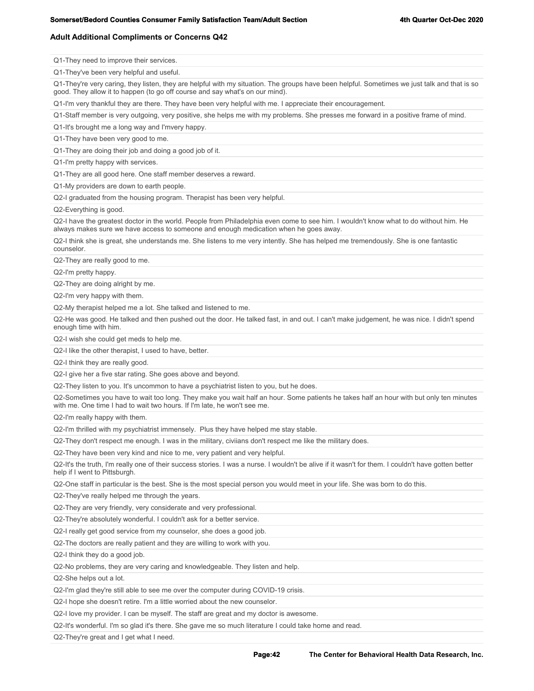## **Adult Additional Compliments or Concerns Q42**

Q1-They need to improve their services. Q1-They've been very helpful and useful. Q1-They're very caring, they listen, they are helpful with my situation. The groups have been helpful. Sometimes we just talk and that is so good. They allow it to happen (to go off course and say what's on our mind). Q1-I'm very thankful they are there. They have been very helpful with me. I appreciate their encouragement. Q1-Staff member is very outgoing, very positive, she helps me with my problems. She presses me forward in a positive frame of mind. Q1-It's brought me a long way and I'mvery happy. Q1-They have been very good to me. Q1-They are doing their job and doing a good job of it. Q1-I'm pretty happy with services. Q1-They are all good here. One staff member deserves a reward. Q1-My providers are down to earth people.

Q2-I graduated from the housing program. Therapist has been very helpful.

Q2-Everything is good.

Q2-I have the greatest doctor in the world. People from Philadelphia even come to see him. I wouldn't know what to do without him. He always makes sure we have access to someone and enough medication when he goes away.

Q2-I think she is great, she understands me. She listens to me very intently. She has helped me tremendously. She is one fantastic counselor.

Q2-They are really good to me.

Q2-I'm pretty happy.

Q2-They are doing alright by me.

Q2-I'm very happy with them.

Q2-My therapist helped me a lot. She talked and listened to me.

Q2-He was good. He talked and then pushed out the door. He talked fast, in and out. I can't make judgement, he was nice. I didn't spend enough time with him.

Q2-I wish she could get meds to help me.

Q2-I like the other therapist, I used to have, better.

Q2-I think they are really good.

Q2-I give her a five star rating. She goes above and beyond.

Q2-They listen to you. It's uncommon to have a psychiatrist listen to you, but he does.

Q2-Sometimes you have to wait too long. They make you wait half an hour. Some patients he takes half an hour with but only ten minutes with me. One time I had to wait two hours. If I'm late, he won't see me.

Q2-I'm really happy with them.

Q2-I'm thrilled with my psychiatrist immensely. Plus they have helped me stay stable.

Q2-They don't respect me enough. I was in the military, civiians don't respect me like the military does.

Q2-They have been very kind and nice to me, very patient and very helpful.

Q2-It's the truth, I'm really one of their success stories. I was a nurse. I wouldn't be alive if it wasn't for them. I couldn't have gotten better help if I went to Pittsburgh.

Q2-One staff in particular is the best. She is the most special person you would meet in your life. She was born to do this.

Q2-They've really helped me through the years.

Q2-They are very friendly, very considerate and very professional.

Q2-They're absolutely wonderful. I couldn't ask for a better service.

Q2-I really get good service from my counselor, she does a good job.

Q2-The doctors are really patient and they are willing to work with you.

Q2-I think they do a good job.

Q2-No problems, they are very caring and knowledgeable. They listen and help.

Q2-She helps out a lot.

Q2-I'm glad they're still able to see me over the computer during COVID-19 crisis.

Q2-I hope she doesn't retire. I'm a little worried about the new counselor.

Q2-I love my provider. I can be myself. The staff are great and my doctor is awesome.

Q2-It's wonderful. I'm so glad it's there. She gave me so much literature I could take home and read.

Q2-They're great and I get what I need.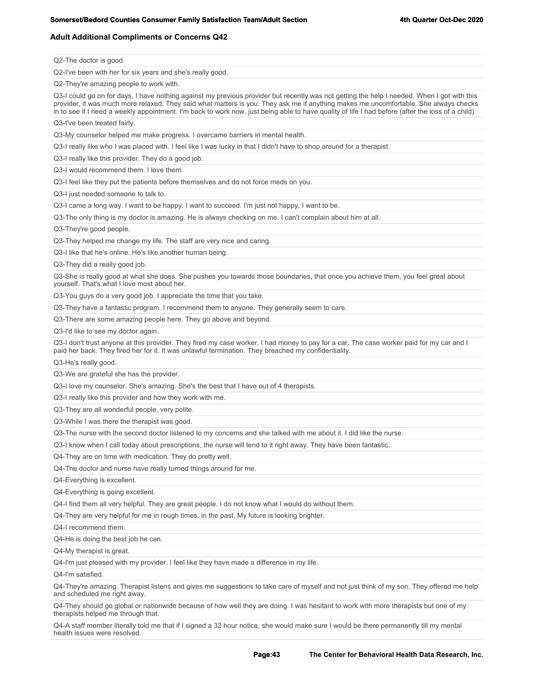## **Adult Additional Compliments or Concerns Q42**

Q2-The doctor is good.

Q2-I've been with her for six years and she's really good.

Q2-They're amazing people to work with.

Q3-I could go on for days, I have nothing against my previous provider but recently was not getting the help I needed. When I got with this provider, it was much more relaxed. They said what matters is you. They ask me if anything makes me uncomfortable. She always checks in to see if I need a weekly appointment. I'm back to work now, just being able to have quality of life I had before (after the loss of a child).

Q3-I've been treated fairly.

Q3-My counselor helped me make progress. I overcame barriers in mental health.

Q3-I really like who I was placed with. I feel like I was lucky in that I didn't have to shop around for a therapist.

Q3-I really like this provider. They do a good job.

Q3-I would recommend them. I love them.

Q3-I feel like they put the patients before themselves and do not force meds on you.

Q3-I just needed someone to talk to.

Q3-I came a long way. I want to be happy. I want to succeed. I'm just not happy, I want to be.

Q3-The only thing is my doctor is amazing. He is always checking on me. I can't complain about him at all.

Q3-They're good people.

Q3-They helped me change my life. The staff are very nice and caring.

Q3-I like that he's online. He's like another human being.

Q3-They did a really good job.

Q3-She is really good at what she does. She pushes you towards those boundaries, that once you achieve them, you feel great about yourself. That's what I love most about her.

Q3-You guys do a very good job. I appreciate the time that you take.

Q3-They have a fantastic program. I recommend them to anyone. They generally seem to care.

Q3-There are some amazing people here. They go above and beyond.

Q3-I'd like to see my doctor again.

Q3-I don't trust anyone at this provider. They fired my case worker. I had money to pay for a car. The case worker paid for my car and I paid her back. They fired her for it. It was unlawful termination. They breached my confidentiality.

Q3-He's really good.

Q3-We are grateful she has the provider.

Q3-I love my counselor. She's amazing. She's the best that I have out of 4 therapists.

Q3-I really like this provider and how they work with me.

Q3-They are all wonderful people, very polite.

Q3-While I was there the therapist was good.

Q3-The nurse with the second doctor listened to my concerns and she talked with me about it. I did like the nurse.

Q3-I know when I call today about prescriptions, the nurse will tend to it right away. They have been fantastic.

Q4-They are on time with medication. They do pretty well.

Q4-The doctor and nurse have really turned things around for me.

Q4-Everything is excellent.

Q4-Everything is going excellent.

Q4-I find them all very helpful. They are great people. I do not know what I would do without them.

Q4-They are very helpful for me in rough times, in the past. My future is looking brighter.

Q4-I recommend them.

Q4-He is doing the best job he can.

Q4-My therapist is great.

Q4-I'm just pleased with my provider. I feel like they have made a difference in my life.

Q4-I'm satisfied.

Q4-They're amazing. Therapist listens and gives me suggestions to take care of myself and not just think of my son. They offered me help and scheduled me right away.

Q4-They should go global or nationwide because of how well they are doing. I was hesitant to work with more therapists but one of my therapists helped me through that.

Q4-A staff member literally told me that if I signed a 32 hour notice, she would make sure I would be there permanently till my mental health issues were resolved.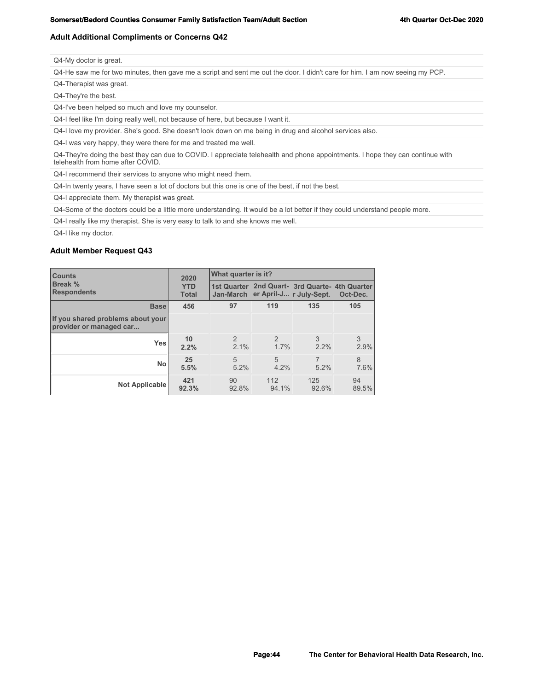### **Adult Additional Compliments or Concerns Q42**

| Q4-My doctor is great. |  |
|------------------------|--|
|------------------------|--|

Q4-He saw me for two minutes, then gave me a script and sent me out the door. I didn't care for him. I am now seeing my PCP.

Q4-Therapist was great.

Q4-They're the best.

Q4-I've been helped so much and love my counselor.

Q4-I feel like I'm doing really well, not because of here, but because I want it.

Q4-I love my provider. She's good. She doesn't look down on me being in drug and alcohol services also.

Q4-I was very happy, they were there for me and treated me well.

Q4-They're doing the best they can due to COVID. I appreciate telehealth and phone appointments. I hope they can continue with telehealth from home after COVID.

Q4-I recommend their services to anyone who might need them.

Q4-In twenty years, I have seen a lot of doctors but this one is one of the best, if not the best.

Q4-I appreciate them. My therapist was great.

Q4-Some of the doctors could be a little more understanding. It would be a lot better if they could understand people more.

Q4-I really like my therapist. She is very easy to talk to and she knows me well.

Q4-I like my doctor.

### **Adult Member Request Q43**

| <b>Counts</b>                                                | 2020                       | What quarter is it?   |                                   |                                                |             |  |
|--------------------------------------------------------------|----------------------------|-----------------------|-----------------------------------|------------------------------------------------|-------------|--|
| <b>Break %</b><br><b>Respondents</b>                         | <b>YTD</b><br><b>Total</b> |                       | Jan-March er April-J r July-Sept. | 1st Quarter 2nd Quart- 3rd Quarte- 4th Quarter | Oct-Dec.    |  |
| <b>Base</b>                                                  | 456                        | 97                    | 119                               | 135                                            | 105         |  |
| If you shared problems about your<br>provider or managed car |                            |                       |                                   |                                                |             |  |
| Yes                                                          | 10<br>2.2%                 | $\mathcal{P}$<br>2.1% | $\mathcal{P}$<br>1.7%             | 3<br>2.2%                                      | 3<br>2.9%   |  |
| <b>No</b>                                                    | 25<br>5.5%                 | 5<br>5.2%             | 5<br>4.2%                         | 5.2%                                           | 8<br>7.6%   |  |
| Not Applicable                                               | 421<br>92.3%               | 90<br>92.8%           | 112<br>94.1%                      | 125<br>92.6%                                   | 94<br>89.5% |  |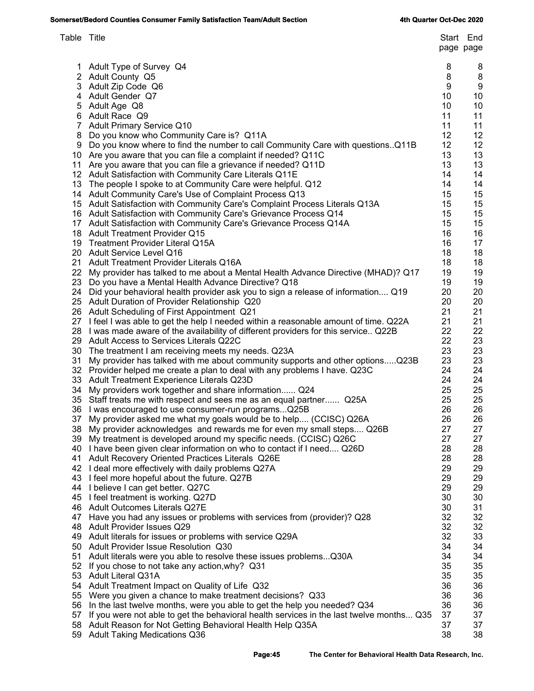| Table Title |                                                                                                                                             |          | Start End<br>page page |
|-------------|---------------------------------------------------------------------------------------------------------------------------------------------|----------|------------------------|
|             | 1 Adult Type of Survey Q4                                                                                                                   | 8        | 8                      |
|             | 2 Adult County Q5                                                                                                                           | 8        | 8                      |
|             | 3 Adult Zip Code Q6                                                                                                                         | 9        | 9                      |
|             | 4 Adult Gender Q7                                                                                                                           | 10       | 10                     |
|             | 5 Adult Age Q8                                                                                                                              | 10       | 10                     |
|             | 6 Adult Race Q9                                                                                                                             | 11       | 11                     |
|             | 7 Adult Primary Service Q10                                                                                                                 | 11       | 11                     |
| 8           | Do you know who Community Care is? Q11A                                                                                                     | 12       | 12                     |
|             | 9 Do you know where to find the number to call Community Care with questions. Q11B                                                          | 12       | 12                     |
|             | 10 Are you aware that you can file a complaint if needed? Q11C                                                                              | 13       | 13                     |
|             | 11 Are you aware that you can file a grievance if needed? Q11D                                                                              | 13       | 13                     |
|             | 12 Adult Satisfaction with Community Care Literals Q11E                                                                                     | 14<br>14 | 14<br>14               |
|             | 13 The people I spoke to at Community Care were helpful. Q12<br>14 Adult Community Care's Use of Complaint Process Q13                      | 15       | 15                     |
|             | 15 Adult Satisfaction with Community Care's Complaint Process Literals Q13A                                                                 | 15       | 15                     |
|             | 16 Adult Satisfaction with Community Care's Grievance Process Q14                                                                           | 15       | 15                     |
|             | 17 Adult Satisfaction with Community Care's Grievance Process Q14A                                                                          | 15       | 15                     |
|             | 18 Adult Treatment Provider Q15                                                                                                             | 16       | 16                     |
|             | 19 Treatment Provider Literal Q15A                                                                                                          | 16       | 17                     |
|             | 20 Adult Service Level Q16                                                                                                                  | 18       | 18                     |
|             | 21 Adult Treatment Provider Literals Q16A                                                                                                   | 18       | 18                     |
|             | 22 My provider has talked to me about a Mental Health Advance Directive (MHAD)? Q17                                                         | 19       | 19                     |
|             | 23 Do you have a Mental Health Advance Directive? Q18                                                                                       | 19       | 19                     |
|             | 24 Did your behavioral health provider ask you to sign a release of information Q19                                                         | 20       | 20                     |
|             | 25 Adult Duration of Provider Relationship Q20                                                                                              | 20       | 20                     |
|             | 26 Adult Scheduling of First Appointment Q21                                                                                                | 21       | 21                     |
|             | 27 I feel I was able to get the help I needed within a reasonable amount of time. Q22A                                                      | 21       | 21                     |
|             | 28 I was made aware of the availability of different providers for this service Q22B                                                        | 22       | 22                     |
|             | 29 Adult Access to Services Literals Q22C                                                                                                   | 22       | 23                     |
|             | 30 The treatment I am receiving meets my needs. Q23A                                                                                        | 23       | 23                     |
| 31          | My provider has talked with me about community supports and other optionsQ23B                                                               | 23       | 23                     |
|             | 32 Provider helped me create a plan to deal with any problems I have. Q23C                                                                  | 24       | 24                     |
|             | 33 Adult Treatment Experience Literals Q23D                                                                                                 | 24       | 24                     |
| 34          | My providers work together and share information Q24                                                                                        | 25       | 25                     |
|             | 35 Staff treats me with respect and sees me as an equal partner Q25A                                                                        | 25       | 25                     |
|             | 36 I was encouraged to use consumer-run programsQ25B                                                                                        | 26<br>26 | 26                     |
| 37          | My provider asked me what my goals would be to help (CCISC) Q26A                                                                            | 27       | 26                     |
| 38          | My provider acknowledges and rewards me for even my small steps Q26B<br>39 My treatment is developed around my specific needs. (CCISC) Q26C | 27       | 27<br>27               |
|             | 40 I have been given clear information on who to contact if I need Q26D                                                                     | 28       | 28                     |
| 41          | Adult Recovery Oriented Practices Literals Q26E                                                                                             | 28       | 28                     |
|             | 42 I deal more effectively with daily problems Q27A                                                                                         | 29       | 29                     |
|             | 43 I feel more hopeful about the future. Q27B                                                                                               | 29       | 29                     |
|             | 44 I believe I can get better. Q27C                                                                                                         | 29       | 29                     |
|             | 45 I feel treatment is working. Q27D                                                                                                        | 30       | 30                     |
|             | 46 Adult Outcomes Literals Q27E                                                                                                             | 30       | 31                     |
| 47          | Have you had any issues or problems with services from (provider)? Q28                                                                      | 32       | 32                     |
| 48          | Adult Provider Issues Q29                                                                                                                   | 32       | 32                     |
| 49          | Adult literals for issues or problems with service Q29A                                                                                     | 32       | 33                     |
| 50          | Adult Provider Issue Resolution Q30                                                                                                         | 34       | 34                     |
| 51          | Adult literals were you able to resolve these issues problems Q30A                                                                          | 34       | 34                     |
| 52          | If you chose to not take any action, why? Q31                                                                                               | 35       | 35                     |
|             | 53 Adult Literal Q31A                                                                                                                       | 35       | 35                     |
|             | 54 Adult Treatment Impact on Quality of Life Q32                                                                                            | 36       | 36                     |
| 55          | Were you given a chance to make treatment decisions? Q33                                                                                    | 36       | 36                     |
| 56          | In the last twelve months, were you able to get the help you needed? Q34                                                                    | 36       | 36                     |
| 57          | If you were not able to get the behavioral health services in the last twelve months Q35                                                    | 37       | 37                     |
| 58          | Adult Reason for Not Getting Behavioral Health Help Q35A                                                                                    | 37       | 37                     |
| 59          | <b>Adult Taking Medications Q36</b>                                                                                                         | 38       | 38                     |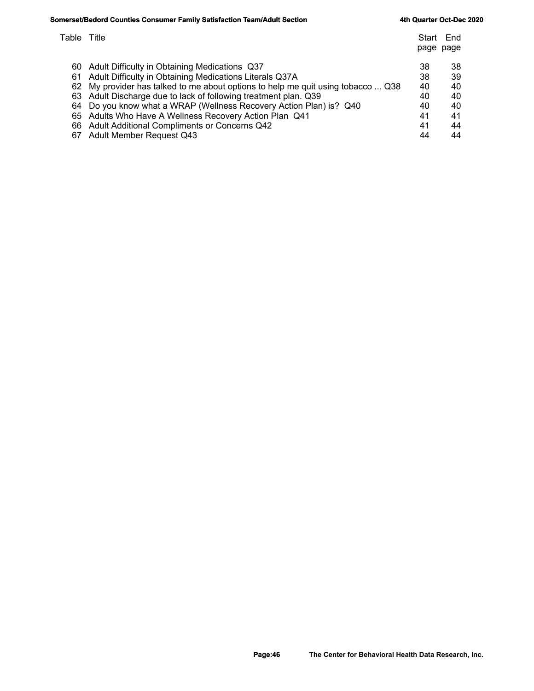## **Somerset/Bedord Counties Consumer Family Satisfaction Team/Adult Section Section 4th Quarter Oct-Dec 2020**

| Table Title |                                                                                  | Start<br>page page | End |
|-------------|----------------------------------------------------------------------------------|--------------------|-----|
| 60          | Adult Difficulty in Obtaining Medications Q37                                    | 38                 | 38  |
| 61          | Adult Difficulty in Obtaining Medications Literals Q37A                          | 38                 | 39  |
|             | 62 My provider has talked to me about options to help me quit using tobacco  Q38 | 40                 | 40  |
|             | 63 Adult Discharge due to lack of following treatment plan. Q39                  | 40                 | 40  |
|             | 64 Do you know what a WRAP (Wellness Recovery Action Plan) is? Q40               | 40                 | 40  |
|             | 65 Adults Who Have A Wellness Recovery Action Plan Q41                           | 41                 | 41  |
|             | 66 Adult Additional Compliments or Concerns Q42                                  | 41                 | 44  |
| 67          | <b>Adult Member Request Q43</b>                                                  | 44                 | 44  |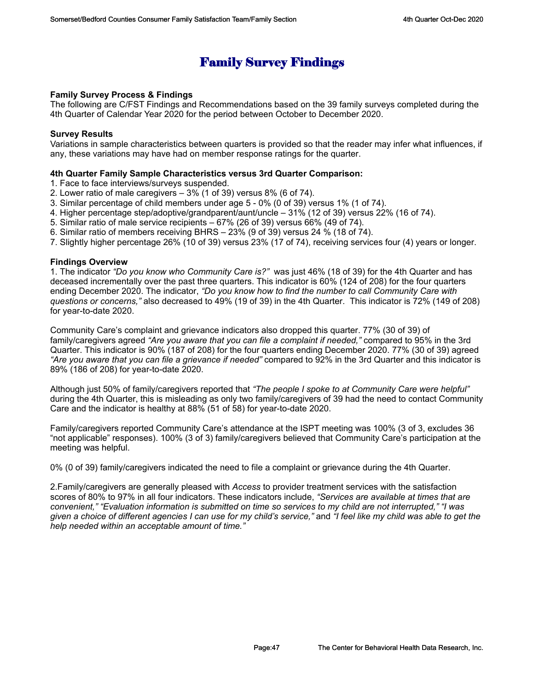# **Family Survey Findings**

## **Family Survey Process & Findings**

The following are C/FST Findings and Recommendations based on the 39 family surveys completed during the 4th Quarter of Calendar Year 2020 for the period between October to December 2020.

## **Survey Results**

Variations in sample characteristics between quarters is provided so that the reader may infer what influences, if any, these variations may have had on member response ratings for the quarter.

## **4th Quarter Family Sample Characteristics versus 3rd Quarter Comparison:**

- 1. Face to face interviews/surveys suspended.
- 2. Lower ratio of male caregivers 3% (1 of 39) versus 8% (6 of 74).
- 3. Similar percentage of child members under age 5 0% (0 of 39) versus 1% (1 of 74).
- 4. Higher percentage step/adoptive/grandparent/aunt/uncle 31% (12 of 39) versus 22% (16 of 74).
- 5. Similar ratio of male service recipients 67% (26 of 39) versus 66% (49 of 74).
- 6. Similar ratio of members receiving BHRS 23% (9 of 39) versus 24 % (18 of 74).
- 7. Slightly higher percentage 26% (10 of 39) versus 23% (17 of 74), receiving services four (4) years or longer.

## **Findings Overview**

1. The indicator *"Do you know who Community Care is?"* was just 46% (18 of 39) for the 4th Quarter and has deceased incrementally over the past three quarters. This indicator is 60% (124 of 208) for the four quarters ending December 2020. The indicator, *"Do you know how to find the number to call Community Care with questions or concerns,"* also decreased to 49% (19 of 39) in the 4th Quarter. This indicator is 72% (149 of 208) for year-to-date 2020.

Community Care's complaint and grievance indicators also dropped this quarter. 77% (30 of 39) of family/caregivers agreed *"Are you aware that you can file a complaint if needed,"* compared to 95% in the 3rd Quarter. This indicator is 90% (187 of 208) for the four quarters ending December 2020. 77% (30 of 39) agreed *"Are you aware that you can file a grievance if needed"* compared to 92% in the 3rd Quarter and this indicator is 89% (186 of 208) for year-to-date 2020.

Although just 50% of family/caregivers reported that *"The people I spoke to at Community Care were helpful"* during the 4th Quarter, this is misleading as only two family/caregivers of 39 had the need to contact Community Care and the indicator is healthy at 88% (51 of 58) for year-to-date 2020.

Family/caregivers reported Community Care's attendance at the ISPT meeting was 100% (3 of 3, excludes 36 "not applicable" responses). 100% (3 of 3) family/caregivers believed that Community Care's participation at the meeting was helpful.

0% (0 of 39) family/caregivers indicated the need to file a complaint or grievance during the 4th Quarter.

2.Family/caregivers are generally pleased with *Access* to provider treatment services with the satisfaction scores of 80% to 97% in all four indicators. These indicators include, *"Services are available at times that are convenient," "Evaluation information is submitted on time so services to my child are not interrupted," "I was given a choice of different agencies I can use for my child's service,"* and *"I feel like my child was able to get the help needed within an acceptable amount of time."*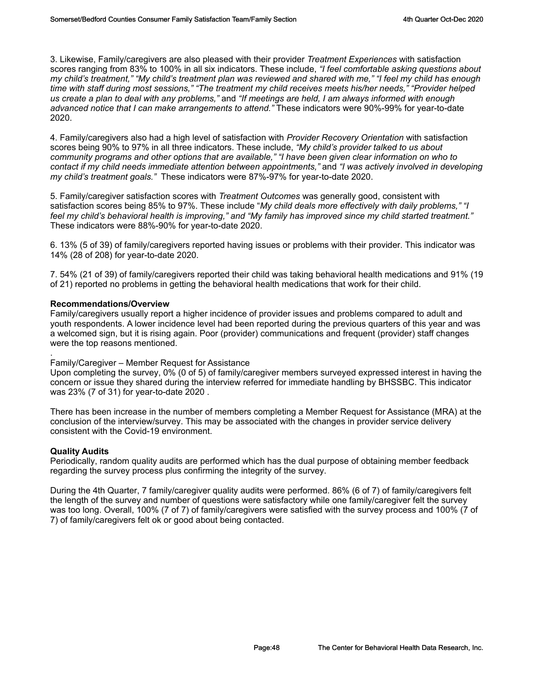3. Likewise, Family/caregivers are also pleased with their provider *Treatment Experiences* with satisfaction scores ranging from 83% to 100% in all six indicators. These include, *"I feel comfortable asking questions about my child's treatment," "My child's treatment plan was reviewed and shared with me," "I feel my child has enough time with staff during most sessions," "The treatment my child receives meets his/her needs," "Provider helped us create a plan to deal with any problems,"* and *"If meetings are held, I am always informed with enough advanced notice that I can make arrangements to attend."* These indicators were 90%-99% for year-to-date 2020.

4. Family/caregivers also had a high level of satisfaction with *Provider Recovery Orientation* with satisfaction scores being 90% to 97% in all three indicators. These include, *"My child's provider talked to us about community programs and other options that are available," "I have been given clear information on who to contact if my child needs immediate attention between appointments,"* and *"I was actively involved in developing my child's treatment goals."* These indicators were 87%-97% for year-to-date 2020.

5. Family/caregiver satisfaction scores with *Treatment Outcomes* was generally good, consistent with satisfaction scores being 85% to 97%. These include "*My child deals more effectively with daily problems," "I feel my child's behavioral health is improving," and "My family has improved since my child started treatment."* These indicators were 88%-90% for year-to-date 2020.

6. 13% (5 of 39) of family/caregivers reported having issues or problems with their provider. This indicator was 14% (28 of 208) for year-to-date 2020.

7. 54% (21 of 39) of family/caregivers reported their child was taking behavioral health medications and 91% (19 of 21) reported no problems in getting the behavioral health medications that work for their child.

## **Recommendations/Overview**

Family/caregivers usually report a higher incidence of provider issues and problems compared to adult and youth respondents. A lower incidence level had been reported during the previous quarters of this year and was a welcomed sign, but it is rising again. Poor (provider) communications and frequent (provider) staff changes were the top reasons mentioned.

## . Family/Caregiver – Member Request for Assistance

Upon completing the survey, 0% (0 of 5) of family/caregiver members surveyed expressed interest in having the concern or issue they shared during the interview referred for immediate handling by BHSSBC. This indicator was 23% (7 of 31) for year-to-date 2020 .

There has been increase in the number of members completing a Member Request for Assistance (MRA) at the conclusion of the interview/survey. This may be associated with the changes in provider service delivery consistent with the Covid-19 environment.

## **Quality Audits**

Periodically, random quality audits are performed which has the dual purpose of obtaining member feedback regarding the survey process plus confirming the integrity of the survey.

During the 4th Quarter, 7 family/caregiver quality audits were performed. 86% (6 of 7) of family/caregivers felt the length of the survey and number of questions were satisfactory while one family/caregiver felt the survey was too long. Overall, 100% (7 of 7) of family/caregivers were satisfied with the survey process and 100% (7 of 7) of family/caregivers felt ok or good about being contacted.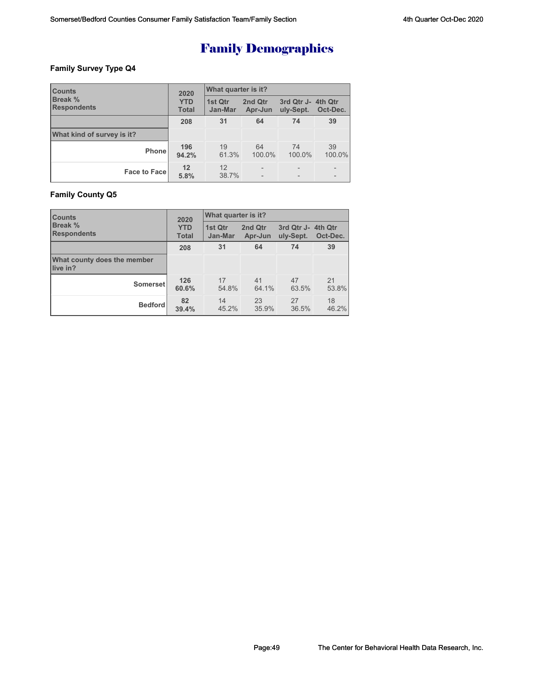## **Family Survey Type Q4**

| <b>Counts</b>                        | 2020                       | What quarter is it? |                    |                                 |              |  |
|--------------------------------------|----------------------------|---------------------|--------------------|---------------------------------|--------------|--|
| <b>Break %</b><br><b>Respondents</b> | <b>YTD</b><br><b>Total</b> | 1st Qtr<br>Jan-Mar  | 2nd Qtr<br>Apr-Jun | 3rd Qtr J- 4th Qtr<br>uly-Sept. | Oct-Dec.     |  |
|                                      | 208                        | 31                  | 64                 | 74                              | 39           |  |
| What kind of survey is it?           |                            |                     |                    |                                 |              |  |
| <b>Phone</b>                         | 196<br>94.2%               | 19<br>61.3%         | 64<br>100.0%       | 74<br>100.0%                    | 39<br>100.0% |  |
| <b>Face to Facel</b>                 | 12<br>5.8%                 | 12<br>38.7%         |                    |                                 |              |  |

## **Family County Q5**

| <b>Counts</b>                           | 2020         | What quarter is it? |         |                    |          |  |
|-----------------------------------------|--------------|---------------------|---------|--------------------|----------|--|
| <b>Break</b> %                          | <b>YTD</b>   | 1st Qtr             | 2nd Qtr | 3rd Qtr J- 4th Qtr | Oct-Dec. |  |
| <b>Respondents</b>                      | <b>Total</b> | Jan-Mar             | Apr-Jun | uly-Sept.          |          |  |
|                                         | 208          | 31                  | 64      | 74                 | 39       |  |
| What county does the member<br>live in? |              |                     |         |                    |          |  |
| Somerset                                | 126          | 17                  | 41      | 47                 | 21       |  |
|                                         | 60.6%        | 54.8%               | 64.1%   | 63.5%              | 53.8%    |  |
| <b>Bedford</b>                          | 82           | 14                  | 23      | 27                 | 18       |  |
|                                         | 39.4%        | 45.2%               | 35.9%   | 36.5%              | 46.2%    |  |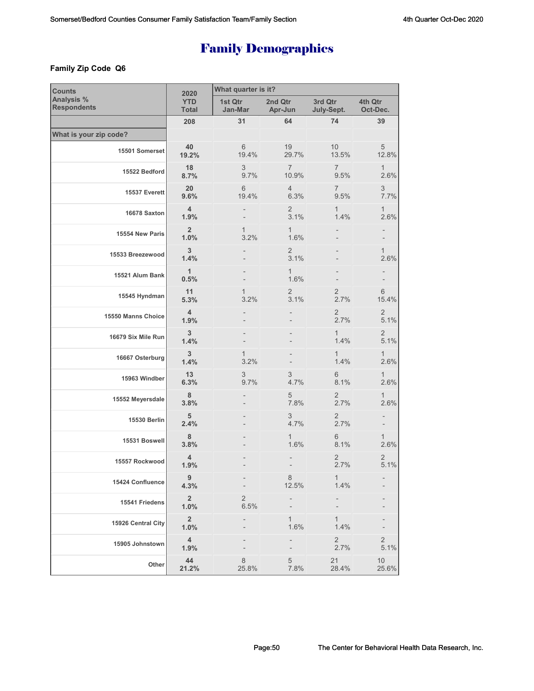## **Family Zip Code Q6**

| <b>Counts</b>                    | 2020                       | What quarter is it?    |                         |                        |                        |  |  |
|----------------------------------|----------------------------|------------------------|-------------------------|------------------------|------------------------|--|--|
| Analysis %<br><b>Respondents</b> | <b>YTD</b><br><b>Total</b> | 1st Qtr<br>Jan-Mar     | 2nd Qtr<br>Apr-Jun      | 3rd Qtr<br>July-Sept.  | 4th Qtr<br>Oct-Dec.    |  |  |
|                                  | 208                        | 31                     | 64                      | 74                     | 39                     |  |  |
| What is your zip code?           |                            |                        |                         |                        |                        |  |  |
| 15501 Somerset                   | 40<br>19.2%                | 6<br>19.4%             | 19<br>29.7%             | 10<br>13.5%            | $\sqrt{5}$<br>12.8%    |  |  |
| 15522 Bedford                    | 18<br>8.7%                 | 3<br>9.7%              | $\overline{7}$<br>10.9% | $\overline{7}$<br>9.5% | 1<br>2.6%              |  |  |
| 15537 Everett                    | 20<br>9.6%                 | 6<br>19.4%             | $\overline{4}$<br>6.3%  | 7<br>9.5%              | 3<br>7.7%              |  |  |
| 16678 Saxton                     | 4<br>1.9%                  |                        | $\overline{2}$<br>3.1%  | $\mathbf{1}$<br>1.4%   | $\mathbf{1}$<br>2.6%   |  |  |
| 15554 New Paris                  | $\overline{2}$<br>1.0%     | 1<br>3.2%              | $\mathbf{1}$<br>1.6%    |                        |                        |  |  |
| 15533 Breezewood                 | 3<br>1.4%                  |                        | $\overline{2}$<br>3.1%  |                        | $\mathbf{1}$<br>2.6%   |  |  |
| 15521 Alum Bank                  | $\mathbf{1}$<br>0.5%       |                        | $\mathbf{1}$<br>1.6%    |                        |                        |  |  |
| 15545 Hyndman                    | 11<br>5.3%                 | 1<br>3.2%              | $\overline{2}$<br>3.1%  | $\mathbf{2}$<br>2.7%   | $6\,$<br>15.4%         |  |  |
| 15550 Manns Choice               | 4<br>1.9%                  |                        |                         | $\overline{2}$<br>2.7% | $\overline{2}$<br>5.1% |  |  |
| 16679 Six Mile Run               | 3<br>1.4%                  |                        |                         | $\mathbf{1}$<br>1.4%   | $\overline{2}$<br>5.1% |  |  |
| 16667 Osterburg                  | 3<br>1.4%                  | 1<br>3.2%              |                         | $\mathbf{1}$<br>1.4%   | $\mathbf{1}$<br>2.6%   |  |  |
| 15963 Windber                    | 13<br>6.3%                 | 3<br>9.7%              | 3<br>4.7%               | 6<br>8.1%              | 1<br>2.6%              |  |  |
| 15552 Meyersdale                 | 8<br>3.8%                  |                        | 5<br>7.8%               | $\overline{2}$<br>2.7% | 1<br>2.6%              |  |  |
| 15530 Berlin                     | 5<br>2.4%                  |                        | 3<br>4.7%               | 2<br>2.7%              |                        |  |  |
| 15531 Boswell                    | 8<br>3.8%                  |                        | $\mathbf{1}$<br>1.6%    | 6<br>8.1%              | $\mathbf{1}$<br>2.6%   |  |  |
| 15557 Rockwood                   | 4<br>1.9%                  |                        |                         | 2<br>2.7%              | $\overline{2}$<br>5.1% |  |  |
| 15424 Confluence                 | 9<br>4.3%                  |                        | 8<br>12.5%              | $\mathbf{1}$<br>1.4%   |                        |  |  |
| 15541 Friedens                   | $\overline{2}$<br>1.0%     | $\overline{c}$<br>6.5% |                         |                        |                        |  |  |
| 15926 Central City               | $\overline{2}$<br>1.0%     |                        | 1<br>1.6%               | $\mathbf{1}$<br>1.4%   |                        |  |  |
| 15905 Johnstown                  | $\overline{4}$<br>1.9%     |                        |                         | $\overline{2}$<br>2.7% | $\sqrt{2}$<br>5.1%     |  |  |
| Other                            | 44<br>21.2%                | 8<br>25.8%             | 5<br>7.8%               | 21<br>28.4%            | 10<br>25.6%            |  |  |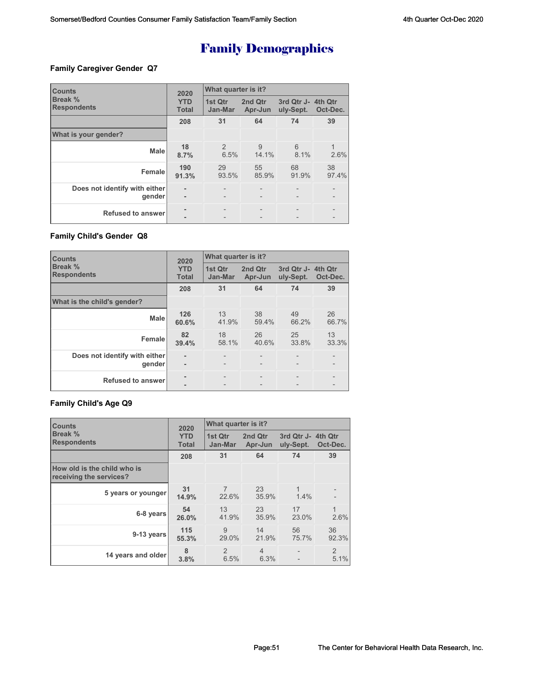## **Family Caregiver Gender Q7**

| <b>Counts</b>                           | 2020                       | What quarter is it? |                    |                                 |             |  |
|-----------------------------------------|----------------------------|---------------------|--------------------|---------------------------------|-------------|--|
| Break %<br><b>Respondents</b>           | <b>YTD</b><br><b>Total</b> | 1st Qtr<br>Jan-Mar  | 2nd Qtr<br>Apr-Jun | 3rd Qtr J- 4th Qtr<br>uly-Sept. | Oct-Dec.    |  |
|                                         | 208                        | 31                  | 64                 | 74                              | 39          |  |
| What is your gender?                    |                            |                     |                    |                                 |             |  |
| <b>Male</b>                             | 18<br>8.7%                 | 2<br>6.5%           | 9<br>14.1%         | 6<br>8.1%                       | 2.6%        |  |
| Female                                  | 190<br>91.3%               | 29<br>93.5%         | 55<br>85.9%        | 68<br>91.9%                     | 38<br>97.4% |  |
| Does not identify with either<br>gender |                            |                     |                    |                                 |             |  |
| <b>Refused to answer</b>                |                            |                     |                    |                                 |             |  |

## **Family Child's Gender Q8**

| <b>Counts</b>                           | 2020                       | What quarter is it?                                  |                                        |                         |                                        |  |
|-----------------------------------------|----------------------------|------------------------------------------------------|----------------------------------------|-------------------------|----------------------------------------|--|
| Break %<br><b>Respondents</b>           | <b>YTD</b><br><b>Total</b> | 1st Qtr<br>Jan-Mar                                   | 2nd Qtr<br>Apr-Jun                     | 3rd Qtr J-<br>uly-Sept. | 4th Qtr<br>Oct-Dec.                    |  |
|                                         | 208                        | 31                                                   | 64                                     | 74                      | 39                                     |  |
| What is the child's gender?             |                            |                                                      |                                        |                         |                                        |  |
| <b>Male</b>                             | 126<br>60.6%               | 13<br>41.9%                                          | 38<br>59.4%                            | 49<br>66.2%             | 26<br>66.7%                            |  |
| Female                                  | 82<br>39.4%                | 18<br>58.1%                                          | 26<br>40.6%                            | 25<br>33.8%             | 13<br>33.3%                            |  |
| Does not identify with either<br>gender | $\blacksquare$             | $\overline{\phantom{a}}$<br>$\overline{\phantom{0}}$ | $\qquad \qquad -$<br>$\qquad \qquad -$ |                         | $\qquad \qquad -$<br>$\qquad \qquad -$ |  |
| <b>Refused to answer</b>                |                            | $\overline{\phantom{0}}$                             |                                        |                         | $\qquad \qquad -$                      |  |

## **Family Child's Age Q9**

| <b>Counts</b>                                          | 2020                       | What quarter is it?     |                        |                                 |                        |  |
|--------------------------------------------------------|----------------------------|-------------------------|------------------------|---------------------------------|------------------------|--|
| Break %<br><b>Respondents</b>                          | <b>YTD</b><br><b>Total</b> | 1st Qtr<br>Jan-Mar      | 2nd Qtr<br>Apr-Jun     | 3rd Qtr J- 4th Qtr<br>uly-Sept. | Oct-Dec.               |  |
|                                                        | 208                        | 31                      | 64                     | 74                              | 39                     |  |
| How old is the child who is<br>receiving the services? |                            |                         |                        |                                 |                        |  |
| 5 years or younger                                     | 31<br>14.9%                | $\overline{7}$<br>22.6% | 23<br>35.9%            | 1<br>1.4%                       |                        |  |
| 6-8 years                                              | 54<br>26.0%                | 13<br>41.9%             | 23<br>35.9%            | 17<br>23.0%                     | 1<br>2.6%              |  |
| 9-13 years                                             | 115<br>55.3%               | 9<br>29.0%              | 14<br>21.9%            | 56<br>75.7%                     | 36<br>92.3%            |  |
| 14 years and older                                     | 8<br>3.8%                  | 2<br>6.5%               | $\overline{4}$<br>6.3% |                                 | $\overline{2}$<br>5.1% |  |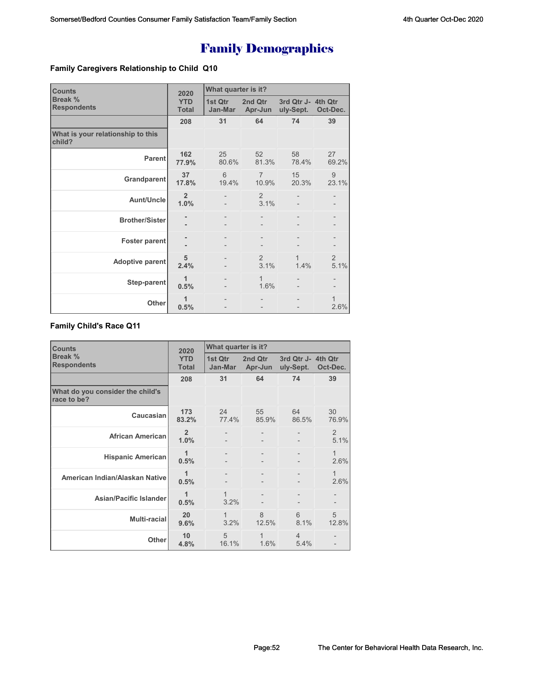## **Family Caregivers Relationship to Child Q10**

| <b>Counts</b>                               | 2020                       | What quarter is it? |                         |                                 |                        |  |
|---------------------------------------------|----------------------------|---------------------|-------------------------|---------------------------------|------------------------|--|
| Break %<br><b>Respondents</b>               | <b>YTD</b><br><b>Total</b> | 1st Qtr<br>Jan-Mar  | 2nd Qtr<br>Apr-Jun      | 3rd Qtr J- 4th Qtr<br>uly-Sept. | Oct-Dec.               |  |
|                                             | 208                        | 31                  | 64                      | 74                              | 39                     |  |
| What is your relationship to this<br>child? |                            |                     |                         |                                 |                        |  |
| <b>Parent</b>                               | 162<br>77.9%               | 25<br>80.6%         | 52<br>81.3%             | 58<br>78.4%                     | 27<br>69.2%            |  |
| Grandparent                                 | 37<br>17.8%                | 6<br>19.4%          | $\overline{7}$<br>10.9% | 15<br>20.3%                     | 9<br>23.1%             |  |
| <b>Aunt/Uncle</b>                           | $\overline{2}$<br>1.0%     |                     | 2<br>3.1%               |                                 |                        |  |
| <b>Brother/Sister</b>                       |                            |                     |                         |                                 |                        |  |
| <b>Foster parent</b>                        | $\blacksquare$             | $\qquad \qquad -$   | $\overline{a}$          | $\qquad \qquad -$               |                        |  |
| Adoptive parent                             | 5<br>2.4%                  |                     | 2<br>3.1%               | $\mathbf{1}$<br>1.4%            | $\overline{2}$<br>5.1% |  |
| Step-parent                                 | 1<br>0.5%                  |                     | $\mathbf{1}$<br>1.6%    |                                 |                        |  |
| <b>Other</b>                                | 1<br>0.5%                  |                     |                         |                                 | 1<br>2.6%              |  |

## **Family Child's Race Q11**

| <b>Counts</b>                                   | 2020                       | What quarter is it?  |                        |                                 |             |  |
|-------------------------------------------------|----------------------------|----------------------|------------------------|---------------------------------|-------------|--|
| Break %<br><b>Respondents</b>                   | <b>YTD</b><br><b>Total</b> | 1st Qtr<br>Jan-Mar   | 2nd Qtr<br>Apr-Jun     | 3rd Qtr J- 4th Qtr<br>uly-Sept. | Oct-Dec.    |  |
|                                                 | 208                        | 31                   | 64                     | 74                              | 39          |  |
| What do you consider the child's<br>race to be? |                            |                      |                        |                                 |             |  |
| Caucasian                                       | 173<br>83.2%               | 24<br>77.4%          | 55<br>85.9%            | 64<br>86.5%                     | 30<br>76.9% |  |
| <b>African American</b>                         | $\overline{2}$<br>1.0%     |                      |                        |                                 | 2<br>5.1%   |  |
| <b>Hispanic American</b>                        | 1<br>0.5%                  |                      |                        |                                 | 1<br>2.6%   |  |
| American Indian/Alaskan Native                  | 1<br>0.5%                  |                      |                        |                                 | 1<br>2.6%   |  |
| <b>Asian/Pacific Islander</b>                   | 1<br>0.5%                  | $\mathbf{1}$<br>3.2% |                        |                                 |             |  |
| <b>Multi-racial</b>                             | 20<br>9.6%                 | $\mathbf 1$<br>3.2%  | $\mathcal{B}$<br>12.5% | 6<br>8.1%                       | 5<br>12.8%  |  |
| Other                                           | 10<br>4.8%                 | 5<br>16.1%           | 1<br>1.6%              | $\overline{4}$<br>5.4%          |             |  |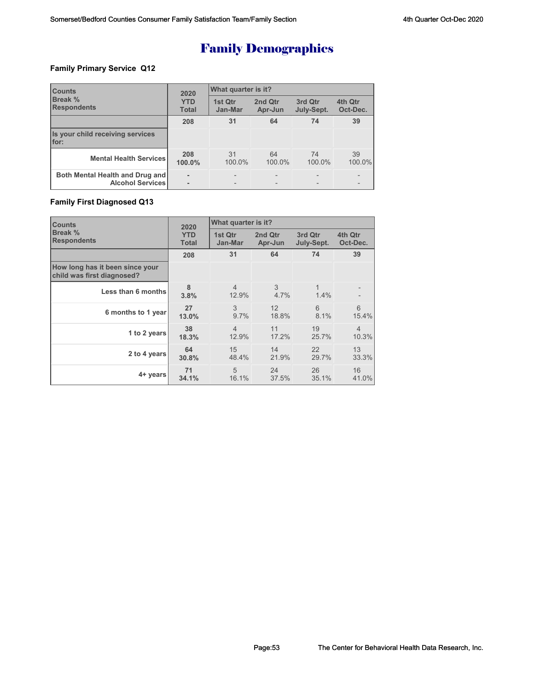## **Family Primary Service Q12**

| <b>Counts</b><br><b>Break %</b><br><b>Respondents</b> | 2020                       | What quarter is it? |                    |                       |                          |  |
|-------------------------------------------------------|----------------------------|---------------------|--------------------|-----------------------|--------------------------|--|
|                                                       | <b>YTD</b><br><b>Total</b> | 1st Qtr<br>Jan-Mar  | 2nd Qtr<br>Apr-Jun | 3rd Qtr<br>July-Sept. | 4th Qtr<br>Oct-Dec.      |  |
|                                                       | 208                        | 31                  | 64                 | 74                    | 39                       |  |
| Is your child receiving services<br>for:              |                            |                     |                    |                       |                          |  |
| <b>Mental Health Services</b>                         | 208<br>100.0%              | 31<br>100.0%        | 64<br>100.0%       | 74<br>100.0%          | 39<br>100.0%             |  |
| Both Mental Health and Drug and<br>Alcohol Services   | ۰                          |                     |                    |                       | $\overline{\phantom{0}}$ |  |

## **Family First Diagnosed Q13**

| <b>Counts</b>                                                 | 2020         | What quarter is it?     |           |            |                |
|---------------------------------------------------------------|--------------|-------------------------|-----------|------------|----------------|
| Break %                                                       | <b>YTD</b>   | 1st Qtr                 | 2nd Qtr   | 3rd Qtr    | 4th Qtr        |
| <b>Respondents</b>                                            | <b>Total</b> | Jan-Mar                 | Apr-Jun   | July-Sept. | Oct-Dec.       |
|                                                               | 208          | 31                      | 64        | 74         | 39             |
| How long has it been since your<br>child was first diagnosed? |              |                         |           |            |                |
| Less than 6 months                                            | 8<br>3.8%    | $\overline{4}$<br>12.9% | 3<br>4.7% | 1.4%       |                |
| 6 months to 1 year                                            | 27           | 3                       | 12        | 6          | 6              |
|                                                               | 13.0%        | 9.7%                    | 18.8%     | 8.1%       | 15.4%          |
| 1 to 2 years                                                  | 38           | $\overline{4}$          | 11        | 19         | $\overline{4}$ |
|                                                               | 18.3%        | 12.9%                   | 17.2%     | 25.7%      | 10.3%          |
| 2 to 4 years                                                  | 64           | 15                      | 14        | 22         | 13             |
|                                                               | 30.8%        | 48.4%                   | 21.9%     | 29.7%      | 33.3%          |
| 4+ years                                                      | 71           | 5                       | 24        | 26         | 16             |
|                                                               | 34.1%        | 16.1%                   | 37.5%     | 35.1%      | 41.0%          |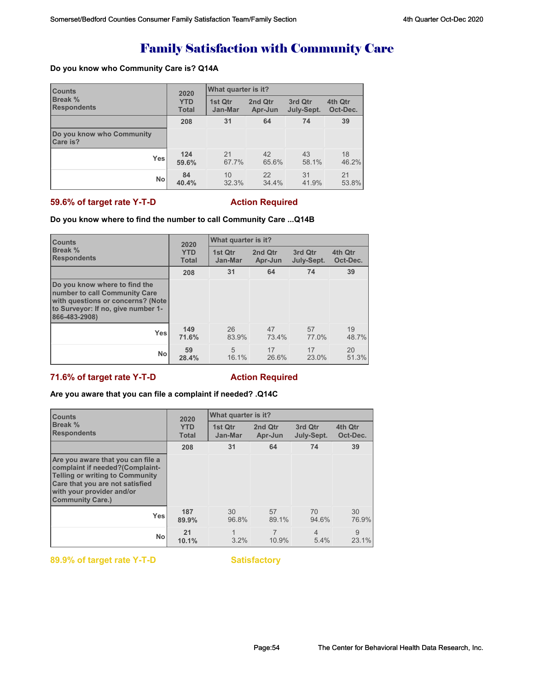# Family Satisfaction with Community Care

## **Do you know who Community Care is? Q14A**

| <b>Counts</b><br><b>Break %</b><br><b>Respondents</b> | 2020                       | <b>What quarter is it?</b> |                    |                       |                     |
|-------------------------------------------------------|----------------------------|----------------------------|--------------------|-----------------------|---------------------|
|                                                       | <b>YTD</b><br><b>Total</b> | 1st Qtr<br>Jan-Mar         | 2nd Qtr<br>Apr-Jun | 3rd Qtr<br>July-Sept. | 4th Qtr<br>Oct-Dec. |
|                                                       | 208                        | 31                         | 64                 | 74                    | 39                  |
| Do you know who Community<br>Care is?                 |                            |                            |                    |                       |                     |
| <b>Yes</b>                                            | 124<br>59.6%               | 21<br>67.7%                | 42<br>65.6%        | 43<br>58.1%           | 18<br>46.2%         |
| <b>No</b>                                             | 84<br>40.4%                | 10<br>32.3%                | 22<br>34.4%        | 31<br>41.9%           | 21<br>53.8%         |

## **59.6% of target rate Y-T-D** Action Required

## **Do you know where to find the number to call Community Care ...Q14B**

| <b>Counts</b><br>Break %<br><b>Respondents</b>                                                                                                             | 2020                       | What quarter is it? |                    |                       |                     |  |  |
|------------------------------------------------------------------------------------------------------------------------------------------------------------|----------------------------|---------------------|--------------------|-----------------------|---------------------|--|--|
|                                                                                                                                                            | <b>YTD</b><br><b>Total</b> | 1st Qtr<br>Jan-Mar  | 2nd Qtr<br>Apr-Jun | 3rd Qtr<br>July-Sept. | 4th Qtr<br>Oct-Dec. |  |  |
|                                                                                                                                                            | 208                        | 31                  | 64                 | 74                    | 39                  |  |  |
| Do you know where to find the<br>number to call Community Care<br>with questions or concerns? (Note<br>to Surveyor: If no, give number 1-<br>866-483-2908) |                            |                     |                    |                       |                     |  |  |
| <b>Yes</b>                                                                                                                                                 | 149<br>71.6%               | 26<br>83.9%         | 47<br>73.4%        | 57<br>77.0%           | 19<br>48.7%         |  |  |
| <b>No</b>                                                                                                                                                  | 59<br>28.4%                | 5<br>16.1%          | 17<br>26.6%        | 17<br>23.0%           | 20<br>51.3%         |  |  |

## **71.6% of target rate Y-T-D Action Required**

## **Are you aware that you can file a complaint if needed? .Q14C**

| <b>Counts</b><br>Break %<br><b>Respondents</b>                                                                                                                                                            | 2020                       | What quarter is it? |                    |                       |                     |
|-----------------------------------------------------------------------------------------------------------------------------------------------------------------------------------------------------------|----------------------------|---------------------|--------------------|-----------------------|---------------------|
|                                                                                                                                                                                                           | <b>YTD</b><br><b>Total</b> | 1st Qtr<br>Jan-Mar  | 2nd Qtr<br>Apr-Jun | 3rd Qtr<br>July-Sept. | 4th Qtr<br>Oct-Dec. |
|                                                                                                                                                                                                           | 208                        | 31                  | 64                 | 74                    | 39                  |
| Are you aware that you can file a<br>complaint if needed?(Complaint-<br><b>Telling or writing to Community</b><br>Care that you are not satisfied<br>with your provider and/or<br><b>Community Care.)</b> |                            |                     |                    |                       |                     |
| <b>Yes</b>                                                                                                                                                                                                | 187<br>89.9%               | 30<br>96.8%         | 57<br>89.1%        | 70<br>94.6%           | 30<br>76.9%         |
| <b>No</b>                                                                                                                                                                                                 | 21<br>10.1%                | 3.2%                | 10.9%              | 4<br>5.4%             | 9<br>23.1%          |

**89.9% of target rate Y-T-D Satisfactory**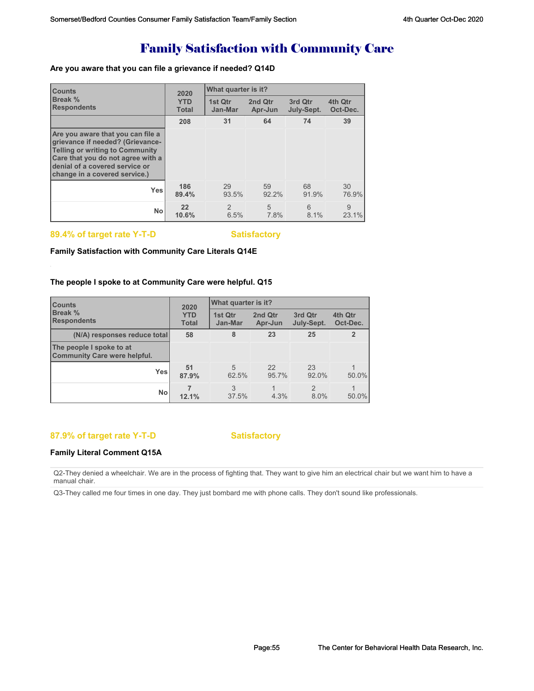# Family Satisfaction with Community Care

## **Are you aware that you can file a grievance if needed? Q14D**

| <b>Counts</b><br><b>Break %</b><br><b>Respondents</b>                                                                                                                                                                   | 2020                       | What quarter is it? |                    |                       |                     |  |
|-------------------------------------------------------------------------------------------------------------------------------------------------------------------------------------------------------------------------|----------------------------|---------------------|--------------------|-----------------------|---------------------|--|
|                                                                                                                                                                                                                         | <b>YTD</b><br><b>Total</b> | 1st Otr<br>Jan-Mar  | 2nd Qtr<br>Apr-Jun | 3rd Qtr<br>July-Sept. | 4th Qtr<br>Oct-Dec. |  |
|                                                                                                                                                                                                                         | 208                        | 31                  | 64                 | 74                    | 39                  |  |
| Are you aware that you can file a<br>grievance if needed? (Grievance-<br><b>Telling or writing to Community</b><br>Care that you do not agree with a<br>denial of a covered service or<br>change in a covered service.) |                            |                     |                    |                       |                     |  |
| <b>Yes</b>                                                                                                                                                                                                              | 186<br>89.4%               | 29<br>93.5%         | 59<br>92.2%        | 68<br>91.9%           | 30<br>76.9%         |  |
| <b>No</b>                                                                                                                                                                                                               | 22<br>10.6%                | 2<br>6.5%           | 5<br>7.8%          | 6<br>8.1%             | 9<br>23.1%          |  |

## 89.4% of target rate Y-T-D Satisfactory

## **Family Satisfaction with Community Care Literals Q14E**

## **The people I spoke to at Community Care were helpful. Q15**

| <b>Counts</b><br><b>Break %</b><br><b>Respondents</b>           | 2020                       | What quarter is it? |                    |                        |                               |
|-----------------------------------------------------------------|----------------------------|---------------------|--------------------|------------------------|-------------------------------|
|                                                                 | <b>YTD</b><br><b>Total</b> | 1st Qtr<br>Jan-Mar  | 2nd Qtr<br>Apr-Jun | 3rd Qtr<br>July-Sept.  | 4th Qtr<br>Oct-Dec.           |
| (N/A) responses reduce total                                    | 58                         | 8                   | 23                 | 25                     | $\overline{2}$                |
| The people I spoke to at<br><b>Community Care were helpful.</b> |                            |                     |                    |                        |                               |
| Yesl                                                            | 51<br>87.9%                | 5<br>62.5%          | 22<br>95.7%        | 23<br>92.0%            | 50.0%                         |
| <b>No</b>                                                       | 12.1%                      | 3<br>37.5%          | 4.3%               | $\mathfrak{D}$<br>8.0% | $\blacktriangleleft$<br>50.0% |

## **87.9% of target rate Y-T-D Satisfactory**

## **Family Literal Comment Q15A**

Q2-They denied a wheelchair. We are in the process of fighting that. They want to give him an electrical chair but we want him to have a manual chair.

Q3-They called me four times in one day. They just bombard me with phone calls. They don't sound like professionals.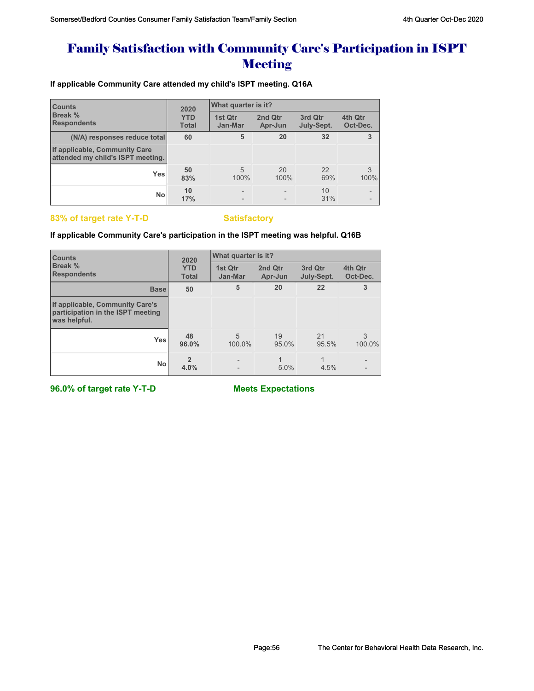# Family Satisfaction with Community Care's Participation in ISPT **Meeting**

**If applicable Community Care attended my child's ISPT meeting. Q16A**

| <b>Counts</b><br>Break %<br><b>Respondents</b>                     | 2020                       | What quarter is it?      |                    |                       |                                                      |  |
|--------------------------------------------------------------------|----------------------------|--------------------------|--------------------|-----------------------|------------------------------------------------------|--|
|                                                                    | <b>YTD</b><br><b>Total</b> | 1st Qtr<br>Jan-Mar       | 2nd Qtr<br>Apr-Jun | 3rd Qtr<br>July-Sept. | 4th Qtr<br>Oct-Dec.                                  |  |
| (N/A) responses reduce total                                       | 60                         | 5                        | 20                 | 32                    | 3                                                    |  |
| If applicable, Community Care<br>attended my child's ISPT meeting. |                            |                          |                    |                       |                                                      |  |
| <b>Yes</b>                                                         | 50<br>83%                  | 5<br>100%                | 20<br>100%         | 22<br>69%             | 3<br>100%                                            |  |
| <b>No</b>                                                          | 10<br>17%                  | $\overline{\phantom{0}}$ |                    | 10<br>31%             | $\overline{\phantom{0}}$<br>$\overline{\phantom{0}}$ |  |

## 83% of target rate Y-T-D **Satisfactory**

## **If applicable Community Care's participation in the ISPT meeting was helpful. Q16B**

| <b>Counts</b>                                                                        | 2020                       | What quarter is it? |                    |                       |                     |  |
|--------------------------------------------------------------------------------------|----------------------------|---------------------|--------------------|-----------------------|---------------------|--|
| Break %<br><b>Respondents</b>                                                        | <b>YTD</b><br><b>Total</b> | 1st Qtr<br>Jan-Mar  | 2nd Qtr<br>Apr-Jun | 3rd Qtr<br>July-Sept. | 4th Qtr<br>Oct-Dec. |  |
| <b>Base</b>                                                                          | 50                         | 5                   | 20                 | 22                    | 3                   |  |
| If applicable, Community Care's<br>participation in the ISPT meeting<br>was helpful. |                            |                     |                    |                       |                     |  |
| <b>Yes</b>                                                                           | 48<br>96.0%                | 5<br>100.0%         | 19<br>95.0%        | 21<br>95.5%           | 3<br>100.0%         |  |
| <b>No</b>                                                                            | 4.0%                       |                     | 5.0%               | 4.5%                  |                     |  |

**96.0% of target rate Y-T-D Meets Expectations**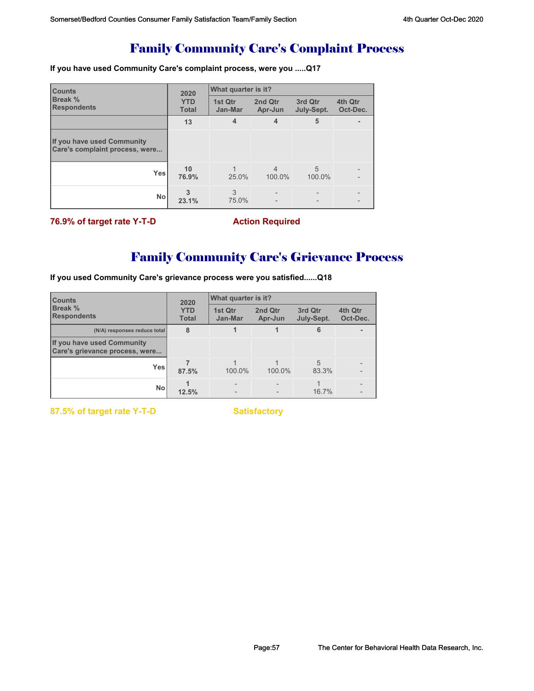# Family Community Care's Complaint Process

**If you have used Community Care's complaint process, were you .....Q17**

| <b>Counts</b>                                                | 2020                       | What quarter is it? |                          |                       |                     |  |  |
|--------------------------------------------------------------|----------------------------|---------------------|--------------------------|-----------------------|---------------------|--|--|
| <b>Break %</b><br><b>Respondents</b>                         | <b>YTD</b><br><b>Total</b> | 1st Qtr<br>Jan-Mar  | 2nd Qtr<br>Apr-Jun       | 3rd Qtr<br>July-Sept. | 4th Qtr<br>Oct-Dec. |  |  |
|                                                              | 13                         | 4                   | 4                        | 5                     |                     |  |  |
| If you have used Community<br>Care's complaint process, were |                            |                     |                          |                       |                     |  |  |
| Yes                                                          | 10<br>76.9%                | 25.0%               | $\overline{4}$<br>100.0% | 5<br>100.0%           |                     |  |  |
| <b>No</b>                                                    | 23.1%                      | 3<br>75.0%          |                          |                       |                     |  |  |

**76.9% of target rate Y-T-D Action Required** 

# Family Community Care's Grievance Process

**If you used Community Care's grievance process were you satisfied......Q18**

| <b>Counts</b><br><b>Break %</b><br><b>Respondents</b>        | 2020                       | What quarter is it? |                    |                       |                     |  |
|--------------------------------------------------------------|----------------------------|---------------------|--------------------|-----------------------|---------------------|--|
|                                                              | <b>YTD</b><br><b>Total</b> | 1st Qtr<br>Jan-Mar  | 2nd Qtr<br>Apr-Jun | 3rd Qtr<br>July-Sept. | 4th Qtr<br>Oct-Dec. |  |
| (N/A) responses reduce total                                 | 8                          |                     |                    | 6                     |                     |  |
| If you have used Community<br>Care's grievance process, were |                            |                     |                    |                       |                     |  |
| <b>Yes</b>                                                   | 87.5%                      | 100.0%              | 100.0%             | 5<br>83.3%            |                     |  |
| <b>No</b>                                                    | 12.5%                      |                     |                    | 16.7%                 |                     |  |

**87.5% of target rate Y-T-D** Satisfactory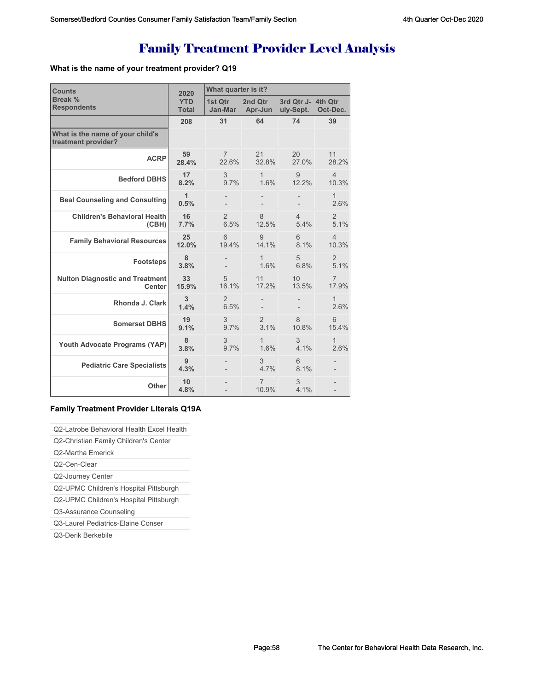# Family Treatment Provider Level Analysis

## **What is the name of your treatment provider? Q19**

| <b>Counts</b>                                           | 2020         | What quarter is it? |                         |                    |                        |  |
|---------------------------------------------------------|--------------|---------------------|-------------------------|--------------------|------------------------|--|
| Break %                                                 | <b>YTD</b>   | 1st Otr             | 2nd Otr                 | 3rd Qtr J- 4th Qtr | Oct-Dec.               |  |
| <b>Respondents</b>                                      | <b>Total</b> | Jan-Mar             | Apr-Jun                 | uly-Sept.          |                        |  |
|                                                         | 208          | 31                  | 64                      | 74                 | 39                     |  |
| What is the name of your child's<br>treatment provider? |              |                     |                         |                    |                        |  |
| <b>ACRP</b>                                             | 59           | $7^{\circ}$         | 21                      | 20                 | 11                     |  |
|                                                         | 28.4%        | 22.6%               | 32.8%                   | 27.0%              | 28.2%                  |  |
| <b>Bedford DBHS</b>                                     | 17           | 3                   | $\mathbf{1}$            | 9                  | $\overline{4}$         |  |
|                                                         | 8.2%         | 9.7%                | 1.6%                    | 12.2%              | 10.3%                  |  |
| <b>Beal Counseling and Consulting</b>                   | 1<br>0.5%    |                     |                         |                    | $\mathbf{1}$<br>2.6%   |  |
| <b>Children's Behavioral Health</b>                     | 16           | $\overline{2}$      | 8                       | $\overline{4}$     | $\overline{2}$         |  |
| (CBH)                                                   | 7.7%         | 6.5%                | 12.5%                   | 5.4%               | 5.1%                   |  |
| <b>Family Behavioral Resources</b>                      | 25           | 6                   | 9                       | 6                  | $\overline{4}$         |  |
|                                                         | 12.0%        | 19.4%               | 14.1%                   | 8.1%               | 10.3%                  |  |
| <b>Footsteps</b>                                        | 8<br>3.8%    |                     | $\mathbf{1}$<br>1.6%    | 5<br>6.8%          | $\overline{2}$<br>5.1% |  |
| <b>Nulton Diagnostic and Treatment</b>                  | 33           | 5                   | 11                      | 10                 | $\overline{7}$         |  |
| <b>Center</b>                                           | 15.9%        | 16.1%               | 17.2%                   | 13.5%              | 17.9%                  |  |
| Rhonda J. Clark                                         | 3<br>1.4%    | 2<br>6.5%           |                         |                    | $\mathbf{1}$<br>2.6%   |  |
| <b>Somerset DBHS</b>                                    | 19           | 3                   | $\overline{2}$          | 8                  | 6                      |  |
|                                                         | 9.1%         | 9.7%                | 3.1%                    | 10.8%              | 15.4%                  |  |
| Youth Advocate Programs (YAP)                           | 8            | 3                   | 1                       | 3                  | 1                      |  |
|                                                         | 3.8%         | 9.7%                | 1.6%                    | 4.1%               | 2.6%                   |  |
| <b>Pediatric Care Specialists</b>                       | 9<br>4.3%    |                     | 3<br>4.7%               | 6<br>8.1%          |                        |  |
| Other                                                   | 10<br>4.8%   |                     | $\overline{7}$<br>10.9% | 3<br>4.1%          | $\overline{a}$         |  |

## **Family Treatment Provider Literals Q19A**

## Q2-Latrobe Behavioral Health Excel Health

Q2-Christian Family Children's Center

- Q2-Martha Emerick
- Q2-Cen-Clear

Q2-Journey Center

Q2-UPMC Children's Hospital Pittsburgh

Q2-UPMC Children's Hospital Pittsburgh

Q3-Assurance Counseling

Q3-Laurel Pediatrics-Elaine Conser

Q3-Derik Berkebile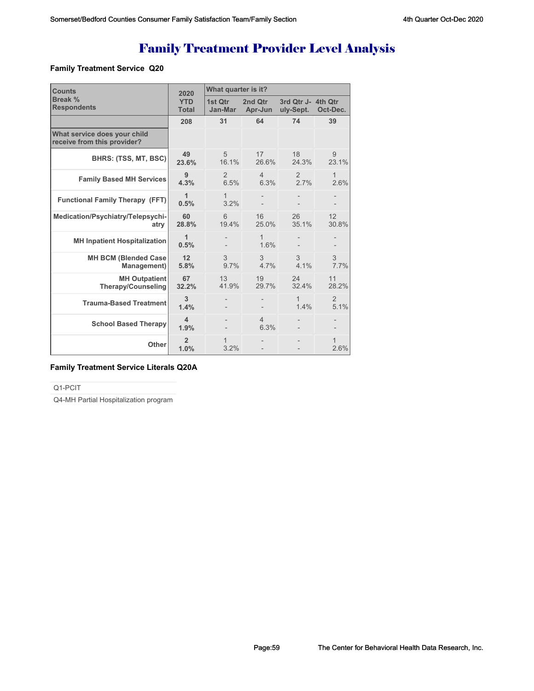# Family Treatment Provider Level Analysis

## **Family Treatment Service Q20**

| <b>Counts</b>                                               | 2020                       | What quarter is it?    |                        |                                 |                      |  |
|-------------------------------------------------------------|----------------------------|------------------------|------------------------|---------------------------------|----------------------|--|
| Break %<br><b>Respondents</b>                               | <b>YTD</b><br><b>Total</b> | 1st Otr<br>Jan-Mar     | 2nd Otr<br>Apr-Jun     | 3rd Qtr J- 4th Qtr<br>uly-Sept. | Oct-Dec.             |  |
|                                                             | 208                        | 31                     | 64                     | 74                              | 39                   |  |
| What service does your child<br>receive from this provider? |                            |                        |                        |                                 |                      |  |
| BHRS: (TSS, MT, BSC)                                        | 49<br>23.6%                | 5<br>16.1%             | 17<br>26.6%            | 18<br>24.3%                     | 9<br>23.1%           |  |
| <b>Family Based MH Services</b>                             | 9<br>4.3%                  | $\overline{2}$<br>6.5% | $\overline{4}$<br>6.3% | 2<br>2.7%                       | 1<br>2.6%            |  |
| <b>Functional Family Therapy (FFT)</b>                      | 1<br>0.5%                  | $\mathbf{1}$<br>3.2%   |                        |                                 |                      |  |
| Medication/Psychiatry/Telepsychi-<br>atrv                   | 60<br>28.8%                | 6<br>19.4%             | 16<br>25.0%            | 26<br>35.1%                     | 12<br>30.8%          |  |
| <b>MH Inpatient Hospitalization</b>                         | 1<br>0.5%                  |                        | 1<br>1.6%              |                                 |                      |  |
| <b>MH BCM (Blended Case)</b><br>Management)                 | 12<br>5.8%                 | 3<br>9.7%              | 3<br>4.7%              | 3<br>4.1%                       | 3<br>7.7%            |  |
| <b>MH Outpatient</b><br><b>Therapy/Counseling</b>           | 67<br>32.2%                | 13<br>41.9%            | 19<br>29.7%            | 24<br>32.4%                     | 11<br>28.2%          |  |
| <b>Trauma-Based Treatment</b>                               | 3<br>1.4%                  |                        |                        | 1<br>1.4%                       | 2<br>5.1%            |  |
| <b>School Based Therapy</b>                                 | 4<br>1.9%                  |                        | $\overline{4}$<br>6.3% |                                 |                      |  |
| Other                                                       | $\overline{2}$<br>1.0%     | 1<br>3.2%              |                        |                                 | $\mathbf{1}$<br>2.6% |  |

## **Family Treatment Service Literals Q20A**

Q1-PCIT

Q4-MH Partial Hospitalization program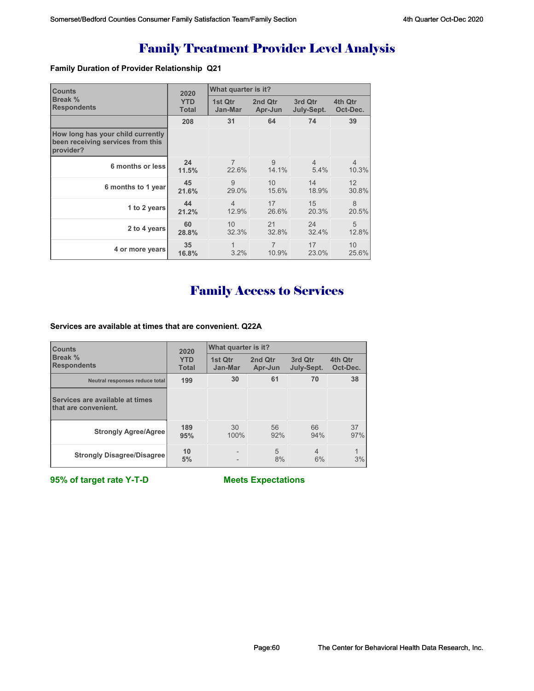# Family Treatment Provider Level Analysis

## **Family Duration of Provider Relationship Q21**

| <b>Counts</b><br>Break %<br><b>Respondents</b>                                      | 2020                       | What quarter is it? |                    |                       |                     |
|-------------------------------------------------------------------------------------|----------------------------|---------------------|--------------------|-----------------------|---------------------|
|                                                                                     | <b>YTD</b><br><b>Total</b> | 1st Qtr<br>Jan-Mar  | 2nd Qtr<br>Apr-Jun | 3rd Qtr<br>July-Sept. | 4th Qtr<br>Oct-Dec. |
|                                                                                     | 208                        | 31                  | 64                 | 74                    | 39                  |
| How long has your child currently<br>been receiving services from this<br>provider? |                            |                     |                    |                       |                     |
| 6 months or less                                                                    | 24                         | $\overline{7}$      | 9                  | $\overline{4}$        | $\overline{4}$      |
|                                                                                     | 11.5%                      | 22.6%               | 14.1%              | 5.4%                  | 10.3%               |
| 6 months to 1 year                                                                  | 45                         | 9                   | 10                 | 14                    | 12                  |
|                                                                                     | 21.6%                      | 29.0%               | 15.6%              | 18.9%                 | 30.8%               |
| 1 to 2 years                                                                        | 44                         | $\overline{4}$      | 17                 | 15                    | 8                   |
|                                                                                     | 21.2%                      | 12.9%               | 26.6%              | 20.3%                 | 20.5%               |
| 2 to 4 years                                                                        | 60                         | 10                  | 21                 | 24                    | 5                   |
|                                                                                     | 28.8%                      | 32.3%               | 32.8%              | 32.4%                 | 12.8%               |
| 4 or more years                                                                     | 35                         | 1                   | $\overline{7}$     | 17                    | 10                  |
|                                                                                     | 16.8%                      | 3.2%                | 10.9%              | 23.0%                 | 25.6%               |

# Family Access to Services

**Services are available at times that are convenient. Q22A**

| <b>Counts</b>                                           | 2020                       | What quarter is it? |                    |                       |                     |  |
|---------------------------------------------------------|----------------------------|---------------------|--------------------|-----------------------|---------------------|--|
| Break %<br><b>Respondents</b>                           | <b>YTD</b><br><b>Total</b> | 1st Qtr<br>Jan-Mar  | 2nd Qtr<br>Apr-Jun | 3rd Qtr<br>July-Sept. | 4th Qtr<br>Oct-Dec. |  |
| Neutral responses reduce total                          | 199                        | 30                  | 61                 | 70                    | 38                  |  |
| Services are available at times<br>that are convenient. |                            |                     |                    |                       |                     |  |
| <b>Strongly Agree/Agree</b>                             | 189<br>95%                 | 30<br>100%          | 56<br>92%          | 66<br>94%             | 37<br>97%           |  |
| <b>Strongly Disagree/Disagree</b>                       | 10<br>5%                   |                     | 5<br>8%            | $\overline{4}$<br>6%  | $\mathbf{1}$<br>3%  |  |

**95% of target rate Y-T-D Meets Expectations**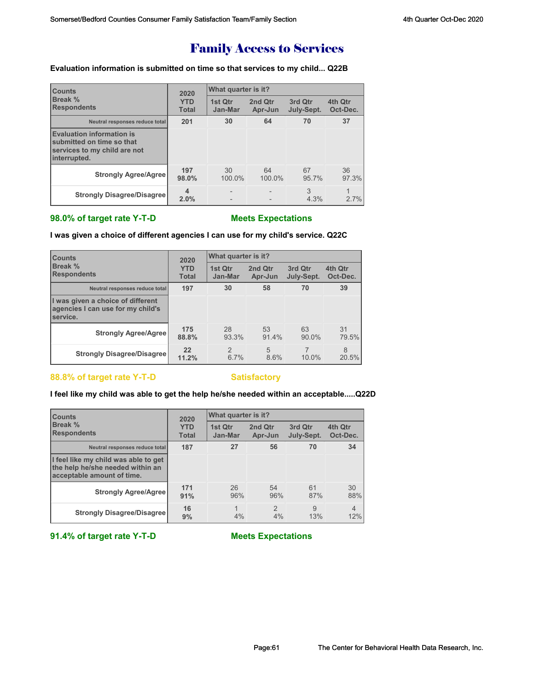## Family Access to Services

**Evaluation information is submitted on time so that services to my child... Q22B**

| <b>Counts</b>                                                                                                 | 2020                       | <b>What quarter is it?</b> |                    |                       |                     |  |
|---------------------------------------------------------------------------------------------------------------|----------------------------|----------------------------|--------------------|-----------------------|---------------------|--|
| Break %<br><b>Respondents</b>                                                                                 | <b>YTD</b><br><b>Total</b> | 1st Qtr<br>Jan-Mar         | 2nd Qtr<br>Apr-Jun | 3rd Otr<br>July-Sept. | 4th Qtr<br>Oct-Dec. |  |
| Neutral responses reduce total                                                                                | 201                        | 30                         | 64                 | 70                    | 37                  |  |
| <b>Evaluation information is</b><br>submitted on time so that<br>services to my child are not<br>interrupted. |                            |                            |                    |                       |                     |  |
| <b>Strongly Agree/Agree</b>                                                                                   | 197<br>98.0%               | 30<br>100.0%               | 64<br>100.0%       | 67<br>95.7%           | 36<br>97.3%         |  |
| <b>Strongly Disagree/Disagree</b>                                                                             | $\overline{4}$<br>2.0%     |                            |                    | 3<br>4.3%             | 1<br>2.7%           |  |

## **98.0% of target rate Y-T-D Meets Expectations**

**I was given a choice of different agencies I can use for my child's service. Q22C**

| <b>Counts</b><br><b>Break %</b><br><b>Respondents</b>                                      | 2020                       | What quarter is it?      |                    |                       |                     |  |
|--------------------------------------------------------------------------------------------|----------------------------|--------------------------|--------------------|-----------------------|---------------------|--|
|                                                                                            | <b>YTD</b><br><b>Total</b> | 1st Otr<br>Jan-Mar       | 2nd Qtr<br>Apr-Jun | 3rd Otr<br>July-Sept. | 4th Qtr<br>Oct-Dec. |  |
| Neutral responses reduce total                                                             | 197                        | 30                       | 58                 | 70                    | 39                  |  |
| I was given a choice of different<br>agencies I can use for my child's<br><b>Iservice.</b> |                            |                          |                    |                       |                     |  |
| <b>Strongly Agree/Agree</b>                                                                | 175<br>88.8%               | 28<br>93.3%              | 53<br>91.4%        | 63<br>$90.0\%$        | 31<br>79.5%         |  |
| <b>Strongly Disagree/Disagree</b>                                                          | 22<br>11.2%                | $\mathcal{P}$<br>$6.7\%$ | 5<br>8.6%          | 10.0%                 | 8<br>20.5%          |  |

## 88.8% of target rate Y-T-D Satisfactory

## **I feel like my child was able to get the help he/she needed within an acceptable.....Q22D**

| <b>Counts</b>                                                                                          | 2020         | What quarter is it? |               |            |                |
|--------------------------------------------------------------------------------------------------------|--------------|---------------------|---------------|------------|----------------|
| Break %                                                                                                | <b>YTD</b>   | 1st Qtr             | 2nd Qtr       | 3rd Qtr    | 4th Qtr        |
| <b>Respondents</b>                                                                                     | <b>Total</b> | Jan-Mar             | Apr-Jun       | July-Sept. | Oct-Dec.       |
| Neutral responses reduce total                                                                         | 187          | 27                  | 56            | 70         | 34             |
| I feel like my child was able to get<br>the help he/she needed within an<br>acceptable amount of time. |              |                     |               |            |                |
| <b>Strongly Agree/Agree</b>                                                                            | 171          | 26                  | 54            | 61         | 30             |
|                                                                                                        | 91%          | 96%                 | 96%           | 87%        | 88%            |
| <b>Strongly Disagree/Disagree</b>                                                                      | 16           | 1                   | $\mathcal{P}$ | 9          | $\overline{4}$ |
|                                                                                                        | 9%           | 4%                  | 4%            | 13%        | 12%            |

**91.4% of target rate Y-T-D Meets Expectations**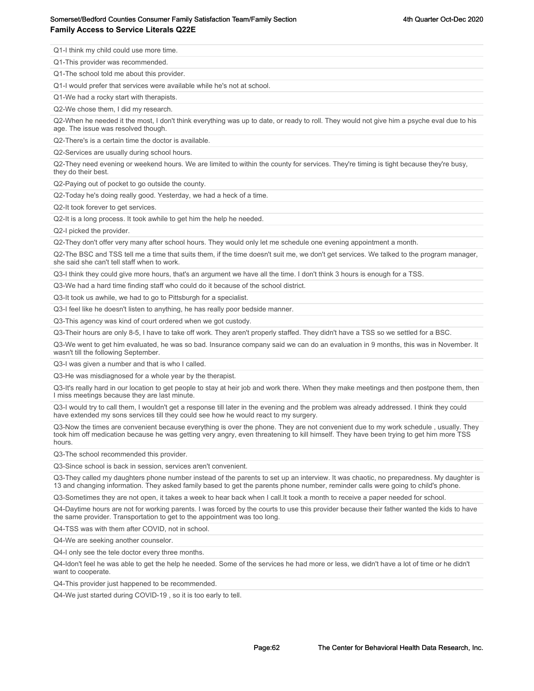## Somerset/Bedford Counties Consumer Family Satisfaction Team/Family Section action 3th Sulling 4th Quarter Oct-Dec 2020 **Family Access to Service Literals Q22E**

Q1-I think my child could use more time.

Q1-This provider was recommended.

Q1-The school told me about this provider.

Q1-I would prefer that services were available while he's not at school.

Q1-We had a rocky start with therapists.

Q2-We chose them, I did my research.

Q2-When he needed it the most, I don't think everything was up to date, or ready to roll. They would not give him a psyche eval due to his age. The issue was resolved though.

Q2-There's is a certain time the doctor is available.

Q2-Services are usually during school hours.

Q2-They need evening or weekend hours. We are limited to within the county for services. They're timing is tight because they're busy, they do their best.

Q2-Paying out of pocket to go outside the county.

Q2-Today he's doing really good. Yesterday, we had a heck of a time.

Q2-It took forever to get services.

Q2-It is a long process. It took awhile to get him the help he needed.

Q2-I picked the provider.

Q2-They don't offer very many after school hours. They would only let me schedule one evening appointment a month.

Q2-The BSC and TSS tell me a time that suits them, if the time doesn't suit me, we don't get services. We talked to the program manager, she said she can't tell staff when to work.

Q3-I think they could give more hours, that's an argument we have all the time. I don't think 3 hours is enough for a TSS.

Q3-We had a hard time finding staff who could do it because of the school district.

Q3-It took us awhile, we had to go to Pittsburgh for a specialist.

Q3-I feel like he doesn't listen to anything, he has really poor bedside manner.

Q3-This agency was kind of court ordered when we got custody.

Q3-Their hours are only 8-5, I have to take off work. They aren't properly staffed. They didn't have a TSS so we settled for a BSC.

Q3-We went to get him evaluated, he was so bad. Insurance company said we can do an evaluation in 9 months, this was in November. It wasn't till the following September.

Q3-I was given a number and that is who I called.

Q3-He was misdiagnosed for a whole year by the therapist.

Q3-It's really hard in our location to get people to stay at heir job and work there. When they make meetings and then postpone them, then I miss meetings because they are last minute.

Q3-I would try to call them, I wouldn't get a response till later in the evening and the problem was already addressed. I think they could have extended my sons services till they could see how he would react to my surgery.

Q3-Now the times are convenient because everything is over the phone. They are not convenient due to my work schedule , usually. They took him off medication because he was getting very angry, even threatening to kill himself. They have been trying to get him more TSS hours.

Q3-The school recommended this provider.

Q3-Since school is back in session, services aren't convenient.

Q3-They called my daughters phone number instead of the parents to set up an interview. It was chaotic, no preparedness. My daughter is 13 and changing information. They asked family based to get the parents phone number, reminder calls were going to child's phone.

Q3-Sometimes they are not open, it takes a week to hear back when I call.It took a month to receive a paper needed for school.

Q4-Daytime hours are not for working parents. I was forced by the courts to use this provider because their father wanted the kids to have the same provider. Transportation to get to the appointment was too long.

Q4-TSS was with them after COVID, not in school.

Q4-We are seeking another counselor.

Q4-I only see the tele doctor every three months.

Q4-Idon't feel he was able to get the help he needed. Some of the services he had more or less, we didn't have a lot of time or he didn't want to cooperate.

Q4-This provider just happened to be recommended.

Q4-We just started during COVID-19 , so it is too early to tell.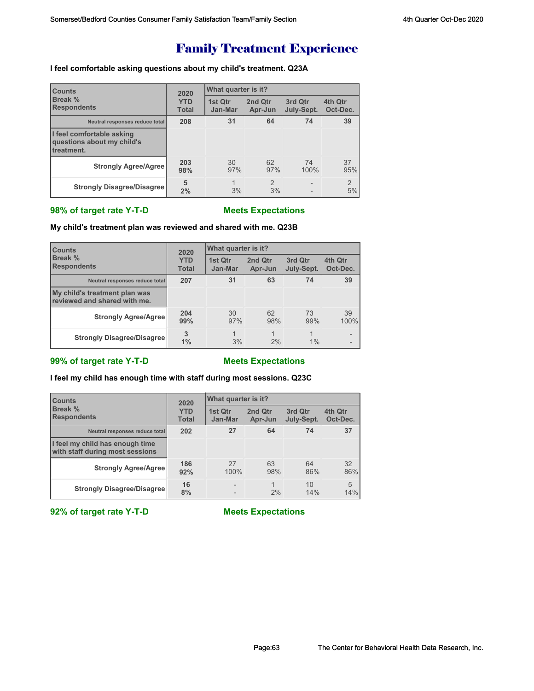## **I feel comfortable asking questions about my child's treatment. Q23A**

| <b>Counts</b>                                                         | 2020<br><b>YTD</b><br><b>Total</b> | What quarter is it? |                     |                       |                      |  |
|-----------------------------------------------------------------------|------------------------------------|---------------------|---------------------|-----------------------|----------------------|--|
| Break %<br><b>Respondents</b>                                         |                                    | 1st Qtr<br>Jan-Mar  | 2nd Qtr<br>Apr-Jun  | 3rd Qtr<br>July-Sept. | 4th Qtr<br>Oct-Dec.  |  |
| Neutral responses reduce total                                        | 208                                | 31                  | 64                  | 74                    | 39                   |  |
| I feel comfortable asking<br>questions about my child's<br>treatment. |                                    |                     |                     |                       |                      |  |
| <b>Strongly Agree/Agree</b>                                           | 203<br>98%                         | 30<br>97%           | 62<br>97%           | 74<br>100%            | 37<br>95%            |  |
| <b>Strongly Disagree/Disagree</b>                                     | 5<br>2%                            | $\mathbf{1}$<br>3%  | $\mathcal{P}$<br>3% | $\overline{a}$        | $\overline{2}$<br>5% |  |

## **98% of target rate Y-T-D Meets Expectations**

**My child's treatment plan was reviewed and shared with me. Q23B**

| <b>Counts</b><br><b>Break %</b><br><b>Respondents</b>         | 2020                       | What quarter is it? |                      |                         |                     |
|---------------------------------------------------------------|----------------------------|---------------------|----------------------|-------------------------|---------------------|
|                                                               | <b>YTD</b><br><b>Total</b> | 1st Qtr<br>Jan-Mar  | 2nd Qtr<br>Apr-Jun   | 3rd Qtr<br>July-Sept.   | 4th Qtr<br>Oct-Dec. |
| Neutral responses reduce total                                | 207                        | 31                  | 63                   | 74                      | 39                  |
| My child's treatment plan was<br>reviewed and shared with me. |                            |                     |                      |                         |                     |
| <b>Strongly Agree/Agree</b>                                   | 204<br>99%                 | 30<br>97%           | 62<br>98%            | 73<br>99%               | 39<br>100%          |
| <b>Strongly Disagree/Disagree</b>                             | 3<br>1%                    | 1<br>3%             | $\overline{1}$<br>2% | $\overline{1}$<br>$1\%$ |                     |

## **99% of target rate Y-T-D Meets Expectations**

**I feel my child has enough time with staff during most sessions. Q23C**

| <b>Counts</b><br><b>Break %</b><br><b>Respondents</b>              | 2020<br><b>YTD</b><br><b>Total</b> | What quarter is it?      |                    |                       |                     |  |
|--------------------------------------------------------------------|------------------------------------|--------------------------|--------------------|-----------------------|---------------------|--|
|                                                                    |                                    | 1st Qtr<br>Jan-Mar       | 2nd Qtr<br>Apr-Jun | 3rd Qtr<br>July-Sept. | 4th Qtr<br>Oct-Dec. |  |
| Neutral responses reduce total                                     | 202                                | 27                       | 64                 | 74                    | 37                  |  |
| I feel my child has enough time<br>with staff during most sessions |                                    |                          |                    |                       |                     |  |
| <b>Strongly Agree/Agree</b>                                        | 186<br>92%                         | 27<br>100%               | 63<br>98%          | 64<br>86%             | 32<br>86%           |  |
| <b>Strongly Disagree/Disagree</b>                                  | 16<br>8%                           | $\overline{\phantom{0}}$ | 2%                 | 10<br>14%             | 5<br>14%            |  |

**92% of target rate Y-T-D Meets Expectations**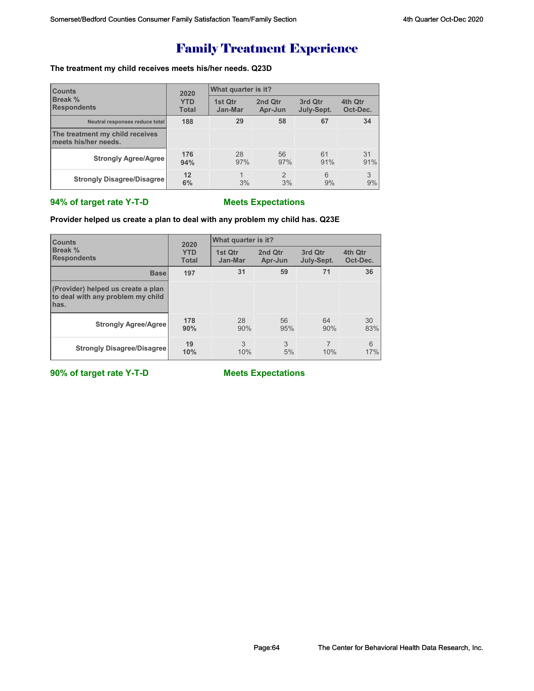## **The treatment my child receives meets his/her needs. Q23D**

| <b>Counts</b>                                           | 2020<br><b>YTD</b><br><b>Total</b> | What quarter is it? |                      |                       |                     |  |
|---------------------------------------------------------|------------------------------------|---------------------|----------------------|-----------------------|---------------------|--|
| <b>Break %</b><br><b>Respondents</b>                    |                                    | 1st Otr<br>Jan-Mar  | 2nd Qtr<br>Apr-Jun   | 3rd Qtr<br>July-Sept. | 4th Qtr<br>Oct-Dec. |  |
| Neutral responses reduce total                          | 188                                | 29                  | 58                   | 67                    | 34                  |  |
| The treatment my child receives<br>meets his/her needs. |                                    |                     |                      |                       |                     |  |
| <b>Strongly Agree/Agree</b>                             | 176<br>94%                         | 28<br>97%           | 56<br>97%            | 61<br>91%             | 31<br>91%           |  |
| <b>Strongly Disagree/Disagree</b>                       | 12<br>6%                           | 3%                  | $\mathfrak{p}$<br>3% | 6<br>9%               | 3<br>9%             |  |

## **94% of target rate Y-T-D Meets Expectations**

## **Provider helped us create a plan to deal with any problem my child has. Q23E**

| <b>Counts</b>                                                                   | 2020<br><b>YTD</b><br><b>Total</b> | What quarter is it? |                    |                       |                     |  |
|---------------------------------------------------------------------------------|------------------------------------|---------------------|--------------------|-----------------------|---------------------|--|
| Break %<br><b>Respondents</b>                                                   |                                    | 1st Qtr<br>Jan-Mar  | 2nd Qtr<br>Apr-Jun | 3rd Qtr<br>July-Sept. | 4th Qtr<br>Oct-Dec. |  |
| <b>Base</b>                                                                     | 197                                | 31                  | 59                 | 71                    | 36                  |  |
| (Provider) helped us create a plan<br>to deal with any problem my child<br>has. |                                    |                     |                    |                       |                     |  |
| <b>Strongly Agree/Agree</b>                                                     | 178<br>90%                         | 28<br>90%           | 56<br>95%          | 64<br>90%             | 30<br>83%           |  |
| <b>Strongly Disagree/Disagree</b>                                               | 19<br>10%                          | 3<br>10%            | 3<br>5%            | 10%                   | 6<br>17%            |  |

**90% of target rate Y-T-D Meets Expectations**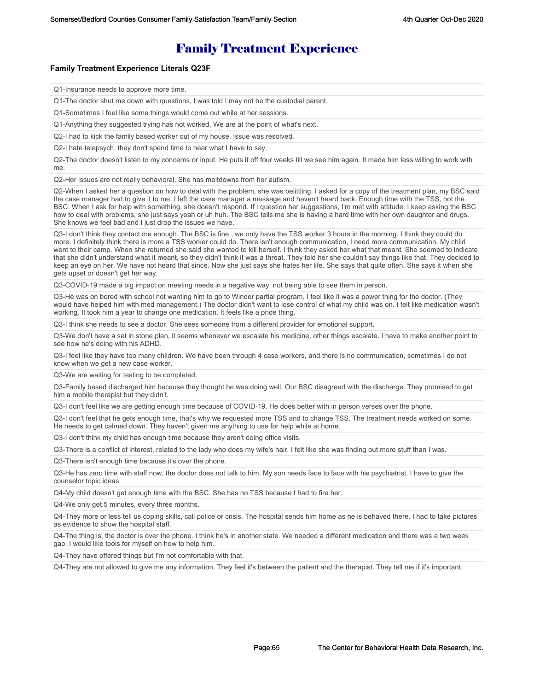### **Family Treatment Experience Literals Q23F**

Q1-Insurance needs to approve more time.

Q1-The doctor shut me down with questions, I was told I may not be the custodial parent.

Q1-Sometimes I feel like some things would come out while at her sessions.

Q1-Anything they suggested trying has not worked. We are at the point of what's next.

Q2-I had to kick the family based worker out of my house. Issue was resolved.

Q2-I hate telepsych, they don't spend time to hear what I have to say.

Q2-The doctor doesn't listen to my concerns or input. He puts it off four weeks till we see him again. It made him less willing to work with me.

Q2-Her issues are not really behavioral. She has meltdowns from her autism.

Q2-When I asked her a question on how to deal with the problem, she was belittling. I asked for a copy of the treatment plan, my BSC said the case manager had to give it to me. I left the case manager a message and haven't heard back. Enough time with the TSS, not the BSC. When I ask for help with something, she doesn't respond. If I question her suggestions, I'm met with attitude. I keep asking the BSC how to deal with problems, she just says yeah or uh huh. The BSC tells me she is having a hard time with her own daughter and drugs. She knows we feel bad and I just drop the issues we have.

Q3-I don't think they contact me enough. The BSC is fine , we only have the TSS worker 3 hours in the morning. I think they could do more. I definitely think there is more a TSS worker could do. There isn't enough communication, I need more communication. My child went to their camp. When she returned she said she wanted to kill herself. I think they asked her what that meant. She seemed to indicate that she didn't understand what it meant, so they didn't think it was a threat. They told her she couldn't say things like that. They decided to keep an eye on her. We have not heard that since. Now she just says she hates her life. She says that quite often. She says it when she gets upset or doesn't get her way.

Q3-COVID-19 made a big impact on meeting needs in a negative way, not being able to see them in person.

Q3-He was on bored with school not wanting him to go to Winder partial program. I feel like it was a power thing for the doctor. (They would have helped him with med management.) The doctor didn't want to lose control of what my child was on. I felt like medication wasn't working. It took him a year to change one medication. It feels like a pride thing.

Q3-I think she needs to see a doctor. She sees someone from a different provider for emotional support.

Q3-We don't have a set in stone plan, it seems whenever we escalate his medicine, other things escalate. I have to make another point to see how he's doing with his ADHD.

Q3-I feel like they have too many children. We have been through 4 case workers, and there is no communication, sometimes I do not know when we get a new case worker.

Q3-We are waiting for testing to be completed.

Q3-Family based discharged him because they thought he was doing well. Our BSC disagreed with the discharge. They promised to get him a mobile therapist but they didn't.

Q3-I don't feel like we are getting enough time because of COVID-19. He does better with in person verses over the phone.

Q3-I don't feel that he gets enough time, that's why we requested more TSS and to change TSS. The treatment needs worked on some. He needs to get calmed down. They haven't given me anything to use for help while at home.

Q3-I don't think my child has enough time because they aren't doing office visits.

Q3-There is a conflict of interest, related to the lady who does my wife's hair. I felt like she was finding out more stuff than I was.

Q3-There isn't enough time because it's over the phone.

Q3-He has zero time with staff now, the doctor does not talk to him. My son needs face to face with his psychiatrist. I have to give the counselor topic ideas.

Q4-My child doesn't get enough time with the BSC. She has no TSS because I had to fire her.

Q4-We only get 5 minutes, every three months.

Q4-They more or less tell us coping skills, call police or crisis. The hospital sends him home as he is behaved there. I had to take pictures as evidence to show the hospital staff.

Q4-The thing is, the doctor is over the phone. I think he's in another state. We needed a different medication and there was a two week gap. I would like tools for myself on how to help him.

Q4-They have offered things but I'm not comfortable with that.

Q4-They are not allowed to give me any information. They feel it's between the patient and the therapist. They tell me if it's important.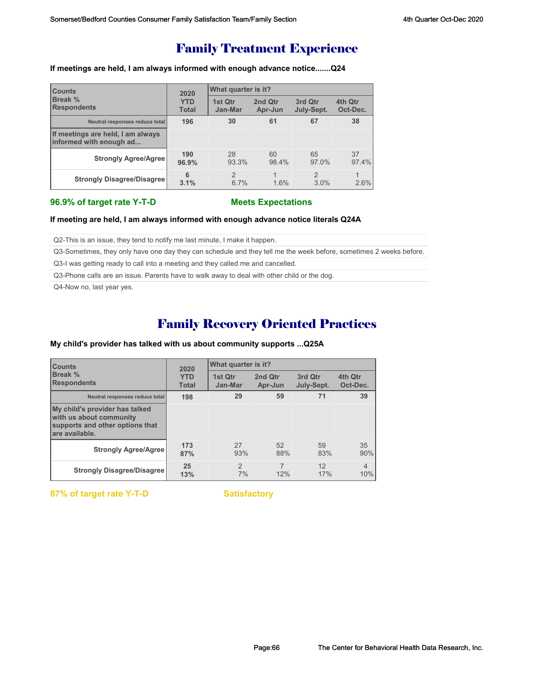**If meetings are held, I am always informed with enough advance notice.......Q24**

| <b>Counts</b><br><b>Break %</b><br><b>Respondents</b>        | 2020<br><b>YTD</b><br><b>Total</b> | What quarter is it? |                    |                       |                                 |  |
|--------------------------------------------------------------|------------------------------------|---------------------|--------------------|-----------------------|---------------------------------|--|
|                                                              |                                    | 1st Qtr<br>Jan-Mar  | 2nd Qtr<br>Apr-Jun | 3rd Qtr<br>July-Sept. | 4th Qtr<br>Oct-Dec.             |  |
| Neutral responses reduce total                               | 196                                | 30                  | 61                 | 67                    | 38                              |  |
| If meetings are held, I am always<br>informed with enough ad |                                    |                     |                    |                       |                                 |  |
| <b>Strongly Agree/Agree</b>                                  | 190<br>96.9%                       | 28<br>93.3%         | 60<br>98.4%        | 65<br>97.0%           | 37<br>97.4%                     |  |
| <b>Strongly Disagree/Disagree</b>                            | 6<br>3.1%                          | 2<br>6.7%           | 1.6%               | 2<br>3.0%             | $\blacktriangleleft$<br>$2.6\%$ |  |

### **96.9% of target rate Y-T-D Meets Expectations**

**If meeting are held, I am always informed with enough advance notice literals Q24A**

Q2-This is an issue, they tend to notify me last minute, I make it happen.

Q3-Sometimes, they only have one day they can schedule and they tell me the week before, sometimes 2 weeks before.

Q3-I was getting ready to call into a meeting and they called me and cancelled.

Q3-Phone calls are an issue. Parents have to walk away to deal with other child or the dog.

Q4-Now no, last year yes.

## Family Recovery Oriented Practices

### **My child's provider has talked with us about community supports ...Q25A**

| <b>Counts</b><br><b>Break %</b><br><b>Respondents</b>                                                          | 2020                       | What quarter is it? |                    |                       |                       |
|----------------------------------------------------------------------------------------------------------------|----------------------------|---------------------|--------------------|-----------------------|-----------------------|
|                                                                                                                | <b>YTD</b><br><b>Total</b> | 1st Otr<br>Jan-Mar  | 2nd Qtr<br>Apr-Jun | 3rd Qtr<br>July-Sept. | 4th Qtr<br>Oct-Dec.   |
| Neutral responses reduce total                                                                                 | 198                        | 29                  | 59                 | 71                    | 39                    |
| My child's provider has talked<br>with us about community<br>supports and other options that<br>are available. |                            |                     |                    |                       |                       |
| <b>Strongly Agree/Agree</b>                                                                                    | 173<br>87%                 | 27<br>93%           | 52<br>88%          | 59<br>83%             | 35<br>90%             |
| <b>Strongly Disagree/Disagree</b>                                                                              | 25<br>13%                  | $\mathcal{P}$<br>7% | 12%                | 12<br>17%             | $\overline{4}$<br>10% |

**87% of target rate Y-T-D Satisfactory**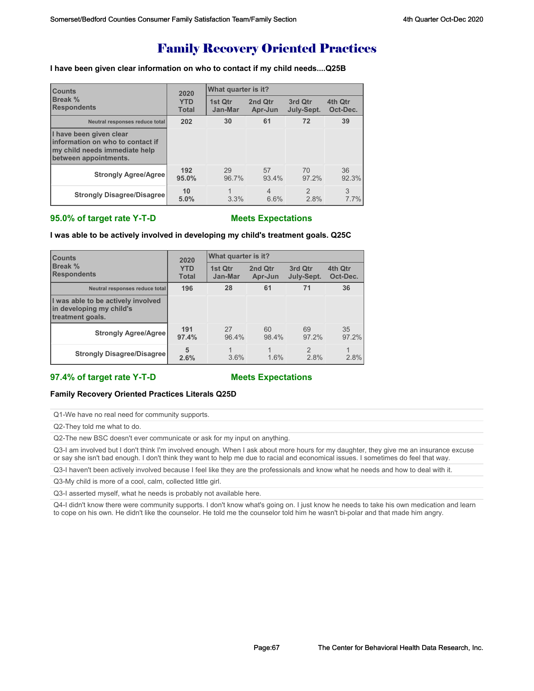## Family Recovery Oriented Practices

**I have been given clear information on who to contact if my child needs....Q25B**

| <b>Counts</b>                                                                                                         | 2020         | What quarter is it? |                |               |          |  |
|-----------------------------------------------------------------------------------------------------------------------|--------------|---------------------|----------------|---------------|----------|--|
| Break %                                                                                                               | <b>YTD</b>   | 1st Otr             | 2nd Qtr        | 3rd Qtr       | 4th Qtr  |  |
| <b>Respondents</b>                                                                                                    | <b>Total</b> | Jan-Mar             | Apr-Jun        | July-Sept.    | Oct-Dec. |  |
| Neutral responses reduce total                                                                                        | 202          | 30                  | 61             | 72            | 39       |  |
| I have been given clear<br>Information on who to contact if<br>my child needs immediate help<br>between appointments. |              |                     |                |               |          |  |
| <b>Strongly Agree/Agree</b>                                                                                           | 192          | 29                  | 57             | 70            | 36       |  |
|                                                                                                                       | 95.0%        | 96.7%               | 93.4%          | 97.2%         | 92.3%    |  |
| <b>Strongly Disagree/Disagree</b>                                                                                     | 10           | 1                   | $\overline{4}$ | $\mathcal{P}$ | 3        |  |
|                                                                                                                       | 5.0%         | 3.3%                | 6.6%           | 2.8%          | 7.7%     |  |

## **95.0% of target rate Y-T-D Meets Expectations**

| I was able to be actively involved in developing my child's treatment goals. Q25C |  |
|-----------------------------------------------------------------------------------|--|
|                                                                                   |  |

| <b>Counts</b><br>Break %<br><b>Respondents</b>                                     | 2020                       | What quarter is it? |                    |                       |                     |  |
|------------------------------------------------------------------------------------|----------------------------|---------------------|--------------------|-----------------------|---------------------|--|
|                                                                                    | <b>YTD</b><br><b>Total</b> | 1st Qtr<br>Jan-Mar  | 2nd Qtr<br>Apr-Jun | 3rd Qtr<br>July-Sept. | 4th Qtr<br>Oct-Dec. |  |
| Neutral responses reduce total                                                     | 196                        | 28                  | 61                 | 71                    | 36                  |  |
| I was able to be actively involved<br>in developing my child's<br>treatment goals. |                            |                     |                    |                       |                     |  |
| <b>Strongly Agree/Agree</b>                                                        | 191<br>97.4%               | 27<br>96.4%         | 60<br>98.4%        | 69<br>97.2%           | 35<br>$97.2\%$      |  |
| <b>Strongly Disagree/Disagree</b>                                                  | 5<br>2.6%                  | 3.6%                | 4<br>1.6%          | $\mathcal{P}$<br>2.8% | 2.8%                |  |

## **97.4% of target rate Y-T-D Meets Expectations**

### **Family Recovery Oriented Practices Literals Q25D**

Q1-We have no real need for community supports.

Q2-They told me what to do.

Q2-The new BSC doesn't ever communicate or ask for my input on anything.

Q3-I am involved but I don't think I'm involved enough. When I ask about more hours for my daughter, they give me an insurance excuse or say she isn't bad enough. I don't think they want to help me due to racial and economical issues. I sometimes do feel that way.

Q3-I haven't been actively involved because I feel like they are the professionals and know what he needs and how to deal with it.

Q3-My child is more of a cool, calm, collected little girl.

Q3-I asserted myself, what he needs is probably not available here.

Q4-I didn't know there were community supports. I don't know what's going on. I just know he needs to take his own medication and learn to cope on his own. He didn't like the counselor. He told me the counselor told him he wasn't bi-polar and that made him angry.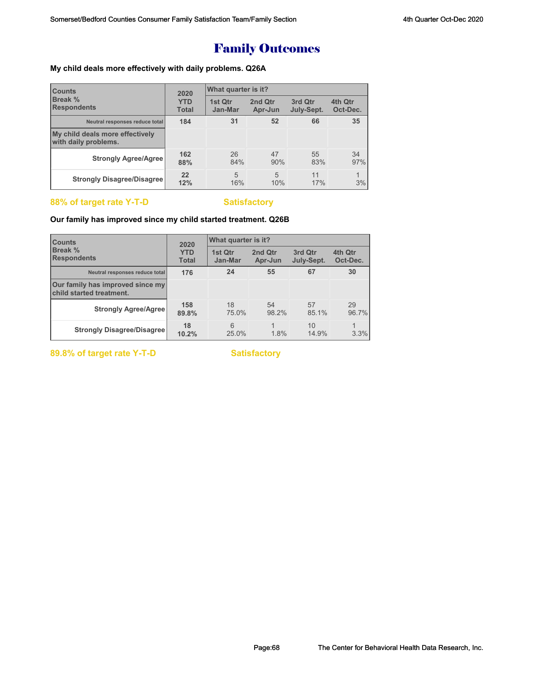# Family Outcomes

## **My child deals more effectively with daily problems. Q26A**

| <b>Counts</b><br><b>Break %</b><br><b>Respondents</b>   | 2020<br><b>YTD</b><br><b>Total</b> | What quarter is it? |                       |                       |                     |  |
|---------------------------------------------------------|------------------------------------|---------------------|-----------------------|-----------------------|---------------------|--|
|                                                         |                                    | 1st Otr<br>Jan-Mar  | 2nd Qtr<br>Apr-Jun    | 3rd Qtr<br>July-Sept. | 4th Qtr<br>Oct-Dec. |  |
| Neutral responses reduce total                          | 184                                | 31                  | 52                    | 66                    | 35                  |  |
| My child deals more effectively<br>with daily problems. |                                    |                     |                       |                       |                     |  |
| <b>Strongly Agree/Agree</b>                             | 162<br>88%                         | 26<br>84%           | 47<br>90%             | 55<br>83%             | 34<br>97%           |  |
| <b>Strongly Disagree/Disagree</b>                       | 22<br>12%                          | 5<br>16%            | $\overline{5}$<br>10% | 11<br>17%             | 1<br>3%             |  |

## **88% of target rate Y-T-D** Satisfactory

## **Our family has improved since my child started treatment. Q26B**

| <b>Counts</b><br><b>Break %</b><br><b>Respondents</b>        | 2020<br><b>YTD</b><br><b>Total</b> | What quarter is it? |                    |                       |                     |
|--------------------------------------------------------------|------------------------------------|---------------------|--------------------|-----------------------|---------------------|
|                                                              |                                    | 1st Qtr<br>Jan-Mar  | 2nd Qtr<br>Apr-Jun | 3rd Qtr<br>July-Sept. | 4th Qtr<br>Oct-Dec. |
| Neutral responses reduce total                               | 176                                | 24                  | 55                 | 67                    | 30                  |
| Our family has improved since my<br>child started treatment. |                                    |                     |                    |                       |                     |
| <b>Strongly Agree/Agree</b>                                  | 158<br>89.8%                       | 18<br>75.0%         | 54<br>98.2%        | 57<br>85.1%           | 29<br>96.7%         |
| <b>Strongly Disagree/Disagree</b>                            | 18<br>10.2%                        | 6<br>25.0%          | 1.8%               | 10<br>14.9%           | 3.3%                |

89.8% of target rate Y-T-D **Satisfactory**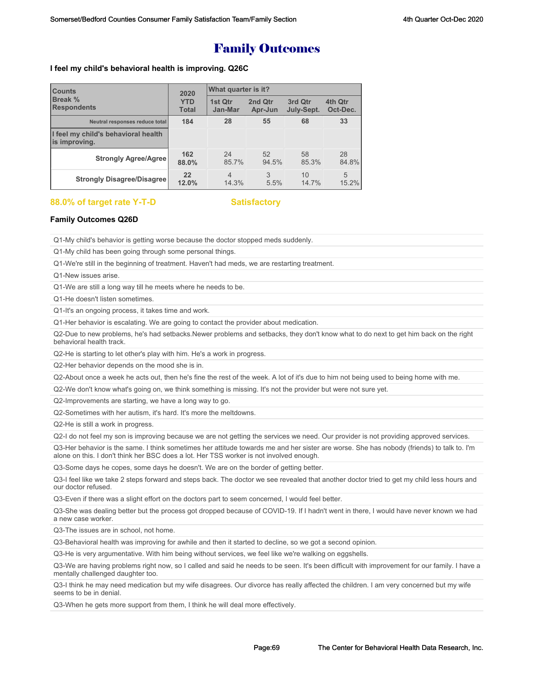## Family Outcomes

### **I feel my child's behavioral health is improving. Q26C**

| <b>Counts</b>                                        | 2020         | What quarter is it? |         |            |          |  |
|------------------------------------------------------|--------------|---------------------|---------|------------|----------|--|
| Break %                                              | <b>YTD</b>   | 1st Qtr             | 2nd Qtr | 3rd Qtr    | 4th Qtr  |  |
| <b>Respondents</b>                                   | <b>Total</b> | Jan-Mar             | Apr-Jun | July-Sept. | Oct-Dec. |  |
| Neutral responses reduce total                       | 184          | 28                  | 55      | 68         | 33       |  |
| I feel my child's behavioral health<br>is improving. |              |                     |         |            |          |  |
| <b>Strongly Agree/Agree</b>                          | 162          | 24                  | 52      | 58         | 28       |  |
|                                                      | 88.0%        | 85.7%               | 94.5%   | 85.3%      | 84.8%    |  |
| <b>Strongly Disagree/Disagree</b>                    | 22           | $\overline{4}$      | 3       | 10         | 5        |  |
|                                                      | 12.0%        | 14.3%               | 5.5%    | 14.7%      | 15.2%    |  |

## **88.0% of target rate Y-T-D Satisfactory**

## **Family Outcomes Q26D**

Q1-My child's behavior is getting worse because the doctor stopped meds suddenly.

Q1-My child has been going through some personal things.

Q1-We're still in the beginning of treatment. Haven't had meds, we are restarting treatment.

Q1-New issues arise.

Q1-We are still a long way till he meets where he needs to be.

Q1-He doesn't listen sometimes.

Q1-It's an ongoing process, it takes time and work.

Q1-Her behavior is escalating. We are going to contact the provider about medication.

Q2-Due to new problems, he's had setbacks.Newer problems and setbacks, they don't know what to do next to get him back on the right behavioral health track.

Q2-He is starting to let other's play with him. He's a work in progress.

Q2-Her behavior depends on the mood she is in.

Q2-About once a week he acts out, then he's fine the rest of the week. A lot of it's due to him not being used to being home with me.

Q2-We don't know what's going on, we think something is missing. It's not the provider but were not sure yet.

Q2-Improvements are starting, we have a long way to go.

Q2-Sometimes with her autism, it's hard. It's more the meltdowns.

Q2-He is still a work in progress.

Q2-I do not feel my son is improving because we are not getting the services we need. Our provider is not providing approved services.

Q3-Her behavior is the same. I think sometimes her attitude towards me and her sister are worse. She has nobody (friends) to talk to. I'm alone on this. I don't think her BSC does a lot. Her TSS worker is not involved enough.

Q3-Some days he copes, some days he doesn't. We are on the border of getting better.

Q3-I feel like we take 2 steps forward and steps back. The doctor we see revealed that another doctor tried to get my child less hours and our doctor refused.

Q3-Even if there was a slight effort on the doctors part to seem concerned, I would feel better.

Q3-She was dealing better but the process got dropped because of COVID-19. If I hadn't went in there, I would have never known we had a new case worker.

Q3-The issues are in school, not home.

Q3-Behavioral health was improving for awhile and then it started to decline, so we got a second opinion.

Q3-He is very argumentative. With him being without services, we feel like we're walking on eggshells.

Q3-We are having problems right now, so I called and said he needs to be seen. It's been difficult with improvement for our family. I have a mentally challenged daughter too.

Q3-I think he may need medication but my wife disagrees. Our divorce has really affected the children. I am very concerned but my wife seems to be in denial.

Q3-When he gets more support from them, I think he will deal more effectively.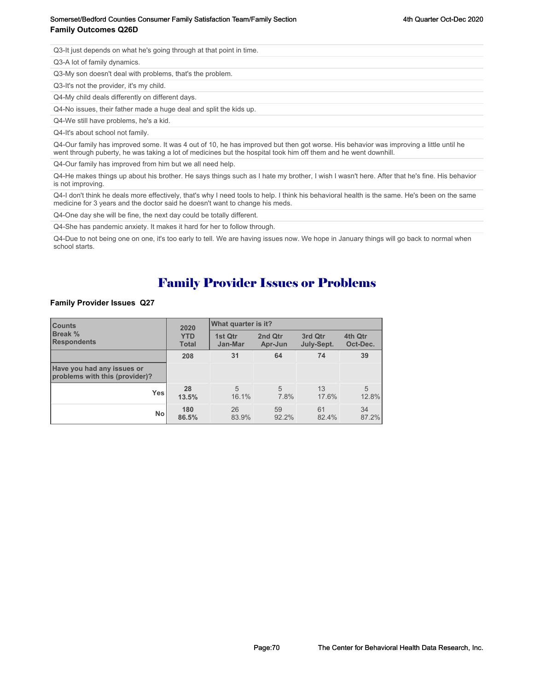## Somerset/Bedford Counties Consumer Family Satisfaction Team/Family Section action 3th Sulling 4th Quarter Oct-Dec 2020 **Family Outcomes Q26D**

Q3-It just depends on what he's going through at that point in time.

Q3-A lot of family dynamics.

Q3-My son doesn't deal with problems, that's the problem.

Q3-It's not the provider, it's my child.

Q4-My child deals differently on different days.

Q4-No issues, their father made a huge deal and split the kids up.

Q4-We still have problems, he's a kid.

Q4-It's about school not family.

Q4-Our family has improved some. It was 4 out of 10, he has improved but then got worse. His behavior was improving a little until he went through puberty, he was taking a lot of medicines but the hospital took him off them and he went downhill.

Q4-Our family has improved from him but we all need help.

Q4-He makes things up about his brother. He says things such as I hate my brother, I wish I wasn't here. After that he's fine. His behavior is not improving.

Q4-I don't think he deals more effectively, that's why I need tools to help. I think his behavioral health is the same. He's been on the same medicine for 3 years and the doctor said he doesn't want to change his meds.

Q4-One day she will be fine, the next day could be totally different.

Q4-She has pandemic anxiety. It makes it hard for her to follow through.

Q4-Due to not being one on one, it's too early to tell. We are having issues now. We hope in January things will go back to normal when school starts.

## Family Provider Issues or Problems

## **Family Provider Issues Q27**

| <b>Counts</b><br><b>Break %</b><br><b>Respondents</b>        | 2020<br><b>YTD</b><br><b>Total</b> | What quarter is it?     |                    |                       |                     |
|--------------------------------------------------------------|------------------------------------|-------------------------|--------------------|-----------------------|---------------------|
|                                                              |                                    | 1st Qtr<br>Jan-Mar      | 2nd Qtr<br>Apr-Jun | 3rd Qtr<br>July-Sept. | 4th Qtr<br>Oct-Dec. |
|                                                              | 208                                | 31                      | 64                 | 74                    | 39                  |
| Have you had any issues or<br>problems with this (provider)? |                                    |                         |                    |                       |                     |
| <b>Yes</b>                                                   | 28<br>13.5%                        | $\overline{5}$<br>16.1% | 5<br>7.8%          | 13<br>17.6%           | 5<br>12.8%          |
| <b>No</b>                                                    | 180<br>86.5%                       | 26<br>83.9%             | 59<br>92.2%        | 61<br>82.4%           | 34<br>87.2%         |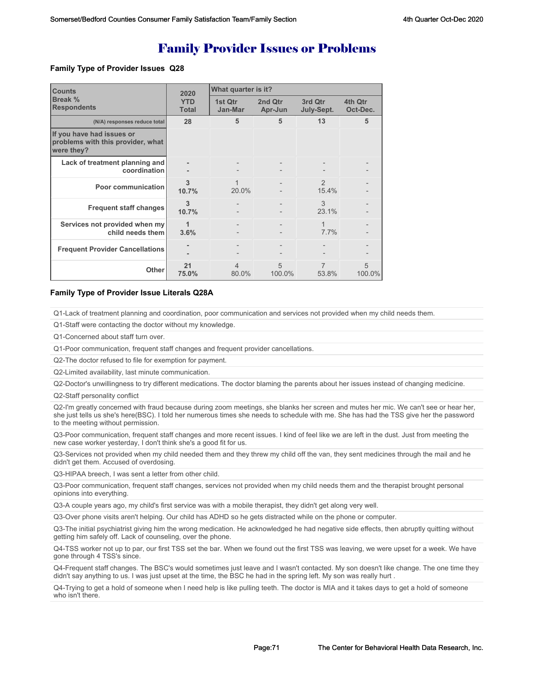# Family Provider Issues or Problems

## **Family Type of Provider Issues Q28**

| <b>Counts</b><br>Break %<br><b>Respondents</b>                               | 2020                       | What quarter is it?     |                    |                        |                     |  |
|------------------------------------------------------------------------------|----------------------------|-------------------------|--------------------|------------------------|---------------------|--|
|                                                                              | <b>YTD</b><br><b>Total</b> | 1st Qtr<br>Jan-Mar      | 2nd Qtr<br>Apr-Jun | 3rd Qtr<br>July-Sept.  | 4th Qtr<br>Oct-Dec. |  |
| (N/A) responses reduce total                                                 | 28                         | 5                       | 5                  | 13                     | 5                   |  |
| If you have had issues or<br>problems with this provider, what<br>were they? |                            |                         |                    |                        |                     |  |
| Lack of treatment planning and<br>coordination                               |                            |                         |                    |                        |                     |  |
| Poor communication                                                           | 3<br>10.7%                 | 20.0%                   |                    | $\mathcal{P}$<br>15.4% |                     |  |
| <b>Frequent staff changes</b>                                                | 3<br>10.7%                 |                         |                    | 3<br>23.1%             |                     |  |
| Services not provided when my<br>child needs them                            | 1<br>3.6%                  |                         |                    | 1<br>7.7%              |                     |  |
| <b>Frequent Provider Cancellations</b>                                       |                            |                         |                    |                        |                     |  |
| <b>Other</b>                                                                 | 21<br>75.0%                | $\overline{4}$<br>80.0% | 5<br>100.0%        | 7<br>53.8%             | 5<br>100.0%         |  |

### **Family Type of Provider Issue Literals Q28A**

Q1-Lack of treatment planning and coordination, poor communication and services not provided when my child needs them.

Q1-Staff were contacting the doctor without my knowledge.

Q1-Concerned about staff turn over.

Q1-Poor communication, frequent staff changes and frequent provider cancellations.

Q2-The doctor refused to file for exemption for payment.

Q2-Limited availability, last minute communication.

Q2-Doctor's unwillingness to try different medications. The doctor blaming the parents about her issues instead of changing medicine.

Q2-Staff personality conflict

Q2-I'm greatly concerned with fraud because during zoom meetings, she blanks her screen and mutes her mic. We can't see or hear her, she just tells us she's here(BSC). I told her numerous times she needs to schedule with me. She has had the TSS give her the password to the meeting without permission.

Q3-Poor communication, frequent staff changes and more recent issues. I kind of feel like we are left in the dust. Just from meeting the new case worker yesterday, I don't think she's a good fit for us.

Q3-Services not provided when my child needed them and they threw my child off the van, they sent medicines through the mail and he didn't get them. Accused of overdosing.

Q3-HIPAA breech, I was sent a letter from other child.

Q3-Poor communication, frequent staff changes, services not provided when my child needs them and the therapist brought personal opinions into everything.

Q3-A couple years ago, my child's first service was with a mobile therapist, they didn't get along very well.

Q3-Over phone visits aren't helping. Our child has ADHD so he gets distracted while on the phone or computer.

Q3-The initial psychiatrist giving him the wrong medication. He acknowledged he had negative side effects, then abruptly quitting without getting him safely off. Lack of counseling, over the phone.

Q4-TSS worker not up to par, our first TSS set the bar. When we found out the first TSS was leaving, we were upset for a week. We have gone through 4 TSS's since.

Q4-Frequent staff changes. The BSC's would sometimes just leave and I wasn't contacted. My son doesn't like change. The one time they didn't say anything to us. I was just upset at the time, the BSC he had in the spring left. My son was really hurt .

Q4-Trying to get a hold of someone when I need help is like pulling teeth. The doctor is MIA and it takes days to get a hold of someone who isn't there.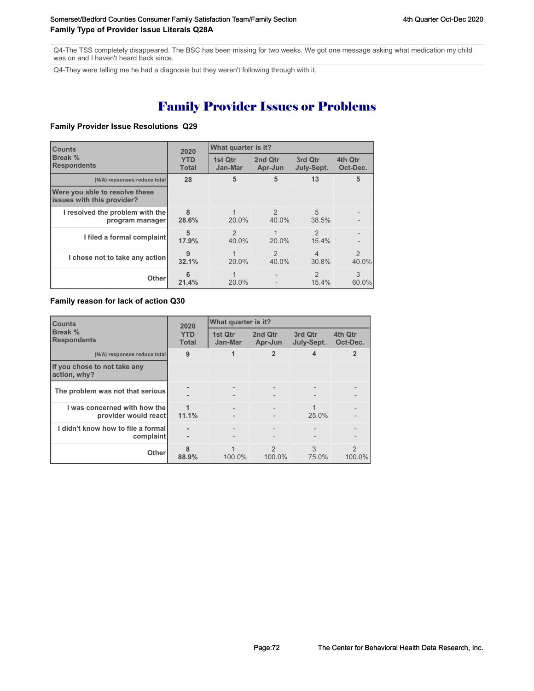Q4-The TSS completely disappeared. The BSC has been missing for two weeks. We got one message asking what medication my child was on and I haven't heard back since.

Q4-They were telling me he had a diagnosis but they weren't following through with it.

# Family Provider Issues or Problems

## **Family Provider Issue Resolutions Q29**

| <b>Counts</b><br>Break %<br><b>Respondents</b>               | 2020<br><b>YTD</b><br><b>Total</b> | What quarter is it?     |                        |                                   |                     |
|--------------------------------------------------------------|------------------------------------|-------------------------|------------------------|-----------------------------------|---------------------|
|                                                              |                                    | 1st Qtr<br>Jan-Mar      | 2nd Qtr<br>Apr-Jun     | 3rd Qtr<br>July-Sept.             | 4th Qtr<br>Oct-Dec. |
| (N/A) repsonses reduce total                                 | 28                                 | 5                       | 5                      | 13                                | 5                   |
| Were you able to resolve these<br>issues with this provider? |                                    |                         |                        |                                   |                     |
| I resolved the problem with the<br>program manager           | 8<br>28.6%                         | $20.0\%$                | $\mathcal{P}$<br>40.0% | 5<br>38.5%                        |                     |
| I filed a formal complaint                                   | 5<br>17.9%                         | $\mathfrak{D}$<br>40.0% | 20.0%                  | $\mathfrak{D}$<br>15.4%           |                     |
| I chose not to take any action                               | $\mathbf{Q}$<br>32.1%              | 20.0%                   | $\mathcal{P}$<br>40.0% | $\overline{\mathcal{L}}$<br>30.8% | 2<br>40.0%          |
| Other                                                        | 6<br>21.4%                         | $20.0\%$                |                        | $\mathcal{P}$<br>15.4%            | 3<br>60.0%          |

## **Family reason for lack of action Q30**

| <b>Counts</b><br>Break %<br><b>Respondents</b>       | 2020<br><b>YTD</b><br><b>Total</b> | What quarter is it? |                         |                       |                     |
|------------------------------------------------------|------------------------------------|---------------------|-------------------------|-----------------------|---------------------|
|                                                      |                                    | 1st Qtr<br>Jan-Mar  | 2nd Qtr<br>Apr-Jun      | 3rd Qtr<br>July-Sept. | 4th Qtr<br>Oct-Dec. |
| (N/A) responses reduce total                         | 9                                  |                     | $\overline{2}$          | 4                     | $\overline{2}$      |
| If you chose to not take any<br>action, why?         |                                    |                     |                         |                       |                     |
| The problem was not that serious                     |                                    |                     | $\qquad \qquad$         |                       |                     |
| I was concerned with how the<br>provider would react | 11.1%                              |                     |                         | 25.0%                 |                     |
| I didn't know how to file a formal<br>complaint      | ۰<br>۰                             |                     |                         |                       |                     |
| <b>Other</b>                                         | 88.9%                              | 100.0%              | $\mathcal{P}$<br>100.0% | 3<br>75.0%            | 2<br>100.0%         |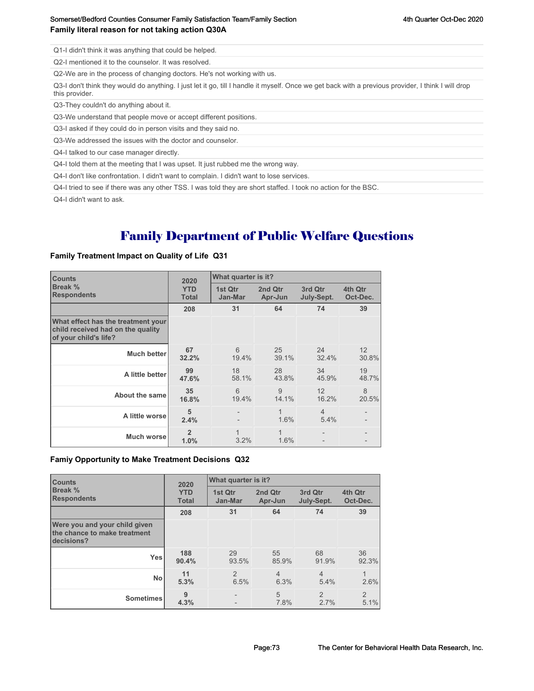Q1-I didn't think it was anything that could be helped.

Q2-I mentioned it to the counselor. It was resolved.

Q2-We are in the process of changing doctors. He's not working with us.

Q3-I don't think they would do anything. I just let it go, till I handle it myself. Once we get back with a previous provider, I think I will drop this provider.

Q3-They couldn't do anything about it.

Q3-We understand that people move or accept different positions.

Q3-I asked if they could do in person visits and they said no.

Q3-We addressed the issues with the doctor and counselor.

Q4-I talked to our case manager directly.

Q4-I told them at the meeting that I was upset. It just rubbed me the wrong way.

Q4-I don't like confrontation. I didn't want to complain. I didn't want to lose services.

Q4-I tried to see if there was any other TSS. I was told they are short staffed. I took no action for the BSC.

Q4-I didn't want to ask.

## Family Department of Public Welfare Questions

#### **Family Treatment Impact on Quality of Life Q31**

| <b>Counts</b>                                                                                    | 2020                       | What quarter is it? |                    |                        |                     |
|--------------------------------------------------------------------------------------------------|----------------------------|---------------------|--------------------|------------------------|---------------------|
| Break %<br><b>Respondents</b>                                                                    | <b>YTD</b><br><b>Total</b> | 1st Qtr<br>Jan-Mar  | 2nd Qtr<br>Apr-Jun | 3rd Qtr<br>July-Sept.  | 4th Qtr<br>Oct-Dec. |
|                                                                                                  | 208                        | 31                  | 64                 | 74                     | 39                  |
| What effect has the treatment your<br>child received had on the quality<br>of your child's life? |                            |                     |                    |                        |                     |
| <b>Much better</b>                                                                               | 67<br>32.2%                | 6<br>19.4%          | 25<br>39.1%        | 24<br>32.4%            | 12<br>30.8%         |
| A little better                                                                                  | 99<br>47.6%                | 18<br>58.1%         | 28<br>43.8%        | 34<br>45.9%            | 19<br>48.7%         |
| About the same                                                                                   | 35<br>16.8%                | 6<br>19.4%          | 9<br>14.1%         | 12<br>16.2%            | 8<br>20.5%          |
| A little worsel                                                                                  | 5<br>2.4%                  |                     | 1.6%               | $\overline{4}$<br>5.4% |                     |
| Much worsel                                                                                      | $\overline{2}$<br>1.0%     | 3.2%                | 1<br>1.6%          |                        |                     |

#### **Famiy Opportunity to Make Treatment Decisions Q32**

| <b>Counts</b>                                                               | 2020                       | What quarter is it?    |                        |                        |                        |
|-----------------------------------------------------------------------------|----------------------------|------------------------|------------------------|------------------------|------------------------|
| Break %<br><b>Respondents</b>                                               | <b>YTD</b><br><b>Total</b> | 1st Qtr<br>Jan-Mar     | 2nd Qtr<br>Apr-Jun     | 3rd Qtr<br>July-Sept.  | 4th Qtr<br>Oct-Dec.    |
|                                                                             | 208                        | 31                     | 64                     | 74                     | 39                     |
| Were you and your child given<br>the chance to make treatment<br>decisions? |                            |                        |                        |                        |                        |
| <b>Yes</b>                                                                  | 188<br>90.4%               | 29<br>93.5%            | 55<br>85.9%            | 68<br>91.9%            | 36<br>92.3%            |
| <b>No</b>                                                                   | 11<br>5.3%                 | $\overline{2}$<br>6.5% | $\overline{4}$<br>6.3% | $\overline{4}$<br>5.4% | 2.6%                   |
| <b>Sometimes</b>                                                            | 9<br>4.3%                  |                        | 5<br>7.8%              | $\mathfrak{p}$<br>2.7% | $\overline{2}$<br>5.1% |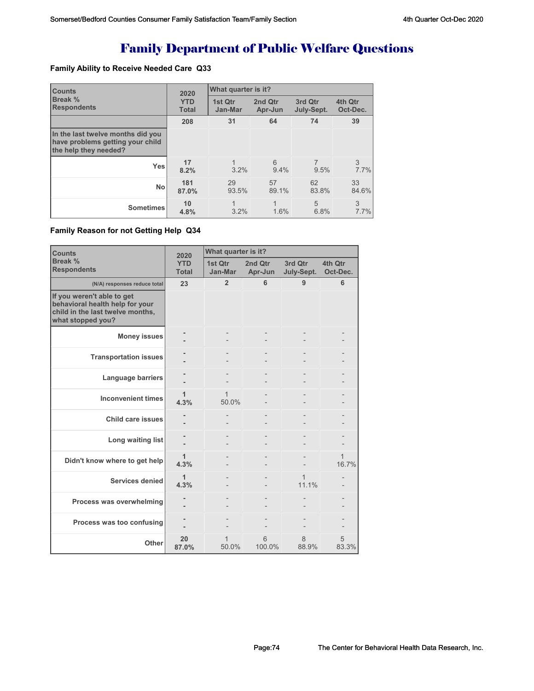# Family Department of Public Welfare Questions

### **Family Ability to Receive Needed Care Q33**

| <b>Counts</b><br>2020                                                                          |                            | What quarter is it? |                    |                       |                     |  |
|------------------------------------------------------------------------------------------------|----------------------------|---------------------|--------------------|-----------------------|---------------------|--|
| <b>Break %</b><br><b>Respondents</b>                                                           | <b>YTD</b><br><b>Total</b> | 1st Qtr<br>Jan-Mar  | 2nd Qtr<br>Apr-Jun | 3rd Qtr<br>July-Sept. | 4th Qtr<br>Oct-Dec. |  |
|                                                                                                | 208                        | 31                  | 64                 | 74                    | 39                  |  |
| In the last twelve months did you<br>have problems getting your child<br>the help they needed? |                            |                     |                    |                       |                     |  |
| <b>Yes</b>                                                                                     | 17<br>8.2%                 | 1<br>3.2%           | 6<br>9.4%          | 9.5%                  | 3<br>7.7%           |  |
| <b>No</b>                                                                                      | 181<br>87.0%               | 29<br>93.5%         | 57<br>89.1%        | 62<br>83.8%           | 33<br>84.6%         |  |
| <b>Sometimes</b>                                                                               | 10<br>4.8%                 | 3.2%                | 1.6%               | 5<br>6.8%             | 3<br>7.7%           |  |

#### **Family Reason for not Getting Help Q34**

| <b>Counts</b>                                                                                                          | 2020                       | What quarter is it? |                    |                       |                     |  |
|------------------------------------------------------------------------------------------------------------------------|----------------------------|---------------------|--------------------|-----------------------|---------------------|--|
| Break %<br><b>Respondents</b>                                                                                          | <b>YTD</b><br><b>Total</b> | 1st Qtr<br>Jan-Mar  | 2nd Qtr<br>Apr-Jun | 3rd Qtr<br>July-Sept. | 4th Qtr<br>Oct-Dec. |  |
| (N/A) responses reduce total                                                                                           | 23                         | $\overline{2}$      | 6                  | 9                     | 6                   |  |
| If you weren't able to get<br>behavioral health help for your<br>child in the last twelve months,<br>what stopped you? |                            |                     |                    |                       |                     |  |
| <b>Money issues</b>                                                                                                    |                            |                     |                    |                       |                     |  |
| <b>Transportation issues</b>                                                                                           |                            |                     |                    |                       |                     |  |
| Language barriers                                                                                                      |                            |                     |                    |                       |                     |  |
| <b>Inconvenient times</b>                                                                                              | 1<br>4.3%                  | 1<br>50.0%          |                    |                       |                     |  |
| Child care issues                                                                                                      |                            |                     |                    |                       |                     |  |
| Long waiting list                                                                                                      |                            |                     |                    |                       |                     |  |
| Didn't know where to get help                                                                                          | 1<br>4.3%                  |                     |                    |                       | 1<br>16.7%          |  |
| Services denied                                                                                                        | 1<br>4.3%                  |                     |                    | 1<br>11.1%            |                     |  |
| Process was overwhelming                                                                                               |                            |                     |                    |                       |                     |  |
| Process was too confusing                                                                                              |                            |                     |                    |                       |                     |  |
| Other                                                                                                                  | 20<br>87.0%                | 1<br>50.0%          | 6<br>100.0%        | 8<br>88.9%            | 5<br>83.3%          |  |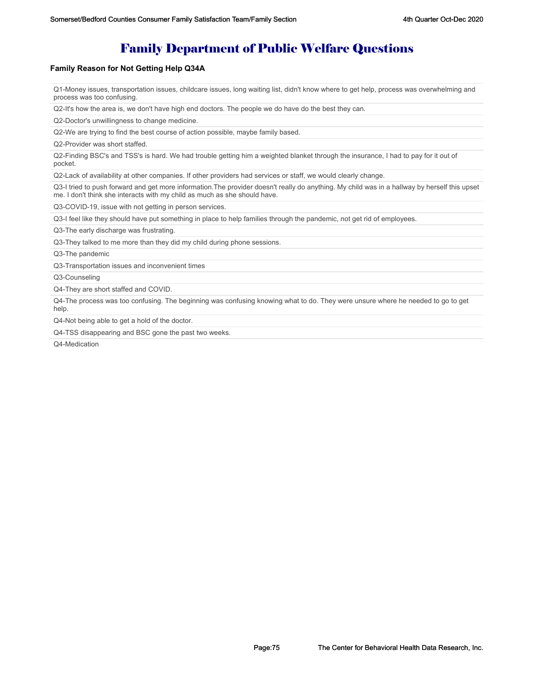## Family Department of Public Welfare Questions

#### **Family Reason for Not Getting Help Q34A**

Q1-Money issues, transportation issues, childcare issues, long waiting list, didn't know where to get help, process was overwhelming and process was too confusing.

Q2-It's how the area is, we don't have high end doctors. The people we do have do the best they can.

Q2-Doctor's unwillingness to change medicine.

Q2-We are trying to find the best course of action possible, maybe family based.

Q2-Provider was short staffed.

Q2-Finding BSC's and TSS's is hard. We had trouble getting him a weighted blanket through the insurance, I had to pay for it out of pocket.

Q2-Lack of availability at other companies. If other providers had services or staff, we would clearly change.

Q3-I tried to push forward and get more information.The provider doesn't really do anything. My child was in a hallway by herself this upset me. I don't think she interacts with my child as much as she should have.

Q3-COVID-19, issue with not getting in person services.

Q3-I feel like they should have put something in place to help families through the pandemic, not get rid of employees.

Q3-The early discharge was frustrating.

Q3-They talked to me more than they did my child during phone sessions.

Q3-The pandemic

Q3-Transportation issues and inconvenient times

Q3-Counseling

Q4-They are short staffed and COVID.

Q4-The process was too confusing. The beginning was confusing knowing what to do. They were unsure where he needed to go to get help.

Q4-Not being able to get a hold of the doctor.

Q4-TSS disappearing and BSC gone the past two weeks.

Q4-Medication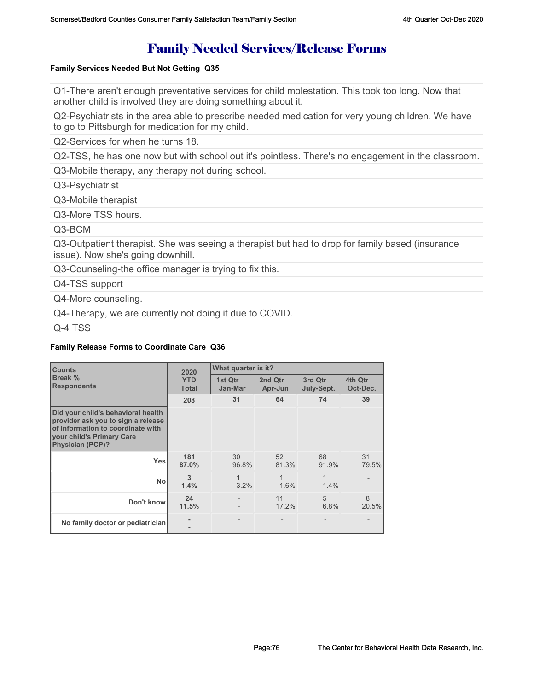## Family Needed Services/Release Forms

#### **Family Services Needed But Not Getting Q35**

Q1-There aren't enough preventative services for child molestation. This took too long. Now that another child is involved they are doing something about it.

Q2-Psychiatrists in the area able to prescribe needed medication for very young children. We have to go to Pittsburgh for medication for my child.

Q2-Services for when he turns 18.

Q2-TSS, he has one now but with school out it's pointless. There's no engagement in the classroom.

Q3-Mobile therapy, any therapy not during school.

Q3-Psychiatrist

Q3-Mobile therapist

Q3-More TSS hours.

### Q3-BCM

Q3-Outpatient therapist. She was seeing a therapist but had to drop for family based (insurance issue). Now she's going downhill.

Q3-Counseling-the office manager is trying to fix this.

Q4-TSS support

Q4-More counseling.

Q4-Therapy, we are currently not doing it due to COVID.

Q-4 TSS

#### **Family Release Forms to Coordinate Care Q36**

| <b>Counts</b>                                                                                                                                                         | 2020                       | What quarter is it? |                    |                       |                     |
|-----------------------------------------------------------------------------------------------------------------------------------------------------------------------|----------------------------|---------------------|--------------------|-----------------------|---------------------|
| Break %<br><b>Respondents</b>                                                                                                                                         | <b>YTD</b><br><b>Total</b> | 1st Qtr<br>Jan-Mar  | 2nd Qtr<br>Apr-Jun | 3rd Qtr<br>July-Sept. | 4th Qtr<br>Oct-Dec. |
|                                                                                                                                                                       | 208                        | 31                  | 64                 | 74                    | 39                  |
| Did your child's behavioral health<br>provider ask you to sign a release<br>of information to coordinate with<br>your child's Primary Care<br><b>Physician (PCP)?</b> |                            |                     |                    |                       |                     |
| <b>Yes</b>                                                                                                                                                            | 181<br>87.0%               | 30<br>96.8%         | 52<br>81.3%        | 68<br>91.9%           | 31<br>79.5%         |
| <b>No</b>                                                                                                                                                             | 3<br>1.4%                  | 1<br>$3.2\%$        | 1.6%               | 1<br>$1.4\%$          |                     |
| Don't know                                                                                                                                                            | 24<br>11.5%                |                     | 11<br>17.2%        | 5<br>6.8%             | 8<br>20.5%          |
| No family doctor or pediatrician                                                                                                                                      |                            |                     |                    |                       |                     |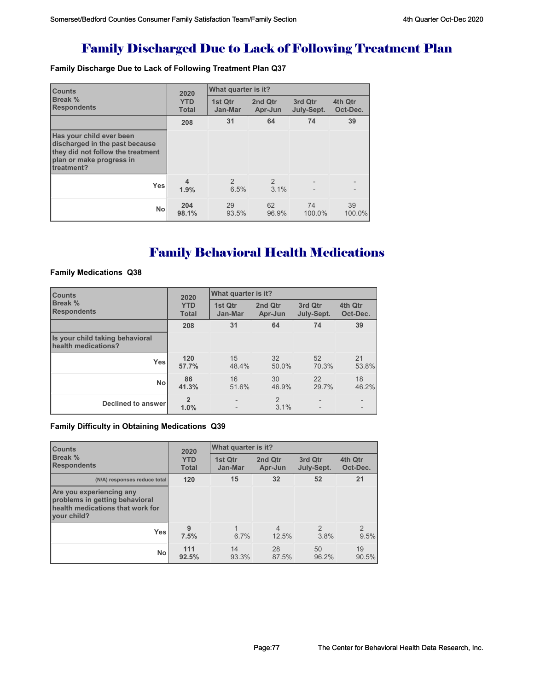## Family Discharged Due to Lack of Following Treatment Plan

**Family Discharge Due to Lack of Following Treatment Plan Q37**

| <b>Counts</b>                                                                                                                             |                            | What quarter is it?<br>2020 |                        |                       |                     |  |
|-------------------------------------------------------------------------------------------------------------------------------------------|----------------------------|-----------------------------|------------------------|-----------------------|---------------------|--|
| <b>Break %</b><br><b>Respondents</b>                                                                                                      | <b>YTD</b><br><b>Total</b> | 1st Qtr<br>Jan-Mar          | 2nd Qtr<br>Apr-Jun     | 3rd Qtr<br>July-Sept. | 4th Qtr<br>Oct-Dec. |  |
|                                                                                                                                           | 208                        | 31                          | 64                     | 74                    | 39                  |  |
| Has your child ever been<br>discharged in the past because<br>they did not follow the treatment<br>plan or make progress in<br>treatment? |                            |                             |                        |                       |                     |  |
| <b>Yes</b>                                                                                                                                | 4<br>1.9%                  | 2<br>6.5%                   | $\overline{2}$<br>3.1% | $\overline{a}$        |                     |  |
| No                                                                                                                                        | 204<br>98.1%               | 29<br>93.5%                 | 62<br>96.9%            | 74<br>100.0%          | 39<br>100.0%        |  |

# Family Behavioral Health Medications

#### **Family Medications Q38**

| <b>Counts</b>                                          | 2020                       | What quarter is it? |                    |                       |                     |
|--------------------------------------------------------|----------------------------|---------------------|--------------------|-----------------------|---------------------|
| Break %<br><b>Respondents</b>                          | <b>YTD</b><br><b>Total</b> | 1st Otr<br>Jan-Mar  | 2nd Qtr<br>Apr-Jun | 3rd Qtr<br>July-Sept. | 4th Qtr<br>Oct-Dec. |
|                                                        | 208                        | 31                  | 64                 | 74                    | 39                  |
| Is your child taking behavioral<br>health medications? |                            |                     |                    |                       |                     |
| <b>Yes</b>                                             | 120<br>57.7%               | 15<br>48.4%         | 32<br>50.0%        | 52<br>70.3%           | 21<br>53.8%         |
| <b>No</b>                                              | 86<br>41.3%                | 16<br>51.6%         | 30<br>46.9%        | 22<br>29.7%           | 18<br>46.2%         |
| <b>Declined to answer</b>                              | $\overline{2}$<br>1.0%     |                     | 2<br>3.1%          | $\overline{a}$        |                     |

#### **Family Difficulty in Obtaining Medications Q39**

| <b>Counts</b>                                                                                                 | 2020                       | What quarter is it? |                         |                        |                       |  |
|---------------------------------------------------------------------------------------------------------------|----------------------------|---------------------|-------------------------|------------------------|-----------------------|--|
| <b>Break</b> %<br><b>Respondents</b>                                                                          | <b>YTD</b><br><b>Total</b> | 1st Qtr<br>Jan-Mar  | 2nd Qtr<br>Apr-Jun      | 3rd Qtr<br>July-Sept.  | 4th Qtr<br>Oct-Dec.   |  |
| (N/A) responses reduce total                                                                                  | 120                        | 15                  | 32                      | 52                     | 21                    |  |
| Are you experiencing any<br>problems in getting behavioral<br>health medications that work for<br>vour child? |                            |                     |                         |                        |                       |  |
| Yes                                                                                                           | 9<br>7.5%                  | 6.7%                | $\overline{4}$<br>12.5% | $\mathfrak{D}$<br>3.8% | $\mathcal{P}$<br>9.5% |  |
| <b>No</b>                                                                                                     | 111<br>92.5%               | 14<br>93.3%         | 28<br>87.5%             | 50<br>96.2%            | 19<br>90.5%           |  |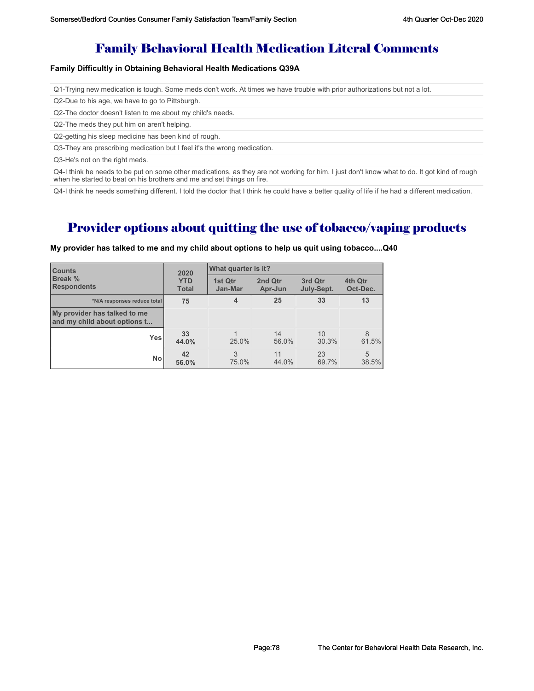## Family Behavioral Health Medication Literal Comments

#### **Family Difficultly in Obtaining Behavioral Health Medications Q39A**

Q1-Trying new medication is tough. Some meds don't work. At times we have trouble with prior authorizations but not a lot.

Q2-Due to his age, we have to go to Pittsburgh.

Q2-The doctor doesn't listen to me about my child's needs.

Q2-The meds they put him on aren't helping.

Q2-getting his sleep medicine has been kind of rough.

Q3-They are prescribing medication but I feel it's the wrong medication.

Q3-He's not on the right meds.

Q4-I think he needs to be put on some other medications, as they are not working for him. I just don't know what to do. It got kind of rough when he started to beat on his brothers and me and set things on fire.

Q4-I think he needs something different. I told the doctor that I think he could have a better quality of life if he had a different medication.

## Provider options about quitting the use of tobacco/vaping products

| <b>Counts</b>                                                | 2020                       | What quarter is it? |                    |                       |                     |
|--------------------------------------------------------------|----------------------------|---------------------|--------------------|-----------------------|---------------------|
| <b>Break %</b><br><b>Respondents</b>                         | <b>YTD</b><br><b>Total</b> | 1st Qtr<br>Jan-Mar  | 2nd Qtr<br>Apr-Jun | 3rd Qtr<br>July-Sept. | 4th Qtr<br>Oct-Dec. |
| *N/A responses reduce total                                  | 75                         | 4                   | 25                 | 33                    | 13                  |
| My provider has talked to me<br>and my child about options t |                            |                     |                    |                       |                     |
| Yes                                                          | 33<br>44.0%                | 25.0%               | 14<br>56.0%        | 10<br>30.3%           | 8<br>61.5%          |
| <b>No</b>                                                    | 42<br>56.0%                | 3<br>75.0%          | 11<br>44.0%        | 23<br>69.7%           | 5<br>38.5%          |

**My provider has talked to me and my child about options to help us quit using tobacco....Q40**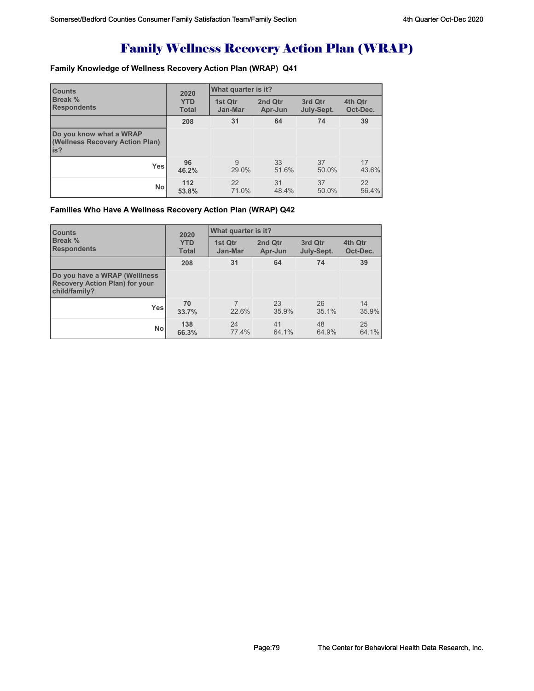# Family Wellness Recovery Action Plan (WRAP)

### **Family Knowledge of Wellness Recovery Action Plan (WRAP) Q41**

| <b>Counts</b>                                                     | 2020         | What quarter is it? |         |            |          |  |
|-------------------------------------------------------------------|--------------|---------------------|---------|------------|----------|--|
| <b>Break %</b>                                                    | <b>YTD</b>   | 1st Qtr             | 2nd Qtr | 3rd Qtr    | 4th Qtr  |  |
| <b>Respondents</b>                                                | <b>Total</b> | Jan-Mar             | Apr-Jun | July-Sept. | Oct-Dec. |  |
|                                                                   | 208          | 31                  | 64      | 74         | 39       |  |
| Do you know what a WRAP<br>(Wellness Recovery Action Plan)<br>is? |              |                     |         |            |          |  |
| Yes                                                               | 96           | 9                   | 33      | 37         | 17       |  |
|                                                                   | 46.2%        | 29.0%               | 51.6%   | 50.0%      | 43.6%    |  |
| <b>No</b>                                                         | 112          | 22                  | 31      | 37         | 22       |  |
|                                                                   | 53.8%        | 71.0%               | 48.4%   | 50.0%      | 56.4%    |  |

#### **Families Who Have A Wellness Recovery Action Plan (WRAP) Q42**

| <b>Counts</b>                                                                           | 2020                       | What quarter is it? |                    |                       |                     |
|-----------------------------------------------------------------------------------------|----------------------------|---------------------|--------------------|-----------------------|---------------------|
| Break %<br><b>Respondents</b>                                                           | <b>YTD</b><br><b>Total</b> | 1st Qtr<br>Jan-Mar  | 2nd Qtr<br>Apr-Jun | 3rd Qtr<br>July-Sept. | 4th Qtr<br>Oct-Dec. |
|                                                                                         | 208                        | 31                  | 64                 | 74                    | 39                  |
| Do you have a WRAP (Welliness<br><b>Recovery Action Plan) for your</b><br>child/family? |                            |                     |                    |                       |                     |
| <b>Yes</b>                                                                              | 70<br>33.7%                | 22.6%               | 23<br>35.9%        | 26<br>35.1%           | 14<br>35.9%         |
| <b>No</b>                                                                               | 138<br>66.3%               | 24<br>77.4%         | 41<br>64.1%        | 48<br>64.9%           | 25<br>64.1%         |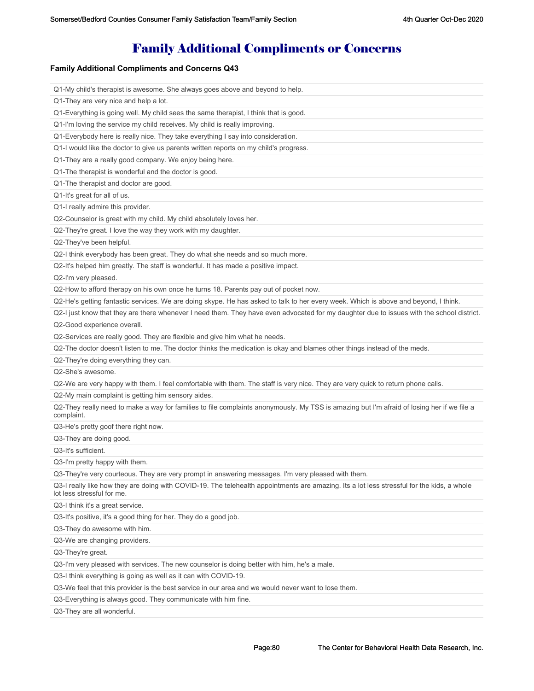# Family Additional Compliments or Concerns

### **Family Additional Compliments and Concerns Q43**

| Q1-My child's therapist is awesome. She always goes above and beyond to help.                                                                                            |
|--------------------------------------------------------------------------------------------------------------------------------------------------------------------------|
| Q1-They are very nice and help a lot.                                                                                                                                    |
| Q1-Everything is going well. My child sees the same therapist, I think that is good.                                                                                     |
| Q1-I'm loving the service my child receives. My child is really improving.                                                                                               |
| Q1-Everybody here is really nice. They take everything I say into consideration.                                                                                         |
| Q1-I would like the doctor to give us parents written reports on my child's progress.                                                                                    |
| Q1-They are a really good company. We enjoy being here.                                                                                                                  |
| Q1-The therapist is wonderful and the doctor is good.                                                                                                                    |
| Q1-The therapist and doctor are good.                                                                                                                                    |
| Q1-It's great for all of us.                                                                                                                                             |
| Q1-I really admire this provider.                                                                                                                                        |
| Q2-Counselor is great with my child. My child absolutely loves her.                                                                                                      |
| Q2-They're great. I love the way they work with my daughter.                                                                                                             |
| Q2-They've been helpful.                                                                                                                                                 |
| Q2-I think everybody has been great. They do what she needs and so much more.                                                                                            |
| Q2-It's helped him greatly. The staff is wonderful. It has made a positive impact.                                                                                       |
| Q2-I'm very pleased.                                                                                                                                                     |
| Q2-How to afford therapy on his own once he turns 18. Parents pay out of pocket now.                                                                                     |
| Q2-He's getting fantastic services. We are doing skype. He has asked to talk to her every week. Which is above and beyond, I think.                                      |
| Q2-I just know that they are there whenever I need them. They have even advocated for my daughter due to issues with the school district.                                |
| Q2-Good experience overall.                                                                                                                                              |
| Q2-Services are really good. They are flexible and give him what he needs.                                                                                               |
| Q2-The doctor doesn't listen to me. The doctor thinks the medication is okay and blames other things instead of the meds.                                                |
| Q2-They're doing everything they can.                                                                                                                                    |
| Q2-She's awesome.                                                                                                                                                        |
| Q2-We are very happy with them. I feel comfortable with them. The staff is very nice. They are very quick to return phone calls.                                         |
| Q2-My main complaint is getting him sensory aides.                                                                                                                       |
| Q2-They really need to make a way for families to file complaints anonymously. My TSS is amazing but I'm afraid of losing her if we file a<br>complaint.                 |
| Q3-He's pretty goof there right now.                                                                                                                                     |
| Q3-They are doing good.                                                                                                                                                  |
| Q3-It's sufficient.                                                                                                                                                      |
| Q3-I'm pretty happy with them.                                                                                                                                           |
| Q3-They're very courteous. They are very prompt in answering messages. I'm very pleased with them.                                                                       |
| Q3-I really like how they are doing with COVID-19. The telehealth appointments are amazing. Its a lot less stressful for the kids, a whole<br>lot less stressful for me. |
| Q3-I think it's a great service.                                                                                                                                         |
| Q3-It's positive, it's a good thing for her. They do a good job.                                                                                                         |
| Q3-They do awesome with him.                                                                                                                                             |
| Q3-We are changing providers.                                                                                                                                            |
| Q3-They're great.                                                                                                                                                        |
| Q3-I'm very pleased with services. The new counselor is doing better with him, he's a male.                                                                              |
| Q3-I think everything is going as well as it can with COVID-19.                                                                                                          |
| Q3-We feel that this provider is the best service in our area and we would never want to lose them.                                                                      |
| Q3-Everything is always good. They communicate with him fine.                                                                                                            |
| Q3-They are all wonderful.                                                                                                                                               |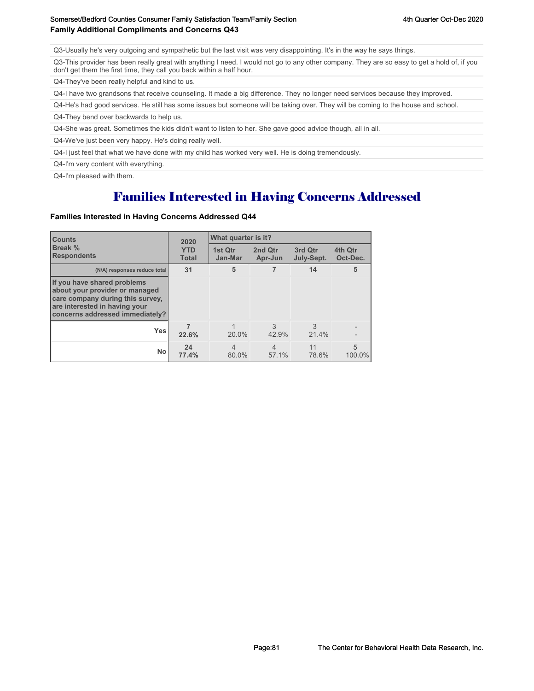Q3-Usually he's very outgoing and sympathetic but the last visit was very disappointing. It's in the way he says things.

Q3-This provider has been really great with anything I need. I would not go to any other company. They are so easy to get a hold of, if you don't get them the first time, they call you back within a half hour.

Q4-They've been really helpful and kind to us.

Q4-I have two grandsons that receive counseling. It made a big difference. They no longer need services because they improved.

Q4-He's had good services. He still has some issues but someone will be taking over. They will be coming to the house and school.

Q4-They bend over backwards to help us.

Q4-She was great. Sometimes the kids didn't want to listen to her. She gave good advice though, all in all.

Q4-We've just been very happy. He's doing really well.

Q4-I just feel that what we have done with my child has worked very well. He is doing tremendously.

Q4-I'm very content with everything.

Q4-I'm pleased with them.

## Families Interested in Having Concerns Addressed

#### **Families Interested in Having Concerns Addressed Q44**

| <b>Counts</b>                                                                                                                                                         | 2020                       | What quarter is it?     |                         |                       |                     |  |
|-----------------------------------------------------------------------------------------------------------------------------------------------------------------------|----------------------------|-------------------------|-------------------------|-----------------------|---------------------|--|
| <b>Break %</b><br><b>Respondents</b>                                                                                                                                  | <b>YTD</b><br><b>Total</b> | 1st Qtr<br>Jan-Mar      | 2nd Qtr<br>Apr-Jun      | 3rd Qtr<br>July-Sept. | 4th Qtr<br>Oct-Dec. |  |
| (N/A) responses reduce total                                                                                                                                          | 31                         | 5                       | 7                       | 14                    | 5                   |  |
| If you have shared problems<br>about your provider or managed<br>care company during this survey,<br>are interested in having your<br>concerns addressed immediately? |                            |                         |                         |                       |                     |  |
| <b>Yes</b>                                                                                                                                                            | 22.6%                      | 20.0%                   | 3<br>42.9%              | 3<br>21.4%            |                     |  |
| <b>No</b>                                                                                                                                                             | 24<br>77.4%                | $\overline{4}$<br>80.0% | $\overline{4}$<br>57.1% | 11<br>78.6%           | 5<br>100.0%         |  |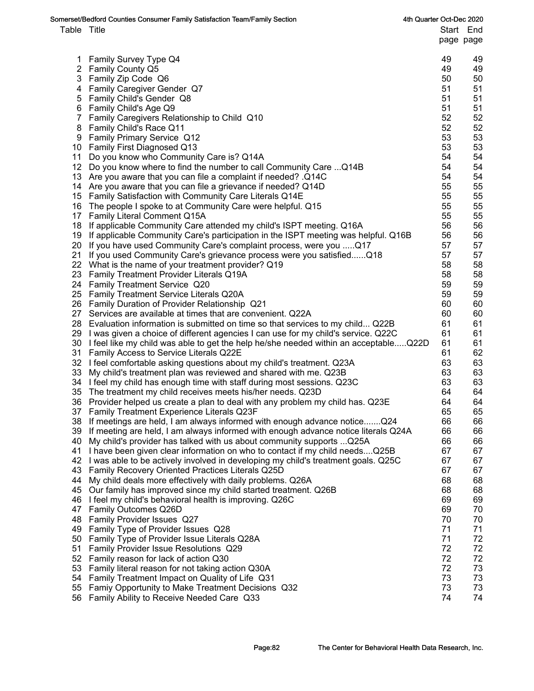|             | Somerset/Bedford Counties Consumer Family Satisfaction Team/Family Section                                                | 4th Quarter Oct-Dec 2020 |          |                        |
|-------------|---------------------------------------------------------------------------------------------------------------------------|--------------------------|----------|------------------------|
| Table Title |                                                                                                                           |                          |          | Start End<br>page page |
| 1.          | <b>Family Survey Type Q4</b>                                                                                              |                          | 49       | 49                     |
|             | 2 Family County Q5                                                                                                        |                          | 49       | 49                     |
|             | 3 Family Zip Code Q6                                                                                                      |                          | 50       | 50                     |
|             | 4 Family Caregiver Gender Q7                                                                                              |                          | 51       | 51                     |
|             | 5 Family Child's Gender Q8                                                                                                |                          | 51       | 51                     |
|             | 6 Family Child's Age Q9                                                                                                   |                          | 51       | 51                     |
|             | 7 Family Caregivers Relationship to Child Q10                                                                             |                          | 52       | 52                     |
|             | 8 Family Child's Race Q11                                                                                                 |                          | 52       | 52                     |
|             | 9 Family Primary Service Q12                                                                                              |                          | 53       | 53                     |
|             | 10 Family First Diagnosed Q13                                                                                             |                          | 53       | 53                     |
|             | 11 Do you know who Community Care is? Q14A                                                                                |                          | 54       | 54                     |
|             | 12 Do you know where to find the number to call Community Care  Q14B                                                      |                          | 54       | 54                     |
|             | 13 Are you aware that you can file a complaint if needed? .Q14C                                                           |                          | 54       | 54                     |
|             | 14 Are you aware that you can file a grievance if needed? Q14D                                                            |                          | 55       | 55                     |
|             | 15 Family Satisfaction with Community Care Literals Q14E                                                                  |                          | 55       | 55                     |
|             | 16 The people I spoke to at Community Care were helpful. Q15                                                              |                          | 55       | 55                     |
|             | 17 Family Literal Comment Q15A                                                                                            |                          | 55       | 55                     |
|             | 18 If applicable Community Care attended my child's ISPT meeting. Q16A                                                    |                          | 56       | 56                     |
|             | 19 If applicable Community Care's participation in the ISPT meeting was helpful. Q16B                                     |                          | 56       | 56                     |
|             | 20 If you have used Community Care's complaint process, were you  Q17                                                     |                          | 57       | 57                     |
| 21          | If you used Community Care's grievance process were you satisfiedQ18                                                      |                          | 57       | 57                     |
|             | 22 What is the name of your treatment provider? Q19                                                                       |                          | 58       | 58                     |
|             | 23 Family Treatment Provider Literals Q19A                                                                                |                          | 58       | 58                     |
|             | 24 Family Treatment Service Q20                                                                                           |                          | 59       | 59                     |
|             | 25 Family Treatment Service Literals Q20A                                                                                 |                          | 59       | 59                     |
|             | 26 Family Duration of Provider Relationship Q21                                                                           |                          | 60       | 60                     |
|             | 27 Services are available at times that are convenient. Q22A                                                              |                          | 60       | 60                     |
|             | 28 Evaluation information is submitted on time so that services to my child Q22B                                          |                          | 61       | 61                     |
|             | 29 I was given a choice of different agencies I can use for my child's service. Q22C                                      |                          | 61       | 61                     |
|             | 30 I feel like my child was able to get the help he/she needed within an acceptableQ22D                                   |                          | 61       | 61                     |
|             | 31 Family Access to Service Literals Q22E                                                                                 |                          | 61       | 62                     |
|             | 32 I feel comfortable asking questions about my child's treatment. Q23A                                                   |                          | 63       | 63                     |
|             | 33 My child's treatment plan was reviewed and shared with me. Q23B                                                        |                          | 63       | 63                     |
|             | 34 I feel my child has enough time with staff during most sessions. Q23C                                                  |                          | 63<br>64 | 63                     |
| 36          | 35 The treatment my child receives meets his/her needs. Q23D                                                              |                          | 64       | 64<br>64               |
| 37          | Provider helped us create a plan to deal with any problem my child has. Q23E<br>Family Treatment Experience Literals Q23F |                          | 65       | 65                     |
| 38          | If meetings are held, I am always informed with enough advance noticeQ24                                                  |                          | 66       | 66                     |
| 39          | If meeting are held, I am always informed with enough advance notice literals Q24A                                        |                          | 66       | 66                     |
| 40          | My child's provider has talked with us about community supports  Q25A                                                     |                          | 66       | 66                     |
| 41          | I have been given clear information on who to contact if my child needsQ25B                                               |                          | 67       | 67                     |
| 42          | I was able to be actively involved in developing my child's treatment goals. Q25C                                         |                          | 67       | 67                     |
| 43          | Family Recovery Oriented Practices Literals Q25D                                                                          |                          | 67       | 67                     |
| 44          | My child deals more effectively with daily problems. Q26A                                                                 |                          | 68       | 68                     |
| 45          | Our family has improved since my child started treatment. Q26B                                                            |                          | 68       | 68                     |
| 46          | I feel my child's behavioral health is improving. Q26C                                                                    |                          | 69       | 69                     |
| 47          | Family Outcomes Q26D                                                                                                      |                          | 69       | 70                     |
| 48          | Family Provider Issues Q27                                                                                                |                          | 70       | 70                     |
| 49          | Family Type of Provider Issues Q28                                                                                        |                          | 71       | 71                     |
| 50          | Family Type of Provider Issue Literals Q28A                                                                               |                          | 71       | 72                     |
| 51          | Family Provider Issue Resolutions Q29                                                                                     |                          | 72       | 72                     |
| 52          | Family reason for lack of action Q30                                                                                      |                          | 72       | 72                     |
| 53          | Family literal reason for not taking action Q30A                                                                          |                          | 72       | 73                     |
| 54          | Family Treatment Impact on Quality of Life Q31                                                                            |                          | 73       | 73                     |
| 55          | Famiy Opportunity to Make Treatment Decisions Q32                                                                         |                          | 73       | 73                     |
| 56          | Family Ability to Receive Needed Care Q33                                                                                 |                          | 74       | 74                     |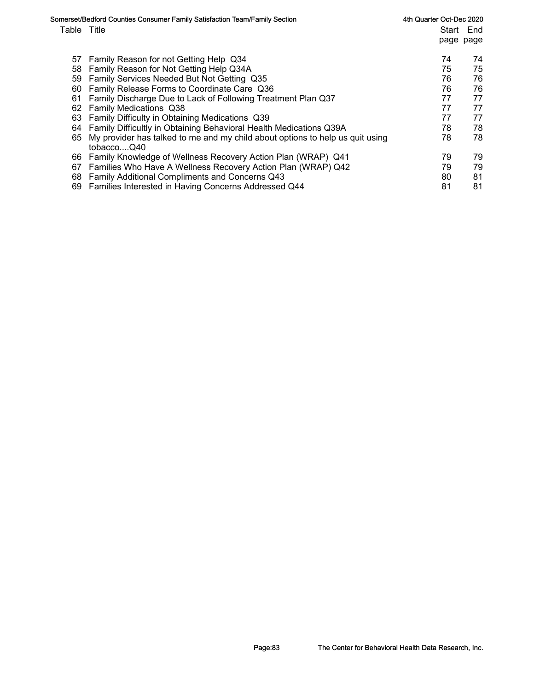|             | Somerset/Bedford Counties Consumer Family Satisfaction Team/Family Section                  | 4th Quarter Oct-Dec 2020 |           |
|-------------|---------------------------------------------------------------------------------------------|--------------------------|-----------|
| Table Title |                                                                                             |                          | Start End |
|             |                                                                                             | page page                |           |
| 57          | Family Reason for not Getting Help Q34                                                      | 74                       | 74        |
| 58          | Family Reason for Not Getting Help Q34A                                                     | 75                       | 75        |
| 59          | Family Services Needed But Not Getting Q35                                                  | 76                       | 76        |
| 60          | Family Release Forms to Coordinate Care Q36                                                 | 76                       | 76        |
| 61          | Family Discharge Due to Lack of Following Treatment Plan Q37                                | 77                       | 77        |
| 62          | <b>Family Medications Q38</b>                                                               | 77                       | 77        |
| 63          | Family Difficulty in Obtaining Medications Q39                                              | 77                       | 77        |
| 64          | Family Difficultly in Obtaining Behavioral Health Medications Q39A                          | 78                       | 78        |
| 65          | My provider has talked to me and my child about options to help us quit using<br>tobaccoO40 | 78                       | 78        |
| 66          | Family Knowledge of Wellness Recovery Action Plan (WRAP) Q41                                | 79                       | 79        |
| 67          | Families Who Have A Wellness Recovery Action Plan (WRAP) Q42                                | 79                       | 79        |
| 68          | Family Additional Compliments and Concerns Q43                                              | 80                       | 81        |
| 69          | Families Interested in Having Concerns Addressed Q44                                        | 81                       | 81        |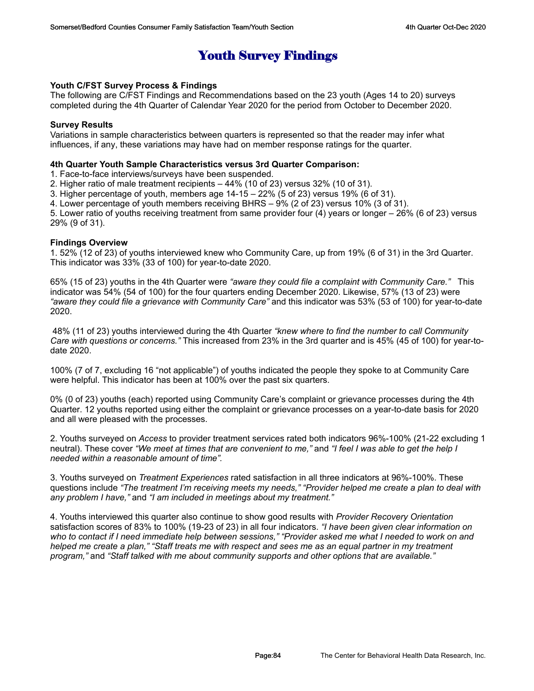## Youth Survey Findings

#### **Youth C/FST Survey Process & Findings**

The following are C/FST Findings and Recommendations based on the 23 youth (Ages 14 to 20) surveys completed during the 4th Quarter of Calendar Year 2020 for the period from October to December 2020.

#### **Survey Results**

Variations in sample characteristics between quarters is represented so that the reader may infer what influences, if any, these variations may have had on member response ratings for the quarter.

#### **4th Quarter Youth Sample Characteristics versus 3rd Quarter Comparison:**

1. Face-to-face interviews/surveys have been suspended.

2. Higher ratio of male treatment recipients – 44% (10 of 23) versus 32% (10 of 31).

3. Higher percentage of youth, members age 14-15 – 22% (5 of 23) versus 19% (6 of 31).

4. Lower percentage of youth members receiving BHRS – 9% (2 of 23) versus 10% (3 of 31).

5. Lower ratio of youths receiving treatment from same provider four (4) years or longer – 26% (6 of 23) versus 29% (9 of 31).

#### **Findings Overview**

1. 52% (12 of 23) of youths interviewed knew who Community Care, up from 19% (6 of 31) in the 3rd Quarter. This indicator was 33% (33 of 100) for year-to-date 2020.

65% (15 of 23) youths in the 4th Quarter were *"aware they could file a complaint with Community Care."* This indicator was 54% (54 of 100) for the four quarters ending December 2020. Likewise, 57% (13 of 23) were *"aware they could file a grievance with Community Care"* and this indicator was 53% (53 of 100) for year-to-date 2020.

 48% (11 of 23) youths interviewed during the 4th Quarter *"knew where to find the number to call Community Care with questions or concerns."* This increased from 23% in the 3rd quarter and is 45% (45 of 100) for year-todate 2020.

100% (7 of 7, excluding 16 "not applicable") of youths indicated the people they spoke to at Community Care were helpful. This indicator has been at 100% over the past six quarters.

0% (0 of 23) youths (each) reported using Community Care's complaint or grievance processes during the 4th Quarter. 12 youths reported using either the complaint or grievance processes on a year-to-date basis for 2020 and all were pleased with the processes.

2. Youths surveyed on *Access* to provider treatment services rated both indicators 96%-100% (21-22 excluding 1 neutral). These cover *"We meet at times that are convenient to me,"* and *"I feel I was able to get the help I needed within a reasonable amount of time".*

3. Youths surveyed on *Treatment Experiences* rated satisfaction in all three indicators at 96%-100%. These questions include *"The treatment I'm receiving meets my needs," "Provider helped me create a plan to deal with any problem I have,"* and *"I am included in meetings about my treatment."*

4. Youths interviewed this quarter also continue to show good results with *Provider Recovery Orientation* satisfaction scores of 83% to 100% (19-23 of 23) in all four indicators. *"I have been given clear information on who to contact if I need immediate help between sessions," "Provider asked me what I needed to work on and helped me create a plan," "Staff treats me with respect and sees me as an equal partner in my treatment program,"* and *"Staff talked with me about community supports and other options that are available."*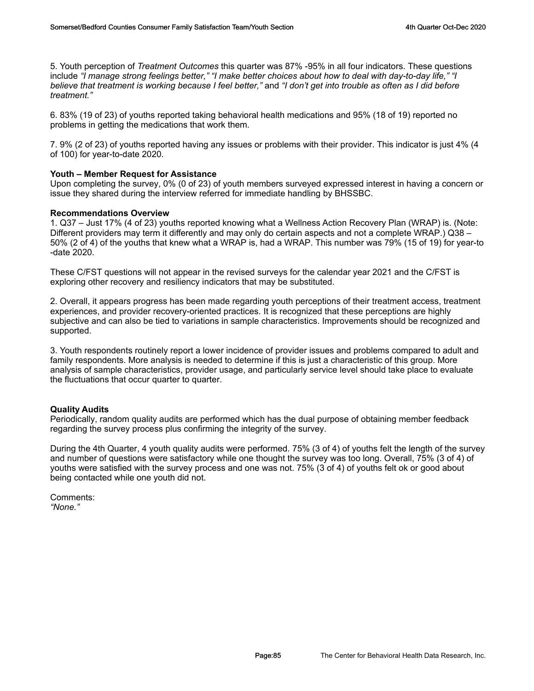5. Youth perception of *Treatment Outcomes* this quarter was 87% -95% in all four indicators. These questions include *"I manage strong feelings better," "I make better choices about how to deal with day-to-day life," "I believe that treatment is working because I feel better,"* and *"I don't get into trouble as often as I did before treatment."*

6. 83% (19 of 23) of youths reported taking behavioral health medications and 95% (18 of 19) reported no problems in getting the medications that work them.

7. 9% (2 of 23) of youths reported having any issues or problems with their provider. This indicator is just 4% (4 of 100) for year-to-date 2020.

#### **Youth – Member Request for Assistance**

Upon completing the survey, 0% (0 of 23) of youth members surveyed expressed interest in having a concern or issue they shared during the interview referred for immediate handling by BHSSBC.

#### **Recommendations Overview**

1. Q37 – Just 17% (4 of 23) youths reported knowing what a Wellness Action Recovery Plan (WRAP) is. (Note: Different providers may term it differently and may only do certain aspects and not a complete WRAP.) Q38 – 50% (2 of 4) of the youths that knew what a WRAP is, had a WRAP. This number was 79% (15 of 19) for year-to -date 2020.

These C/FST questions will not appear in the revised surveys for the calendar year 2021 and the C/FST is exploring other recovery and resiliency indicators that may be substituted.

2. Overall, it appears progress has been made regarding youth perceptions of their treatment access, treatment experiences, and provider recovery-oriented practices. It is recognized that these perceptions are highly subjective and can also be tied to variations in sample characteristics. Improvements should be recognized and supported.

3. Youth respondents routinely report a lower incidence of provider issues and problems compared to adult and family respondents. More analysis is needed to determine if this is just a characteristic of this group. More analysis of sample characteristics, provider usage, and particularly service level should take place to evaluate the fluctuations that occur quarter to quarter.

#### **Quality Audits**

Periodically, random quality audits are performed which has the dual purpose of obtaining member feedback regarding the survey process plus confirming the integrity of the survey.

During the 4th Quarter, 4 youth quality audits were performed. 75% (3 of 4) of youths felt the length of the survey and number of questions were satisfactory while one thought the survey was too long. Overall, 75% (3 of 4) of youths were satisfied with the survey process and one was not. 75% (3 of 4) of youths felt ok or good about being contacted while one youth did not.

Comments: *"None."*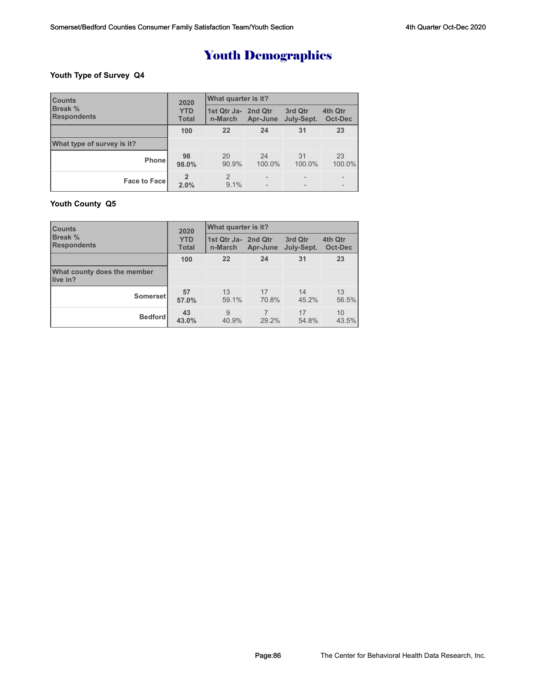### **Youth Type of Survey Q4**

| <b>Counts</b>                        | 2020                       | What quarter is it?            |              |                       |                          |  |  |
|--------------------------------------|----------------------------|--------------------------------|--------------|-----------------------|--------------------------|--|--|
| <b>Break %</b><br><b>Respondents</b> | <b>YTD</b><br><b>Total</b> | 1st Qtr Ja- 2nd Qtr<br>n-March | Apr-June     | 3rd Qtr<br>July-Sept. | 4th Qtr<br>Oct-Dec       |  |  |
|                                      | 100                        | 22                             | 24           | 31                    | 23                       |  |  |
| What type of survey is it?           |                            |                                |              |                       |                          |  |  |
| Phone                                | 98<br>98.0%                | 20<br>90.9%                    | 24<br>100.0% | 31<br>100.0%          | 23<br>100.0%             |  |  |
| <b>Face to Face</b>                  | $\overline{2}$<br>2.0%     | 2<br>$9.1\%$                   |              |                       | $\overline{\phantom{0}}$ |  |  |

### **Youth County Q5**

| <b>Counts</b>                           | 2020                       | What quarter is it?            |             |                       |                           |  |
|-----------------------------------------|----------------------------|--------------------------------|-------------|-----------------------|---------------------------|--|
| <b>Break %</b><br><b>Respondents</b>    | <b>YTD</b><br><b>Total</b> | 1st Qtr Ja- 2nd Qtr<br>n-March | Apr-June    | 3rd Qtr<br>July-Sept. | 4th Qtr<br><b>Oct-Dec</b> |  |
|                                         | 100                        | 22                             | 24          | 31                    | 23                        |  |
| What county does the member<br>live in? |                            |                                |             |                       |                           |  |
| Somerset                                | 57<br>57.0%                | 13<br>59.1%                    | 17<br>70.8% | 14<br>45.2%           | 13<br>56.5%               |  |
| <b>Bedford</b>                          | 43<br>43.0%                | 9<br>40.9%                     | 29.2%       | 17<br>54.8%           | 10<br>43.5%               |  |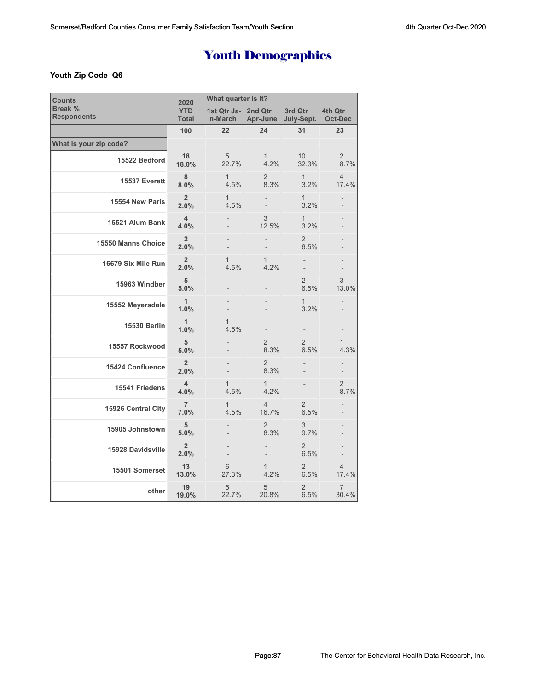### **Youth Zip Code Q6**

| <b>Counts</b>                        | 2020                       | What quarter is it?            |                         |                        |                           |  |
|--------------------------------------|----------------------------|--------------------------------|-------------------------|------------------------|---------------------------|--|
| <b>Break %</b><br><b>Respondents</b> | <b>YTD</b><br><b>Total</b> | 1st Qtr Ja- 2nd Qtr<br>n-March | Apr-June                | 3rd Qtr<br>July-Sept.  | 4th Qtr<br><b>Oct-Dec</b> |  |
|                                      | 100                        | 22                             | 24                      | 31                     | 23                        |  |
| What is your zip code?               |                            |                                |                         |                        |                           |  |
| 15522 Bedford                        | 18<br>18.0%                | 5<br>22.7%                     | $\mathbf{1}$<br>4.2%    | 10<br>32.3%            | $\overline{2}$<br>8.7%    |  |
| 15537 Everett                        | 8<br>8.0%                  | $\mathbf{1}$<br>4.5%           | $\overline{2}$<br>8.3%  | $\mathbf{1}$<br>3.2%   | $\overline{4}$<br>17.4%   |  |
| 15554 New Paris                      | $\overline{2}$<br>2.0%     | $\mathbf{1}$<br>4.5%           |                         | $\mathbf{1}$<br>3.2%   |                           |  |
| 15521 Alum Bank                      | $\overline{4}$<br>4.0%     |                                | 3<br>12.5%              | $\mathbf{1}$<br>3.2%   |                           |  |
| 15550 Manns Choice                   | $\overline{2}$<br>2.0%     |                                |                         | $\overline{2}$<br>6.5% |                           |  |
| 16679 Six Mile Run                   | $\overline{2}$<br>2.0%     | 1<br>4.5%                      | $\mathbf{1}$<br>4.2%    |                        |                           |  |
| 15963 Windber                        | 5<br>5.0%                  |                                |                         | $\overline{2}$<br>6.5% | 3<br>13.0%                |  |
| 15552 Meyersdale                     | $\mathbf{1}$<br>1.0%       |                                |                         | 1<br>3.2%              |                           |  |
| <b>15530 Berlin</b>                  | $\mathbf{1}$<br>1.0%       | $\mathbf{1}$<br>4.5%           |                         |                        | -                         |  |
| 15557 Rockwood                       | 5<br>5.0%                  |                                | $\overline{2}$<br>8.3%  | 2<br>6.5%              | $\mathbf{1}$<br>4.3%      |  |
| 15424 Confluence                     | $\overline{2}$<br>2.0%     | $\overline{\phantom{0}}$       | $\overline{2}$<br>8.3%  |                        |                           |  |
| 15541 Friedens                       | 4<br>4.0%                  | $\mathbf{1}$<br>4.5%           | $\mathbf{1}$<br>4.2%    |                        | $\overline{2}$<br>8.7%    |  |
| 15926 Central City                   | $\overline{7}$<br>7.0%     | $\mathbf{1}$<br>4.5%           | $\overline{4}$<br>16.7% | 2<br>6.5%              |                           |  |
| 15905 Johnstown                      | 5<br>5.0%                  |                                | $\overline{2}$<br>8.3%  | 3<br>9.7%              |                           |  |
| 15928 Davidsville                    | $\overline{2}$<br>2.0%     |                                |                         | $\overline{2}$<br>6.5% |                           |  |
| 15501 Somerset                       | 13<br>13.0%                | 6<br>27.3%                     | 1<br>4.2%               | $\overline{2}$<br>6.5% | $\overline{4}$<br>17.4%   |  |
| other                                | 19<br>19.0%                | 5<br>22.7%                     | 5<br>20.8%              | $\overline{2}$<br>6.5% | 7<br>30.4%                |  |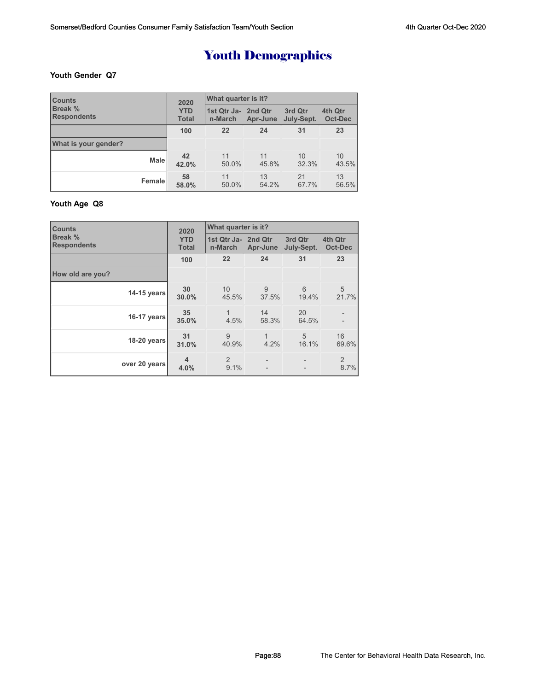#### **Youth Gender Q7**

| <b>Counts</b>        | 2020         | What quarter is it? |          |            |         |  |
|----------------------|--------------|---------------------|----------|------------|---------|--|
| <b>Break %</b>       | <b>YTD</b>   | 1st Qtr Ja- 2nd Qtr | Apr-June | 3rd Qtr    | 4th Qtr |  |
| <b>Respondents</b>   | <b>Total</b> | n-March             |          | July-Sept. | Oct-Dec |  |
|                      | 100          | 22                  | 24       | 31         | 23      |  |
| What is your gender? |              |                     |          |            |         |  |
| <b>Male</b>          | 42           | 11                  | 11       | 10         | 10      |  |
|                      | 42.0%        | 50.0%               | 45.8%    | 32.3%      | 43.5%   |  |
| Female               | 58           | 11                  | 13       | 21         | 13      |  |
|                      | 58.0%        | 50.0%               | 54.2%    | 67.7%      | 56.5%   |  |

### **Youth Age Q8**

| <b>Counts</b>                 | 2020                       | What quarter is it?            |                     |                       |                        |  |
|-------------------------------|----------------------------|--------------------------------|---------------------|-----------------------|------------------------|--|
| Break %<br><b>Respondents</b> | <b>YTD</b><br><b>Total</b> | 1st Qtr Ja- 2nd Qtr<br>n-March | Apr-June            | 3rd Qtr<br>July-Sept. | 4th Qtr<br>Oct-Dec     |  |
|                               | 100                        | 22                             | 24                  | 31                    | 23                     |  |
| How old are you?              |                            |                                |                     |                       |                        |  |
| 14-15 years                   | 30<br>30.0%                | 10<br>45.5%                    | 9<br>37.5%          | 6<br>19.4%            | 5<br>21.7%             |  |
| 16-17 years                   | 35<br>35.0%                | 1<br>4.5%                      | 14<br>58.3%         | 20<br>64.5%           |                        |  |
| 18-20 years                   | 31<br>31.0%                | 9<br>40.9%                     | $\mathbf 1$<br>4.2% | 5<br>16.1%            | 16<br>69.6%            |  |
| over 20 years                 | 4<br>4.0%                  | 2<br>9.1%                      |                     |                       | $\overline{2}$<br>8.7% |  |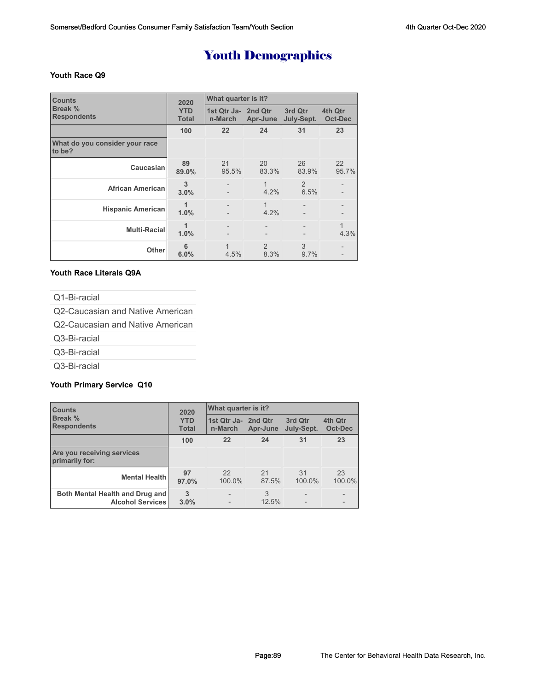#### **Youth Race Q9**

| <b>Counts</b>                            | 2020                       | What quarter is it?            |                       |                       |                    |  |
|------------------------------------------|----------------------------|--------------------------------|-----------------------|-----------------------|--------------------|--|
| Break %<br><b>Respondents</b>            | <b>YTD</b><br><b>Total</b> | 1st Qtr Ja- 2nd Qtr<br>n-March | Apr-June              | 3rd Qtr<br>July-Sept. | 4th Qtr<br>Oct-Dec |  |
|                                          | 100                        | 22                             | 24                    | 31                    | 23                 |  |
| What do you consider your race<br>to be? |                            |                                |                       |                       |                    |  |
| Caucasian                                | 89<br>89.0%                | 21<br>95.5%                    | 20<br>83.3%           | 26<br>83.9%           | 22<br>95.7%        |  |
| <b>African American</b>                  | 3<br>3.0%                  |                                | 1<br>$4.2\%$          | 2<br>6.5%             |                    |  |
| <b>Hispanic American</b>                 | 1<br>1.0%                  | $\qquad \qquad -$              | 1<br>4.2%             |                       |                    |  |
| Multi-Racial                             | 1.0%                       |                                |                       |                       | 4.3%               |  |
| Other                                    | 6<br>6.0%                  | 1<br>4.5%                      | $\mathcal{P}$<br>8.3% | 3<br>9.7%             |                    |  |

#### **Youth Race Literals Q9A**

Q1-Bi-racial

Q2-Caucasian and Native American

Q2-Caucasian and Native American

Q3-Bi-racial

Q3-Bi-racial

Q3-Bi-racial

#### **Youth Primary Service Q10**

| <b>Counts</b>                                              | 2020                       | What quarter is it?            |             |                       |                    |  |
|------------------------------------------------------------|----------------------------|--------------------------------|-------------|-----------------------|--------------------|--|
| Break %<br><b>Respondents</b>                              | <b>YTD</b><br><b>Total</b> | 1st Qtr Ja- 2nd Qtr<br>n-March | Apr-June    | 3rd Qtr<br>July-Sept. | 4th Qtr<br>Oct-Dec |  |
|                                                            | 100                        | 22                             | 24          | 31                    | 23                 |  |
| <b>Are you receiving services</b><br>primarily for:        |                            |                                |             |                       |                    |  |
| <b>Mental Health</b>                                       | 97<br>97.0%                | 22<br>100.0%                   | 21<br>87.5% | 31<br>100.0%          | 23<br>100.0%       |  |
| Both Mental Health and Drug and<br><b>Alcohol Services</b> | 3<br>3.0%                  |                                | 3<br>12.5%  |                       |                    |  |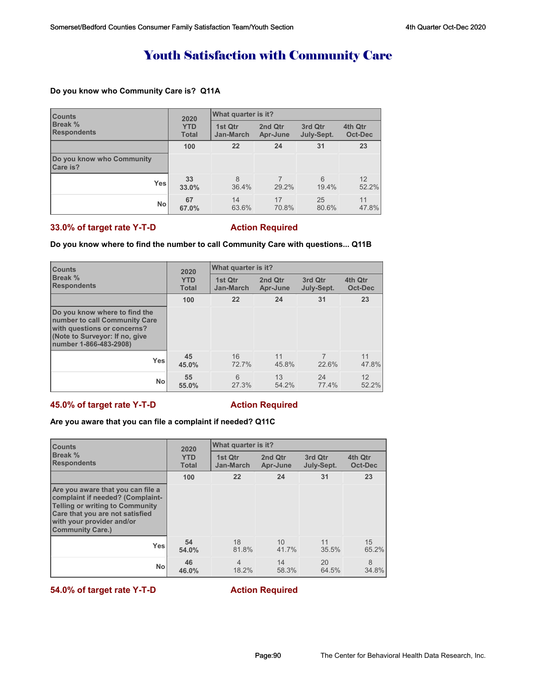## Youth Satisfaction with Community Care

### **Do you know who Community Care is? Q11A**

| <b>Counts</b>                         | 2020<br><b>YTD</b><br><b>Total</b> | What quarter is it?  |                     |                       |                    |  |
|---------------------------------------|------------------------------------|----------------------|---------------------|-----------------------|--------------------|--|
| <b>Break %</b><br><b>Respondents</b>  |                                    | 1st Qtr<br>Jan-March | 2nd Qtr<br>Apr-June | 3rd Qtr<br>July-Sept. | 4th Qtr<br>Oct-Dec |  |
|                                       | 100                                | 22                   | 24                  | 31                    | 23                 |  |
| Do you know who Community<br>Care is? |                                    |                      |                     |                       |                    |  |
| <b>Yes</b>                            | 33<br>33.0%                        | 8<br>36.4%           | 29.2%               | 6<br>19.4%            | 12<br>52.2%        |  |
| <b>No</b>                             | 67<br>67.0%                        | 14<br>63.6%          | 17<br>70.8%         | 25<br>80.6%           | 11<br>47.8%        |  |

### **33.0% of target rate Y-T-D Action Required**

#### **Do you know where to find the number to call Community Care with questions... Q11B**

| <b>Counts</b>                                                                                                                                             | 2020<br><b>YTD</b><br><b>Total</b> | What quarter is it?         |                     |                       |                    |  |  |
|-----------------------------------------------------------------------------------------------------------------------------------------------------------|------------------------------------|-----------------------------|---------------------|-----------------------|--------------------|--|--|
| <b>Break %</b><br><b>Respondents</b>                                                                                                                      |                                    | 1st Qtr<br><b>Jan-March</b> | 2nd Qtr<br>Apr-June | 3rd Qtr<br>July-Sept. | 4th Qtr<br>Oct-Dec |  |  |
|                                                                                                                                                           | 100                                | 22                          | 24                  | 31                    | 23                 |  |  |
| Do you know where to find the<br>number to call Community Care<br>with questions or concerns?<br>(Note to Surveyor: If no, give<br>number 1-866-483-2908) |                                    |                             |                     |                       |                    |  |  |
| <b>Yes</b>                                                                                                                                                | 45<br>45.0%                        | 16<br>72.7%                 | 11<br>45.8%         | 22.6%                 | 11<br>47.8%        |  |  |
| <b>No</b>                                                                                                                                                 | 55<br>55.0%                        | 6<br>27.3%                  | 13<br>54.2%         | 24<br>77.4%           | 12<br>52.2%        |  |  |

#### **45.0% of target rate Y-T-D Action Required**

### **Are you aware that you can file a complaint if needed? Q11C**

| <b>Counts</b><br>Break %<br><b>Respondents</b>                                                                                                                                                             | 2020                       | What quarter is it?         |                     |                       |                           |  |
|------------------------------------------------------------------------------------------------------------------------------------------------------------------------------------------------------------|----------------------------|-----------------------------|---------------------|-----------------------|---------------------------|--|
|                                                                                                                                                                                                            | <b>YTD</b><br><b>Total</b> | 1st Otr<br><b>Jan-March</b> | 2nd Qtr<br>Apr-June | 3rd Qtr<br>July-Sept. | 4th Qtr<br><b>Oct-Dec</b> |  |
|                                                                                                                                                                                                            | 100                        | 22                          | 24                  | 31                    | 23                        |  |
| Are you aware that you can file a<br>complaint if needed? (Complaint-<br><b>Telling or writing to Community</b><br>Care that you are not satisfied<br>with your provider and/or<br><b>Community Care.)</b> |                            |                             |                     |                       |                           |  |
| <b>Yes</b>                                                                                                                                                                                                 | 54<br>54.0%                | 18<br>81.8%                 | 10<br>41.7%         | 11<br>35.5%           | 15<br>65.2%               |  |
| <b>No</b>                                                                                                                                                                                                  | 46<br>46.0%                | $\overline{4}$<br>18.2%     | 14<br>58.3%         | 20<br>64.5%           | 8<br>34.8%                |  |

**54.0% of target rate Y-T-D Action Required**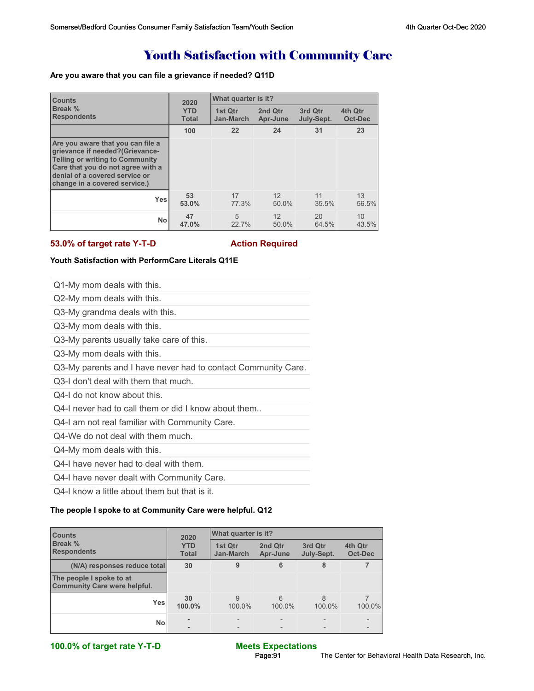## Youth Satisfaction with Community Care

#### **Are you aware that you can file a grievance if needed? Q11D**

| <b>Counts</b><br>Break %<br><b>Respondents</b>                                                                                                                                                                         | 2020                       | What quarter is it?  |                     |                       |                    |  |
|------------------------------------------------------------------------------------------------------------------------------------------------------------------------------------------------------------------------|----------------------------|----------------------|---------------------|-----------------------|--------------------|--|
|                                                                                                                                                                                                                        | <b>YTD</b><br><b>Total</b> | 1st Otr<br>Jan-March | 2nd Qtr<br>Apr-June | 3rd Qtr<br>July-Sept. | 4th Qtr<br>Oct-Dec |  |
|                                                                                                                                                                                                                        | 100                        | 22                   | 24                  | 31                    | 23                 |  |
| Are you aware that you can file a<br>grievance if needed?(Grievance-<br><b>Telling or writing to Community</b><br>Care that you do not agree with a<br>denial of a covered service or<br>change in a covered service.) |                            |                      |                     |                       |                    |  |
| <b>Yes</b>                                                                                                                                                                                                             | 53<br>53.0%                | 17<br>77.3%          | 12<br>50.0%         | 11<br>35.5%           | 13<br>56.5%        |  |
| <b>No</b>                                                                                                                                                                                                              | 47<br>47.0%                | 5<br>22.7%           | 12<br>50.0%         | 20<br>64.5%           | 10<br>43.5%        |  |

#### **53.0% of target rate Y-T-D Action Required**

#### **Youth Satisfaction with PerformCare Literals Q11E**

| Q1-My mom deals with this.                                    |
|---------------------------------------------------------------|
| Q2-My mom deals with this.                                    |
| Q3-My grandma deals with this.                                |
| Q3-My mom deals with this.                                    |
| Q3-My parents usually take care of this.                      |
| Q3-My mom deals with this.                                    |
| Q3-My parents and I have never had to contact Community Care. |
| 03-I don't deal with them that much.                          |
| Q4-I do not know about this.                                  |
| Q4-I never had to call them or did I know about them          |
| Q4-I am not real familiar with Community Care.                |
| Q4-We do not deal with them much.                             |

Q4-My mom deals with this.

Q4-I have never had to deal with them.

Q4-I have never dealt with Community Care.

Q4-I know a little about them but that is it.

#### **The people I spoke to at Community Care were helpful. Q12**

| <b>Counts</b><br><b>Break %</b><br><b>Respondents</b>           | 2020                       |                             |                     |                        |                    |
|-----------------------------------------------------------------|----------------------------|-----------------------------|---------------------|------------------------|--------------------|
|                                                                 | <b>YTD</b><br><b>Total</b> | 1st Qtr<br><b>Jan-March</b> | 2nd Qtr<br>Apr-June | 3rd Qtr<br>July-Sept.  | 4th Qtr<br>Oct-Dec |
| (N/A) responses reduce total                                    | 30                         | 9                           | 6                   | 8                      |                    |
| The people I spoke to at<br><b>Community Care were helpful.</b> |                            |                             |                     |                        |                    |
| Yes                                                             | 30<br>100.0%               | 9<br>100.0%                 | 6<br>100.0%         | $\mathsf{R}$<br>100.0% | 100.0%             |
| <b>No</b>                                                       |                            |                             |                     |                        |                    |

**100.0% of target rate Y-T-D Meets Expectations**

# Page:91 The Center for Behavioral Health Data Research, Inc.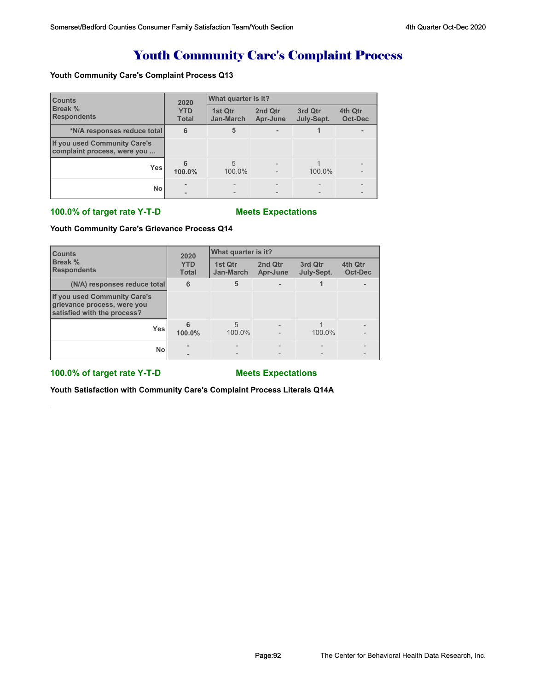## Youth Community Care's Complaint Process

#### **Youth Community Care's Complaint Process Q13**

| <b>Counts</b><br><b>Break %</b><br><b>Respondents</b>       | 2020                       | What quarter is it?  |                     |                       |                    |  |
|-------------------------------------------------------------|----------------------------|----------------------|---------------------|-----------------------|--------------------|--|
|                                                             | <b>YTD</b><br><b>Total</b> | 1st Qtr<br>Jan-March | 2nd Qtr<br>Apr-June | 3rd Qtr<br>July-Sept. | 4th Qtr<br>Oct-Dec |  |
| *N/A responses reduce total                                 | 6                          | 5                    |                     |                       |                    |  |
| If you used Community Care's<br>complaint process, were you |                            |                      |                     |                       |                    |  |
| <b>Yes</b>                                                  | 100.0%                     | 5<br>100.0%          |                     | 100.0%                |                    |  |
| No                                                          |                            |                      |                     |                       |                    |  |

#### **100.0% of target rate Y-T-D Meets Expectations**

#### **Youth Community Care's Grievance Process Q14**

| <b>Counts</b><br><b>Break %</b><br><b>Respondents</b>                                      | 2020                       | What quarter is it?         |                     |                       |                    |  |
|--------------------------------------------------------------------------------------------|----------------------------|-----------------------------|---------------------|-----------------------|--------------------|--|
|                                                                                            | <b>YTD</b><br><b>Total</b> | 1st Qtr<br><b>Jan-March</b> | 2nd Qtr<br>Apr-June | 3rd Qtr<br>July-Sept. | 4th Qtr<br>Oct-Dec |  |
| (N/A) responses reduce total                                                               | 6                          | 5                           |                     |                       |                    |  |
| If you used Community Care's<br>grievance process, were you<br>satisfied with the process? |                            |                             |                     |                       |                    |  |
| <b>Yes</b>                                                                                 | 100.0%                     | 5<br>100.0%                 |                     | 100.0%                |                    |  |
| <b>No</b>                                                                                  |                            |                             |                     |                       |                    |  |

#### **100.0% of target rate Y-T-D Meets Expectations**

**Youth Satisfaction with Community Care's Complaint Process Literals Q14A**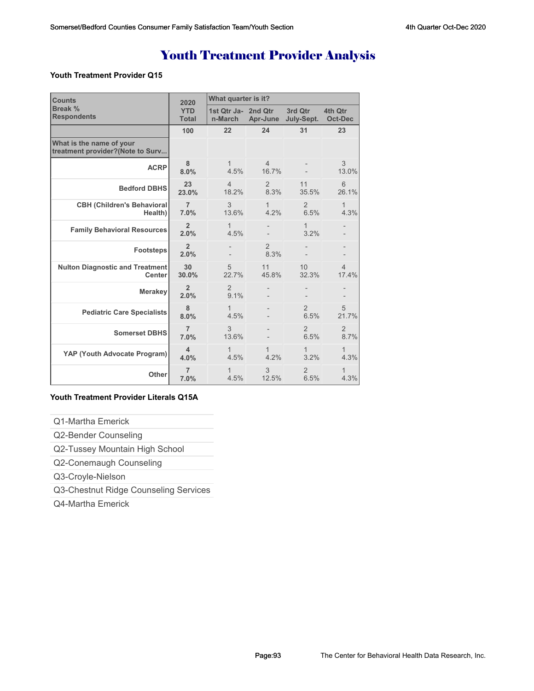## Youth Treatment Provider Analysis

#### **Youth Treatment Provider Q15**

| <b>Counts</b>                                                | 2020                       | What quarter is it?            |                         |                        |                           |  |
|--------------------------------------------------------------|----------------------------|--------------------------------|-------------------------|------------------------|---------------------------|--|
| Break %<br><b>Respondents</b>                                | <b>YTD</b><br><b>Total</b> | 1st Qtr Ja- 2nd Qtr<br>n-March | Apr-June                | 3rd Qtr<br>July-Sept.  | 4th Qtr<br><b>Oct-Dec</b> |  |
|                                                              | 100                        | 22                             | 24                      | 31                     | 23                        |  |
| What is the name of your<br>treatment provider?(Note to Surv |                            |                                |                         |                        |                           |  |
| <b>ACRP</b>                                                  | 8<br>8.0%                  | 1<br>4.5%                      | $\overline{4}$<br>16.7% |                        | 3<br>13.0%                |  |
| <b>Bedford DBHS</b>                                          | 23<br>23.0%                | $\overline{4}$<br>18.2%        | $\overline{2}$<br>8.3%  | 11<br>35.5%            | 6<br>26.1%                |  |
| <b>CBH (Children's Behavioral</b><br>Health)                 | $\overline{7}$<br>7.0%     | 3<br>13.6%                     | $\mathbf{1}$<br>4.2%    | 2<br>6.5%              | $\mathbf{1}$<br>4.3%      |  |
| <b>Family Behavioral Resources</b>                           | $\overline{2}$<br>2.0%     | 1<br>4.5%                      |                         | 1<br>3.2%              |                           |  |
| <b>Footsteps</b>                                             | $\overline{2}$<br>2.0%     |                                | $\overline{2}$<br>8.3%  |                        |                           |  |
| <b>Nulton Diagnostic and Treatment</b><br><b>Center</b>      | 30<br>30.0%                | 5<br>22.7%                     | 11<br>45.8%             | 10<br>32.3%            | $\overline{4}$<br>17.4%   |  |
| <b>Merakey</b>                                               | $\overline{2}$<br>2.0%     | 2<br>9.1%                      |                         |                        |                           |  |
| <b>Pediatric Care Specialists</b>                            | 8<br>8.0%                  | 1<br>4.5%                      |                         | $\overline{2}$<br>6.5% | 5<br>21.7%                |  |
| <b>Somerset DBHS</b>                                         | $\overline{7}$<br>7.0%     | 3<br>13.6%                     |                         | $\overline{2}$<br>6.5% | $\overline{2}$<br>8.7%    |  |
| YAP (Youth Advocate Program)                                 | 4<br>4.0%                  | $\mathbf{1}$<br>4.5%           | $\mathbf 1$<br>4.2%     | $\mathbf{1}$<br>3.2%   | 1<br>4.3%                 |  |
| Other                                                        | $\overline{7}$<br>7.0%     | 1<br>4.5%                      | 3<br>12.5%              | $\mathfrak{D}$<br>6.5% | 1<br>4.3%                 |  |

#### **Youth Treatment Provider Literals Q15A**

Q1-Martha Emerick

Q2-Bender Counseling

Q2-Tussey Mountain High School

Q2-Conemaugh Counseling

Q3-Croyle-Nielson

Q3-Chestnut Ridge Counseling Services

Q4-Martha Emerick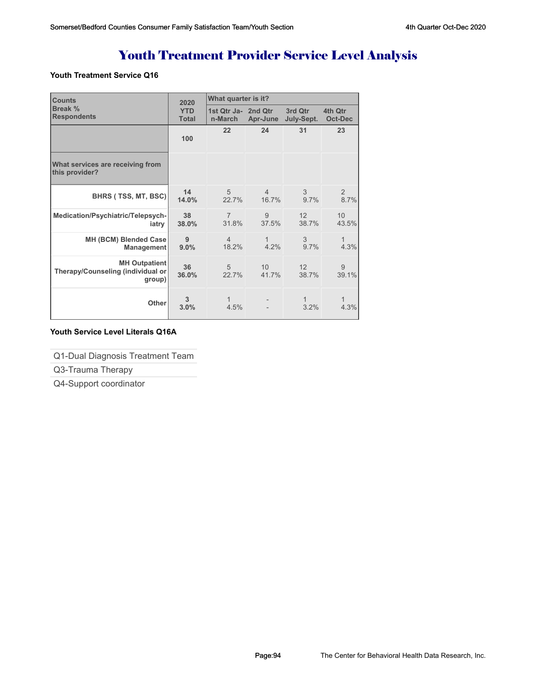# Youth Treatment Provider Service Level Analysis

#### **Youth Treatment Service Q16**

| <b>Counts</b>                                                       | 2020                       | What quarter is it?            |                         |                          |                          |
|---------------------------------------------------------------------|----------------------------|--------------------------------|-------------------------|--------------------------|--------------------------|
| Break %<br><b>Respondents</b>                                       | <b>YTD</b><br><b>Total</b> | 1st Qtr Ja- 2nd Qtr<br>n-March | Apr-June                | 3rd Qtr<br>July-Sept.    | 4th Qtr<br>Oct-Dec       |
|                                                                     | 100                        | 22                             | 24                      | 31                       | 23                       |
| What services are receiving from<br>this provider?                  |                            |                                |                         |                          |                          |
| BHRS (TSS, MT, BSC)                                                 | 14<br>14.0%                | $\overline{5}$<br>22.7%        | $\overline{4}$<br>16.7% | 3<br>9.7%                | $\mathcal{P}$<br>8.7%    |
| Medication/Psychiatric/Telepsych-<br>iatry                          | 38<br>38.0%                | $\overline{7}$<br>31.8%        | 9<br>37.5%              | 12 <sup>°</sup><br>38.7% | 10 <sup>°</sup><br>43.5% |
| MH (BCM) Blended Case<br>Management                                 | 9<br>9.0%                  | $\overline{4}$<br>18.2%        | $\mathbf{1}$<br>4.2%    | 3<br>9.7%                | $\mathbf{1}$<br>4.3%     |
| <b>MH Outpatient</b><br>Therapy/Counseling (individual or<br>group) | 36<br>36.0%                | 5<br>22.7%                     | 10<br>41.7%             | 12<br>38.7%              | 9<br>39.1%               |
| Other                                                               | 3<br>3.0%                  | 1<br>4.5%                      |                         | 1<br>3.2%                | 1<br>4.3%                |

### **Youth Service Level Literals Q16A**

Q1-Dual Diagnosis Treatment Team

Q3-Trauma Therapy

Q4-Support coordinator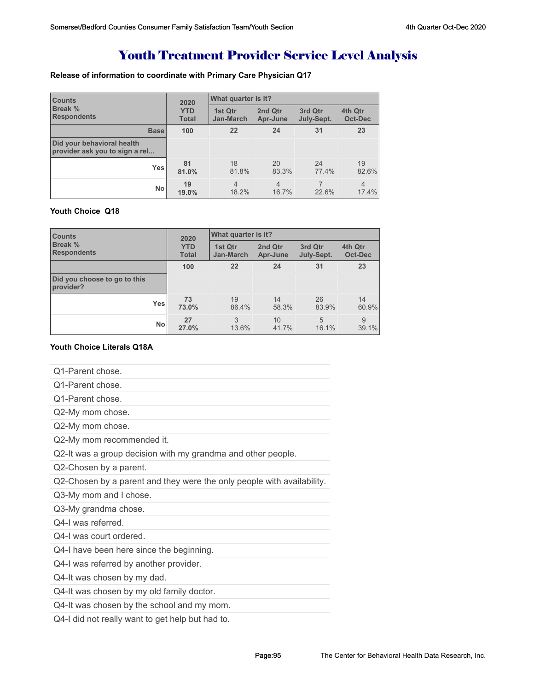# Youth Treatment Provider Service Level Analysis

### **Release of information to coordinate with Primary Care Physician Q17**

| <b>Counts</b><br><b>Break %</b><br><b>Respondents</b>        | What quarter is it?<br>2020 |                             |                     |                       |                         |
|--------------------------------------------------------------|-----------------------------|-----------------------------|---------------------|-----------------------|-------------------------|
|                                                              | <b>YTD</b><br><b>Total</b>  | 1st Qtr<br><b>Jan-March</b> | 2nd Qtr<br>Apr-June | 3rd Qtr<br>July-Sept. | 4th Qtr<br>Oct-Dec      |
| <b>Base</b>                                                  | 100                         | 22                          | 24                  | 31                    | 23                      |
| Did your behavioral health<br>provider ask you to sign a rel |                             |                             |                     |                       |                         |
| <b>Yes</b>                                                   | 81<br>81.0%                 | 18<br>81.8%                 | 20<br>83.3%         | 24<br>77.4%           | 19<br>82.6%             |
| No                                                           | 19<br>19.0%                 | $\overline{4}$<br>18.2%     | 4<br>16.7%          | 22.6%                 | $\overline{4}$<br>17.4% |

### **Youth Choice Q18**

| <b>Counts</b>                             | 2020         | What quarter is it? |          |            |         |  |
|-------------------------------------------|--------------|---------------------|----------|------------|---------|--|
| <b>Break %</b>                            | <b>YTD</b>   | 1st Qtr             | 2nd Qtr  | 3rd Qtr    | 4th Qtr |  |
| <b>Respondents</b>                        | <b>Total</b> | <b>Jan-March</b>    | Apr-June | July-Sept. | Oct-Dec |  |
|                                           | 100          | 22                  | 24       | 31         | 23      |  |
| Did you choose to go to this<br>provider? |              |                     |          |            |         |  |
| <b>Yes</b>                                | 73           | 19                  | 14       | 26         | 14      |  |
|                                           | 73.0%        | 86.4%               | 58.3%    | 83.9%      | 60.9%   |  |
| <b>No</b>                                 | 27           | 3                   | 10       | 5          | 9       |  |
|                                           | 27.0%        | 13.6%               | 41.7%    | 16.1%      | 39.1%   |  |

#### **Youth Choice Literals Q18A**

| <b>Youth Choice Literals Q18A</b>                                      |
|------------------------------------------------------------------------|
| Q1-Parent chose.                                                       |
| Q1-Parent chose.                                                       |
| Q1-Parent chose.                                                       |
| Q2-My mom chose.                                                       |
| Q2-My mom chose.                                                       |
| Q2-My mom recommended it.                                              |
| Q2-It was a group decision with my grandma and other people.           |
| Q2-Chosen by a parent.                                                 |
| Q2-Chosen by a parent and they were the only people with availability. |
| Q3-My mom and I chose.                                                 |
| Q3-My grandma chose.                                                   |
| Q4-I was referred.                                                     |
| Q4-I was court ordered.                                                |
| Q4-I have been here since the beginning.                               |
| Q4-I was referred by another provider.                                 |
| Q4-It was chosen by my dad.                                            |
| Q4-It was chosen by my old family doctor.                              |
| Q4-It was chosen by the school and my mom.                             |
| Q4-I did not really want to get help but had to.                       |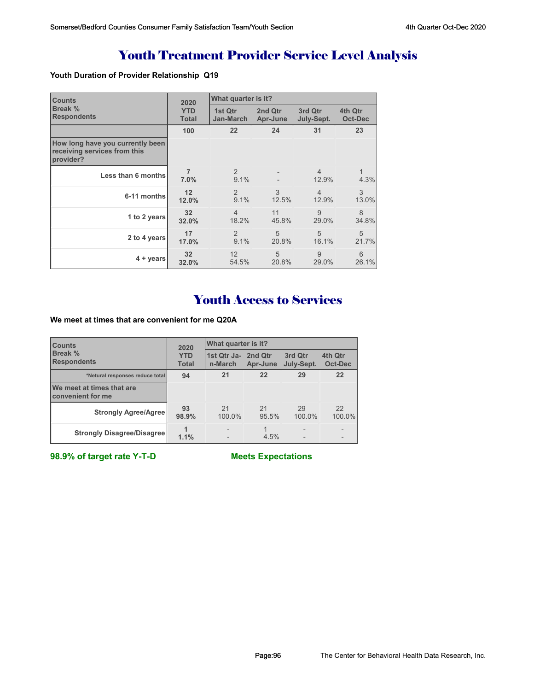# Youth Treatment Provider Service Level Analysis

### **Youth Duration of Provider Relationship Q19**

| <b>Counts</b>                                                                 | 2020                   | What quarter is it? |                |                         |                |
|-------------------------------------------------------------------------------|------------------------|---------------------|----------------|-------------------------|----------------|
| Break %                                                                       | <b>YTD</b>             | 1st Qtr             | 2nd Qtr        | 3rd Qtr                 | 4th Qtr        |
| <b>Respondents</b>                                                            | <b>Total</b>           | Jan-March           | Apr-June       | July-Sept.              | <b>Oct-Dec</b> |
|                                                                               | 100                    | 22                  | 24             | 31                      | 23             |
| How long have you currently been<br>receiving services from this<br>provider? |                        |                     |                |                         |                |
| Less than 6 months                                                            | $\overline{7}$<br>7.0% | 2<br>9.1%           |                | $\overline{4}$<br>12.9% | 1<br>4.3%      |
| 6-11 months                                                                   | 12                     | 2                   | 3              | $\overline{4}$          | 3              |
|                                                                               | 12.0%                  | 9.1%                | 12.5%          | 12.9%                   | 13.0%          |
| 1 to 2 years                                                                  | 32 <sub>2</sub>        | $\overline{4}$      | 11             | 9                       | 8              |
|                                                                               | 32.0%                  | 18.2%               | 45.8%          | 29.0%                   | 34.8%          |
| 2 to 4 years                                                                  | 17                     | 2                   | 5              | 5                       | 5              |
|                                                                               | 17.0%                  | 9.1%                | 20.8%          | 16.1%                   | 21.7%          |
| $4 + \vee$ ears                                                               | 32                     | 12                  | $\overline{5}$ | 9                       | 6              |
|                                                                               | 32.0%                  | 54.5%               | 20.8%          | 29.0%                   | 26.1%          |

## Youth Access to Services

**We meet at times that are convenient for me Q20A**

| <b>Counts</b>                                  | 2020                       | What quarter is it?            |             |                       |                    |  |
|------------------------------------------------|----------------------------|--------------------------------|-------------|-----------------------|--------------------|--|
| Break %<br><b>Respondents</b>                  | <b>YTD</b><br><b>Total</b> | 1st Qtr Ja- 2nd Qtr<br>n-March | Apr-June    | 3rd Qtr<br>July-Sept. | 4th Qtr<br>Oct-Dec |  |
| *Netural responses reduce total                | 94                         | 21                             | 22          | 29                    | 22                 |  |
| We meet at times that are<br>convenient for me |                            |                                |             |                       |                    |  |
| <b>Strongly Agree/Agree</b>                    | 93<br>98.9%                | 21<br>100.0%                   | 21<br>95.5% | 29<br>100.0%          | 22<br>100.0%       |  |
| <b>Strongly Disagree/Disagree</b>              | 1.1%                       |                                | 4.5%        |                       |                    |  |

**98.9% of target rate Y-T-D Meets Expectations**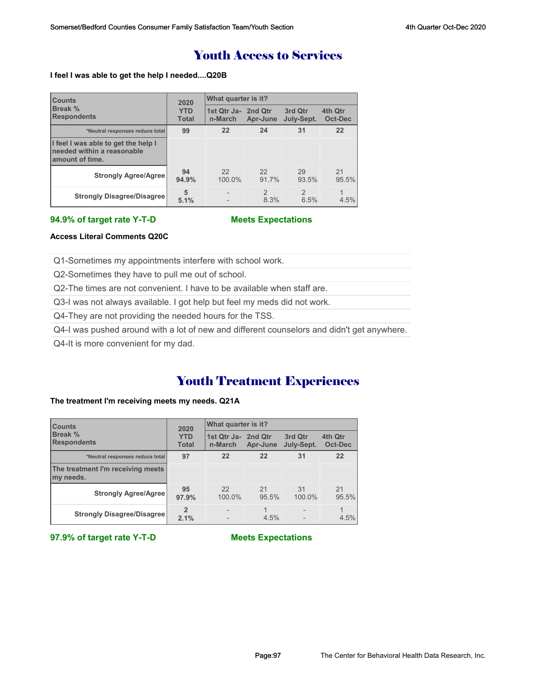## Youth Access to Services

#### **I feel I was able to get the help I needed....Q20B**

| <b>Counts</b>                                                                        | 2020                       | What quarter is it?            |                        |                        |                    |  |
|--------------------------------------------------------------------------------------|----------------------------|--------------------------------|------------------------|------------------------|--------------------|--|
| Break %<br><b>Respondents</b>                                                        | <b>YTD</b><br><b>Total</b> | 1st Qtr Ja- 2nd Qtr<br>n-March | Apr-June               | 3rd Qtr<br>July-Sept.  | 4th Qtr<br>Oct-Dec |  |
| *Neutral responses reduce total                                                      | 99                         | 22                             | 24                     | 31                     | 22                 |  |
| I feel I was able to get the help I<br>needed within a reasonable<br>amount of time. |                            |                                |                        |                        |                    |  |
| <b>Strongly Agree/Agree</b>                                                          | 94<br>94.9%                | 22<br>100.0%                   | 22<br>91.7%            | 29<br>93.5%            | 21<br>95.5%        |  |
| <b>Strongly Disagree/Disagree</b>                                                    | 5<br>5.1%                  |                                | $\overline{2}$<br>8.3% | $\overline{2}$<br>6.5% | 1<br>4.5%          |  |

#### **94.9% of target rate Y-T-D Meets Expectations**

#### **Access Literal Comments Q20C**

Q1-Sometimes my appointments interfere with school work.

Q2-Sometimes they have to pull me out of school.

Q2-The times are not convenient. I have to be available when staff are.

Q3-I was not always available. I got help but feel my meds did not work.

Q4-They are not providing the needed hours for the TSS.

Q4-I was pushed around with a lot of new and different counselors and didn't get anywhere.

Q4-It is more convenient for my dad.

## Youth Treatment Experiences

#### **The treatment I'm receiving meets my needs. Q21A**

| <b>Counts</b>                                  | 2020                       | What quarter is it?            |             |                       |                    |  |
|------------------------------------------------|----------------------------|--------------------------------|-------------|-----------------------|--------------------|--|
| Break %<br><b>Respondents</b>                  | <b>YTD</b><br><b>Total</b> | 1st Qtr Ja- 2nd Qtr<br>n-March | Apr-June    | 3rd Qtr<br>July-Sept. | 4th Qtr<br>Oct-Dec |  |
| *Neutral responses reduce total                | 97                         | 22                             | 22          | 31                    | 22                 |  |
| The treatment I'm receiving meets<br>my needs. |                            |                                |             |                       |                    |  |
| <b>Strongly Agree/Agree</b>                    | 95<br>97.9%                | 22<br>100.0%                   | 21<br>95.5% | 31<br>100.0%          | 21<br>95.5%        |  |
| <b>Strongly Disagree/Disagree</b>              | $\overline{2}$<br>2.1%     |                                | 4.5%        |                       | 4.5%               |  |

**97.9% of target rate Y-T-D Meets Expectations**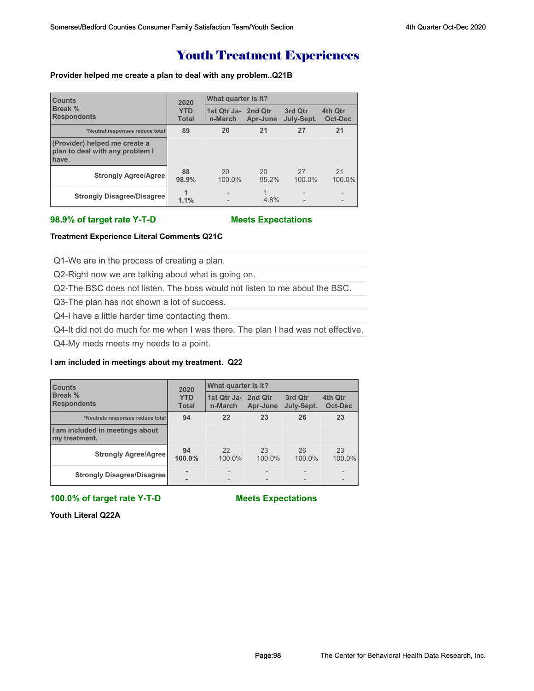## Youth Treatment Experiences

#### **Provider helped me create a plan to deal with any problem..Q21B**

| <b>Counts</b><br>Break %<br><b>Respondents</b>                            | 2020                       | What quarter is it?    |                     |                       |                           |  |
|---------------------------------------------------------------------------|----------------------------|------------------------|---------------------|-----------------------|---------------------------|--|
|                                                                           | <b>YTD</b><br><b>Total</b> | 1st Qtr Ja-<br>n-March | 2nd Qtr<br>Apr-June | 3rd Qtr<br>July-Sept. | 4th Qtr<br><b>Oct-Dec</b> |  |
| *Neutral responses reduce total                                           | 89                         | 20                     | 21                  | 27                    | 21                        |  |
| (Provider) helped me create a<br>plan to deal with any problem I<br>have. |                            |                        |                     |                       |                           |  |
| <b>Strongly Agree/Agree</b>                                               | 88<br>98.9%                | 20<br>100.0%           | 20<br>95.2%         | 27<br>100.0%          | 21<br>100.0%              |  |
| <b>Strongly Disagree/Disagree</b>                                         | 1.1%                       |                        | 4.8%                | $\overline{a}$        | $\overline{\phantom{0}}$  |  |

#### **98.9% of target rate Y-T-D Meets Expectations**

#### **Treatment Experience Literal Comments Q21C**

Q1-We are in the process of creating a plan.

Q2-Right now we are talking about what is going on.

Q2-The BSC does not listen. The boss would not listen to me about the BSC.

Q3-The plan has not shown a lot of success.

Q4-I have a little harder time contacting them.

Q4-It did not do much for me when I was there. The plan I had was not effective.

Q4-My meds meets my needs to a point.

#### **I am included in meetings about my treatment. Q22**

| <b>Counts</b><br>Break %<br><b>Respondents</b>   | 2020                       | What quarter is it?            |                          |                       |                    |  |
|--------------------------------------------------|----------------------------|--------------------------------|--------------------------|-----------------------|--------------------|--|
|                                                  | <b>YTD</b><br><b>Total</b> | 1st Qtr Ja- 2nd Qtr<br>n-March | Apr-June                 | 3rd Qtr<br>July-Sept. | 4th Qtr<br>Oct-Dec |  |
| *Neutrals responses reduce total                 | 94                         | 22                             | 23                       | 26                    | 23                 |  |
| I am included in meetings about<br>my treatment. |                            |                                |                          |                       |                    |  |
| <b>Strongly Agree/Agree</b>                      | 94<br>100.0%               | 22<br>100.0%                   | 23<br>100.0%             | 26<br>100.0%          | 23<br>100.0%       |  |
| <b>Strongly Disagree/Disagree</b>                | $\overline{\phantom{a}}$   | $\overline{\phantom{0}}$       | $\overline{\phantom{0}}$ |                       |                    |  |

**100.0% of target rate Y-T-D Meets Expectations**

**Youth Literal Q22A**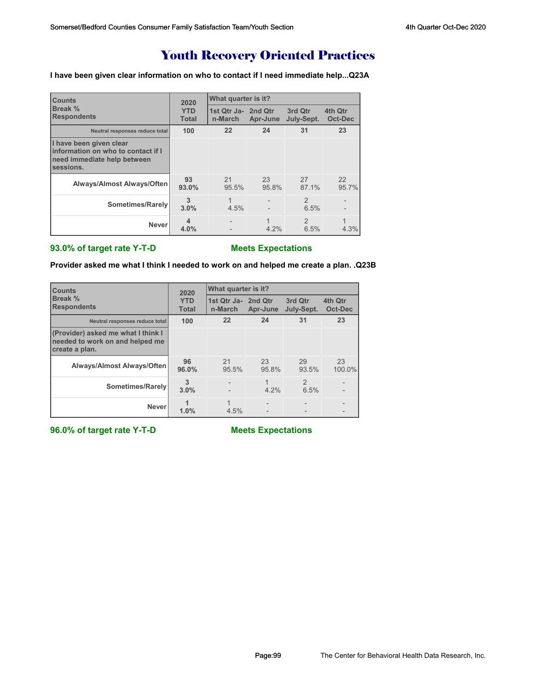## Youth Recovery Oriented Practices

**I have been given clear information on who to contact if I need immediate help...Q23A**

| <b>Counts</b>                                                                                             | 2020                       | What quarter is it?            |             |                        |                    |  |
|-----------------------------------------------------------------------------------------------------------|----------------------------|--------------------------------|-------------|------------------------|--------------------|--|
| Break %<br><b>Respondents</b>                                                                             | <b>YTD</b><br><b>Total</b> | 1st Qtr Ja- 2nd Qtr<br>n-March | Apr-June    | 3rd Qtr<br>July-Sept.  | 4th Qtr<br>Oct-Dec |  |
| Neutral responses reduce total                                                                            | 100                        | 22                             | 24          | 31                     | 23                 |  |
| I have been given clear<br>information on who to contact if I<br>need immediate help between<br>sessions. |                            |                                |             |                        |                    |  |
| Always/Almost Always/Often                                                                                | 93<br>93.0%                | 21<br>95.5%                    | 23<br>95.8% | 27<br>87.1%            | 22<br>95.7%        |  |
| Sometimes/Rarely                                                                                          | 3<br>3.0%                  | 1<br>4.5%                      |             | $\mathfrak{D}$<br>6.5% |                    |  |
| <b>Never</b>                                                                                              | 4<br>4.0%                  |                                | 1<br>4.2%   | $\mathcal{P}$<br>6.5%  | 4.3%               |  |

#### **93.0% of target rate Y-T-D Meets Expectations**

**Provider asked me what I think I needed to work on and helped me create a plan. .Q23B**

| <b>Counts</b>                                                                           | 2020                       | What quarter is it?            |             |                       |                           |  |
|-----------------------------------------------------------------------------------------|----------------------------|--------------------------------|-------------|-----------------------|---------------------------|--|
| Break %<br><b>Respondents</b>                                                           | <b>YTD</b><br><b>Total</b> | 1st Qtr Ja- 2nd Qtr<br>n-March | Apr-June    | 3rd Qtr<br>July-Sept. | 4th Qtr<br><b>Oct-Dec</b> |  |
| Neutral responses reduce total                                                          | 100                        | 22                             | 24          | 31                    | 23                        |  |
| (Provider) asked me what I think I<br>needed to work on and helped me<br>create a plan. |                            |                                |             |                       |                           |  |
| <b>Always/Almost Always/Often</b>                                                       | 96<br>96.0%                | 21<br>95.5%                    | 23<br>95.8% | 29<br>93.5%           | 23<br>100.0%              |  |
| Sometimes/Rarely                                                                        | 3<br>3.0%                  |                                | $4.2\%$     | $\mathcal{P}$<br>6.5% |                           |  |
| <b>Never</b>                                                                            | 1.0%                       | 4.5%                           |             |                       |                           |  |

**96.0% of target rate Y-T-D Meets Expectations**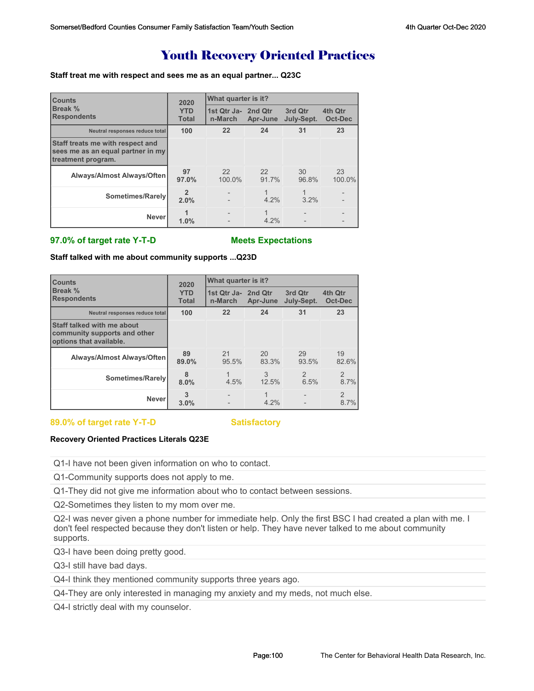## Youth Recovery Oriented Practices

#### **Staff treat me with respect and sees me as an equal partner... Q23C**

| <b>Counts</b>                                                                               | 2020                       | What quarter is it?            |              |                       |                    |
|---------------------------------------------------------------------------------------------|----------------------------|--------------------------------|--------------|-----------------------|--------------------|
| Break %<br><b>Respondents</b>                                                               | <b>YTD</b><br><b>Total</b> | 1st Qtr Ja- 2nd Qtr<br>n-March | Apr-June     | 3rd Qtr<br>July-Sept. | 4th Qtr<br>Oct-Dec |
| Neutral responses reduce total                                                              | 100                        | 22                             | 24           | 31                    | 23                 |
| Staff treats me with respect and<br>sees me as an equal partner in my<br>treatment program. |                            |                                |              |                       |                    |
| Always/Almost Always/Often                                                                  | 97<br>97.0%                | 22<br>100.0%                   | 22<br>91.7%  | 30<br>96.8%           | 23<br>100.0%       |
| Sometimes/Rarely                                                                            | $\overline{2}$<br>2.0%     |                                | 1<br>$4.2\%$ | 1<br>3.2%             |                    |
| <b>Never</b>                                                                                | 1.0%                       |                                | 1<br>4.2%    |                       |                    |

#### **97.0% of target rate Y-T-D Meets Expectations**

**Staff talked with me about community supports ...Q23D**

| <b>Counts</b>                                                                         | 2020                       | What quarter is it?            |             |                       |                        |  |
|---------------------------------------------------------------------------------------|----------------------------|--------------------------------|-------------|-----------------------|------------------------|--|
| Break %<br><b>Respondents</b>                                                         | <b>YTD</b><br><b>Total</b> | 1st Qtr Ja- 2nd Qtr<br>n-March | Apr-June    | 3rd Qtr<br>July-Sept. | 4th Qtr<br>Oct-Dec     |  |
| Neutral responses reduce total                                                        | 100                        | 22                             | 24          | 31                    | 23                     |  |
| Staff talked with me about<br>community supports and other<br>options that available. |                            |                                |             |                       |                        |  |
| <b>Always/Almost Always/Often</b>                                                     | 89<br>89.0%                | 21<br>95.5%                    | 20<br>83.3% | 29<br>93.5%           | 19<br>82.6%            |  |
| Sometimes/Rarely                                                                      | 8<br>8.0%                  | 4.5%                           | 3<br>12.5%  | $\mathcal{P}$<br>6.5% | $\overline{2}$<br>8.7% |  |
| <b>Never</b>                                                                          | 3<br>3.0%                  |                                | 4.2%        |                       | $\overline{2}$<br>8.7% |  |

#### 89.0% of target rate Y-T-D Satisfactory

#### **Recovery Oriented Practices Literals Q23E**

Q1-I have not been given information on who to contact.

Q1-Community supports does not apply to me.

Q1-They did not give me information about who to contact between sessions.

Q2-Sometimes they listen to my mom over me.

Q2-I was never given a phone number for immediate help. Only the first BSC I had created a plan with me. I don't feel respected because they don't listen or help. They have never talked to me about community supports.

Q3-I have been doing pretty good.

Q3-I still have bad days.

Q4-I think they mentioned community supports three years ago.

Q4-They are only interested in managing my anxiety and my meds, not much else.

Q4-I strictly deal with my counselor.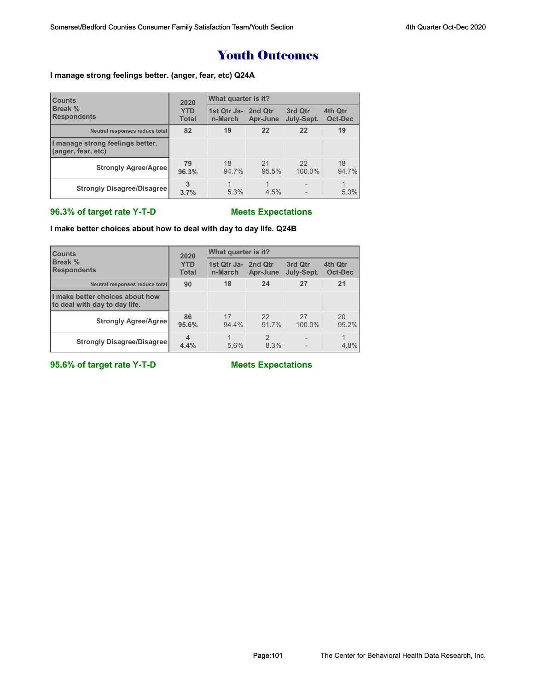## Youth Outcomes

#### **I manage strong feelings better. (anger, fear, etc) Q24A**

| <b>Counts</b><br>Break %<br><b>Respondents</b>         | 2020                       | What quarter is it?            |             |                       |                    |  |
|--------------------------------------------------------|----------------------------|--------------------------------|-------------|-----------------------|--------------------|--|
|                                                        | <b>YTD</b><br><b>Total</b> | 1st Qtr Ja- 2nd Qtr<br>n-March | Apr-June    | 3rd Qtr<br>July-Sept. | 4th Qtr<br>Oct-Dec |  |
| Neutral responses reduce total                         | 82                         | 19                             | 22          | 22                    | 19                 |  |
| I manage strong feelings better.<br>(anger, fear, etc) |                            |                                |             |                       |                    |  |
| <b>Strongly Agree/Agree</b>                            | 79<br>96.3%                | 18<br>94.7%                    | 21<br>95.5% | 22<br>100.0%          | 18<br>94.7%        |  |
| <b>Strongly Disagree/Disagree</b>                      | 3.7%                       | 5.3%                           | 4.5%        |                       | 5.3%               |  |

### **96.3% of target rate Y-T-D Meets Expectations**

**I make better choices about how to deal with day to day life. Q24B**

| <b>Counts</b><br>Break %<br><b>Respondents</b>                   | 2020                       | What quarter is it?            |                        |                       |                    |  |
|------------------------------------------------------------------|----------------------------|--------------------------------|------------------------|-----------------------|--------------------|--|
|                                                                  | <b>YTD</b><br><b>Total</b> | 1st Qtr Ja- 2nd Qtr<br>n-March | Apr-June               | 3rd Qtr<br>July-Sept. | 4th Qtr<br>Oct-Dec |  |
| Neutral responses reduce total                                   | 90                         | 18                             | 24                     | 27                    | 21                 |  |
| I make better choices about how<br>to deal with day to day life. |                            |                                |                        |                       |                    |  |
| <b>Strongly Agree/Agree</b>                                      | 86<br>95.6%                | 17<br>94.4%                    | 22<br>91.7%            | 27<br>100.0%          | 20<br>95.2%        |  |
| <b>Strongly Disagree/Disagree</b>                                | 4<br>4.4%                  | 5.6%                           | $\mathfrak{p}$<br>8.3% |                       | 4.8%               |  |

**95.6% of target rate Y-T-D Meets Expectations**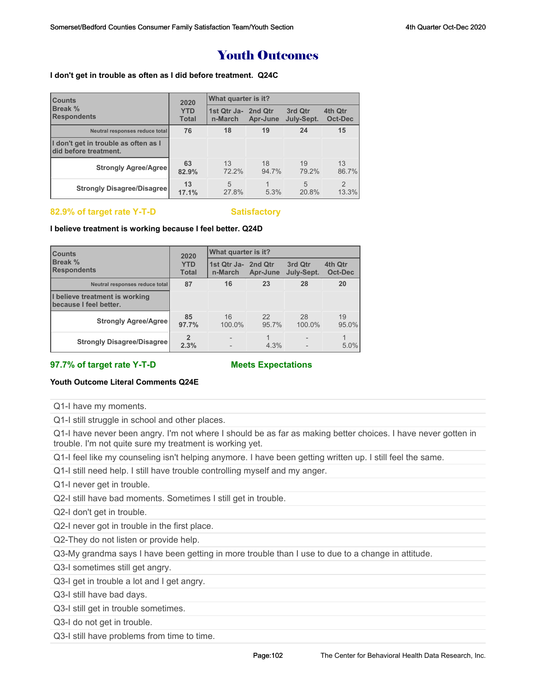## Youth Outcomes

#### **I don't get in trouble as often as I did before treatment. Q24C**

| <b>Counts</b>                                                 | 2020                       | <b>What quarter is it?</b>     |             |                       |                         |  |
|---------------------------------------------------------------|----------------------------|--------------------------------|-------------|-----------------------|-------------------------|--|
| Break %<br><b>Respondents</b>                                 | <b>YTD</b><br><b>Total</b> | 1st Qtr Ja- 2nd Qtr<br>n-March | Apr-June    | 3rd Qtr<br>July-Sept. | 4th Qtr<br>Oct-Dec      |  |
| Neutral responses reduce total                                | 76                         | 18                             | 19          | 24                    | 15                      |  |
| I don't get in trouble as often as I<br>did before treatment. |                            |                                |             |                       |                         |  |
| <b>Strongly Agree/Agree</b>                                   | 63<br>82.9%                | 13<br>72.2%                    | 18<br>94.7% | 19<br>79.2%           | 13<br>86.7%             |  |
| <b>Strongly Disagree/Disagree</b>                             | 13<br>17.1%                | 5<br>27.8%                     | 5.3%        | 5<br>20.8%            | $\overline{2}$<br>13.3% |  |

#### 82.9% of target rate Y-T-D Satisfactory

**I believe treatment is working because I feel better. Q24D**

| <b>Counts</b>                                            | 2020                       | What quarter is it?            |             |                       |                    |  |  |
|----------------------------------------------------------|----------------------------|--------------------------------|-------------|-----------------------|--------------------|--|--|
| Break %<br><b>Respondents</b>                            | <b>YTD</b><br><b>Total</b> | 1st Qtr Ja- 2nd Qtr<br>n-March | Apr-June    | 3rd Qtr<br>July-Sept. | 4th Qtr<br>Oct-Dec |  |  |
| Neutral responses reduce total                           | 87                         | 16                             | 23          | 28                    | 20                 |  |  |
| I believe treatment is working<br>because I feel better. |                            |                                |             |                       |                    |  |  |
| <b>Strongly Agree/Agree</b>                              | 85<br>97.7%                | 16<br>100.0%                   | 22<br>95.7% | 28<br>100.0%          | 19<br>95.0%        |  |  |
| <b>Strongly Disagree/Disagree</b>                        | $\overline{2}$<br>2.3%     |                                | 1<br>4.3%   |                       | 5.0%               |  |  |

**97.7% of target rate Y-T-D Meets Expectations**

#### **Youth Outcome Literal Comments Q24E**

Q1-I have my moments.

Q1-I still struggle in school and other places.

Q1-I have never been angry. I'm not where I should be as far as making better choices. I have never gotten in trouble. I'm not quite sure my treatment is working yet.

Q1-I feel like my counseling isn't helping anymore. I have been getting written up. I still feel the same.

Q1-I still need help. I still have trouble controlling myself and my anger.

Q1-I never get in trouble.

Q2-I still have bad moments. Sometimes I still get in trouble.

Q2-I don't get in trouble.

Q2-I never got in trouble in the first place.

Q2-They do not listen or provide help.

Q3-My grandma says I have been getting in more trouble than I use to due to a change in attitude.

Q3-I sometimes still get angry.

Q3-I get in trouble a lot and I get angry.

Q3-I still have bad days.

Q3-I still get in trouble sometimes.

Q3-I do not get in trouble.

Q3-I still have problems from time to time.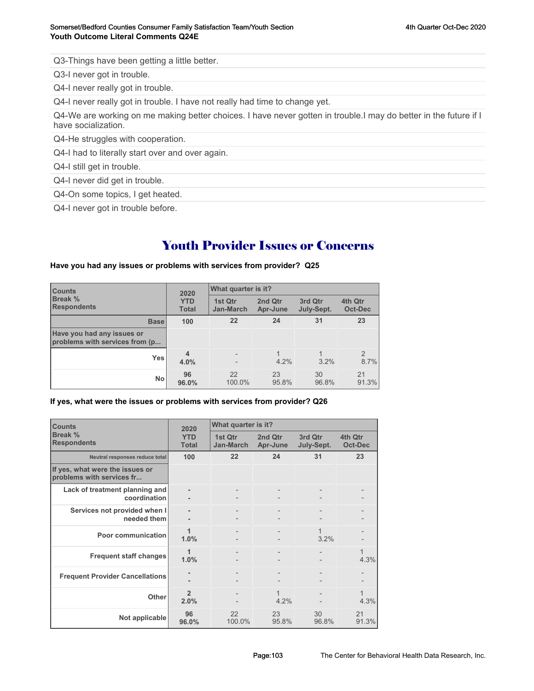Q3-Things have been getting a little better.

Q3-I never got in trouble.

Q4-I never really got in trouble.

Q4-I never really got in trouble. I have not really had time to change yet.

Q4-We are working on me making better choices. I have never gotten in trouble.I may do better in the future if I have socialization.

Q4-He struggles with cooperation.

Q4-I had to literally start over and over again.

Q4-I still get in trouble.

Q4-I never did get in trouble.

Q4-On some topics, I get heated.

Q4-I never got in trouble before.

## Youth Provider Issues or Concerns

#### **Have you had any issues or problems with services from provider? Q25**

| <b>Counts</b><br><b>Break %</b><br><b>Respondents</b>        | 2020<br><b>YTD</b><br><b>Total</b> | What quarter is it?         |                     |                       |                        |  |
|--------------------------------------------------------------|------------------------------------|-----------------------------|---------------------|-----------------------|------------------------|--|
|                                                              |                                    | 1st Qtr<br><b>Jan-March</b> | 2nd Qtr<br>Apr-June | 3rd Qtr<br>July-Sept. | 4th Qtr<br>Oct-Dec     |  |
| <b>Base</b>                                                  | 100                                | 22                          | 24                  | 31                    | 23                     |  |
| Have you had any issues or<br>problems with services from (p |                                    |                             |                     |                       |                        |  |
| <b>Yes</b>                                                   | $\overline{\mathbf{4}}$<br>4.0%    |                             | $4.2\%$             | 3.2%                  | $\overline{2}$<br>8.7% |  |
| <b>No</b>                                                    | 96<br>96.0%                        | 22<br>100.0%                | 23<br>95.8%         | 30<br>96.8%           | 21<br>91.3%            |  |

**If yes, what were the issues or problems with services from provider? Q26**

| <b>Counts</b>                                                | 2020                       | What quarter is it?  |                     |                       |                           |
|--------------------------------------------------------------|----------------------------|----------------------|---------------------|-----------------------|---------------------------|
| Break %<br><b>Respondents</b>                                | <b>YTD</b><br><b>Total</b> | 1st Qtr<br>Jan-March | 2nd Qtr<br>Apr-June | 3rd Qtr<br>July-Sept. | 4th Qtr<br><b>Oct-Dec</b> |
| Neutral responses reduce total                               | 100                        | $22 \overline{ }$    | 24                  | 31                    | 23                        |
| If yes, what were the issues or<br>problems with services fr |                            |                      |                     |                       |                           |
| Lack of treatment planning and<br>coordination               |                            |                      |                     |                       |                           |
| Services not provided when I<br>needed them                  |                            |                      |                     |                       |                           |
| Poor communication                                           | 1.0%                       |                      |                     | 1<br>3.2%             |                           |
| <b>Frequent staff changes</b>                                | 1<br>1.0%                  |                      |                     |                       | $\mathbf{1}$<br>4.3%      |
| <b>Frequent Provider Cancellations</b>                       |                            |                      |                     |                       |                           |
| Other                                                        | $\overline{2}$<br>2.0%     |                      | 1<br>4.2%           |                       | 1<br>4.3%                 |
| Not applicable                                               | 96<br>96.0%                | 22<br>100.0%         | 23<br>95.8%         | 30<br>96.8%           | 21<br>91.3%               |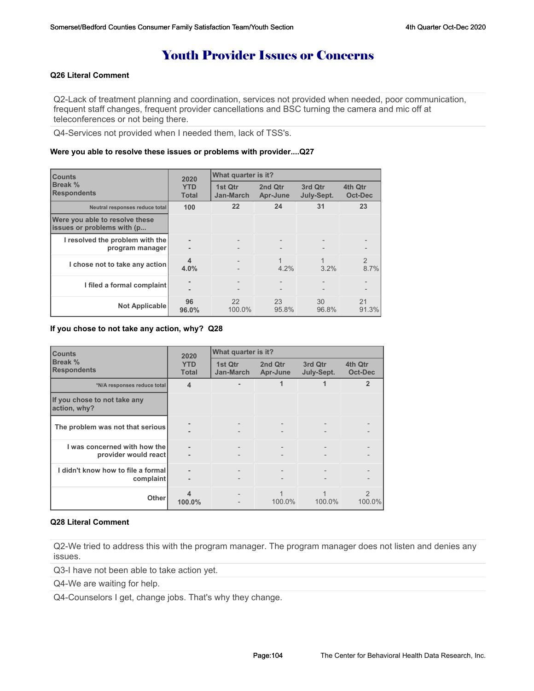## Youth Provider Issues or Concerns

#### **Q26 Literal Comment**

Q2-Lack of treatment planning and coordination, services not provided when needed, poor communication, frequent staff changes, frequent provider cancellations and BSC turning the camera and mic off at teleconferences or not being there.

Q4-Services not provided when I needed them, lack of TSS's.

#### **Were you able to resolve these issues or problems with provider....Q27**

| <b>Counts</b>                                                | 2020                       | What quarter is it?                           |                     |                       |                           |  |
|--------------------------------------------------------------|----------------------------|-----------------------------------------------|---------------------|-----------------------|---------------------------|--|
| Break %<br><b>Respondents</b>                                | <b>YTD</b><br><b>Total</b> | 1st Qtr<br>Jan-March                          | 2nd Otr<br>Apr-June | 3rd Qtr<br>July-Sept. | 4th Qtr<br><b>Oct-Dec</b> |  |
| Neutral responses reduce total                               | 100                        | 22                                            | 24                  | 31                    | 23                        |  |
| Were you able to resolve these<br>issues or problems with (p |                            |                                               |                     |                       |                           |  |
| I resolved the problem with the<br>program manager           |                            | $\qquad \qquad -$                             |                     |                       |                           |  |
| I chose not to take any action                               | $\boldsymbol{4}$<br>4.0%   |                                               | 4.2%                | 3.2%                  | $\overline{2}$<br>8.7%    |  |
| I filed a formal complaint                                   |                            | $\qquad \qquad -$<br>$\overline{\phantom{0}}$ |                     |                       |                           |  |
| <b>Not Applicable</b>                                        | 96<br>96.0%                | 22<br>100.0%                                  | 23<br>95.8%         | 30<br>96.8%           | 21<br>91.3%               |  |

**If you chose to not take any action, why? Q28**

| <b>Counts</b>                                        | 2020                       | What quarter is it?      |                     |                          |                         |
|------------------------------------------------------|----------------------------|--------------------------|---------------------|--------------------------|-------------------------|
| Break %<br><b>Respondents</b>                        | <b>YTD</b><br><b>Total</b> | 1st Qtr<br>Jan-March     | 2nd Qtr<br>Apr-June | 3rd Qtr<br>July-Sept.    | 4th Qtr<br>Oct-Dec      |
| *N/A responses reduce total                          | $\overline{4}$             |                          | 1                   |                          | $\overline{2}$          |
| If you chose to not take any<br>action, why?         |                            |                          |                     |                          |                         |
| The problem was not that serious                     |                            |                          |                     |                          |                         |
| I was concerned with how the<br>provider would react | $\overline{\phantom{a}}$   | $\overline{\phantom{0}}$ |                     | $\overline{\phantom{a}}$ |                         |
| I didn't know how to file a formal<br>complaint      |                            |                          |                     |                          |                         |
| <b>Other</b>                                         | 4<br>100.0%                |                          | 100.0%              | 100.0%                   | $\mathcal{P}$<br>100.0% |

#### **Q28 Literal Comment**

Q2-We tried to address this with the program manager. The program manager does not listen and denies any issues.

Q3-I have not been able to take action yet.

Q4-We are waiting for help.

Q4-Counselors I get, change jobs. That's why they change.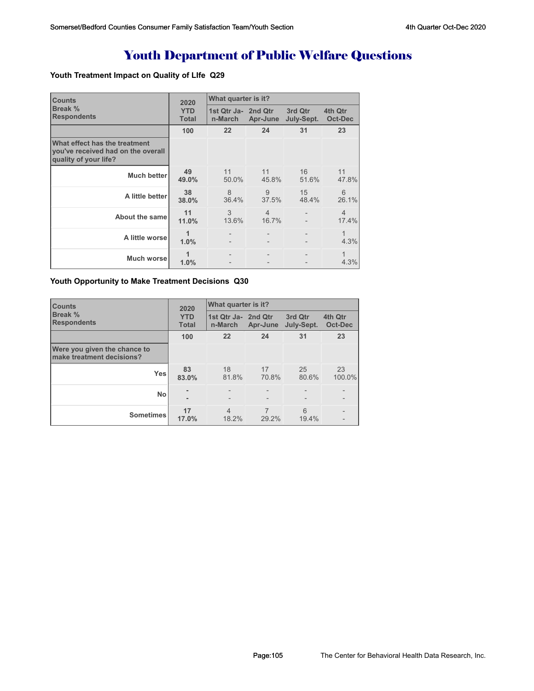# Youth Department of Public Welfare Questions

### **Youth Treatment Impact on Quality of LIfe Q29**

| <b>Counts</b>                                                                                | 2020                       | What quarter is it?            |                         |                       |                         |  |
|----------------------------------------------------------------------------------------------|----------------------------|--------------------------------|-------------------------|-----------------------|-------------------------|--|
| Break %<br><b>Respondents</b>                                                                | <b>YTD</b><br><b>Total</b> | 1st Qtr Ja- 2nd Qtr<br>n-March | Apr-June                | 3rd Qtr<br>July-Sept. | 4th Qtr<br>Oct-Dec      |  |
|                                                                                              | 100                        | 22                             | 24                      | 31                    | 23                      |  |
| What effect has the treatment<br>vou've received had on the overall<br>quality of your life? |                            |                                |                         |                       |                         |  |
| Much better                                                                                  | 49<br>49.0%                | 11<br>50.0%                    | 11<br>45.8%             | 16<br>51.6%           | 11<br>47.8%             |  |
| A little better                                                                              | 38<br>38.0%                | $\mathcal{B}$<br>36.4%         | 9<br>37.5%              | 15<br>48.4%           | 6<br>26.1%              |  |
| <b>About the same</b>                                                                        | 11<br>11.0%                | 3<br>13.6%                     | $\overline{4}$<br>16.7% |                       | $\overline{4}$<br>17.4% |  |
| A little worse                                                                               | 1<br>1.0%                  |                                |                         |                       | $\mathbf 1$<br>4.3%     |  |
| Much worsel                                                                                  | 1.0%                       |                                |                         |                       | 1<br>4.3%               |  |

#### **Youth Opportunity to Make Treatment Decisions Q30**

| <b>Counts</b>                                             | 2020                       | What quarter is it?            |                          |                          |                                               |  |  |
|-----------------------------------------------------------|----------------------------|--------------------------------|--------------------------|--------------------------|-----------------------------------------------|--|--|
| <b>Break %</b><br><b>Respondents</b>                      | <b>YTD</b><br><b>Total</b> | 1st Qtr Ja- 2nd Qtr<br>n-March | Apr-June                 | 3rd Qtr<br>July-Sept.    | 4th Qtr<br>Oct-Dec                            |  |  |
|                                                           | 100                        | 22                             | 24                       | 31                       | 23                                            |  |  |
| Were you given the chance to<br>make treatment decisions? |                            |                                |                          |                          |                                               |  |  |
| <b>Yes</b>                                                | 83<br>83.0%                | 18<br>81.8%                    | 17<br>70.8%              | 25<br>80.6%              | 23<br>100.0%                                  |  |  |
| <b>No</b>                                                 |                            | $\qquad \qquad -$              | $\overline{\phantom{0}}$ | $\overline{\phantom{a}}$ | $\overline{\phantom{0}}$<br>$\qquad \qquad -$ |  |  |
| <b>Sometimes</b>                                          | 17<br>17.0%                | $\overline{4}$<br>18.2%        | 7<br>29.2%               | 6<br>19.4%               | $\qquad \qquad -$<br>$\qquad \qquad -$        |  |  |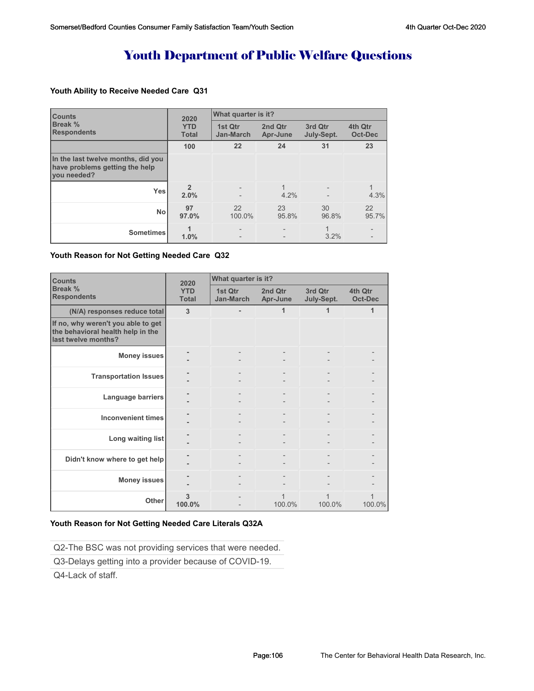# Youth Department of Public Welfare Questions

#### **Youth Ability to Receive Needed Care Q31**

| <b>Counts</b><br>Break %<br><b>Respondents</b>                                      | 2020                       | What quarter is it?         |                     |                       |                           |
|-------------------------------------------------------------------------------------|----------------------------|-----------------------------|---------------------|-----------------------|---------------------------|
|                                                                                     | <b>YTD</b><br><b>Total</b> | 1st Qtr<br><b>Jan-March</b> | 2nd Qtr<br>Apr-June | 3rd Qtr<br>July-Sept. | 4th Qtr<br><b>Oct-Dec</b> |
|                                                                                     | 100                        | 22                          | 24                  | 31                    | 23                        |
| In the last twelve months, did you<br>have problems getting the help<br>vou needed? |                            |                             |                     |                       |                           |
| <b>Yes</b>                                                                          | $\mathfrak{p}$<br>2.0%     |                             | 4.2%                |                       | 4.3%                      |
| <b>No</b>                                                                           | 97<br>97.0%                | 22<br>100.0%                | 23<br>95.8%         | 30<br>96.8%           | 22<br>95.7%               |
| <b>Sometimes</b>                                                                    | 1.0%                       | $\overline{\phantom{a}}$    |                     | 1<br>3.2%             |                           |

#### **Youth Reason for Not Getting Needed Care Q32**

| <b>Counts</b>                                                                                  | 2020                       | What quarter is it?  |                     |                       |                    |  |
|------------------------------------------------------------------------------------------------|----------------------------|----------------------|---------------------|-----------------------|--------------------|--|
| Break %<br><b>Respondents</b>                                                                  | <b>YTD</b><br><b>Total</b> | 1st Qtr<br>Jan-March | 2nd Qtr<br>Apr-June | 3rd Qtr<br>July-Sept. | 4th Qtr<br>Oct-Dec |  |
| (N/A) responses reduce total                                                                   | 3                          |                      | 1                   | 1                     | 1                  |  |
| If no, why weren't you able to get<br>the behavioral health help in the<br>last twelve months? |                            |                      |                     |                       |                    |  |
| <b>Money issues</b>                                                                            |                            |                      |                     |                       |                    |  |
| <b>Transportation Issues</b>                                                                   |                            |                      |                     |                       |                    |  |
| Language barriers                                                                              |                            |                      |                     |                       |                    |  |
| <b>Inconvenient times</b>                                                                      |                            |                      |                     |                       |                    |  |
| Long waiting list                                                                              |                            |                      |                     |                       |                    |  |
| Didn't know where to get help                                                                  |                            |                      |                     |                       |                    |  |
| <b>Money issues</b>                                                                            |                            |                      |                     |                       |                    |  |
| Other                                                                                          | 3<br>100.0%                |                      | 1<br>100.0%         | 100.0%                | 100.0%             |  |

#### **Youth Reason for Not Getting Needed Care Literals Q32A**

Q2-The BSC was not providing services that were needed.

Q3-Delays getting into a provider because of COVID-19.

Q4-Lack of staff.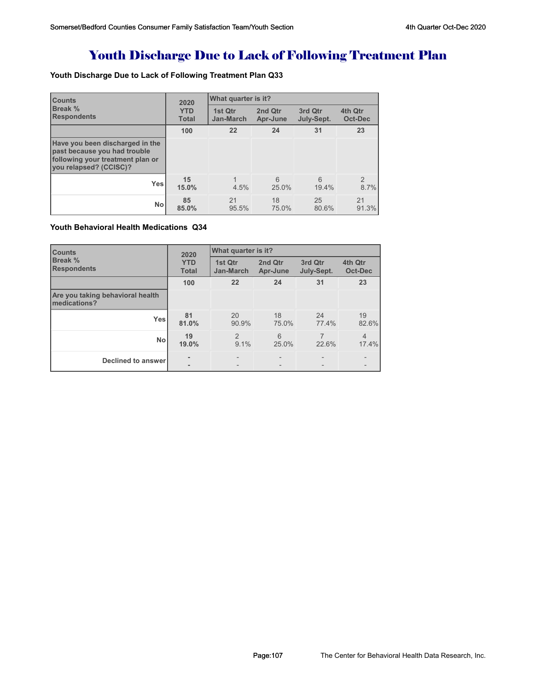# Youth Discharge Due to Lack of Following Treatment Plan

### **Youth Discharge Due to Lack of Following Treatment Plan Q33**

| <b>Counts</b><br><b>Break %</b><br><b>Respondents</b>                                                                         | 2020                       | What quarter is it?         |                     |                       |                           |
|-------------------------------------------------------------------------------------------------------------------------------|----------------------------|-----------------------------|---------------------|-----------------------|---------------------------|
|                                                                                                                               | <b>YTD</b><br><b>Total</b> | 1st Qtr<br><b>Jan-March</b> | 2nd Qtr<br>Apr-June | 3rd Qtr<br>July-Sept. | 4th Qtr<br><b>Oct-Dec</b> |
|                                                                                                                               | 100                        | 22                          | 24                  | 31                    | 23                        |
| Have you been discharged in the<br>past because you had trouble<br>following your treatment plan or<br>you relapsed? (CCISC)? |                            |                             |                     |                       |                           |
| <b>Yes</b>                                                                                                                    | 15<br>15.0%                | 4.5%                        | 6<br>25.0%          | 6<br>19.4%            | $\overline{2}$<br>8.7%    |
| <b>No</b>                                                                                                                     | 85<br>85.0%                | 21<br>95.5%                 | 18<br>75.0%         | 25<br>80.6%           | 21<br>91.3%               |

#### **Youth Behavioral Health Medications Q34**

| <b>Counts</b>                                               | 2020                        | What quarter is it? |                       |                           |                         |  |
|-------------------------------------------------------------|-----------------------------|---------------------|-----------------------|---------------------------|-------------------------|--|
| Break %<br><b>YTD</b><br><b>Respondents</b><br><b>Total</b> | 1st Qtr<br><b>Jan-March</b> | 2nd Qtr<br>Apr-June | 3rd Qtr<br>July-Sept. | 4th Qtr<br><b>Oct-Dec</b> |                         |  |
|                                                             | 100                         | 22                  | 24                    | 31                        | 23                      |  |
| Are you taking behavioral health<br>medications?            |                             |                     |                       |                           |                         |  |
| <b>Yes</b>                                                  | 81<br>81.0%                 | 20<br>90.9%         | 18<br>75.0%           | 24<br>77.4%               | 19<br>82.6%             |  |
| <b>No</b>                                                   | 19<br>19.0%                 | 2<br>9.1%           | 6<br>25.0%            | 7<br>22.6%                | $\overline{4}$<br>17.4% |  |
| Declined to answer                                          | ۰                           |                     |                       |                           |                         |  |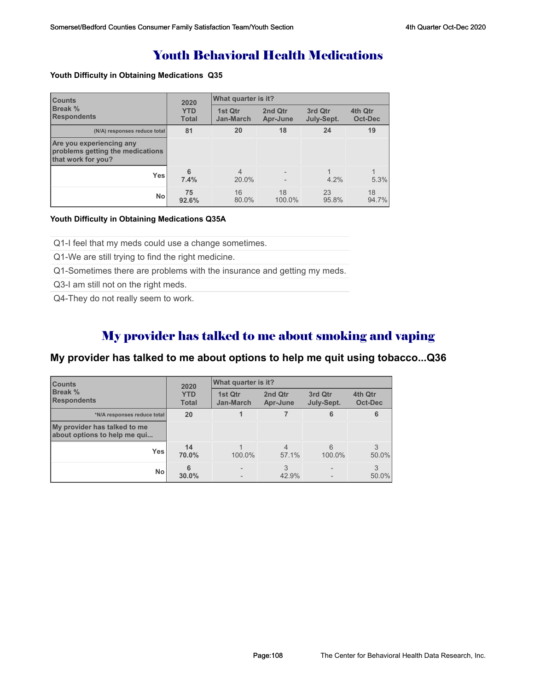## Youth Behavioral Health Medications

#### **Youth Difficulty in Obtaining Medications Q35**

| <b>Counts</b>                                                                      | 2020                       | What quarter is it?         |                     |                       |                    |  |
|------------------------------------------------------------------------------------|----------------------------|-----------------------------|---------------------|-----------------------|--------------------|--|
| <b>Break %</b><br><b>Respondents</b>                                               | <b>YTD</b><br><b>Total</b> | 1st Qtr<br><b>Jan-March</b> | 2nd Qtr<br>Apr-June | 3rd Qtr<br>July-Sept. | 4th Qtr<br>Oct-Dec |  |
| (N/A) responses reduce total                                                       | 81                         | 20                          | 18                  | 24                    | 19                 |  |
| Are you experiencing any<br>problems getting the medications<br>that work for you? |                            |                             |                     |                       |                    |  |
| <b>Yes</b>                                                                         | 6<br>7.4%                  | $\overline{4}$<br>20.0%     |                     | 4.2%                  | 5.3%               |  |
| <b>No</b>                                                                          | 75<br>92.6%                | 16<br>80.0%                 | 18<br>100.0%        | 23<br>95.8%           | 18<br>94.7%        |  |

#### **Youth Difficulty in Obtaining Medications Q35A**

Q1-I feel that my meds could use a change sometimes.

Q1-We are still trying to find the right medicine.

Q1-Sometimes there are problems with the insurance and getting my meds.

Q3-I am still not on the right meds.

Q4-They do not really seem to work.

## My provider has talked to me about smoking and vaping

### **My provider has talked to me about options to help me quit using tobacco...Q36**

| <b>Counts</b><br>Break %<br><b>Respondents</b>               | 2020<br><b>YTD</b><br><b>Total</b> | What quarter is it?         |                         |                       |                    |
|--------------------------------------------------------------|------------------------------------|-----------------------------|-------------------------|-----------------------|--------------------|
|                                                              |                                    | 1st Qtr<br><b>Jan-March</b> | 2nd Qtr<br>Apr-June     | 3rd Qtr<br>July-Sept. | 4th Qtr<br>Oct-Dec |
| *N/A responses reduce total                                  | 20                                 |                             |                         | 6                     | 6                  |
| My provider has talked to me<br>about options to help me qui |                                    |                             |                         |                       |                    |
| Yes                                                          | 14<br>70.0%                        | 100.0%                      | $\overline{4}$<br>57.1% | 6<br>100.0%           | $50.0\%$           |
| <b>No</b>                                                    | 6<br>30.0%                         |                             | 3<br>42.9%              |                       | 3<br>$50.0\%$      |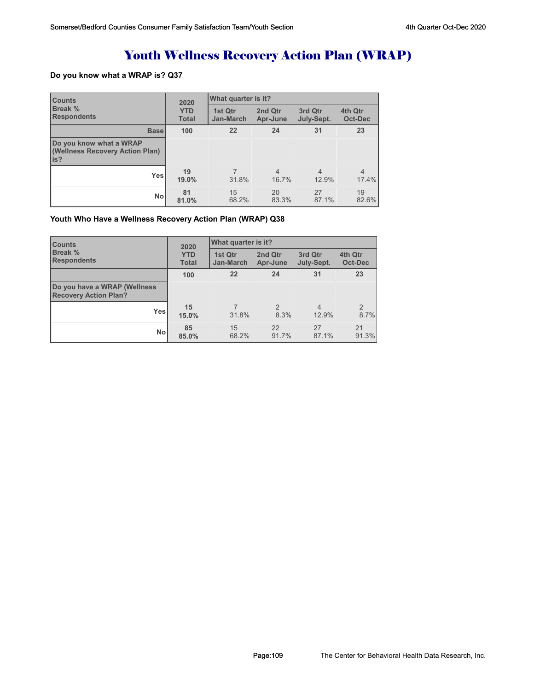# Youth Wellness Recovery Action Plan (WRAP)

# **Do you know what a WRAP is? Q37**

| <b>Counts</b>                                                      | 2020<br><b>YTD</b><br><b>Total</b> | What quarter is it?         |                     |                         |                         |  |
|--------------------------------------------------------------------|------------------------------------|-----------------------------|---------------------|-------------------------|-------------------------|--|
| Break %<br><b>Respondents</b>                                      |                                    | 1st Qtr<br><b>Jan-March</b> | 2nd Qtr<br>Apr-June | 3rd Qtr<br>July-Sept.   | 4th Qtr<br>Oct-Dec      |  |
| <b>Base</b>                                                        | 100                                | 22                          | 24                  | 31                      | 23                      |  |
| Do you know what a WRAP<br>(Wellness Recovery Action Plan)<br>lis? |                                    |                             |                     |                         |                         |  |
| <b>Yes</b>                                                         | 19<br>19.0%                        | 31.8%                       | 4<br>16.7%          | $\overline{4}$<br>12.9% | $\overline{4}$<br>17.4% |  |
| <b>No</b>                                                          | 81<br>81.0%                        | 15<br>68.2%                 | 20<br>83.3%         | 27<br>87.1%             | 19<br>82.6%             |  |

#### **Youth Who Have a Wellness Recovery Action Plan (WRAP) Q38**

| <b>Counts</b>                                                | 2020<br><b>YTD</b><br><b>Total</b> | What quarter is it?  |                        |                         |                           |  |
|--------------------------------------------------------------|------------------------------------|----------------------|------------------------|-------------------------|---------------------------|--|
| <b>Break %</b><br><b>Respondents</b>                         |                                    | 1st Qtr<br>Jan-March | 2nd Qtr<br>Apr-June    | 3rd Qtr<br>July-Sept.   | 4th Qtr<br>Oct-Dec        |  |
|                                                              | 100                                | 22                   | 24                     | 31                      | 23                        |  |
| Do you have a WRAP (Wellness<br><b>Recovery Action Plan?</b> |                                    |                      |                        |                         |                           |  |
| Yesl                                                         | 15<br>15.0%                        | 31.8%                | $\mathfrak{D}$<br>8.3% | $\overline{4}$<br>12.9% | $\overline{2}$<br>$8.7\%$ |  |
| Nol                                                          | 85<br>85.0%                        | 15<br>68.2%          | 22<br>91.7%            | 27<br>87.1%             | 21<br>91.3%               |  |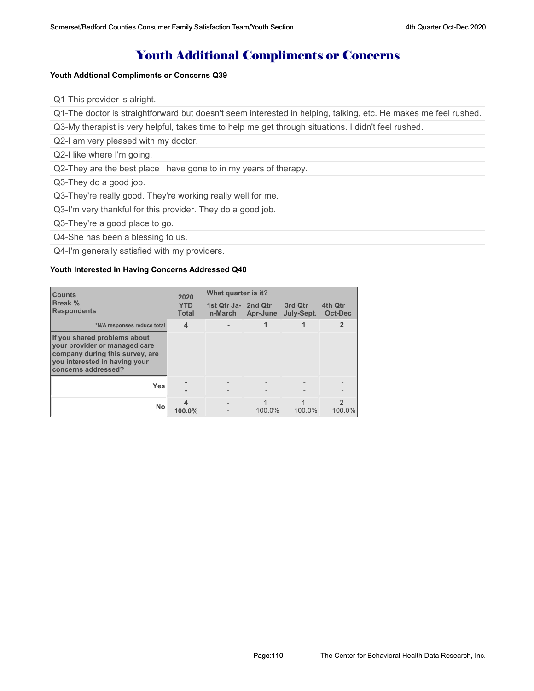# Youth Additional Compliments or Concerns

#### **Youth Addtional Compliments or Concerns Q39**

Q1-This provider is alright.

Q1-The doctor is straightforward but doesn't seem interested in helping, talking, etc. He makes me feel rushed.

Q3-My therapist is very helpful, takes time to help me get through situations. I didn't feel rushed.

Q2-I am very pleased with my doctor.

Q2-I like where I'm going.

Q2-They are the best place I have gone to in my years of therapy.

Q3-They do a good job.

Q3-They're really good. They're working really well for me.

Q3-I'm very thankful for this provider. They do a good job.

Q3-They're a good place to go.

Q4-She has been a blessing to us.

Q4-I'm generally satisfied with my providers.

#### **Youth Interested in Having Concerns Addressed Q40**

| <b>Counts</b>                                                                                                                                            | 2020<br><b>YTD</b><br><b>Total</b> | What quarter is it?            |          |                       |                    |  |
|----------------------------------------------------------------------------------------------------------------------------------------------------------|------------------------------------|--------------------------------|----------|-----------------------|--------------------|--|
| Break %<br><b>Respondents</b>                                                                                                                            |                                    | 1st Qtr Ja- 2nd Qtr<br>n-March | Apr-June | 3rd Qtr<br>July-Sept. | 4th Qtr<br>Oct-Dec |  |
| *N/A responses reduce total                                                                                                                              | $\boldsymbol{4}$                   |                                |          |                       | $\mathbf{2}$       |  |
| If you shared problems about<br>your provider or managed care<br>company during this survey, are<br>you interested in having your<br>concerns addressed? |                                    |                                |          |                       |                    |  |
| <b>Yes</b>                                                                                                                                               |                                    |                                |          |                       |                    |  |
| No                                                                                                                                                       | 100.0%                             |                                | 100.0%   | 100.0%                | 2<br>100.0%        |  |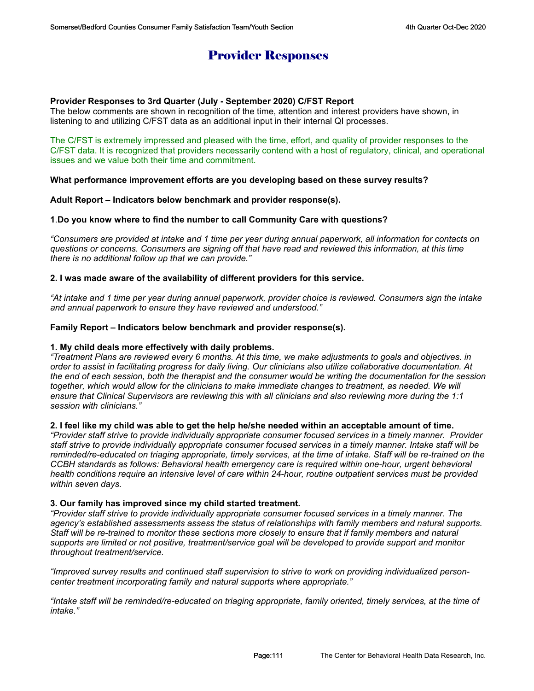# Provider Responses

### **Provider Responses to 3rd Quarter (July - September 2020) C/FST Report**

The below comments are shown in recognition of the time, attention and interest providers have shown, in listening to and utilizing C/FST data as an additional input in their internal QI processes.

The C/FST is extremely impressed and pleased with the time, effort, and quality of provider responses to the C/FST data. It is recognized that providers necessarily contend with a host of regulatory, clinical, and operational issues and we value both their time and commitment.

#### **What performance improvement efforts are you developing based on these survey results?**

#### **Adult Report – Indicators below benchmark and provider response(s).**

#### **1**.**Do you know where to find the number to call Community Care with questions?**

*"Consumers are provided at intake and 1 time per year during annual paperwork, all information for contacts on questions or concerns. Consumers are signing off that have read and reviewed this information, at this time there is no additional follow up that we can provide."*

#### **2. I was made aware of the availability of different providers for this service.**

*"At intake and 1 time per year during annual paperwork, provider choice is reviewed. Consumers sign the intake and annual paperwork to ensure they have reviewed and understood."*

#### **Family Report – Indicators below benchmark and provider response(s).**

#### **1. My child deals more effectively with daily problems.**

*"Treatment Plans are reviewed every 6 months. At this time, we make adjustments to goals and objectives. in order to assist in facilitating progress for daily living. Our clinicians also utilize collaborative documentation. At the end of each session, both the therapist and the consumer would be writing the documentation for the session together, which would allow for the clinicians to make immediate changes to treatment, as needed. We will ensure that Clinical Supervisors are reviewing this with all clinicians and also reviewing more during the 1:1 session with clinicians."*

#### **2. I feel like my child was able to get the help he/she needed within an acceptable amount of time.**

*"Provider staff strive to provide individually appropriate consumer focused services in a timely manner. Provider staff strive to provide individually appropriate consumer focused services in a timely manner. Intake staff will be reminded/re-educated on triaging appropriate, timely services, at the time of intake. Staff will be re-trained on the CCBH standards as follows: Behavioral health emergency care is required within one-hour, urgent behavioral health conditions require an intensive level of care within 24-hour, routine outpatient services must be provided within seven days.*

#### **3. Our family has improved since my child started treatment.**

*"Provider staff strive to provide individually appropriate consumer focused services in a timely manner. The agency's established assessments assess the status of relationships with family members and natural supports. Staff will be re-trained to monitor these sections more closely to ensure that if family members and natural supports are limited or not positive, treatment/service goal will be developed to provide support and monitor throughout treatment/service.*

*"Improved survey results and continued staff supervision to strive to work on providing individualized personcenter treatment incorporating family and natural supports where appropriate."*

*"Intake staff will be reminded/re-educated on triaging appropriate, family oriented, timely services, at the time of intake."*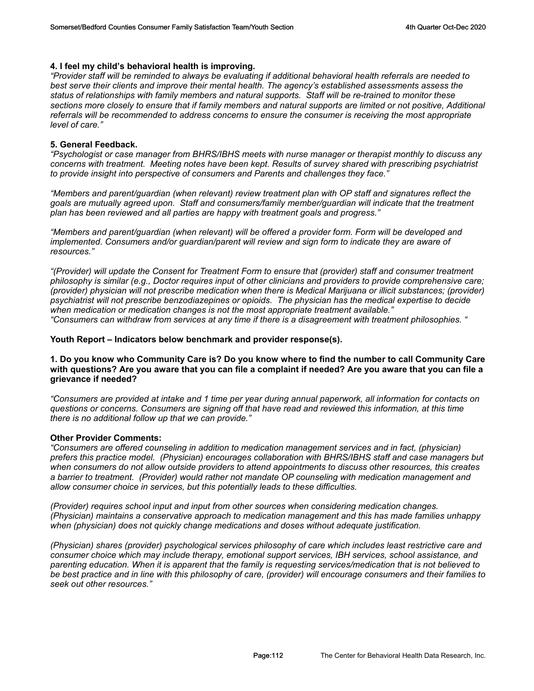# **4. I feel my child's behavioral health is improving.**

*"Provider staff will be reminded to always be evaluating if additional behavioral health referrals are needed to best serve their clients and improve their mental health. The agency's established assessments assess the status of relationships with family members and natural supports. Staff will be re-trained to monitor these*  sections more closely to ensure that if family members and natural supports are limited or not positive, Additional *referrals will be recommended to address concerns to ensure the consumer is receiving the most appropriate level of care."*

#### **5. General Feedback.**

*"Psychologist or case manager from BHRS/IBHS meets with nurse manager or therapist monthly to discuss any concerns with treatment. Meeting notes have been kept. Results of survey shared with prescribing psychiatrist to provide insight into perspective of consumers and Parents and challenges they face."*

*"Members and parent/guardian (when relevant) review treatment plan with OP staff and signatures reflect the goals are mutually agreed upon. Staff and consumers/family member/guardian will indicate that the treatment plan has been reviewed and all parties are happy with treatment goals and progress."*

*"Members and parent/guardian (when relevant) will be offered a provider form. Form will be developed and implemented. Consumers and/or guardian/parent will review and sign form to indicate they are aware of resources."*

*"(Provider) will update the Consent for Treatment Form to ensure that (provider) staff and consumer treatment philosophy is similar (e.g., Doctor requires input of other clinicians and providers to provide comprehensive care; (provider) physician will not prescribe medication when there is Medical Marijuana or illicit substances; (provider) psychiatrist will not prescribe benzodiazepines or opioids. The physician has the medical expertise to decide when medication or medication changes is not the most appropriate treatment available." "Consumers can withdraw from services at any time if there is a disagreement with treatment philosophies. "* 

#### **Youth Report – Indicators below benchmark and provider response(s).**

### **1. Do you know who Community Care is? Do you know where to find the number to call Community Care with questions? Are you aware that you can file a complaint if needed? Are you aware that you can file a grievance if needed?**

*"Consumers are provided at intake and 1 time per year during annual paperwork, all information for contacts on questions or concerns. Consumers are signing off that have read and reviewed this information, at this time there is no additional follow up that we can provide."*

# **Other Provider Comments:**

*"Consumers are offered counseling in addition to medication management services and in fact, (physician) prefers this practice model. (Physician) encourages collaboration with BHRS/IBHS staff and case managers but when consumers do not allow outside providers to attend appointments to discuss other resources, this creates a barrier to treatment. (Provider) would rather not mandate OP counseling with medication management and allow consumer choice in services, but this potentially leads to these difficulties.* 

*(Provider) requires school input and input from other sources when considering medication changes. (Physician) maintains a conservative approach to medication management and this has made families unhappy when (physician) does not quickly change medications and doses without adequate justification.* 

*(Physician) shares (provider) psychological services philosophy of care which includes least restrictive care and consumer choice which may include therapy, emotional support services, IBH services, school assistance, and parenting education. When it is apparent that the family is requesting services/medication that is not believed to be best practice and in line with this philosophy of care, (provider) will encourage consumers and their families to seek out other resources."*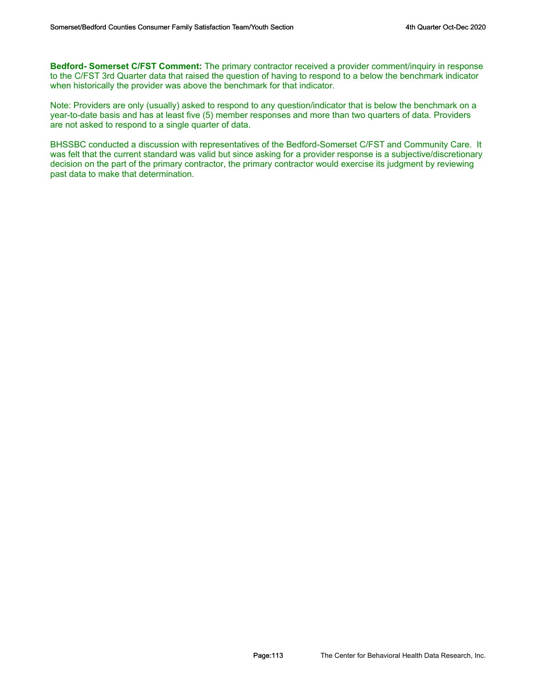**Bedford- Somerset C/FST Comment:** The primary contractor received a provider comment/inquiry in response to the C/FST 3rd Quarter data that raised the question of having to respond to a below the benchmark indicator when historically the provider was above the benchmark for that indicator.

Note: Providers are only (usually) asked to respond to any question/indicator that is below the benchmark on a year-to-date basis and has at least five (5) member responses and more than two quarters of data. Providers are not asked to respond to a single quarter of data.

BHSSBC conducted a discussion with representatives of the Bedford-Somerset C/FST and Community Care. It was felt that the current standard was valid but since asking for a provider response is a subjective/discretionary decision on the part of the primary contractor, the primary contractor would exercise its judgment by reviewing past data to make that determination.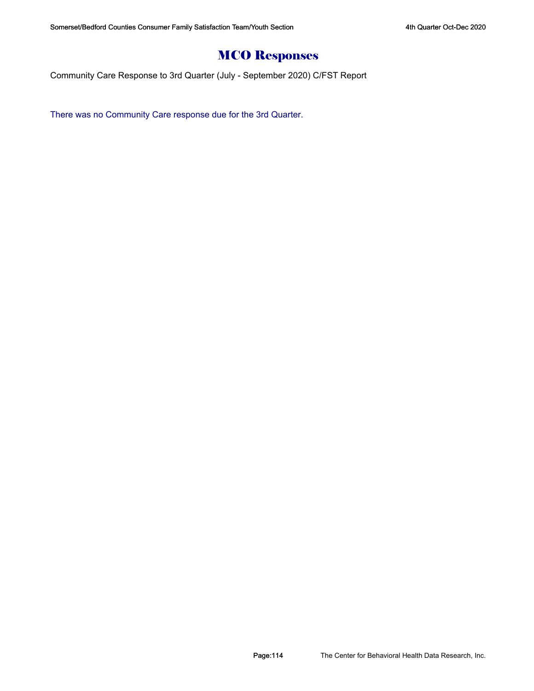# MCO Responses

Community Care Response to 3rd Quarter (July - September 2020) C/FST Report

There was no Community Care response due for the 3rd Quarter.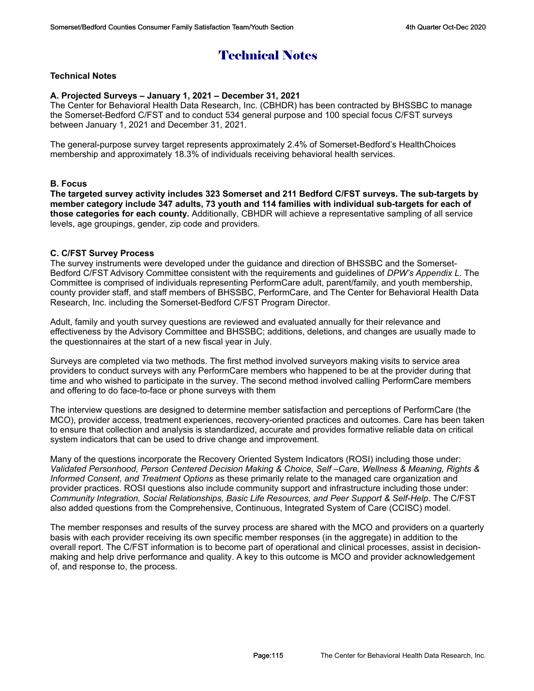# Technical Notes

# **Technical Notes**

# **A. Projected Surveys – January 1, 2021 – December 31, 2021**

The Center for Behavioral Health Data Research, Inc. (CBHDR) has been contracted by BHSSBC to manage the Somerset-Bedford C/FST and to conduct 534 general purpose and 100 special focus C/FST surveys between January 1, 2021 and December 31, 2021.

The general-purpose survey target represents approximately 2.4% of Somerset-Bedford's HealthChoices membership and approximately 18.3% of individuals receiving behavioral health services.

#### **B. Focus**

**The targeted survey activity includes 323 Somerset and 211 Bedford C/FST surveys. The sub-targets by member category include 347 adults, 73 youth and 114 families with individual sub-targets for each of those categories for each county.** Additionally, CBHDR will achieve a representative sampling of all service levels, age groupings, gender, zip code and providers.

#### **C. C/FST Survey Process**

The survey instruments were developed under the guidance and direction of BHSSBC and the Somerset-Bedford C/FST Advisory Committee consistent with the requirements and guidelines of *DPW's Appendix L*. The Committee is comprised of individuals representing PerformCare adult, parent/family, and youth membership, county provider staff, and staff members of BHSSBC, PerformCare, and The Center for Behavioral Health Data Research, Inc. including the Somerset-Bedford C/FST Program Director.

Adult, family and youth survey questions are reviewed and evaluated annually for their relevance and effectiveness by the Advisory Committee and BHSSBC; additions, deletions, and changes are usually made to the questionnaires at the start of a new fiscal year in July.

Surveys are completed via two methods. The first method involved surveyors making visits to service area providers to conduct surveys with any PerformCare members who happened to be at the provider during that time and who wished to participate in the survey. The second method involved calling PerformCare members and offering to do face-to-face or phone surveys with them

The interview questions are designed to determine member satisfaction and perceptions of PerformCare (the MCO), provider access, treatment experiences, recovery-oriented practices and outcomes. Care has been taken to ensure that collection and analysis is standardized, accurate and provides formative reliable data on critical system indicators that can be used to drive change and improvement.

Many of the questions incorporate the Recovery Oriented System Indicators (ROSI) including those under: *Validated Personhood, Person Centered Decision Making & Choice, Self –Care, Wellness & Meaning, Rights & Informed Consent, and Treatment Options* as these primarily relate to the managed care organization and provider practices. ROSI questions also include community support and infrastructure including those under: *Community Integration, Social Relationships, Basic Life Resources, and Peer Support & Self-Help*. The C/FST also added questions from the Comprehensive, Continuous, Integrated System of Care (CCISC) model.

The member responses and results of the survey process are shared with the MCO and providers on a quarterly basis with each provider receiving its own specific member responses (in the aggregate) in addition to the overall report. The C/FST information is to become part of operational and clinical processes, assist in decisionmaking and help drive performance and quality. A key to this outcome is MCO and provider acknowledgement of, and response to, the process.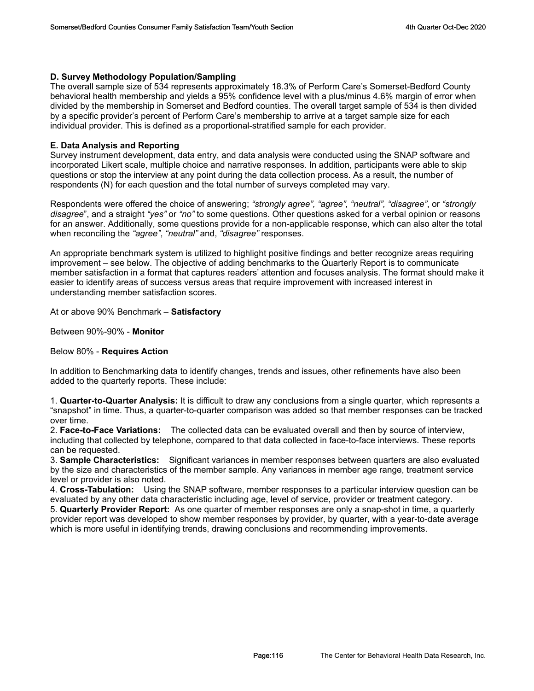# **D. Survey Methodology Population/Sampling**

The overall sample size of 534 represents approximately 18.3% of Perform Care's Somerset-Bedford County behavioral health membership and yields a 95% confidence level with a plus/minus 4.6% margin of error when divided by the membership in Somerset and Bedford counties. The overall target sample of 534 is then divided by a specific provider's percent of Perform Care's membership to arrive at a target sample size for each individual provider. This is defined as a proportional-stratified sample for each provider.

# **E. Data Analysis and Reporting**

Survey instrument development, data entry, and data analysis were conducted using the SNAP software and incorporated Likert scale, multiple choice and narrative responses. In addition, participants were able to skip questions or stop the interview at any point during the data collection process. As a result, the number of respondents (N) for each question and the total number of surveys completed may vary.

Respondents were offered the choice of answering; *"strongly agree", "agree", "neutral", "disagree"*, or *"strongly disagree*", and a straight *"yes"* or *"no"* to some questions. Other questions asked for a verbal opinion or reasons for an answer. Additionally, some questions provide for a non-applicable response, which can also alter the total when reconciling the *"agree"*, *"neutral"* and, *"disagree"* responses.

An appropriate benchmark system is utilized to highlight positive findings and better recognize areas requiring improvement – see below. The objective of adding benchmarks to the Quarterly Report is to communicate member satisfaction in a format that captures readers' attention and focuses analysis. The format should make it easier to identify areas of success versus areas that require improvement with increased interest in understanding member satisfaction scores.

At or above 90% Benchmark – **Satisfactory**

Between 90%-90% - **Monitor**

# Below 80% - **Requires Action**

In addition to Benchmarking data to identify changes, trends and issues, other refinements have also been added to the quarterly reports. These include:

1. **Quarter-to-Quarter Analysis:** It is difficult to draw any conclusions from a single quarter, which represents a "snapshot" in time. Thus, a quarter-to-quarter comparison was added so that member responses can be tracked over time.

2. **Face-to-Face Variations:** The collected data can be evaluated overall and then by source of interview, including that collected by telephone, compared to that data collected in face-to-face interviews. These reports can be requested.

3. **Sample Characteristics:** Significant variances in member responses between quarters are also evaluated by the size and characteristics of the member sample. Any variances in member age range, treatment service level or provider is also noted.

4. **Cross-Tabulation:** Using the SNAP software, member responses to a particular interview question can be evaluated by any other data characteristic including age, level of service, provider or treatment category.

5. **Quarterly Provider Report:** As one quarter of member responses are only a snap-shot in time, a quarterly provider report was developed to show member responses by provider, by quarter, with a year-to-date average which is more useful in identifying trends, drawing conclusions and recommending improvements.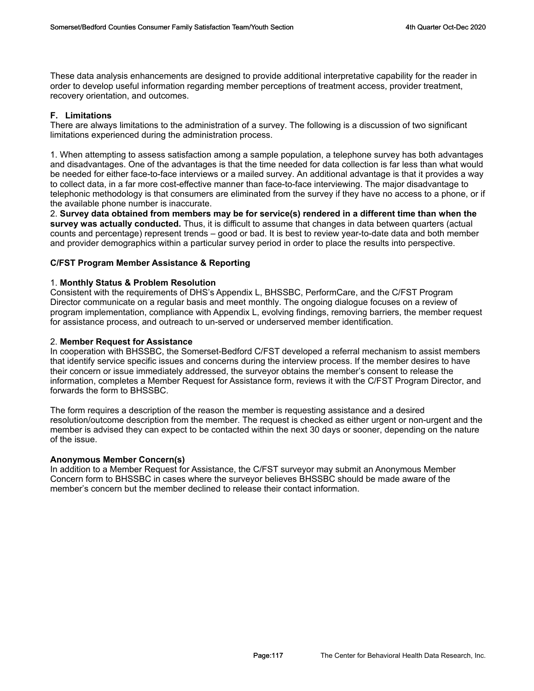These data analysis enhancements are designed to provide additional interpretative capability for the reader in order to develop useful information regarding member perceptions of treatment access, provider treatment, recovery orientation, and outcomes.

# **F. Limitations**

There are always limitations to the administration of a survey. The following is a discussion of two significant limitations experienced during the administration process.

1. When attempting to assess satisfaction among a sample population, a telephone survey has both advantages and disadvantages. One of the advantages is that the time needed for data collection is far less than what would be needed for either face-to-face interviews or a mailed survey. An additional advantage is that it provides a way to collect data, in a far more cost-effective manner than face-to-face interviewing. The major disadvantage to telephonic methodology is that consumers are eliminated from the survey if they have no access to a phone, or if the available phone number is inaccurate.

2. **Survey data obtained from members may be for service(s) rendered in a different time than when the survey was actually conducted.** Thus, it is difficult to assume that changes in data between quarters (actual counts and percentage) represent trends – good or bad. It is best to review year-to-date data and both member and provider demographics within a particular survey period in order to place the results into perspective.

# **C/FST Program Member Assistance & Reporting**

# 1. **Monthly Status & Problem Resolution**

Consistent with the requirements of DHS's Appendix L, BHSSBC, PerformCare, and the C/FST Program Director communicate on a regular basis and meet monthly. The ongoing dialogue focuses on a review of program implementation, compliance with Appendix L, evolving findings, removing barriers, the member request for assistance process, and outreach to un-served or underserved member identification.

# 2. **Member Request for Assistance**

In cooperation with BHSSBC, the Somerset-Bedford C/FST developed a referral mechanism to assist members that identify service specific issues and concerns during the interview process. If the member desires to have their concern or issue immediately addressed, the surveyor obtains the member's consent to release the information, completes a Member Request for Assistance form, reviews it with the C/FST Program Director, and forwards the form to BHSSBC.

The form requires a description of the reason the member is requesting assistance and a desired resolution/outcome description from the member. The request is checked as either urgent or non-urgent and the member is advised they can expect to be contacted within the next 30 days or sooner, depending on the nature of the issue.

# **Anonymous Member Concern(s)**

In addition to a Member Request for Assistance, the C/FST surveyor may submit an Anonymous Member Concern form to BHSSBC in cases where the surveyor believes BHSSBC should be made aware of the member's concern but the member declined to release their contact information.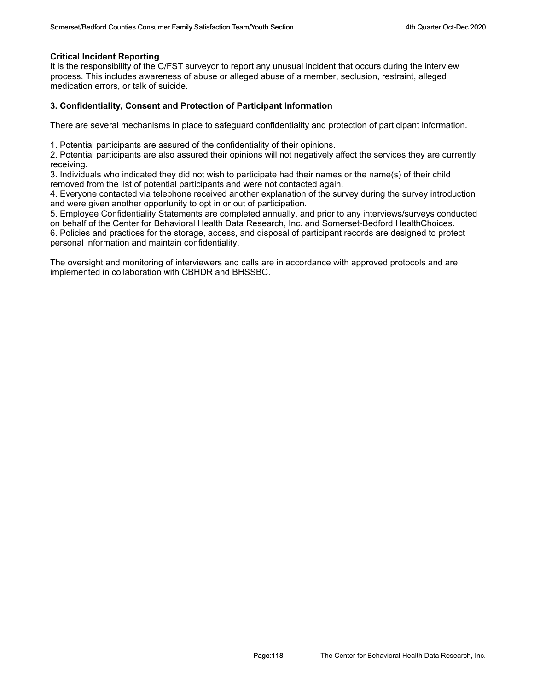### **Critical Incident Reporting**

It is the responsibility of the C/FST surveyor to report any unusual incident that occurs during the interview process. This includes awareness of abuse or alleged abuse of a member, seclusion, restraint, alleged medication errors, or talk of suicide.

### **3. Confidentiality, Consent and Protection of Participant Information**

There are several mechanisms in place to safeguard confidentiality and protection of participant information.

1. Potential participants are assured of the confidentiality of their opinions.

2. Potential participants are also assured their opinions will not negatively affect the services they are currently receiving.

3. Individuals who indicated they did not wish to participate had their names or the name(s) of their child removed from the list of potential participants and were not contacted again.

4. Everyone contacted via telephone received another explanation of the survey during the survey introduction and were given another opportunity to opt in or out of participation.

5. Employee Confidentiality Statements are completed annually, and prior to any interviews/surveys conducted on behalf of the Center for Behavioral Health Data Research, Inc. and Somerset-Bedford HealthChoices.

6. Policies and practices for the storage, access, and disposal of participant records are designed to protect personal information and maintain confidentiality.

The oversight and monitoring of interviewers and calls are in accordance with approved protocols and are implemented in collaboration with CBHDR and BHSSBC.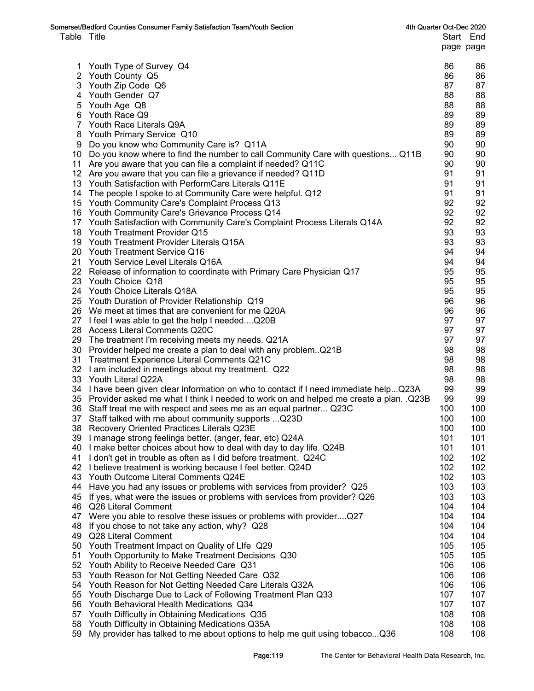|             | Somerset/Bedford Counties Consumer Family Satisfaction Team/Youth Section                | 4th Quarter Oct-Dec 2020 |           |
|-------------|------------------------------------------------------------------------------------------|--------------------------|-----------|
| Table Title |                                                                                          |                          | Start End |
|             |                                                                                          |                          | page page |
|             |                                                                                          |                          |           |
| 1.          | Youth Type of Survey Q4                                                                  | 86                       | 86        |
|             | 2 Youth County Q5                                                                        | 86                       | 86        |
|             | 3 Youth Zip Code Q6                                                                      | 87                       | 87        |
|             | 4 Youth Gender Q7                                                                        | 88                       | 88        |
| 5           | Youth Age Q8                                                                             | 88                       | 88        |
|             | 6 Youth Race Q9                                                                          | 89                       | 89        |
|             | 7 Youth Race Literals Q9A                                                                | 89                       | 89        |
| 8           | Youth Primary Service Q10                                                                | 89                       | 89        |
| 9           | Do you know who Community Care is? Q11A                                                  | 90                       | 90        |
|             | 10 Do you know where to find the number to call Community Care with questions Q11B       | 90                       | 90        |
|             | 11 Are you aware that you can file a complaint if needed? Q11C                           | 90                       | 90        |
|             | 12 Are you aware that you can file a grievance if needed? Q11D                           | 91                       | 91        |
|             | 13 Youth Satisfaction with PerformCare Literals Q11E                                     | 91                       | 91        |
|             |                                                                                          | 91                       | 91        |
|             | 14 The people I spoke to at Community Care were helpful. Q12                             | 92                       |           |
|             | 15 Youth Community Care's Complaint Process Q13                                          |                          | 92        |
|             | 16 Youth Community Care's Grievance Process Q14                                          | 92                       | 92        |
|             | 17 Youth Satisfaction with Community Care's Complaint Process Literals Q14A              | 92                       | 92        |
|             | 18 Youth Treatment Provider Q15                                                          | 93                       | 93        |
|             | 19 Youth Treatment Provider Literals Q15A                                                | 93                       | 93        |
|             | 20 Youth Treatment Service Q16                                                           | 94                       | 94        |
|             | 21 Youth Service Level Literals Q16A                                                     | 94                       | 94        |
|             | 22 Release of information to coordinate with Primary Care Physician Q17                  | 95                       | 95        |
|             | 23 Youth Choice Q18                                                                      | 95                       | 95        |
|             | 24 Youth Choice Literals Q18A                                                            | 95                       | 95        |
|             | 25 Youth Duration of Provider Relationship Q19                                           | 96                       | 96        |
|             | 26 We meet at times that are convenient for me Q20A                                      | 96                       | 96        |
|             | 27 I feel I was able to get the help I neededQ20B                                        | 97                       | 97        |
|             | 28 Access Literal Comments Q20C                                                          | 97                       | 97        |
|             | 29 The treatment I'm receiving meets my needs. Q21A                                      | 97                       | 97        |
|             | 30 Provider helped me create a plan to deal with any problemQ21B                         | 98                       | 98        |
|             | 31 Treatment Experience Literal Comments Q21C                                            | 98                       | 98        |
|             | 32 I am included in meetings about my treatment. Q22                                     | 98                       | 98        |
|             | 33 Youth Literal Q22A                                                                    | 98                       | 98        |
|             | 34 I have been given clear information on who to contact if I need immediate help Q23A   | 99                       | 99        |
|             | 35 Provider asked me what I think I needed to work on and helped me create a plan. .Q23B | 99                       | 99        |
|             | 36 Staff treat me with respect and sees me as an equal partner Q23C                      | 100                      | 100       |
|             | 37 Staff talked with me about community supports  Q23D                                   | 100                      | 100       |
|             | 38 Recovery Oriented Practices Literals Q23E                                             | 100                      | 100       |
|             | 39 I manage strong feelings better. (anger, fear, etc) Q24A                              | 101                      | 101       |
|             | 40 I make better choices about how to deal with day to day life. Q24B                    | 101                      | 101       |
| 41          | I don't get in trouble as often as I did before treatment. Q24C                          | 102                      | 102       |
|             | 42 I believe treatment is working because I feel better. Q24D                            | 102                      | 102       |
|             | 43 Youth Outcome Literal Comments Q24E                                                   | 102                      | 103       |
| 44          | Have you had any issues or problems with services from provider? Q25                     | 103                      | 103       |
|             |                                                                                          | 103                      |           |
|             | 45 If yes, what were the issues or problems with services from provider? Q26             |                          | 103       |
|             | 46 Q26 Literal Comment                                                                   | 104                      | 104       |
| 47          | Were you able to resolve these issues or problems with providerQ27                       | 104                      | 104       |
| 48          | If you chose to not take any action, why? Q28                                            | 104                      | 104       |
| 49          | Q28 Literal Comment                                                                      | 104                      | 104       |
|             | 50 Youth Treatment Impact on Quality of Life Q29                                         | 105                      | 105       |
| 51          | Youth Opportunity to Make Treatment Decisions Q30                                        | 105                      | 105       |
|             | 52 Youth Ability to Receive Needed Care Q31                                              | 106                      | 106       |
| 53          | Youth Reason for Not Getting Needed Care Q32                                             | 106                      | 106       |
|             | 54 Youth Reason for Not Getting Needed Care Literals Q32A                                | 106                      | 106       |
| 55          | Youth Discharge Due to Lack of Following Treatment Plan Q33                              | 107                      | 107       |
|             | 56 Youth Behavioral Health Medications Q34                                               | 107                      | 107       |
| 57          | Youth Difficulty in Obtaining Medications Q35                                            | 108                      | 108       |
| 58          | Youth Difficulty in Obtaining Medications Q35A                                           | 108                      | 108       |
| 59          | My provider has talked to me about options to help me quit using tobaccoQ36              | 108                      | 108       |